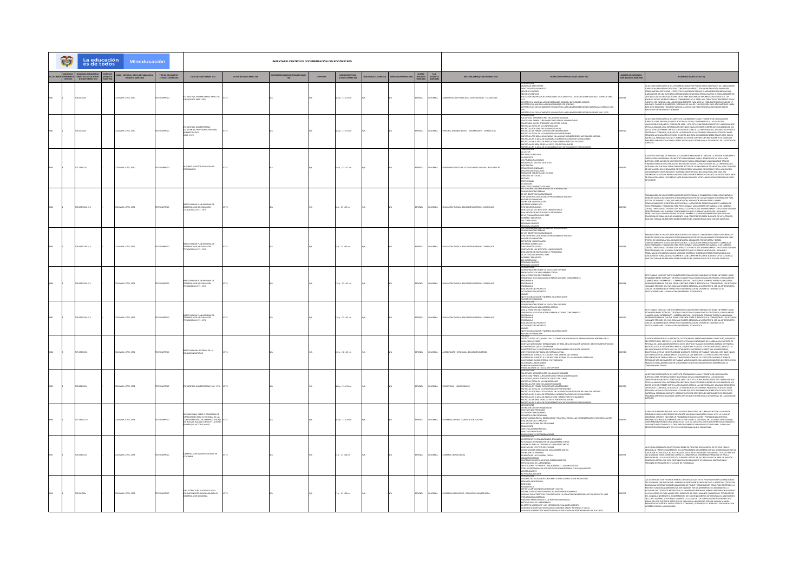| Ŵ | La educación<br>es de todos                                            |                                    | Mineducación                                           |                   |                                                                                                                                                                                                                                    |                           | INVENTARIO CENTRO DE DOCUMENTACIÓN COLECCIÓN ICFES |           |                                           |                               |               |                                                         |                                                         |                                                                                                                                                                                                                                                                                                                                                                                                                                                                                                                                                                                                                                                                                                                                                                                       |                                               |                                                                                                                                                                                                                                                                                                                                                                                                                                                                                                                                                                                                                                                                                                             |
|---|------------------------------------------------------------------------|------------------------------------|--------------------------------------------------------|-------------------|------------------------------------------------------------------------------------------------------------------------------------------------------------------------------------------------------------------------------------|---------------------------|----------------------------------------------------|-----------|-------------------------------------------|-------------------------------|---------------|---------------------------------------------------------|---------------------------------------------------------|---------------------------------------------------------------------------------------------------------------------------------------------------------------------------------------------------------------------------------------------------------------------------------------------------------------------------------------------------------------------------------------------------------------------------------------------------------------------------------------------------------------------------------------------------------------------------------------------------------------------------------------------------------------------------------------------------------------------------------------------------------------------------------------|-----------------------------------------------|-------------------------------------------------------------------------------------------------------------------------------------------------------------------------------------------------------------------------------------------------------------------------------------------------------------------------------------------------------------------------------------------------------------------------------------------------------------------------------------------------------------------------------------------------------------------------------------------------------------------------------------------------------------------------------------------------------------|
|   | SIGNATURA TOPOGRAFICA<br>DEWEY Y CLAVE DE AUTOR<br>(ETIQUETA MARC 002) | EIEMPLAR<br>(ETIQUETA<br>MARC 900) | <b>ENTORIAL - FECHA DE PUBI</b><br>(ETIQUETA MARC 260) | TIPO DE DOCUMENTO | TITULO ILTIQUETA MARC 2451                                                                                                                                                                                                         | AUTOR (ETIQUETA MARC 100) | AUTORES SECUNDARIOS (ETIQUETA MARC                 | COPYRIGHT | DESCRIPCIÓN FISICA<br>(ETIQUETA MARC 200) | <b>SSN ISTIQUETA MARC 403</b> |               | ENOMA PAS<br>(ETIQUETA (ETIQUETA<br>MARC 001) MARC 008) | MATERIAS E EMBLETINISTA MARCESE                         | NOTAS DE CONTENIDO IETIQUETA MARC 5051                                                                                                                                                                                                                                                                                                                                                                                                                                                                                                                                                                                                                                                                                                                                                | NUMERO DE INVENTARIO<br>MEN (ETIQUETA MARC 90 | <b>DESIGNEN ISTIQUETA MARY SIM</b>                                                                                                                                                                                                                                                                                                                                                                                                                                                                                                                                                                                                                                                                          |
|   | 278.02 IC15e                                                           |                                    | LOMBIA: ICFES, 1970                                    | <b>O22RRM OT</b>  | ADÍSTICAS UNIVERSITARIAS: ASPECTOS<br>ANCIEROS 1960 - 1970                                                                                                                                                                         |                           |                                                    |           | N/A p.: 33 x 23 cm                        |                               | <b>JORK</b>   | OMEN                                                    | AINSTRACIÓN FINANCIERA - UNIVERSIDADES - ESTADÍSTICAS   | HUGULUN<br>HUSIS DE LAS FUENTES<br>PECTOS METODOLÓGICOS<br>-AMELICA METODOLO<br>- INDICE DE CUADROS<br>- INDICE DE GRÁFICOS<br>.<br>CIONAL Y LOS APORTES A LA EDUCACIÓN EN GENERAL Y SUPERIOR 1960<br>-NOULLIUM DIE MISSIONISTIC MALEIDIAE TUSS AMERIES A DA EDI LACIONE EN GATEBAL TSUPERIN SPIEL -<br>-ROOTES DE LA BACIÓN A LAS UNIVERSIDADES SEGÜN SU NATURALEZA JURÍDICA<br>-ROOTES DE LA BACIÓN A LAS UNIVERSIDADES SEGÜN SU NATURAL<br>APORTE DE LOS DEPARTAMENTOS Y MUNICIPIOS A LAS UNIVERSIDADES SEGÚN REGIONES 1960 - 1970                                                                                                                                                                                                                                                 | 9281                                          | A SECCIÓN DE ESTADÉSTICA DEL ICFES PREDCUPADA POR POSEER DATOS CONFIABLES DE LA EDUCACIÓN<br>CANDICANO E DE MARCIA COM EN CONSTANTA EN CANDI ANONCANO MENORIALE EN EL DE MARCIA (EN CANDICAL)<br>COMPERANTAR NEVAS O TENENCIA (CONSTANTAR DE MARCIA EN CANDICARO PRODUCANO)<br>COMPERANTAR NEVAS EN EN ENTRETA MATIONALES EN EN E<br>NY MONTAL AMIN'NY NY INDRINDRA NY NORODY DIA NY ANY ARAN'NY ENO INDRINDRANA NY INDRINDRANA NY INDRINDRANA NY I<br>NY INDRINSE, CLORADO SUS INSERISSOS FUTRONY DE NO BRILLOS Y LA EXECUTAVE DIA TANÀ ANY INDRINDRA DIA 17<br>NY INDRI<br>LESDEDOR DE UN MISMO FENÓMENO.                                                                                                 |
|   | 278.11 IC15e                                                           |                                    | CANBUA: ICFES, 1970                                    | O22RRM OT         | DĪSTICAS UNIVERSITARIAS:<br>DIANTES, PROFESORES, PERSONAL<br>MINISTRATIVO<br>KG-1970                                                                                                                                               |                           |                                                    |           | N/A p.: 23 x 33 cm                        |                               | <b>AÑOL</b>   |                                                         | <b>IRSONAL ADMINISTRATIVO - UNIVERSIDADES - ESTADES</b> | SOLICITUDES A PRIMER CURSO EN LAS UNIVERSIDADES<br>$\langle$ GOLD THIS ARM WHOLE COMPOUND USE AN UNIVERSIDANCE CONTINUES AND A GOLD CONTINUES AND CONTINUES AND CONTINUES AND CONTINUES AND CONTINUES AND CONTINUES AND CONTINUES AND CONTINUES AND CONTINUES AND CONTINUES AND CONTI<br>MATRÍCULA EN EL ÁREA DE CIENCIAS EXACTAS Y NATURALES POR ESPECIALIDAD                                                                                                                                                                                                                                                                                                                                                                                                                        |                                               | A ATOCAN EN ESTADOR A EN INSTITUTO COMPANYA DANS IL DONNO DE LA ESTADOR DE LA ESTADOR EN EL ESTADOR EN EL ESTA<br>ANTARESTANA CURANTE EL ESTADOR E NEGLI ALCORA EL ENCREMENTA A LA EDUCACIÓN<br>ANTARCA VANÁGIS EL EL NIGERIALCON CU<br>MISPONIAI VALDUVANAN AUFANANC-JA PAPINYKYJA LIIAI VAIVANYKYNA TAINA JAOKA JA CHARALISANA (LA PERSONAL ODCENTEY<br>MARTRÉLIJA, PERSONAL ODCENTEY ARIMINISTRATIVO SE CONVIERTA EN INSTRUMENTO DE CONSULTA<br>ŠUPERIOR.<br>ŠUPERIOR.                                                                                                                                                                                                                                   |
|   | 12641015a                                                              |                                    | CMBIA: ICFES, 1970                                     | TO IMPRESO        | GUNOS ASPECTOS DEL BACHILLER<br>"I CANRIANO                                                                                                                                                                                        |                           |                                                    |           | 168 p. : 21 x 27 cm                       |                               | AÑOL          |                                                         |                                                         | PRESINTACIÓN<br>ALA ENCORRE<br>-LA ENCUESTA<br>-LAS PRUTIDAS INACIONALES<br>-LAS PRUTIDAS INACIONALES<br>-<br>-CONTACIÓN<br>-CONTACIONALES INCORRENT<br>-<br>-PRESINCAN ENGURINAS<br>-<br>-PRESINCAN ENGURINAS<br>-PRESINCAN ENGURINAS<br>-PRESINCAN INCORRENT<br>VARIABLES DE ESTUDIO<br>-MOTIVOS<br>-PREFERENCIAS<br>prosón<br><b>ASPECTOS ECONÓMICO-SOCIALES</b><br>NSTITUCIONAUZACIÓN Y NORMAS DE ACRED                                                                                                                                                                                                                                                                                                                                                                           |                                               | el servicio nacional de pruebas, actualmente programa a cargo de la división de pruebas y<br>obertatación profesional del instituto colombiano para la fondeito de la educación<br>superior (CEES, surgió de la propuesta que para l<br>formero funcionario funcionalmente antificativa do matemativa de antigiona, en el energía<br>de natalización del 11 senango de presidentes de la universidad de antigiona, en el energías<br>de natalización del universidades y el<br>LOCANISMOS DE UNIVERSIDADES I SE FUEBLO UNIVERSIDADES DE CONDIDERATOS DURANTE LOS DOS ÚLTIMOS AÑOS<br>DE GAUCIACIÓN MEDIA Y SULTANS INDIVIDUALES DE CONDIDAMENTOS DURANTE LOS DOS ÚLTIMOS AÑOS<br>ESTUDIANTE:<br>ESTUDIANTE: |
|   | 278.1991015b EL1                                                       |                                    | DLOMBIA: ICFES, 1971                                   | O23RNM OT         | III I FRAN UN FLAN INNLINN<br>IARROLLO DE LA EDUCACIÓN<br>INOLÓGICA 1972 - 1978                                                                                                                                                    |                           |                                                    |           | 38 p. : 23 x 33 cm                        |                               | <b>JORKS</b>  | OMBIA                                                   | EDUCACIÓN TÉCNICA - EDUCACIÓN SUPERIOR - CURRÍCULOS     | INSTITUCIONALIZACIONI Y NORMAS DE<br>- CONSIDERADONIS PREVIAS<br>- DE LOS OBLITIVOS EDUCACIÓNALES<br>- THO DE NISTRICION, PANIES Y PRO<br>- NIFERIOS NORMATIVOS<br>- DEFINICIÓN Y CLASIFICACIÓN<br>- THO DE NISTRICIONIS<br>and the pressures<br>-TRO DE WISTINGDINIST<br>COLLETIVOS DE LOS INSTITUTOS UNIVERSITARIOS<br>-DE LA DULLICIÓN DE NESTRICONISTY PROGRAMAS<br>-DE LA DULLICIÓN POR EL ICEES<br>-NORMAN VIRGUAINI<br>-PERSONAL DOCENTE<br>-RESONAL DOCENTE<br>-RESONAL DOCENTE<br>-RESONAL DOC                                                                                                                                                                                                                                                                               |                                               | para el logro de una epicaz planeación institucional se considera de gran conveniencia y<br>Tener en cuenta un conjunto de requerimientos previos como niveles de formación para<br>.<br>Efectos de Nonenclatura, reglamentación, asignación presupuestal y demás.<br>Comportanented, fobaración para profesional y las carreixententente llamada de<br>Nivel Internedio, fobaración para profesional y las carreas interne<br>WWA COLORADOR, A PARRAMON PARA PRAVINCIAINA INTERNACIONAL EN CARACTERISTA DE LO CONSTANTANTE DE LO CONSTANTE D<br>PROPORTO DE LOS CARACTERISTAS DE LOS CARACTERISTAS EN EL EN PARTICULAR DE LOS MUNICIPALES DE CONTRA A CARACTER<br>                                         |
|   | 278.199 (C15b Ej.2                                                     |                                    | LOMBIA: ICFES, 1971                                    | O23RN OTX         | SES PARA UN PLAN NACIONAL DE<br>SARROLLO DE LA EDUCACIÓN<br>NATIONALE 1977 - 1978                                                                                                                                                  |                           |                                                    |           | 18 p. : 23 x 33 cm                        |                               | AÑOL          | MEM                                                     | EDUCACIÓN TÉCNICA - EDUCACIÓN SUPERIOR - CURRÍCULOS     | CONSIDERACIONES PREVIAS<br>OE LOS OBJETIVOS EDUCACIÓNALES<br>-TIPO DE INSTRUCCIÓN, PLANES Y PROGRAMAS DE ESTUDIO<br>-NIVELES DE FORMACIÓN<br>-DEFINICIÓN Y CLASFICACIÓN<br>-DIFFINIORM Y CAASIFACACIÓN<br>- CHITERICA NORMATIVOS<br>- CHIERICA NORMATIVOS<br>- CHIERICACIÓN EN ENTRUTOS LINIVERSITARIOS<br>- CHIERICACIÓN EN ENTRUCCIÓN<br>- RELA VIALLIACIÓN FOR EL LICES<br>- PRESONALL DOCURRE<br>-<br>- RESONALL DOCURRE<br>-<br>-<br>ERSONAL DISCENTE                                                                                                                                                                                                                                                                                                                            |                                               | MAK EL LOGIO DE UNA ESCAZ PLANGACÍN INDETINCIONAL SE CONSIDERA DE GAN ECONOMISMO Y TRES EL CONSIDERATO DE SEGUNIDA EN EN EL CONSIDERATO DE SEGUNIDA EN EL CONSIDERATO DE SEGUNIDA EN EL CONSIDERATO DE SEGUNIDA EN EL CONSIDE<br>educación integral, que no solamente sean competentes desde el punto de vista técnico,<br>Eno que puedan asumir funciones dirigentes en una sociedad cada vez más compleia.                                                                                                                                                                                                                                                                                                |
|   | 278.1991C15b Ej.1                                                      |                                    | LOMBIA: ICFES, 1971                                    | O23RM OT          | kses para un plan nacional de<br>Esarrollo de la educación<br>Englógica 1972 - 1978                                                                                                                                                |                           |                                                    |           | 39 p. : 23 x 33 cm                        |                               | AÑOL          |                                                         |                                                         | introducción<br>- Fonsideraciónes sobre la educación superior<br>- Problemática de las carreras cortas<br>- Inna altenación de la educación superior acciones concurrentes<br>- Innibricias de la educación superior acciones concurrentes<br>-TEMENTAIS DE LA EDUCACIÓN<br>-PROGRAMA &<br>-PROGRAMA &<br>-PROGRAMA C<br>-NATIVIDADES DEL PROYECTO<br>-MATIVIDADES DEL PROYECTO<br>-MATIVIDADES DEL PROYECTO<br>-MATIVIDADES DEL PROYECTO<br>.<br>Nasarang kacamatan ing masa masa na masa na masa na masa na masa na masa na masa na masa na masa na masa na ma<br>AAS DE ACREDITACIÓN<br>VELES DE FORMACIÓN                                                                                                                                                                         |                                               | .<br>ISTE TRABAJO LIMITADO TANTO EN EXTENSIÓN COMO EN PROFUNDIDAD PRETENDE EN PRIMER LUGAR<br>ISTABLECER BASES TEÓRICAS Y CRITERIOS CONCEPTUALES SOBRE EDUCACIÓN TÉCNICA, ESPECIALMENTE<br>NJAMANOA WANTA "WORKON" VAFIRANDA CORRESPANSA DI DE SAMA DE TRANSIS TRANSA AMALIZAR LA<br>INAMADA NAVEL "WITERMEDE" - CARRERAS CORTINIS" SOBEE EL ESTADO DE LA FORMADA TRANSA DE LA SALUZAR LA<br>INFORMACIÓN NÁCIOS QUE PAÍS, CON B<br>TOWN TO DELINEANT AND FRUI, CONTINUES FUNDAMENTALES DE UN PLAN DE DESARROLLO DE<br>CON LOS DELINEAMENTOS Y PRINCIPIOS FUNDAMENTALES DE UN PLAN DE DESARROLLO DE<br>NSTITUCIONES PARA LA FORMACIÓN PROFESIONAL TECNOLÓGICA.                                               |
|   | 278.1991C15b Ej.2                                                      |                                    | LOMBIA: ICFES, 1971                                    | <b>O22RRM OT</b>  | ESARROLLO DE LA EDUCACIÓN<br>ECNOLÓGICA 1972 - 1978                                                                                                                                                                                |                           |                                                    |           | 139 p. : 23 x 33 cm                       |                               | <b>JORK</b>   | OMEN                                                    | EDUCACIÓN TÉCNICA - EDUCACIÓN SUPERIOR - CURRÉCULOS     | <b>NITIONALCON<br/>CONSULTANCE AND LA CONSULTANCE SUPERIOR</b><br>CONSULTANCE AS LAS CARRIALS CONTA<br>CONSULTANCE AND LAS CONSULTANCE AND SUPERIOR ACCORDS CONCURRINTES<br>- HIGGIANAIA<br>CONSULTANCE AND PROPECTION<br>CONSULTANCE AND PROPECTION<br>-<br>ANTINGS<br>- ANEXOS<br>- HISTITUCIONALIZACIÓN Y NORMAS DE ACREDITACIÓN<br>NIVELES DE FORMACIÓN                                                                                                                                                                                                                                                                                                                                                                                                                           | 09387                                         | EST TRANSA DANTAS TANTO EN CIDIDADE COMO EN PRODUKTOJN PRETIRE DE PRIME LUGAL<br>ESTANGON NAS TEDESCO TORTISTO CONCIPTUALES SONS ESUCACÓN TÉCNIC, ESPARANTEN<br>ESTANGA INSTITUITENENTO - CARRAN COSTAS - EN SIGNADO TENANO TENINA E                                                                                                                                                                                                                                                                                                                                                                                                                                                                        |
|   | 29.1581015b                                                            |                                    | CANBUA: ICFES, 1971                                    | <b>OZZRRM OT</b>  | SES PARA UNA REFORMA DE LA<br>UCACIÓN SUPERIOR                                                                                                                                                                                     |                           |                                                    |           | 202 p. : 16 x 23 cm                       |                               | <b>JORK</b>   | OMBM                                                    | CREDITACIÓN - REFORMAS - EDUCACIÓN SUPERIOR             | ROESTEL MODUCATION RODALIST                                                                                                                                                                                                                                                                                                                                                                                                                                                                                                                                                                                                                                                                                                                                                           |                                               | $\begin{tabular}{l c c c c} \hline \textbf{G}(\mathbf{X},\mathbf{W}) & \textbf{G}(\mathbf{X},\mathbf{W}) & \textbf{G}(\mathbf{X},\mathbf{W}) & \textbf{G}(\mathbf{X},\mathbf{W}) & \textbf{G}(\mathbf{X},\mathbf{W}) \\ \hline \textbf{G}(\mathbf{X},\mathbf{W}) & \textbf{G}(\mathbf{X},\mathbf{W}) & \textbf{G}(\mathbf{X},\mathbf{W}) & \textbf{G}(\mathbf{X},\mathbf{W}) & \textbf{G}(\mathbf{X},\mathbf{W}) \\ \hline \textbf{G$                                                                                                                                                                                                                                                                       |
|   | 278.021 (C15e                                                          |                                    | LOMBIA: ICFES, 1972                                    | <b>O22RNM OT</b>  | ADÍSTICAS UNIVERSITARIAS 1960 - 197                                                                                                                                                                                                |                           |                                                    |           | N/A p.: 23 x 33 cm                        |                               | <b>LORAS</b>  | OMEN                                                    | STADISTICAS - UNIVER                                    | INTRODUCCÓN<br>-SOLICITUDES A PRIMER CURSO EN LAS UNIVERSIDADES<br>-CUPOS PARA PRIMER CURSO D'RECIDOS POR LAS UNIVERSIDADES<br>-SIATEÍCULA TOTAL EN LAS UNIVERSIDADES<br>-MATRÍCULA TOTAL EN LAS UNIVERSIDADES<br>-MATRÍCULA TOTAL EN LAS UNI<br>-MOVING AND CITATION IN A LOWING MOST CONSISTENCY AND MANUFACTURED AND MANUFACTURED AND MANUFACTURED AND MANUFACTURED AND MANUFACTURED AND MANUFACTURED AND MANUFACTURED AND MANUFACTURED AND MANUFACTURED AND MANUFACTURED A<br>ANTRÉCULA EN EL ÁREA DE CIENCIAS EXACTAS Y NATURALES POR ESPECIALIDADES<br>NTECEDENTES                                                                                                                                                                                                              |                                               | A SERCIÓN DE ESTADOREA DEL RESTIUTO COLOMBINO JUAN EL POMOTO EL LA EDUCACIÓN EL ESTADOREA DE ANTIGUAL EL PRODUCTO EL ESTADOREA DE ENTRE ARQUETA DE ENTRE EL ENTRE EL ENTRE EL ENTRE EL ENTRE EL ENTRE EL ENTRE EL ENTRE EL EN                                                                                                                                                                                                                                                                                                                                                                                                                                                                               |
|   | 307.14121015                                                           |                                    | LOMBIA: ICFES, 1973                                    | O23RNM OT         | .<br>Ame Final Sobre el Programa de<br>Artación Para el Personal de Las<br>NYAEI NEIDR YANA EE YEKKINAE DE DAS<br>ONCENTRACIONES DE DESARROLLO RURA<br>IE: BOLIVAR (CAUCA) CONSACA Y LA UNIÓ<br>NARIËNEIDR YANA EE YEKKINAE DE DAS |                           |                                                    |           | N/A p.: 21 x 28 cm                        |                               | <b>JORK</b>   | OMBIA                                                   | GSARROLLO RURAL - CAPACITACIÓN DOCENTE                  | ANTICEDENTS<br>-DEFRIVOS DEL PROGRAMA<br>-DEFRIVOS DEL PROGRAMA<br>-NCTIVENDES PRESIMINARS<br>-NOPICITACIÓN DIRECTA, OBSERVACIÓN Y PRÁCTICA, VISITA A LAS CONCENTRACIONES, REVISIÓN Y AUSTE<br>-CAPACITACIÓN DIRECTA, OBSERVACIÓN Y PRÁCTICA,<br>-CAPACITACIUM DINILIA, DINIAN HITLAMI<br>- EVALUACIÓN GELORAL DEL PROGRAMA<br>- EVALUACIÓN GEORAL DEL PROGRAMA<br>- SEGUIMIENTO<br>- ASPECTOS ADMINISTRATIVOS<br>ECTOS FINANCIEROS<br><b>ICLUSIONES Y RECOMENDACIONES</b>                                                                                                                                                                                                                                                                                                            | 09290                                         | PRESENTE INFORME RESUME LAS ACTIVIDADES REALIZADAS EN CUMPLIMIENTO DE LA COMISIÓN<br>IN PROMINE TROUBLES IN A SACRO MARKET CONSUMER A LOBOTON MARKET CONSUMER SERVICE AND COMPARED ON A LOBOT VEHICLE IN FROGRAM A CONSUMER CONSUMER DESCRIPTION OF THE SACRO AND A SACRO CONSUMER DESCRIPTION OF THE SACRO AND CO                                                                                                                                                                                                                                                                                                                                                                                          |
|   | 278.154 (C15c)                                                         |                                    | ECRL 2233 MINUTES                                      | OZZRRA OTKI       | vareaas cortas universitarias en<br>'Lombia                                                                                                                                                                                        |                           |                                                    |           | $55a:21x28$ cm                            |                               | <b>JORANO</b> | AIRMOJO:                                                | CARRERAS TECNOLÓGICAS                                   | PRESENTACION<br>- ANTICERCENTES Y REALIZACIÓN DEL SEMINARIO<br>- NATURALEZA Y CRIENTACIÓN DE LAS CARRERAS CORTAS<br>- LIMITANTES PARA SU DESARROLLO EN NUESTRO MEDIO<br>- OBJETIVOS DE ESTI TIPO DE ESTUDIOS<br>-GMITHOS DE SET I PO DE ESTIGITOS<br>CHEMICAL DE TERMINAS<br>CHEMICAL DE TERMINAS<br>CHEMICAL DE TERMINAS<br>CHEMICAL DE TERMINAS<br>CHEMICAL DE TERMINAS<br>COS ESTIGINATOR Y DE TERMINAS DE TERMINAS DE PORTUGALISTA DE CHEMICAL<br>COS ESTIGINAT                                                                                                                                                                                                                                                                                                                   |                                               | A DIVISIÓN ACADÉMICA DEL ICFES EN SU DESEO DE FACILITAR DOCUMENTOS DE ESTUDIO PARA EL<br>.<br>DESARROLLO Y PERFECCIONAMENTO DE LOS PROGRAMAS DE CARRERAS CORTAS, DENOMINADAS HOY DE<br>EDUCACIÓN TECNOLÓGICA, IN AUTORIZADO LA SEGUINA EDICÓN REL DOCUMENTO TITULADO SÍNTESIS<br>DEL SEMINARIO SOBRE CARRERAS CORTAS CELEBRADO E<br>HIL ARRINDING ALBEM LINORIDO LIGITARI LIGIGI DE DÍAS 29, 20 Y 21 DE MAYO LIGIGI LIGIGI LIGIGALE DE LA DIVISIÓN<br>ÁLVITANDER DE LA CIUDAD DE CIÈLITA DURANTE LOS DÍAS 29, 20 Y 21 DE MAYO DE 1988. LA DIVISión<br>ÁCADÍNACA INTERESA                                                                                                                                    |
|   | 278.01 (C15e)                                                          |                                    | LOMBIA: ICFES, 1973                                    | OZZRRA OTX        | <b>ESTRUCTURA ACADÉMICA DE LA</b><br>)<br>UCACIÓN POST-SECUNDARIA PARA EL<br>ISARROLLO DE COLOMBIA                                                                                                                                 |                           |                                                    |           | $71a:21x28$ cm                            |                               | alini         | MEM                                                     | ARRESTMENT MODATING - EDUCACIÓN UNIVERSITARIA           | EL PISSONAL DOCENTE<br>MIRODACIÓN<br>MIRODACIÓN<br>MAUNOS RATOS DIMANOSTICADORES Y JUSTIFICADORES DE LAS PROPUESTAS<br>TERMADA INSATISFECIA<br>-DIMANINA INSAILINALINA<br>-DISSIRICĂN<br>-DISMITA FÎSICA<br>-DISUBICACIÓN DE PROFESIONALES RECIENTEMENTE EGRESADOS<br>-SAAMANGUN DEVAURASIONALE MELANI INHUSION UNIVERSITARIA ACTUAL RESPECTO A LAS<br>ESTRUCTURAS ACADÉMICAS CUALITATIVAS DE LA SITUACIÓN UNIVERSITARIA ACTUAL RESPECTO A LAS<br>-FINALIDAD PROFESIONALISTA DE NUESTRA UNIVERSIDAD<br>HINAULINU PRUHASILINAISI NU NORSI IKA UNIVUKSILINU<br>METODOLIOGIA DE LA ENSEÑANZA<br>EL CRÉDITO ACADÉMICO Y LOS SISTEMAS DE EVALUACIÓN VIGENTES<br>AUSENCIA DE OBIETIVOS GENERALES O COMUNES A NIVEL INDIVIDUAL Y SOCIAL<br>OA DE ESPÍRITU DE INVESTIGACIÓN, DE CREATMOAD Y F |                                               | los autores de esta potencia hemos considerado que no se pueden critinei las finalidades<br>del semimado que nos reúnic — mesora el rendruento univertificato y nacir dus costos en<br>rescar una resistructuración académica de fon<br>MICARDAR QUE TODO LOS MOSCROSOS DE LA UNIVERSIDAD RENOVAL A LA UNIDER DESCRIPCIONADA MONTENERE EL CONCERNATION DE CONSTANT EN CONCERNATION DE CONSTANT EN CONCERNATION DE CONSTANT EN CONCERNATION DE CONSTANT EN CONCERNATIO                                                                                                                                                                                                                                       |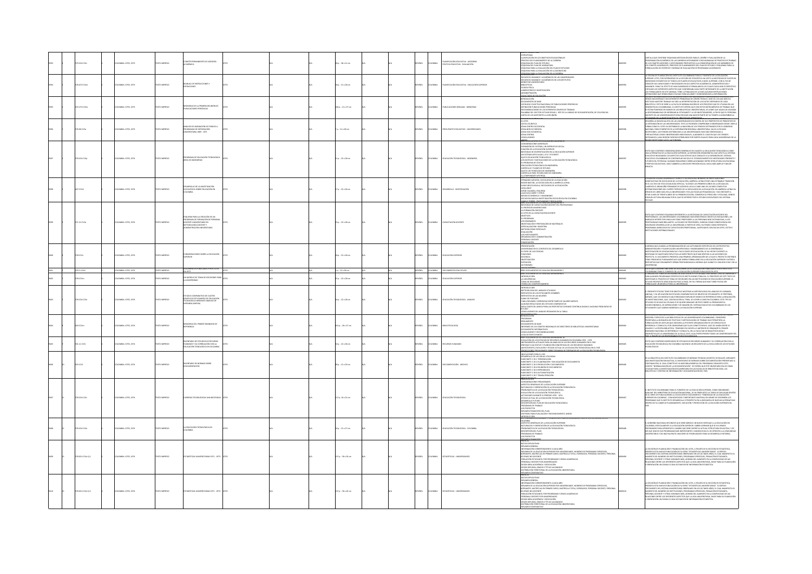|  | <b>1541C15c</b>    | LOMBIA: ICFES, 1973  | O23RM OTH         | ABOZZZA 10 ZITMI<br>MITÉS PERI<br>ADÉMICA                                                                                                          |  | 18 p. : 28 x 21 cm       |  | ušoi           | MEM          | JANFICACIÓN EDUCATIVA - ASESORÍAS<br>XÍTICA EDUCATIVA - EVALUACIÓN | TRATEGIAS<br>ASI FICACIÓN DE LOS ORIETIVOS EDUCACIÓNALES<br>MINIMANIA DI KAMANINTO DE LA CARRERA<br>QUERIA DEL PLAN DE ESTUDIO<br>QUERIA DEL PLAN DE ASIGNATURA<br>QUERIA PARA LA EVALUACIÓN DEL PLAN DE ESTUDIOS<br>QUERIA PARA LA EVALUACIÓN DEL PLAN DE ESTUDIOS<br>UEMA PARA LA EVALUACIÓN DE LA ASIGNATURA<br>UEMA PARA LA EVALUACIÓN DE LA CASSERA                                                                                                                                                                                                                                             |       | ATELA QUE CONTIENE ESQUEMAS METODOLÓGICOS PARA EL DISEÑO Y EVALUACIÓN DE LA<br>ILINO ANNI MARINI RABANDON MI ILINOADURILAN PROVIA ILINOAN ILINOADURU DE PROCESO DE TRABALO<br>LOS COMITES ASESORIS, CUESTIDANAISOS PROPUNSIDOS CON LO CANSIDRAMAS DE PROCESO DE TRABALO<br>LOS COMITES ACADÓMICOS, PROCESOS DE PLAN                                                                                                                                                                                                                                      |
|--|--------------------|----------------------|-------------------|----------------------------------------------------------------------------------------------------------------------------------------------------|--|--------------------------|--|----------------|--------------|--------------------------------------------------------------------|------------------------------------------------------------------------------------------------------------------------------------------------------------------------------------------------------------------------------------------------------------------------------------------------------------------------------------------------------------------------------------------------------------------------------------------------------------------------------------------------------------------------------------------------------------------------------------------------------|-------|----------------------------------------------------------------------------------------------------------------------------------------------------------------------------------------------------------------------------------------------------------------------------------------------------------------------------------------------------------------------------------------------------------------------------------------------------------------------------------------------------------------------------------------------------------|
|  | 378.107 (C15m)     | LOMBIA: ICFES, 1973  | OZZRRA OTX        | ANUAL DE INSTRUCCIONES Y<br>DEINICIONES                                                                                                            |  | $58a : 21x28$ cm         |  | SPAÑOL         | 144014       | MIFICACIÓN EDUCATIVA - EDUCACIÓN SUPERIOR                          | MONOROM<br>CURSOS HUMANOS Y ACADÉMICOS DE LAS UNIVERSIDADE<br>CURSOS HUMANOS Y ACADÉMICOS DE LOS INSTITUTOS<br>ENESTAR UNIVERSITARIO<br>-BIANOTECAS<br>-PLANTA FÍSICA<br>-PLANTA FÍSICA<br>-LABORATORIOS E INVESTIGACIÓN<br>-ADMINISTRACIÓN<br>-EACULTADES DE EDUCACIÓN                                                                                                                                                                                                                                                                                                                              | 224   | A SIPUNA DE MANIFORMATIVA DESIDENTE DE MANIFORMA DE MANIFORMA DE MANIFORMA DE MANIFORMA DE MANIFORMA DE MANIFORMA DE MANIFORMA DE MANIFORMA DE MANIFORMA DE MANIFORMA DE MANIFORMA DE MANIFORMA DE MANIFORMA DE MANIFORMA DE                                                                                                                                                                                                                                                                                                                             |
|  | <b>1751C15m</b>    | MEIA: ICFES, 1973    | <b>OZZRRM OT</b>  | .<br>Norias de la primera reunión de<br>Licaciones rebiónicas                                                                                      |  | 84 p. : 21 x 27 cm       |  | JORAS          | <b>MEM</b>   | BILITACIONES SEBIADAS - MEMORIA                                    | INTRODUCCIÓN<br>-DOCUMENTOS DE BASE<br>ITÁLDGO COLECTIVO NACIDIAL DE PUBLICACIONES PERÍÓDICAS<br>PRINCÍA PUBLICACIONES FRINCICIOS<br>LAMARIBACIONES DE LOS DIFORINTES GRUPOS DE TRABAJO<br>LAMARI DES AGESTENTES ALA REUNIÓN<br>RTA DE LOS AGESTENTES ALA REUNIÓN<br>RTA DE LOS AGES                                                                                                                                                                                                                                                                                                                 |       | lingua posibilidade de regionar la destrutación de portesta de sin de alguna de sin alguna de la marca de la m<br>esta de la marca de la marca de sin de la tenda seu el marca de altres de la marca de la marca de la marca de<br>e                                                                                                                                                                                                                                                                                                                     |
|  | 278.38 IC15a       | MEA: ICFES, 1973     | O22RRM OT         | LISIS DE ASIGNACIÓN DE FONDOS A<br>gramas de integración<br>Aesitaria 1969 - 1971                                                                  |  | $1:21 \times 28$ cm      |  | SPAÑOL         | MEM          | ESUPUESTO EDUCATIVO - UNIVERSIDADES                                | ISIUN DE PONSACION<br>ICFES<br>ISTA ATLÁNTICA<br>TONA CENTRO OCCIDENTAL<br>- JONA NOR OCCIDENTAL<br>- JONA SUR OCCIDENTAL<br>- JONA CENTRAL<br>- CONCLUSIONES                                                                                                                                                                                                                                                                                                                                                                                                                                        | 9396  | CHAILMINGCOND IL CESE SHA DISTRIBUIDED LA MANIFORMA CODE DE MARCARA COMPARATIVA CHAILMINGCONDIAL CESE SHA DISTRIBUIDED LA MANIFORMACIÓ CES FORMES ASSISTANCES POR EL CODIE ENFORMACIÓN EN CHAIR COMPARATIVA CHAI DISTRIBUTO DE                                                                                                                                                                                                                                                                                                                           |
|  | 278.154 IC15p      | LOMBIA: ICFES, 1974  | <b>O22RRM OTX</b> | ROGRAMA DE EDUCACIÓN TECNOLÓGICA<br>REA DE INGENIERÍAS                                                                                             |  | $1p:22*28$ cm            |  | <b>JORARDS</b> | OMBIA        | NGACIÓN TECNOLÓGICA - INGENERÍ                                     | E DOCUMENTOS DE DIVULGI<br>CINGIGENACIONES CRIMINALISTS<br>CONSIDENCIA ESTEVAN, UN IMPERATIVO SOCIAL<br>VANOCIONES EL AS EDUCACIÓN SUPERION ESTENDO<br>MESTERIA DE ENVISORICADÓN EN LA EDUCACIÓN SUPERION<br>JN SESTEMA ARTICULADO, UTIL Y EN DESTERTE<br>COS NOTIVOS Y<br>UE ES UN TECNÓLOGO DE INGENIERÍA<br>IRRÍCULO PARA TECNÓLOGOS DE INGENIERÍA                                                                                                                                                                                                                                                |       | TEXTO QUE CONTIENE CONSIDERACIÓNS GENERALES EN CUANTO LA ESUCACIÓN TECNOLÓGICA COMO<br>JENA ACTERNATIVA EN LA ESCACACIÓN SUPERIOR, LA EUROPICIÓN DENOMINADA QUE ANECE PAR AS ESTENAS UN EN ANTIAX<br>EDUCATIVO COLOMBINADO DE CONTER<br>$\overline{1}$                                                                                                                                                                                                                                                                                                   |
|  | 40710154           | LOMBIA: ICFES, 1974  | <b>O22RRM OTX</b> | .<br>SARROLLO DE LA INVESTIGACIÓN<br>ICIOLÓGICA SOBRE EDUCACIÓN EN<br><b>AIGNO</b>                                                                 |  | $7 p. : 22 \times 28$ cm |  | <b>JORASZI</b> | OMBIA        | SARROLLO - INVESTIGACIÓN                                           | <u>I COMPONENTE DESTREZA</u><br>ERNANDO AZEVEDO, SOCIOLOGÍA DE LA EDUCACIÓN<br>DGER BASTIDE, LA SOCIOLOGÍA DE LA EMIÉRICA LATINA<br>JAN CARLOS AGUILA, SOCIOLOGÍA DE LA EDUCACIÓN<br>JAN CARLOS AGUILA, SOCIOLOGÍA DE LA EDUCACIÓN                                                                                                                                                                                                                                                                                                                                                                   | 298   | a Pesar del Escaso desarrollo teórico y del reducció Número de Investigaciones<br>Sorinfachina en Sociología el La Educación, américa la Thia More i Una estrament tradición<br>De el Cletivo de Esta Sociología especial: Va dese l<br>SERVIDO DE LIBRO GUÍA EN LA UNIVERSIDADES Y EN LAS ESCUELAS PEDAGÓGICAS, Y NO OBSERATE A<br>ÉSTAR A MÁS DE TRENTA AÑOS DE 50 PRIMERA EDIDÓN, CONSIRVA SU FRESCURA Y VITALIDAO, SEINDO<br>TODAVÍA LECTURA OBLIGADA POR EL QUE SE INTE<br>COLAR.                                                                   |
|  | 71.12 IC15e        | LOMBIA: ICFES, 1974  | TO IMPRESO        | SUEMA PARA LA CREACIÓN DE UN<br>KOGRAMA DE FORMACIÓN DE PERSONAL<br>DCENTE UNIVERSITARIO EN<br>ETODOLOGÍA DOCENTE Y<br>DMINISTRACIÓN UNIVERSITARIA |  | 23 p. : 22 x 28 cm       |  | AÑOL           |              |                                                                    | $\begin{tabular}{l c c } \hline \multicolumn{2}{l}{\multicolumn{2}{l}{\multicolumn{2}{l}{\multicolumn{2}{l}{\multicolumn{2}{l}{\multicolumn{2}{l}{\multicolumn{2}{l}{\multicolumn{2}{l}{\multicolumn{2}{l}{\multicolumn{2}{l}{\multicolumn{2}{l}{\multicolumn{2}{l}{\multicolumn{2}{l}{\multicolumn{2}{l}{\hskip.5cm}}}}}}}}}}\hline \multicolumn{2}{l}{\begin{tabular}{l}{\textbf{[CALDCAI} \hspace{0.08cm}\textbf{[CALDCAI} \hspace{0.08cm}\textbf{[CAL$<br>mener<br>-METODOLOGÍAS ESPECIALES<br>-EVALUACIÓN<br>-LOS PARTICIPANTES<br>-ORGANIZACIÓN Y ADMINISTRACIÓN<br>SONAL DOCENTE<br>NANCHOON. |       | .<br>CO QUE CONTIENE ESQUEMAS REFERENTES A LA NECESIDAD DE CAPACITACIÓN DOCENTE DEL<br>DFESORADO. LAS UNIVERSIDADES COLOMBIANAS HAN DEMOSTRADO DESDE SUS INICIACIONES, UN<br>ITUTO QUE CONTIEN E EGGIAMA SERFEMENTA A LA MECESSIONA DE CARACTACHO DOCINTE DEL MECADORES, UN MECADORES, UN MECADORES ANY ANGELES ANGELES ANGELES ANGELES ANGELES ANGELES ANGELES ANGELES ANGELES ANGELES ANGELES ANGELES AN                                                                                                                                               |
|  | <b>278 IC15c</b>   | LOMBIA: ICFES, 1974  | OZZRRA OTK        | SIDERACIONES SOBRE LA EDUCACIÓN<br>PERIOR                                                                                                          |  | $18a : 22 \times 28$ cm  |  | <b>CORAGE</b>  | <b>Chase</b> | <b>DUCACIÓN SUPERIOR</b>                                           | <b>PRESENTACIÓN</b><br>-unuung<br>-investigación<br>-ixtención<br>-autonomía                                                                                                                                                                                                                                                                                                                                                                                                                                                                                                                         | 9400  | A MEDIDA QUE AVANZA LA PROGRAMACIÓN DE LAS ACTIVIDADES ESPECÍFICAS DE LOS PROVECTOS.<br>n Himinin han norman an Minister (1944) ann an Minister ann an Carl Monte.<br>Aisneamh Thoich is chean an Album ann an Minister ann an Carl Arist Rada (1944).<br>Aisneamh Thoich is chean an Album an Minister an Indepartation is<br>PRODUCUL IN LOADMORD OF PRAIDEITA UNE PRODUCT DE DE LA COLONIA DE LA COLONIA SUBSIDIO E INITERITA<br>COMO PREGUNTAS FUNDAMENTALES QUE DEBEN FORMULARSE EN LA COLONIA SUPERIOR E INITERITA<br>UNIVERSIDAD.<br>UNIVERSIDAD. |
|  | 070.1 (C15d)       | LOMBIA: ICFES, 1974  | O22RNM OTX        | LIMENTOS PUBLICADOS POR EL ICFE<br>1973                                                                                                            |  | p.: 22 x 28 cm           |  | JORASZ         | MEN FO       | CUMENTOS EDUCATIVOS                                                | SERIE DOCUMENTOS DE DIVULGACIÓN NÚMERO S                                                                                                                                                                                                                                                                                                                                                                                                                                                                                                                                                             | 09401 | .<br>TATO QUE CONTENE UNA SERIE DE DOCUMENTOS DE DIVULGACIÓN PUBLICADOS POR EL INSTITUTO                                                                                                                                                                                                                                                                                                                                                                                                                                                                 |
|  | 28 Kitim           | CMBIA: ICFES, 1974   | <b>O22RRM OT</b>  | MODELO DE TOMA DE DECISIONES I                                                                                                                     |  | $5a: 22 + 28$ cm         |  | AÑOL           | <b>MEM</b>   | <b>KOKING WOON</b>                                                 | E DOCUMENTOS DE DIVULGACIÓN NUMERO I<br>RODUCCIÓN<br>JNIVERSIOAD<br>AA DE DECISIONE                                                                                                                                                                                                                                                                                                                                                                                                                                                                                                                  | 9422  | INATO UNO CONTAMINATO DE LA EDUCACIÓN SURFADA FUBLICADOS EN 1973.<br>ECHONIBINO PARA EL FONENTO DE LA EDUCACIÓN SURFADA FUBLICADOS EN 1973.<br>EL FROCESO DE TONA DE DESEDUCAS IM ASTÓ DESCARTO Y ESIUDADO PEN VARIOS TAPOS DE ESTE<br>UDIO PROPUESTO SERÁ SEGUIDO PASO A PASO, EN TAL FORMA QUE MAS TARDE PUEDA SER<br>LADO UN MODELO PARA LA UNIVE                                                                                                                                                                                                     |
|  | 278.154 IC15e      | LOMBIA: ICFES, 1974  | <b>O23RRM OTX</b> | itudio comparativo de cuatro<br>Rupos de estudiantes de educación<br>Icnológica mediante análisis de<br>Reianza (Anova)                            |  | 16 p. : 22 x 28 cm       |  | <b>JORARDS</b> | OMBIA        | DUCACIÓN TECNOLÓGICA - ANÁLISIS                                    | RÍA DEL COMPOI<br>INTRODUCCIÓN<br>METODOLOGÍA DEL ANÁLISIS UTILIZADO<br>SPUESTAS DE LOS ESTUDIANTES HOMBRES<br>SPUESTAS DE LAS MUJERES<br>ASSPARTATA DE LA MALIDESA<br>AGUAN DE MUSICIE<br>AGUARDOS BEGILTADOS DEL ESTUDO COMPARATIVO<br>ESTURIO DE MUSICIE DE ESTURIO COMPARATIVO<br>ESTURIADOS DE LANGUES BESUARDO DE LA TABLA<br>CONCLUSIONES DEL ANÁLISES BESUARDO DE LA TABLA<br>CONC                                                                                                                                                                                                           | 9423  | II: PRESENTE ESTUDO TIDIA POR OBETIVO MOSTRAR LA METODOLOGÍA DEL ANÁLISES DE VARIANZA<br>JAPONAL, Y SU AFFLICADO NA SESTUATO COMPARATIVOS DE GRUPOS DE ESTEUDANTES. SE PRETENDA ARALA AS EN ENCIRCO, C<br>ESTANGUERA EN EN CASADO D                                                                                                                                                                                                                                                                                                                      |
|  | IC15m              | MEIA: ICFES, 1974    | O22RRM OT         | MORIAS DEL PRIMER SEMINARIO DE<br>ERENCIA                                                                                                          |  | 01 p. : 20 x 27 cm       |  | wio.           |              |                                                                    | RODUCCIÓN<br>OGRAMA<br>GLAMENTO<br>WAMMINTOS<br>COMMENTOS DE BASE<br>COMMENTOS INFORMATIVOS<br>COMMENTOS INFORMATIVOS<br>CLUSIONES Y RECOMENDACIONES<br>VALUE PARTICIPANTES<br>14 DE PARTICIPANTES<br>ILUCIÓN DE LOS ESTUDIOS DE RECURSOS HUMANOS EN COLOMBIA 1951 - 1974                                                                                                                                                                                                                                                                                                                            |       | UWROUN UN DULUMINUM LAUN THUMATUU RIMAJALMOU DIA WATHUTU, UMHIMJU SU PAO<br>KOOMA Y SERVICOS A ASE SIDOTTOCHE LAS LAUNIVRESIDANSE COLOMBIANAS COMODIRO<br>INSILVADA NA SICIOLEMA DE POLÍTICA Y MATEODOLOGÍAS DE TRABAD QUE PERMITERA<br>ICHNÍSTICA DE LA UNIVERSIDAD DE LA SALLE, EN EL CUAL PARTICIPARON TODAS LAS UNIVERSIDADES D                                                                                                                                                                                                                      |
|  | 111015             | MEIA: ICFES, 1974    | O IMPRESO         | INTARIO DE ESTUDIOS DE RECURSOS<br>MANOS Y SU CORRELACIÓN CON LA<br>ICACIÓN TECNOLÓGICA EN COLOMB                                                  |  | $: 22 \times 28$ cm      |  | ision.         |              |                                                                    | UURUSHI UN DISPUTATION DU REGIONISTATION DE SECUREOS HUMANOS EN EL PAÍS<br>ISTRUMENTOS ACTUALES PARA UN ANÁLISE DE LOS BECURSOS HUMANOS EN EL PAÍS<br>IFOCULE CUALITATIVO Y PUANEACIÓN CONCERTADA DE LOS RECURSOS HUMANOS<br>IFOCCENTIS                                                                                                                                                                                                                                                                                                                                                              |       | .<br>1910: Que contene inventarios de estudios de recursos humanos y su correjadón con la<br>1910: Lógicos.<br>1910: Lógicos.                                                                                                                                                                                                                                                                                                                                                                                                                            |
|  | s icasi            | DMBA: ICFES, 1974    | O22RRM OT         | VENTARIO DE NORMAS SOBRE<br>XCUMENTACIÓN                                                                                                           |  | 89 a. : 21 x 29 cm       |  | <b>DAÑOL</b>   | <b>OMBIA</b> | CINENTACIÓN - ARCHIV                                               | AGGODOLINIA<br>DICACIONES PARA EL USO<br>SARROLLO DE LAS SIGLAS UTILIZADAS<br>ASINOMATIC CAD A MINIMISTRATIVO<br>EURODINTE CAD E TEAMINOLOGÍA<br>EURODINTE CAD E PARORADÓN Y DOCUMENTOS<br>EURODINTE CADA REUNIÓN DE DOCUMENTOS<br>EURODINTE CADA REUNIÓN DE DOCUMENTOS<br>BCOMITE C 30.5 REPROGRAFÍA<br>BCOMITE C 30.6 AUTOMATIZACIÓN<br>BCOMITE C 30.7 TRANSUITERACIÓN<br><b>ENTASSY</b>                                                                                                                                                                                                           |       | IN LA REMOTED A DIL METRITO COLORENTE DE ROMANA TÉCRICAS (CONTRE) SE RANISÓ MESIDATE DE CARLOS MESIDATE DE CAR<br>COMPRIMADO EL COLORENTE DE LA REGIO DE CARLOS AREA DE PRODANA CONSUMIDADES EL COLOR<br>CONTRE "NORMALIZACIÓN DE L                                                                                                                                                                                                                                                                                                                      |
|  | 278.154 (C15c)     | DLOMBIA: ICFES, 1974 | <b>O22RRM OTX</b> | RERAS TECNOLÓGICAS UNA NECESIDA                                                                                                                    |  | 127 p. 16 x 22 cm        |  | SPAÑOL         | OMBIA        | DUCACIÓN TECNOLÓGICA                                               | PREMINING<br>CONSIGENCIAL PREMIUNARIS<br>- CONSIGENCIAL PREMIUNARIS<br>- SAFLUALIZA Y ORIENTACHA DE LA EDUCACÍN TECNICIÓRICA<br>- SAFLUALIZA Y ORIENTACHA DE LA EDUCACÍN<br>- TECNICAL PREMIUNARISMO<br>- CONSIGENCIAL DE LA ENFREGIO DE 1913<br>-<br>inadus Indiana in Boundain Irlandorda<br>Esparada del Familio<br>Socrama de Traina<br>Socrama de Traina<br>Boundain<br>Socrama de Mulliación y Recondomiento, anexo<br>Socrama<br>Troducción<br>Troducción<br>RODUCCIÓN<br>PORSIDEREN PUR AUCUNIX ET TRE                                                                                       |       | EL INSTITUTO COLOMBIANO PARA EL FOMENTO DE LA EDUCACIÓN SUPERIOR, COMO ORGANISMO<br>ALUDUAR DEL IMINISTERIO DE ESUCICIÓN HACIONAL, SE HA PROPUESTO LA TAREA DE ENVUGAR DENTR<br>DE SU SERIE DE PUBLICACIONES LA COLECCIÓN DE DOCUMEN<br>ON JOURNE DE CHARLENDURIS DE LOCALISATION DE LOCALISME NUITREAU EN DORIGE DE DESCRIEURI LOS<br>PROGRAMAS QUE EL INSTITUTO DESARROLLA O PROSERCTA EN LA BÚSQUEDA DE DESCRIEURI LOS<br>DENTRO DE SU LABOR DE PLANEAMIDITO, EJECUCIÓN Y                                                                             |
|  | 278.154 IC15e      | LOMBIA: ICFES, 1974  | <b>O22RRM OTX</b> | A EDUCACIÓN TECNOLÓGICA EN .<br>COLOMBIA                                                                                                           |  | 66 p. : 21 x 27 cm       |  | <b>AÑOL</b>    | <b>AIGM</b>  | DUCACIÓN TECNOLÓGICA - COLOMBIA                                    | -COMBIA<br>PECTOS GENERALES DE LA EDUCACIÓN SUPERIOR<br>KTURALEZA Y ORENTACIÓN DE LA EDUCACIÓN TECNOLÓGICA<br>KTURALEZA Y ORENTACIÓN DE LA EDUCACIÓN TECNOLÓGICA<br>PROBLEMÁTICA DE LA EDUCACIÓN TECNOLÓGICA<br>ripción del Plan<br>Srama de Trabajo<br><b>PROVECTOS</b>                                                                                                                                                                                                                                                                                                                             | 9428  | .<br>CRIERNO NACIONAL RECONOCE QUE DERE DÁREELE UN NUEVO ENFOQUE A LA EDUCACIÓN EN<br>DIVRIA, ESPECIALMENTE A LA EDUCACIÓN SUPERIOR. CARRÍA AFIRMAR QUE SE HA VENIDO<br>LOCARRINGO PALA ARRONTAR EL CAMBIO QUE DEBE SUPRIE SU ACTUAL ESTRUCTURA EDUCATIVA, Y DE<br>ANÍ QUE UNO DE SUS PRODERANS MÁS IMPORTANTES Y ANERODOS SER EL DE OFRICER A LA CONUNIDAT<br>ANÍ QUE UNO DE SUS PRODERANS MÁS IMPORTANTES                                                                                                                                              |
|  | 278.021 (C15e E).1 | CMBIA: ICFES, 1974   | <b>O22RRM OT</b>  | OSTICAS UNIVERSITARIAS 1971 - 197                                                                                                                  |  | 37 p. : 30 x 20 cm       |  | PAÑOL          | OMBIA        | CADISTICAS - INFINISTICADE                                         | CHAIN DIAMPING<br>TACO<br>TAS DIRUCATIWAS<br>FORMACIÓN CORRESPONDENTE A CADA AÑO<br>FORMACIÓN CORRESPONDENTE A CADA AÑO<br>-inhammalun kungsapunkuni a maia mid<br>45sunnin di la Educación Superior Por Universidades, número de Programas derecidos,<br>Kaskantis di la Educación Superior Por Universidades, númeroros, personal docente, personal<br>Columbo n<br>ASONAL DOCENTE POR UNIVERSIDADES<br>GÚN ÁREA ACADÉMICA Y DEDICACIÓN<br>GÚN DIPLOMA, GRADO O TÍTULO ALCANZADO<br>RIBUCIÓN TERRITORIAL DE LA EDUCACIÓN UNIVERSITARIA<br>CATARANDO KINUZI                                         | iana  | ja decerón de Planeación y Financación del Iceles, a teavés de su sección de estadéstica,<br>Presenta esta nudia planeación de su sere "estadésticas universitable", el Bárdo<br>Cricinarito del Sistema Universitablo obernado en l<br>RELACIONES ENTRE LOS DIFERENTES ASPECTOS QUE LA VIDA UNIVERSITARIA, EXIGE PARA SU PLANEACIÓN<br>Y ORIENTACIÓN UN CÚMULO CADA VEZ MAYOR DE INFORMACIÓN ESTADÍSTICA.                                                                                                                                               |
|  | 28.021 (C15e Ej.2) | MEIA: ICFES, 1974    | <b>OZZRRM</b> O'  | ADÍSTICAS UNIVERSITARIAS 1971 - 197                                                                                                                |  | 17 p. : 30 x 20 cm       |  | AÑOL           |              |                                                                    | ITAS EXPLICATIVAS<br>SUMEN GENERAL<br>.<br>FORMACIÓN CORRESPONDIENTE A CADA AÑO<br>SUMEN DE LA EDUCACIÓN SUPERIOR POR UNIVERSIDADES, NÚMERO DE PROGRAMAS DERECIDOS,<br>BANTES, MATRÍCULA EN PRIMER CURSO, MATRÍCULA TOTAL, EGRESADOS, PERSONAL DOCENTE, PERSONAL<br>PIRATO NO DOCENTE<br>DRADO NO DOCENTE, POR PROGRAMAS Y ÁREAS ACADÊMICAS<br>ERSONAL DOCENTE POR UNIVERSIDADES<br>ASANTA DALAMI FUN UNIVERSIDAN<br>GÜN ÁREA ACADÉMICA Y DEDICACIÓN<br>STRIBUCIÓN TERRITORIAL DE LA EDUCACIÓN UNIVERSITARIA<br>SUMEN COMPARATIVO                                                                    |       | .<br>LA DECISIÓN DE PLANEACIÓN Y FINANCIACIÓN DEL ICEES, A TRAVÉS DE SU SECCIÓN DE ESTADÍSTICA,<br>PRESENTA ESTA NUEVA PUBLICACIÓN DE SU SERIE "ESTADÍSTICAS UNIVERSITARIAS". EL RÁPIDO<br>primain alia nunon viridimundur de de Mari "liamani de De Maring Años, el cum innentata el<br>Cricimento del Sistema Universitario observado en los últimus Años, el cum innentata el<br>Marinto de Marindo de Nativicimes, procanan                                                                                                                          |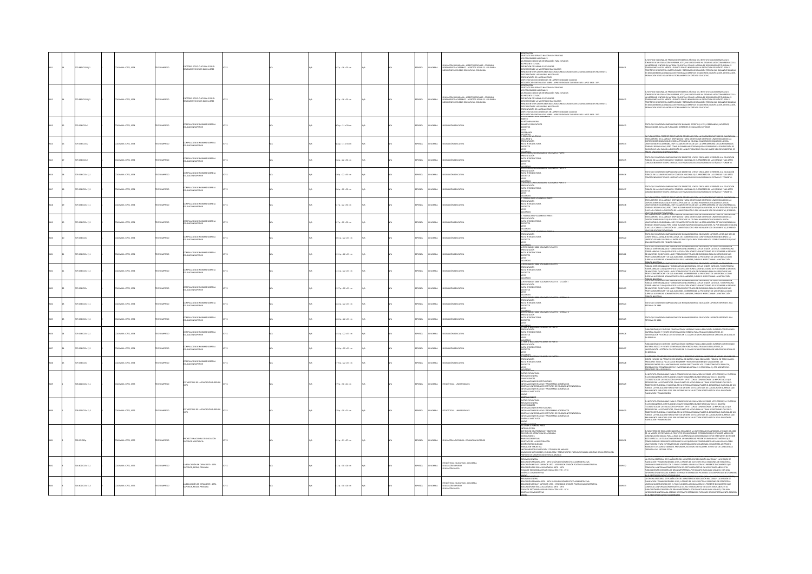|  | 98610157411         | MEIA: ICFES, 1974           | <b>CC2RRM CT</b>  | CTORES SOCIO-CULTURALES EN EL                                    |  | 67 p. : 16 x 23 cm  |  | AÑOL         |               | UCACIÓN SECUNDARIA - ASPECTOS SOCIALES - COLOMBIA<br>NDIMIENTO ACADÉMICO - ASPECTOS SOCIALES - COLOMBIA<br>DICIONES Y PRUEBAS EDUCATIVAS - COLOMBIA   | RODUCIÓN<br>ISTIVOS DEL SERVICIO NACIONAL DE PRUEBAS<br>6 PROGREAMAS NACIONALES<br>-RECOLECCIÓN DE LA INFORMACIÓN PARA ESTUDIOS<br>-TTEFATY FYTLING<br>: PRASHI IN ILIONO<br>ISCHELOR DE LA MUSETINA DE RACIOLLERS<br>ISCONDOR DE LA MUSETINA DE RACIOLLERS<br>ISCONDOR DE LA MUSEURA IMACCORALES SELACIONADO CON ALGUNAS VARIALES SELEV<br>ISCONDOR DE LAS FRELOCANES<br>ISCONDOR<br>ITACIOLOGIA<br>ISCON<br>OTHER ALCOHOL: USE RESIDENCE OF A MOTOR                                                                                                                                                                    |       | .<br>NOOD NACIONAL DE RRIIERAS DERENDENCIA TÉCNICA DEL INSTITUTO COLOMBIANA RARA EL<br>RENTO DE LA EDUCACIÓN SUPERIOR, ICFES, HA SURGIDO Y SE HA DESARROLLADO COMO RESPUESTA A<br>JA NECESIDAD SENTEDA EN MATERIA EDUCATIVA, DE QUE LA TORAA DE DECESIDINES INSTITUCIDIANES<br>TENGA COMO BASE EL MÉRITO LOGIARDO POR EL MENINSUO DI A PREDECCIÓN DE SU ÉXIDE. CON EL<br>BROPÓDEO DE OFRECER A INSTITUCIDIALS Y PERSON                                                                                                                                                                               |
|--|---------------------|-----------------------------|-------------------|------------------------------------------------------------------|--|---------------------|--|--------------|---------------|-------------------------------------------------------------------------------------------------------------------------------------------------------|--------------------------------------------------------------------------------------------------------------------------------------------------------------------------------------------------------------------------------------------------------------------------------------------------------------------------------------------------------------------------------------------------------------------------------------------------------------------------------------------------------------------------------------------------------------------------------------------------------------------------|-------|------------------------------------------------------------------------------------------------------------------------------------------------------------------------------------------------------------------------------------------------------------------------------------------------------------------------------------------------------------------------------------------------------------------------------------------------------------------------------------------------------------------------------------------------------------------------------------------------------|
|  | 1.9861C15f Ej.2     | LOMBIA: ICFES, 1974         | TO IMPRESO        | .<br>TORES SOCIO-CULTURALES EN EL<br>KOMMENTO DE LOS BACHILLERES |  | 676.16x23.0m        |  | <b>LORAS</b> |               | CACIÓN SECUNDARIA - ASPECTOS SOCIAIES - COLONIO<br>RENDIMIENTO ACADÉMICO - ASPECTOS SOCIALES - COLOMBIA<br>MEDICIONES Y PRUEBAS EDUCATIVAS - COLOMBIA | <b>IETIVOS DEL SERVICIO NACIONAL DE PRUEBAS</b><br>IN INVISION IN A MACIONALES<br>ESPOCIAMAS NACIONALES<br>ESCOLECCIÓN DE LA INFORMACIÓN PARA ESTUDIOS<br>PRISENTE ESTUDIO<br>SENIPOÓN DE LA MUESTRA DE BACHILLERES<br>SENIPOÓN DE LA MUESTRA DE BACHILLERES<br>JAMPANIN NI ANTHONOMI BOLINIANIS JEDACONARO CON ALGUNAS VARIABLES RELEVANTES<br>ISEMPICÁN DE LAS PRUEBAS NACIONALES<br>SERIPICÓN DE LAS PRUEBAS NACIONALES<br>FECTOS SOCIO ECONÓMICOS EN LA PREFERINCIA DE CARRERA.<br>PECTOS SOCIO ECONÓM<br>ADÍSTICAS CONTINUADAS SOBRE LA PREFERENCIA DE CARRERA EN EL LAPSO 1968 - 1971<br>LEURINA DE 1998 VULUMEN V |       | L SERVICO NACIONAL DE PRUBBAS DEFENIDIRA TÉCNICA DEL INSTITUTO COLOMBANA PARA EL<br>COMENTO EL AL DUCACIÓN SUPERCO, ILÇE, NA SUREGIO "SE HA DESARRALADO CONO BESPUESTA.<br>INCECENIDE SERVICA EN MATERA EDUCATIVA, DE QUE LA TORNA D                                                                                                                                                                                                                                                                                                                                                                 |
|  | .<br>ISA ICISC      | CMBIA: ICFES, 1974          | <b>O22RRM OTX</b> | HLACIÓN DE NORMAS SOBRE LA<br>ACIÓN SUPERIOR                     |  | (Ap.: 21 x 33 cm    |  | AÑOL         |               | <b>BLACKIN EDUCATIV</b>                                                                                                                               | PARTE I<br>EL RÉGIMEN LIBERAL<br>PLANTELES EDUCATIVOS<br>DECRETOS<br>LEYES<br>wa                                                                                                                                                                                                                                                                                                                                                                                                                                                                                                                                         |       | to que contene compilaciones de Normas, decretos, leyes, ordenanzas, acuerdos,<br>Dluciones, actas de fundación referente a educación superior.                                                                                                                                                                                                                                                                                                                                                                                                                                                      |
|  | 54101562            | CRABLE: ICFES, 1974         | O22RRM OTH        | PEACON DE NORMAS SOBRE LA<br><b>KOLON SUPERIOR</b>               |  | (Ap.: 21 x 33 cm    |  | AÑOL         | MBL           | SLACIÓN EDUCATIVA                                                                                                                                     | rmos.<br>.<br>Kentación<br>TA INTRODUCTORS<br>CRITOS<br><b>UEBOOK</b><br>GEORGE UT A NET                                                                                                                                                                                                                                                                                                                                                                                                                                                                                                                                 |       | SANTA DE INTEGRAR DE<br>.<br>FOSICIONES LEGALES QUE DESDE LA ÉPOCA DE LA COLONIA HAN VENIDO REGULANDO LA VIDA<br>VERSITARIA COLOMBIANA, HOY ESTAMOS CIERTOS DE QUE LA GRAN MAYORÍA DE LAS NORMAS LAS<br>IEMOS RECOPILADAS, PERO COMO ALGUNAS HAN PODIDO QUEDAR POR FUERA YA POR DECISIÓN DE<br>EN TUVO A SU CARGO LA DIRECCIÓN DE LA INVESTIGACIÓN O POR NO HABER SIDO DESCUBIERTAS, SE                                                                                                                                                                                                              |
|  | <b>MICISCO</b>      | MARIA: ICFES, 1974          | O MPRESO          | PEACIÓN DE NORMAS SOBRE LA<br>JODN SUPERIOR                      |  | ilip.: 22 x 33 cm   |  | .<br>Noi     |               | <b>LACIÓN EDUCATIV</b>                                                                                                                                | SENTACIÓN<br>FA INTRODUCTORIA<br>RITOS                                                                                                                                                                                                                                                                                                                                                                                                                                                                                                                                                                                   |       | EXTO QUE CONTENE COMPILADONES DE DECISETOS, LEVES Y CREULLARS REFERENTE A LA DIUCACIÓN<br>ÚBLICA EN LAS UNINERSIDADES Y COLEGIOS NACIONALES; EL PROGRESO DE LAS CIDICIAS Y LAS ARTES<br>ONCEDIENDO POR TIDIAPO UNITADO LOS PRINLEGIO                                                                                                                                                                                                                                                                                                                                                                 |
|  | <b>S4 IC15c GL1</b> | MEIA: ICFES, 1974           | O IMPRESO         | .<br>Peación de Normas sobre la                                  |  | 0p.:22 x 33 cm      |  | zûa          |               |                                                                                                                                                       | SENTACIÓN<br>YA INTRODUCTORIA<br>RETOS                                                                                                                                                                                                                                                                                                                                                                                                                                                                                                                                                                                   |       | O QUE CONTIENE COMPILACIONES DE DECRETOS, LEVES Y CIRCULARES REFERENTE A LA EDUCACIÓN<br>LICA EN LAS UNIVERSIDADES Y COLEGIOS NACIONALES; EL PROGRESO DE LAS CIENCIAS Y LAS ARTES<br>ICEDIENDO POR TIEMPO UMITADO LOS PRIVILEGIOS EXCLUSIVOS PARA SU ESTÍMULO Y FOMENTO.                                                                                                                                                                                                                                                                                                                             |
|  | <b>SA ICLSc EL2</b> | MEN: ICFES, 1974            | <b>DOMESTIC</b>   | <b>DEACH OF NORMAL SORRE LA</b><br>ACIÓN SIDEBIOG                |  | 0p.:22×33 cm        |  | AÑOL         |               | <b>SACON COUNTING</b>                                                                                                                                 | ESENTACIÓN<br>ITA INTRODUCTORIA<br>CRETOS                                                                                                                                                                                                                                                                                                                                                                                                                                                                                                                                                                                |       | KTO QUE CONTEINE COMPILACIONES DE DECISITOS, LEVES Y CIRCULARES REFERENTE A LA EDUCACIÓN<br>BLICA EN LAS UNIVERSIDADES Y COLEGIOS IMACIONALES; EL PROGRESO DE LAS CIENCIAS Y LAS ARTES<br>INCEDIENDO POR TIEMPO UNITADO LOS PRIVILEG                                                                                                                                                                                                                                                                                                                                                                 |
|  | 1541015c 0.1        | LOMBIA: ICFES, 1974         | O23RNA OTH        | LACIÓN DE NORMAS SOBRE LA<br>CACIÓN SUPERIOR                     |  | 17p.:22x33.cm       |  | <b>AROL</b>  | OMBM          | GISLADÓN EDUCATIVA                                                                                                                                    | EDERALISMO <sup>.</sup><br>SENTACIÓN<br>TA INTEO<br><b>UCTORIA</b><br>RETOS                                                                                                                                                                                                                                                                                                                                                                                                                                                                                                                                              | 09418 | PORTAMON EN PROXIMITE LOROTALISTA DE ROBISSO PORTA FUELO CULTURALE DE LOROTALISTA (1992), LOROTALISTA (1992),<br>LOROTALISTA (1943), LOROTALISTA (1992), LOROTALISTA (1993), LOROTALISTA (1993), LOROTALISTA (1994), LOROTALIST<br>L                                                                                                                                                                                                                                                                                                                                                                 |
|  | 154 IC15c GJ 2      | MEIA: ICFES, 1974           | TO IMPRESO        | .<br>Pración de Normas sobre la<br>"Ación superior               |  | 17 p. : 22 x 33 cm  |  | AÑOL         |               |                                                                                                                                                       | PERSONARIO VOLUM<br>RESENTACIÓN<br>ECRETOS<br>EVES<br>.<br>Isnov                                                                                                                                                                                                                                                                                                                                                                                                                                                                                                                                                         | 9419  | INA BURU KACIÓN BROWSKOWA.<br>Ni MARILANSKI LA PRISTANTI LOBANDALIJA DE NORRAS PARA LA EDUCALIUN SUMPRUR SE LUMPLE UNA<br>ITAPA DENTRO DE LA LARGA Y DISPENDICSA TAREA DE INTEGRAR DENTRO DE UNA MISMA OBRA LAS<br>PA ADMINIUS IN A LAMAR Y NUMERINGEN PARINHA PRI RIMARIN ROMANING DE CULTANDO LA VIDA<br>VISIGITANIS LIGALIS QUI DISSOR LA ÉPOCA DE LA COLONIA HAN VIDILIO REGLIJANDO LA VIDA<br>VISIGITANA COLONIALIAN, RISID CONO ALGUNA HANI PORIC                                                                                                                                              |
|  | 15410150            | DMBA: ICFES, 1974           | O22RN OT          | peación de normas sobre la<br>Cación superior                    |  | 116.2242m           |  | AÑOL         | iaan.         | <b>SACON ENVIRON</b>                                                                                                                                  | ncası (san yeriste)<br>ESENTACIÓN<br>DTA INTRODUCTORIA<br>CRETOS<br>VES                                                                                                                                                                                                                                                                                                                                                                                                                                                                                                                                                  |       | KTO QUE CONTERNE COMPILACIONES DE NORMAS SOBRE LA EDUCACIÓN SUPERIOR. LEYES QUE SON DE<br>RAPETENCIA, AUNQUE NO EXELUSIVA, DEL GOBIERNO DE LA CONFEDERACIÓN RECONOCIENDO LA<br>IERTAD DE DAR O RECIBIR LAS INSTRUCCIONES QUE A BIEN<br>AN COSTEADOS POR FONDOS PÚBLICOS.                                                                                                                                                                                                                                                                                                                             |
|  | 5410356B.1          | <b>CRABLIN: ICFES. 1974</b> | O23RNA OTH        | PEACIÓN DE NORMAS SOBRE LA<br><b>JACIÓN SUPERIOR</b>             |  | 110:22x33cm         |  | AÑOL         | MEM           | <b>SLACIÓN EDUCATIVA</b>                                                                                                                              | LSANTAGION<br>ITA INTRODUCTORIA<br>RITOS                                                                                                                                                                                                                                                                                                                                                                                                                                                                                                                                                                                 |       | INTO INTO INSURANCE CONDUCTANT IN INTERNATIONAL CONSULTANT IN THE STATE OF THE STATE OF THE STATE OF THE STATE OF THE STATE OF THE STATE OF THE STATE OF THE STATE OF THE STATE OF THE STATE OF THE STATE OF THE STATE OF THE                                                                                                                                                                                                                                                                                                                                                                        |
|  | 1541015c 4j 2       | CMBIA: ICFES, 1974          | C23RM OT          | PILACIÓN DE NORMAS SOBRE LA<br>CACIÓN SUPERIOR                   |  | 131 p. : 22 x 33 cm |  | AÑOL         |               | <b>SLADÓN EDUCATIV</b>                                                                                                                                | A REFORMA DE 1886 VOLUMEN IV PARTE<br>ESENTACIÓN<br>ESENTACIÓN<br>CRETOS<br>CRETOS                                                                                                                                                                                                                                                                                                                                                                                                                                                                                                                                       |       | O DUE CONTIENE COMPTOURING DE NURMAS SOBRE LA EDUCACION SOVERIDE LA EDUCACION.<br>PÚBLICA SERÁ ORGANIZADA Y DIRIGIDA EN CONCORDANCIA CON LA REGIÓN CATÓLICA, TODA PERSONA<br>NAN AINVOLUMENTAIN 1999 MARTAN LOUISLANDIN VAN LOUISLAND KONSULTINGER A GRENDES<br>HAKSTROS O DOCTORES. LA LEY PODRÁ EXIGRE TÍTULOS DE IDONEIDAD PARA EL ESPROLO DE LAS<br>FEDORES NÉDECAY VES SUA ALIDILIARES. CORRESPONDE AL PRESI                                                                                                                                                                                    |
|  | 1541C15c            | CMBIA: ICFES, 1974          | O22RRM OT         | PILACIÓN DE NORMAS SOBRE LA<br>CACIÓN SUPERIOR                   |  | 27p.:22x33cm        |  | AÑOL         | MBL           | <b>SEACIÓN EDUCATIVA</b>                                                                                                                              | PARTE II - SECOÓ<br>REFORMA DE 1886 VOLUI<br>TA INTRODUCTORIA<br>RETOS                                                                                                                                                                                                                                                                                                                                                                                                                                                                                                                                                   | 3422  | HOTMAN PRODUCTION COMMUNISTIES ON MORRISON CONTRACTOR DURING IN A DISCRETE ORDER OF A MAIL AND CONTRACTORY COMMUNISTIES OF A MAIL AND CONTRACTORY COMMUNISTIES OF A MAIL AND CONTRACTORY COMMUNISTIES OF A GREAT COMMUNISTIES<br>APP MINIMUM CUMAQUINA NUTURAL U GALIFICADA DE INSTITUIDOS DE IDIONEIDAD DANA EL EJERCICIO DE LAS<br>DANSTROS O DOCTORES, LA LEY PODRÁ EXIGRETITULOS DE IDIONEIDAD PARA EL EJERCICIO DE LAS<br>PESARA AUTORIDAD ADMINISTRATIVA REGLAM                                                                                                                                |
|  | 541015c 011         | MEIA: ICFES, 1974           | <b>O22RRM OF</b>  | PEACIÓN DE NORMAS SOBRE LA<br>ACIÓN SUPERIOR                     |  | 132 p. : 22 x 33 cm |  | AÑOL         | MEM           | SLACIÓN EDUCATIVA                                                                                                                                     | A INTRODUCTORIA<br><b>SOTE</b>                                                                                                                                                                                                                                                                                                                                                                                                                                                                                                                                                                                           |       | TO QUE CONTENE COMPILACIONES DE NORMAS SOBRE LA EDUCACIÓN SUPERIOR REFERENTE A LA<br><b>MA DE 1886</b>                                                                                                                                                                                                                                                                                                                                                                                                                                                                                               |
|  | sa icise que        | MARIA: ICFES, 1974          | O23RN OTH         | ipilación de Normas sobre la<br>Cación superior                  |  | 832 p. : 22 x 33 cm |  | AÑOL         |               | SLACIÓN EDUCATI                                                                                                                                       | <b>CONTE DE 1880 UNI</b><br>NTACIÓN<br>A INTRODUCTORIA<br><b>SOTE</b>                                                                                                                                                                                                                                                                                                                                                                                                                                                                                                                                                    |       | A 14 TEMEREM COMPLACIONES DE NORMAS SOBRE LA EDUCACIÓN SUPERIOR REFERENTE A LA<br><b>AMA DE 1886</b>                                                                                                                                                                                                                                                                                                                                                                                                                                                                                                 |
|  | .<br>54 IC15c Q.1   | MEIA: ICFES, 1974           | O23RM OT          | HACIÓN DE NORMAS SOBRE LA:<br>ACIÓN SUPERIOR                     |  | 4p.:22x33cm         |  | AÑOL         |               | SLADÓN EDUCATIV                                                                                                                                       | NTE NACIONAL VO<br>ENTACIÓN<br>A INTRODUCTORIA<br>RETOS                                                                                                                                                                                                                                                                                                                                                                                                                                                                                                                                                                  |       | PUBLICACIÓN QUE CONTIENE COMPILACIÓN DE NORMAS PARA LA EDUCACIÓN SUPERIOR CONTENIENDO<br>MATERIAL BÁGICO Y FUENTE DE IMPORANCIÓN FORZISA PARA TRABAISE LEGELATIVOS, DE<br>NIVESTIGACIÓN HISTÓRICA O DE ESTUDIOS EN EL CAMPO DE LA PE<br><b>CAERAL</b>                                                                                                                                                                                                                                                                                                                                                |
|  | sa icase qu         | MARIA: ICFES, 1974          | O23RM OT          | peación de normas sobre la<br>Cación superior                    |  | 54 p. : 22 x 33 cm  |  | AÑOL         |               | <b>LACIÓN EQUEATIV</b>                                                                                                                                | ESENTACIÓN<br>ITA INTRODUCTORIA<br>CRETOS<br>ITS                                                                                                                                                                                                                                                                                                                                                                                                                                                                                                                                                                         |       | BLICACIÓN QUE CONTIENE COMPILACIÓN DE NORMAS PARA LA EDUCACIÓN SUPERIOR CONTENIENDO<br>VERRAL BÁSICO Y FUENTE DE INFORMACIÓN FORZIDEA PARA TRABAJOS LEGISLATIVOS, DE<br>ISENFACIÓN MISTÓRICA O DE ESTUDIOS EN EL CAMPO DE LA PEDAGOG                                                                                                                                                                                                                                                                                                                                                                 |
|  | <b>STEATERS</b>     | CARDIA-ICEES 1974           | <b>CONSIGNO</b>   | PILACIÓN DE NORMAS SOBRE LA<br><b>CACIÓN SUPERIOR</b>            |  | $1566 - 22432$      |  | <b>AROL</b>  | .<br>National | <b>DO ACIÓN EDILICATIVA</b>                                                                                                                           | <b>EOCK</b><br>INTE NACIONAL VO<br>ESENTACIÓN<br>)TA INTRODUCTORIA<br> CRETOS<br>VES                                                                                                                                                                                                                                                                                                                                                                                                                                                                                                                                     | sca   | .<br>Artir del primero de Enero de 1958, el Gobierno Nacional Invertira no menos del dez por<br>O (10%) DE SU PRESUPUESTO GENERAL DE GASTOS, EN LA EDUCACIÓN PÚBLICA. EN TODO CASO EL<br>10KYE TIDIE LA FACULTAD DE NOMBRAR Y REMOVER LIBERININTE SUS AGENTES. LOS<br>SENTANTES DE LA NACIÓN EN LAS JUNTAS DIRECTIVAS DE LOS ESTABLE<br>NININ'IL I INNI LA PACULTAN DU NOMBRAN Y HAMOVIK LIBRAMIN'IL SUS ALAMITES. LOS<br>RESENTANTES DE LA NACIÓN EN LAS JUNTAS DIRECTIVAS DE LOS ESTABLECIMIENTOS PÚBLICOS,<br>IEDADES DE ECONOMÍA MIXTA Y EMPRESAS INDUSTRIALES Y COMERCI<br>ENTE DE LA BERGBIN'A |
|  | 8.021 (C15e EL)     | COMBIA: ICFES, 1975         | <b>O22RRM OTX</b> | GTICAS DE LA EDUCACIÓN SUPE                                      |  | 179 p. : 30 x 21 cm |  | <b>LORAS</b> | OMBM          | ankness, improvision                                                                                                                                  | NOTAS DIPLICATIVAS<br>ARREST ASMAIN<br>L'HOMIN NUMBER<br>INVERSIONENT POR INSTITUCIONES<br>IFORMACIÓN POR INSTITUCIONES<br>RÁFICAS UNIVERSIONES INSTITUTOS DE EDUCACIÓN TECNOLÓGICA                                                                                                                                                                                                                                                                                                                                                                                                                                      |       | el instituto colonibiano para el fomento de la educación superior, estes presenta y entrega<br>À los obganerado, instituciones e investigadores ere escor iducativo, el bolitínio.<br>Instruèricas de la educación superior— erey, c<br>NNIMI U INIMI INDIANA 1 NAJARANA JE PO SE NA SE DE SE STADISTICA DE LA EDUCADÓN SUPERIOR QUE<br>ANUALMENTE PUBLICA EL ICEES POR INTERMEDIO DE LA SECIÓN DE ESTADÍSTICA DE LA EDUCADÓN SUPERIOR QUE<br>PUANEACIÓN Y FINANCIACIÓN.<br>PUA                                                                                                                      |
|  | 78.021 (C15e E) 2   | COMBIA: ICFES, 1975         | <b>CERRAN OTX</b> | <b>ISTICAS DE LA EDUCACIÓN SUPERIO</b>                           |  | 29 p. : 30 x 21 cm  |  | <b>AÑOL</b>  | iaan.         | Anknew, Imperies                                                                                                                                      | OTAS EXPLICATIVAS<br>ESLIMEN GENERAL<br>entrigidades<br>Formaloch por Instituciones<br>Formaloch por Áreas y Programas Académicos<br>Kátcas Universidades Institutos de Equaloín Tecnológica<br>Formalochi por Áreas y Programas Académicos<br>RÁFICAS INSTITUTOS                                                                                                                                                                                                                                                                                                                                                        |       | INSTITUTO COLOMBIANO PARA EL FOMENTO DE LA EDUCACIÓN SUPERIOR. ICFES PRESENTA Y ENTREGA<br>in Nummun Luxumentary Probable Convention in Nummun Luxumentary (Material Probable Constant)<br>A LOS DISEANISMON, INSTITUCIONIS E INVESTIGADORES DEL SECTOR IEDUCATIVO, EL BOLETÍN<br>A LOS DISEANISMON, INSTITUCIONIS E INVESTIGAD<br>JALMENTE PUBLICA EL ICFES POR INTERMEDIO DE LA SECOÓN DE ESTADÍSTICA DE LA DIVISIÓN DE<br>NEACIÓN Y FINANCIACIÓN.                                                                                                                                                 |
|  | 28.17 (C15p)        | COMBIA: ICFES, 1975         | OZZRRNI OTXI      | <b>SCTO NACIONAL DE EDUCACIÓN</b><br><b>CRICO A DISTANCIA</b>    |  | $216 - 21 + 22$ cm  |  | <b>LORAS</b> | OMBM          | <b>NICACIÓN A DISTANCIA - EDITACIÓN SIBEBIOS</b>                                                                                                      | <b><i>EDCAR ANDAN</i></b><br>LIMEN II PRIMERA PARTE<br>ENNIN I PAIN<br>FRICÓN DEL PROBLEMA Y OBIETIVOS<br>VISÓN DE LITERATURA RELACIONADA<br>NCLUSIONES<br>VRCO CONCEPTUAL<br>MAU SUNGETUM.<br>HETINOS DE LA INVESTIGACIÓN<br>WILHUIS IL LA MINSHAMUUN<br>DELACIÓN Y MULESTRA<br>SERIO METODOLÓGICO<br>NÁUSE DE ACTIVIDADES, CRONOLOGÍA Y PRESUPUESTOS PARCIALES PARA EL MONTAIE DE LAS ETAPAS DEL<br>NÁUSE DE ACTIVIDADES, CRONOLOGÍA Y PRESUPUESTOS PARCIALES PARA EL<br>AGAINAUDZEEN GAGESCOLAR E                                                                                                                     |       | MINISTERIO DE EDUCACIÓN NACIONAL ENCARGÓ A LA UNIVERSIDAD DE ANTIDOJUA A FRANLES DEL AÑO<br>LA MADÓN DE PERFANA UN PROTECTO DE UNIVERSIDAD DETRANJURIS (201 UNIVERAL ANTIDOJUA E PER A CONTRA ANTIO<br>DAUNCACIÓN MARIAN PARA LIGRA<br>COMPPRIMUN CUS NECURISCO ISINOMINIES Y LOS QUE INNO NECESSIO MENI MON PANA CIENNA A UN PRIMER<br>L'INA PRIMERA ETAPA EXPERIMENTAL DE UNIVERSIDAD DESESCOLARIZADA Y FLANTEABA UN PRIMER<br>AVANCE DE LOS SURRISTEMAS DEL PROGRAMA, AS                                                                                                                          |
|  | 21C15eE             | MEIA: ICFES, 1975           | O MPRESO          | EDUCACIÓN EN CIFRAS 1970 - 1974.<br>PERIOR, MEDIA, PRIMARIA      |  | 2p.:30 x 20 cm      |  | iŠOL         |               | - ESTADÍSTICAS EDUCATIVAS - COLOMBIA<br>- EDUCACIÓN SUPERIOR<br>- EDUCACIÓN BÁSICA                                                                    | AN MATHEMATIC<br>UWAN MENAWA.<br>ICACIÓN PRIMARIA 1970 - 1974 SEGÚN DIVISIÓN POLÍTICO ADMINISTRATIVA<br>UCACIÓN MEDIA Y SURERIOR 1970 - 1974 SEGÚN DINISÓN POLÍTICO ADMINISTRATIVA<br>UCACIÓN POR ÁREAS ACADÉMICAS 1970 - 1974<br>SAS DE ESCOLARIDAD EN LA EDUCACIÓN 1970 - 1974<br>FICAS COMPARATIVAS                                                                                                                                                                                                                                                                                                                   |       | .<br>LA OFICINA SECTORIAL DE PLANEACIÓN DEL MINISTERIO DE EDUCACIÓN NACIONAL Y LA DIVISIÓN DE<br>PLANEACIÓN Y FINANCIACIÓN DEL ICFES, A TRAVÉS DE SUS RESPECTIVAS SECCIONES DE ESTADÍSTICA<br>ISBON SUS ESPUERZOS CON EL FIN DE LOGRAR LA PUBLICACIÓN DEL PRESENTE DOCUMENTO QUE<br>MPLICA LA INFORMACIÓN ESTADÉSTICA DEL SECTOR EDUCATNO EN LOS ÚLTIMOS AÑOS. ESTA<br>ELICACIÓN SE CONSIDERA DE GRAN IMPORTANCIA POR CUANTO ALDUL                                                                                                                                                                   |
|  | 6.602 (C15e E) 2    | LOMBIA: ICFES, 1975         | O22RRM OT         | EDUCACIÓN EN CIFRAS 1970 - 1974.<br>RIOR, MEDIA, PRIMARI         |  | 12 p. : 30 x 20 cm  |  | <b>JORAS</b> | OMBIA         | <b>IDÍSTICAS EDUCATIVAS - COLOMBIA</b><br>- EDUCACIÓN SUPERIOR<br>- EDUCACIÓN BÁSICA                                                                  | WAS LINENTURINING<br>ISOLADIS CARRINAL 1979 - 1974 SEGÜN DIVISIÓN POLÍTICO AGMINISTRATIVA<br>ISOLACIÓN MERIAN Y SUPERIDE 1970 - 1974 SEGÜN DIVISIÓN POLÍTICO AGMINISTRATIVA<br>ISOLACIÓN MERIAN Y SUPERIDE 1970 - 1974<br>ISOLACIÓN FOR ÁR                                                                                                                                                                                                                                                                                                                                                                               |       | <b>COMMON INTERNATIONAL ASSAULTS AND AN EXAMINATION COMMUNITY CONTRACT COMPOSITION INTO A COMPONY COMMUNITY CONTR<br/> AND COMMON INTERNATIONAL COMPANY COMMUNITY CONTRACT COMPANY CONTRACT COMMUNITY CONTRACT COMPANY COMMUNITY COM</b>                                                                                                                                                                                                                                                                                                                                                             |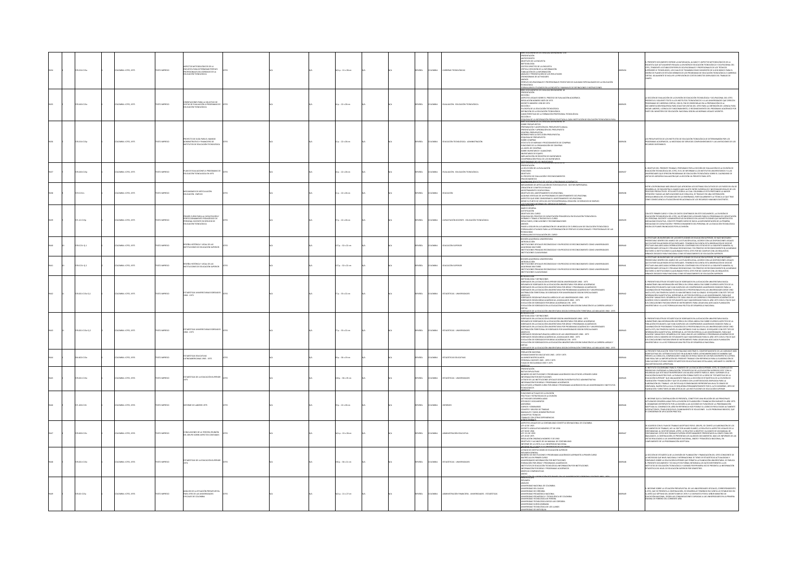|  | 9.1541C15a<br>278.1661C15o | LOMBIA: ICFES, 1975<br>COMBIA: ICFES, 1975 | O22RRM OTH<br>O22RM OTH | CODS METODOLÓGICOS DE LA<br><b><i><u>OCUESTA PARA DETERMINAR PERFILE</u></i></b><br>dessonales del Egresado de La<br>Joación Teonológica<br>CACIÓN TECNOLÓGICA |  | N/A p.: 21 x 28 cm<br>$16a: 22x28$ cm |  | SPAÑOL<br><b>CORAGE</b> | OMBIA<br>ARRERAS TECNOLÓGICAS<br>VALUACIÓN - EDUCACIÓN TECNOLÓGICA<br><b>MEM</b> | KR DOCUMENTOS DE DIVOL<br>RESENTACIÓN<br>NTECEDENTES<br>RIETIVOS DE LA ENCUESTA<br>IETODOLOGÍA<br>OSTOS DIRECTOS DE LA ENCUESTA<br>RÍTICA O REVISIÓN DE LA INFORMACIÓN<br>-<br>Freulación de la información<br>Niálisis y presentación de los resultados<br>Tronograma de actividades<br>"-MONDONOWN WA PATHUMANA<br>-PORTUS OCUPACIONALIS Y PROFESIONALES TENTATIVOS DE ALGUNAS ESPECIAUDADES DE LA EDUCACIÓN<br>"TEONOLÓGICA<br>SIMULABOS UTEIZADOS DELA ENCUESTA Y MANUALES DE DEFINICIONES E INSTRUCCIONES.<br>HE DOCUMENTOS DE DIVULGACIÓN NÚMERO 18<br>PECTOS LEGALES SOBRE EL PROCESO DE EVALUACIÓN ACADÉMICA<br>DLUCIÓN NÚMERO 6870 DE 1973<br>RETO NÚMERO 1358 DE 1974<br>SALI O MUNIMU ARM DE ARM<br>CODÍN IL<br>SENCIÓN DE LA EDUCACIÓN TECNOLÓGICA<br>RÁCTERÍSTICAS DE LA FORMACIÓN PROFESI<br>RÁCTERÍN<br>NH TENNIÓGIA<br>m |      | A PRESIDITE DOCUMENTO DEPOIS LA NURSANIEZA, ACEANCE MARCEON METODO ACOR O DE LA<br>PROJECTA QUE ACTUALMENTE REALIZA LA DIVINIDAD DE EDUCADOR ITORICADAS Y OCUPRODUIS DE LA<br>PROJECTA QUE ACTUALMENTE REALIZA LA DIVINIDAD DE EDUCA<br>ua sección de divaluación de la envisión de educación tecnológica y ocupacional del ICFES<br>Presenta el sigliente texto a los nastitutos tecnológicos y a las universidades que ofrecen<br>Programas de carreras cortas, con el fin<br>PROGRAMMAS DE CARREARAS CORTAS, COM EL FIN DE DEBIN PARAS EN LA VIREPARACION DE LA<br>DOCUMENTACIÓN REQUEREN PARA SOLICITAR VISITAS DEL ESTS PARA LA OBTENICIÓN DE LICENCIA PARA<br>BRICHE LAEDIES, LICENCIA DE FUNCIONAMENTO, O REC |
|--|----------------------------|--------------------------------------------|-------------------------|----------------------------------------------------------------------------------------------------------------------------------------------------------------|--|---------------------------------------|--|-------------------------|----------------------------------------------------------------------------------|------------------------------------------------------------------------------------------------------------------------------------------------------------------------------------------------------------------------------------------------------------------------------------------------------------------------------------------------------------------------------------------------------------------------------------------------------------------------------------------------------------------------------------------------------------------------------------------------------------------------------------------------------------------------------------------------------------------------------------------------------------------------------------------------------------------------------------------|------|----------------------------------------------------------------------------------------------------------------------------------------------------------------------------------------------------------------------------------------------------------------------------------------------------------------------------------------------------------------------------------------------------------------------------------------------------------------------------------------------------------------------------------------------------------------------------------------------------------------------------------------------------------------------------------------------------------------------|
|  | 278.1541C15p               | CLOMBIA: ICFES, 1975                       | OZZRRA OTX              | .<br>TO DE GUÍA PARA EL M<br>STRATIVO Y FINANCIER<br>TUTOS DE EDUCACIÓN TECN                                                                                   |  | $22a:22x28$ cm                        |  | <b>PAÑOL</b>            | DUCACIÓN TECNOLÓGICA - ADMINISTRACIÓN<br><b>MEM</b>                              | SUEMA DE LA INFORMACIÓN PREVIA SOUCITADA A CADA INSTITUCIÓN DE EDUCACIÓN TECH<br>IE DOCUMENTOS DE DIVULGACIÓN NUMERO 19<br>ARM MACHINESTOS<br>-SOBRE RESUPUESTOS<br>-PREPARACIÓN Y AROPCIÓN DEL PRESUPUESTO ANUAL<br>-PRESENTACIÓN Y APROBACIÓN DEL PRESUPUESTO<br>-CONTROL PRESUPUESTAL<br>-CONTROL PRESUMULTAN<br>- NORMAS PARA LA EXECUCIÓN PRESUPUESTAL<br>- SCRRE COMPRAS<br>- SCRRE COMPRAS<br>- SCRRE COMPRAS<br>- ANDICONTS DE LA ORGANIZACIÓN DE COMPRAS<br>- ANDIETARO DE VANAMENCO EN COMPRAS<br>- SCRRE INVENTAROS Y ALMACENES<br>- SC<br>PONSABLES DE LOS INVENTA                                                                                                                                                                                                                                                           | 9436 | .<br>TOS DE LOS INSTITUTOS DE EDUCACIÓN TECNOLÓGICA SE DETI<br>ADÉMICOS, LA NECESIDAD DE SERVICIOS COMPLEMENTARIOS<br><b>AMAS ACADE</b><br><b>VIASIM</b><br>RSOS DISPONIBLES                                                                                                                                                                                                                                                                                                                                                                                                                                                                                                                                         |
|  | <b>28.1661C15p</b>         | LOMBIA: ICFES, 1975                        | O23RRM CT               | AN DE EVALUACIONES A PROGRAMAS D<br>JOACIÓN TECNOLOGICA EN 1975                                                                                                |  | $6a:22 \times 28$ cm                  |  | <b>AÑOL</b>             | <b>HARM</b><br>ALUACIÓN - EDUCACIÓN TECNOLÓGICA                                  | SENTACIÓN<br>GLECCIÓN DE LA EVALUACIÓN<br>GLONES<br>UETIVOS<br>PROCESO DE EVALUACIÓN Y RECONOCIMIENTOS                                                                                                                                                                                                                                                                                                                                                                                                                                                                                                                                                                                                                                                                                                                                   |      | .<br>Dautino del Presente Trabajo, prepabado por la sección de evaluación de la división de<br>Ucación Tecnológica del Icfes, es el de Informar a los institutos universitarios y a las<br>UNIVERSIDADES QUE OFFECEN PROSPANAIS DE EDUCACIÓN TECNOLÓGICA SOBRE EL CALENDARIO DE<br>VISITAS DE ASESORÍA EVALUACIÓN QUE LA SECCIÓN HA PREVISTO PARA 1975.                                                                                                                                                                                                                                                                                                                                                              |
|  | TO IC15m                   | LOMBIA: ICFES, 1975                        | O23RM OTH               | CANISMOS DE ARTICULACIÓN<br>JCACIÓN - EMPLEO                                                                                                                   |  | $1p:22*28$ cm                         |  | ušoi                    | KADÓI                                                                            | -<br>CANSMOS DE ARTICULACIÓN SECTOR EDUCATIVO - SECTOR EMPRESARIA<br>'ACIÓN DE COMITES DE ENLACE<br>BSACHIN (SCOMITS DE RAIACE)<br>AETING E EN DISCONDIBIOS COLORADORES EN EL DESTRABATIO OCUPACIONAL<br>AETING E EN DISE CONSIDERAR DA ACESTRABINTO OCUPACIONAL<br>SPECTIS QUE DISE CONSIDERAR DA ACESTRAMINATO OCUPACIONAL<br>SSECTIS PUNTO<br><b>IS ELIMENTALES IN</b>                                                                                                                                                                                                                                                                                                                                                                                                                                                                | 9428 | .<br>INTRE LOS PROBLEMAS MÁS GRAVES QUE AFRONTAN LOS SISTEMAS EDUCATIVOS DE LOS PAÍSES EN VÍA DE<br>en hilosofischen Monden, deutschen Kathelien und anderen konstantinum der verschieden Staats der Los<br>Beschreich, de Enclisituati, in Bradelings al Al Char Constanta de Standard Staats der Los<br>Beschreich (d. Enclisituati, i                                                                                                                                                                                                                                                                                                                                                                             |
|  | 01.12 (C15p)               | LOMBIA: ICFES, 1975                        | O23RNA OTH              | IMER CURSO PARA LA CAPACITACIÓN<br>REECCIONAMIENTO PEDAGÓGICO DE<br>RSONAL DOCENTE EN SERVICIO DE<br>CACIÓN TECNOLÓGICA                                        |  | $37a: 22 \times 28$ cm                |  | JORARIS                 | <b>LOMBIA</b><br>A360 JOMSET HÖGASUGE - EDUCACIÓN TECNOLÓGICA                    | roo general<br>Dercación<br>"HAIRPHANGH<br>- CRIMITINGS DEL CURSO<br>- ESCUERAN DEL PROCESO DE CARACITACIÓN PEDAGÓGICA EN EDUCACIÓN TECNOLÓGICA<br>- HORARIO Y TEXANS A TRATAR EN EL CURSO<br>- HOSULTADOS, CONCLUSIONES Y RECOMENDACIONES<br>"HARN).<br>-INVENSIS<br>-PAGOS A SIGUIR EN LA ELABORACIÓN DE UN MODELO DE CURRICULUM DE EDUCACIÓN TECNOLÓGICA.<br>-PORMULARIO UTILIZADO PARA LA DETERMINACIÓN DE PERFLES OCUPACIONALES Y PROFESIONALES DE LAS<br>NOLOGIAS<br>RMULARIO DE EVALUACIÓN DEL CURSO                                                                                                                                                                                                                                                                                                                              | 3423 | CON ESTE PRIMER CURSO Y CON LOS DATOS CONTENDOS EN ESTE DOCUMENTO, LA DIVISIÓN DE<br>EDUCACIÓN TECNECÓGIA DEL TESSE, HA ESTABLECTO COS BASES PARA SU PROGRAMA DE CAPACITACIO<br>DEL PERSONAL DOCENTE Y ADMINISTRATIVO EN SERVICIO EN<br>MODALIDAD DE CAPACITACIÓN Y PERFECCIONAMENTO DEL PERSONAL DE LA EDUCACIÓN TECNOLÓGICA.<br>SEGÚN LOS PLANES ENUNCIADOS POR LA DIVISIÓN.                                                                                                                                                                                                                                                                                                                                       |
|  | 23 (25 - 0.1)              | CMBIA: ICFES, 1975                         | O22RRM OTH              | SEÑA HISTÓRICA Y LEGAL DE LAS<br>TUCIONES DE EDUCACIÓN SUPERIOR                                                                                                |  | 27 p. : 32 x 22 cm                    |  | AROL                    | <b>KACIÓN SUPERIOR</b>                                                           | isión académica universitaria<br>Troducción<br>Tituliciones oficiales reconocidas y en proceso de reconocimiento como universidades<br>ADEMINS MILITARES<br>STITUCIONES PRIMADAS RECONOCIDAS Y EN PROCESO DE RECONOCIMIENTO COMO UNIVERSIDADES<br>STITUCIONES CLAUSURADAS                                                                                                                                                                                                                                                                                                                                                                                                                                                                                                                                                                |      | The matrix of the matrix and the matrix and the matrix and the matrix and the matrix of the matrix and the matrix and the matrix of the matrix of the matrix of the matrix of the matrix of the matrix of the matrix of the m                                                                                                                                                                                                                                                                                                                                                                                                                                                                                        |
|  | $78$ iC15r Ej. 2           | MARIA: ICFES, 1975                         | O22RRM OT               | SEÑA HISTÓRICA Y LEGAL DE LAS<br>STITUCIONES DE EDUCACIÓN SUPE                                                                                                 |  | 27 p. : 32 x 22 cm                    |  | <b>AÑOL</b>             | <b>CACIÓN SUPERIO</b>                                                            | SIÓN AGADÉMICA UNIVERSITARIA<br>Municionas<br>Demonas opaziales recondeidas y en proceso de recondomiento como universidades<br>Idemais Multares<br>Ittucionas crausabadas<br>Ittucionas Clausabadas                                                                                                                                                                                                                                                                                                                                                                                                                                                                                                                                                                                                                                     |      | IMOS EXIGEOS PARA FUNCIONAL COMO ESTABLECIMIENTO DE EDUCACIÓN SUPERIOR.                                                                                                                                                                                                                                                                                                                                                                                                                                                                                                                                                                                                                                              |
|  | 278.021 (C15e E).1         | LOMBIA: ICFES, 1975                        | <b>O23RRM OTX</b>       | ISTADĪSTICAS UNIVERSITARIAS EGRESADO<br>ISGO - 1971                                                                                                            |  | 7 p. : 33 × 22 cm                     |  | <b>JORARDS</b>          | <b>AIGMOJ</b><br>STADISTICAS - UNIVERSIDADE                                      | RODUCCIÓN<br>FIDOLIGIÓN Y DEFINICIONES<br>RESADOS EN LA EDUCACIÓN SUPERIOR SEGÚN UNIVERSIDADES 1960 - 1973<br>MARPOLI IN 19 NOVOLOGI AUFRIDUCI ANDON UNIVERSITABLY POR ÁREAS ACADÉMICAS<br>REMADIS EN LA EDUCACIÓN UNIVERSITABLY POR ÁREAS Y PIDGIMANAS<br>RESADOS EN LA EDUCACIÓN UNIVERSITABLY POR ÁREAS Y PROGRAMAS ACADÉMICOS<br>RESADOS EN LA ED<br><b>LEICOS</b><br>uricos<br>Issados Sigón: Maturaliza iuríoica de las Universidades 1960 - 1973<br>Issados Sigón: Masas académicas, acumulados 1960 - 1973<br>Iulición: De Egresados en la Deucadón: Universitaria Sigón: Duración de la Carrera Labras<br>I<br>MINIS<br>CRESADOS DE LA EDUCACIÓN UNIVERISTARIA SEGÚN DESTRIBUCIÓN TERRITORIAL ACUMULADOS 1960 - 1973<br>TRODUCCIÓN                                                                                              | 9442 | PRESENTE BOLETÍN DE ESTADÍSTICAS DE EGRESADOS EN LA EDUCACIÓN UNIVERSITARIA BUSCA<br>IN PRESIDENT DUCTING INTO EXPERIENCE IN GENERAL DESIGN CONTROLLER MANUSCRIPTION AND MONETA CONTROLLER CONTROLLER CONTROLLER CONTROLLER CONTROLLER CONTROLLER CONTROLLER CONTROLLER CONTROLLER CONTROLLER CONTROLLER CONTROLLE<br>INERSITARIA Y A LA VEZ FORMULAR UNA POLÍTICA DE DESARROLLO NACIONAL                                                                                                                                                                                                                                                                                                                            |
|  | 378.021 (C15e E) 2         | LOMBIA: ICFES, 1975                        | <b>O23RRM OTX</b>       | ESTADÉSTICAS UNIVERSITARIAS EGRESADOS<br>1960 - 1973                                                                                                           |  | 7p.:33 x 22 cm                        |  | JORARIZ                 | AIGMO<br>STADISTICAS - UNIVERSIDADE                                              | UUULLUM<br>COOLOGÍA Y DEFINICIONES<br>ESADOS EN LA EDUCACIÓN SUPERIOR SEGÚN UNIVERSIDADES 1960 - 1973<br>MINIMUM DI NONDONOMI AUFORO MARINI VINTAMINANA ERRO - AFFA<br>ESEMPEN E RUALIS DE LE EDUCACIÓN UNIVERSITARIA PER ÁREAS ACADÉMECAS<br>ERESADES EN LA EDUCACIÓN UNIVERSITARIA PER ÁREAS FROGRAMAS ACADÉMECAS<br>ERESADES EN LA EDUCACIÓN<br><b>Links</b><br>A MINOR COM INTERNATIONAL INTERNATION IN THE MAIL AND THE MAIN AND A MINOR CONSUMING INTERNATIONAL INTERNATION<br>RESANCES SERVIN MATURALIZA JURIDICA DE LAS UNIVERSIDADES 1950<br>RESANCES SERVIN ÁREAS ACADÉMACAS, ACADEMACOS 1960<br><br>SRESADOS DE LA EDUCACIÓN UNIVERISTARIA SEGÚN DISTRIBUCIÓN TERRITORIAL ACUMULADOS 1960 - 1973.<br>ROBERTALIUN                                                                                                              | на   | PRESENTE BOLETÍN DE ESTADÍSTICAS DE EGRESADOS EN LA EDUCACIÓN UNIVERSITARIA BUSCA<br>6. Frankrik bung in die Afrikaanse die Namarskaanse verskaarden oorlog in die skrieg van die Kanadische Ede La<br>Summistruk bung information historica en die Rampromisos académicos ediginos fara en die la<br>Culamencon de Progr<br>CUAMINACION DE PROGRAMAS TENNICADECES O PRESEDENTATES EN LAS UNIVERSIDANES OS ESTE TRO DE<br>ANSERA 1973, DIN TENER EN CUENTAS HARA CIENTOS EN 1973 GRADA. SE RESQUESE CON ESTE TRO DE<br>ANSERANCION CUANITENTAIN, NETERS EN AL LEC<br>INERSITARIA Y A LA VEZ FORMULAR UNA POLÍTICA DE DESARROLLO NACIONAL                                                                             |
|  | 2021C15e                   | 4844; ICFES, 1976                          | O IMPRESO               | <b>KDÍSTICAS EDUCATIVAS</b><br>TETRAMANAS 1965 - 1975                                                                                                          |  | : 30 x 19 cm                          |  | .<br>So:                |                                                                                  | FORLACIÓN NACIONAL<br>BEACIÓN NACIONAL<br>TABLECHMENTOS EDUCATIVOS 1965 - 1970 Y 1975<br>UNINOS MATERCILADOS<br>RSONAL DOCENTE 1965 - 1970 Y 1975<br>SAS DE ESCOLARIDAD 1965 Y 1975<br><b>COM</b> POWER CONTROL                                                                                                                                                                                                                                                                                                                                                                                                                                                                                                                                                                                                                          |      | A PRESENTE PUBLICACIÓN TIENE POR FINALIDAD MOSTRAR EL COMPORTAMIENTO DE LAS VARIABLES MÁS<br>AN MARINI A MARANARINI IRAN LAMA MARANARIN IRAKI KA KAMA DA MARANARIN DI KATA ON MARARA QUE<br>SEGRIFIXA IA CONSULTA, COMPARACIÓN Y ANÁLISE DE RESULTADOS DE UN PAÍS CON RESPECTO A OTROS.<br>CAEL RESALTAR LA IMPORTACIÓN DEL PRESE                                                                                                                                                                                                                                                                                                                                                                                    |
|  | 78.0211C15e                | LOMBIA: ICFES, 1976                        | O22RRM OTH              | ADÊSTICAS DE LA EDUCACIÓN SUPERIOR                                                                                                                             |  | 28 p. : 30 x 19 cm                    |  | <b>PAÑOL</b>            | OMBIA<br>ADISTICAS - UNIVERSIDADE                                                | AMMARING POMPOOST TYPINGEROOM<br>MOTOR COMPANY CONTROL PROGRAMAS ACADEMICS SOUCHUDES A PRIMAR CURSO<br>ARCORALIZAN COMPANY POD MONTE SCALIN ENGINEERI SOUCHUDES A PRIMAR CURSO<br>ARCORALIZAN POR INSTITUCIONES<br>SOLORALIZAN PRIMAR CURS                                                                                                                                                                                                                                                                                                                                                                                                                                                                                                                                                                                               | H45  | NALEXCONDE INTO AN ONE CONTROL COLOURS AND COMPANY AND ANNOTESTIC CONTROL CONTROL CONTROL CONTROL CONTROL CONTROL CONTROL CONTROL CONTROL CONTROL CONTROL CONTROL CONTROL CONTROL CONTROL CONTROL CONTROL CONTROL CONTROL CON<br>ANEACIÓN Y DIRECTORES DE BIBLIOTECAS DE LAS INSTITUCIONES DE EDUCACIÓN SUPERIOR.                                                                                                                                                                                                                                                                                                                                                                                                    |
|  | 71.2061C151                | LOMBIA: ICFES, 1976                        | OZZRRA OTX              | SORME DE LABORES 1975                                                                                                                                          |  | sep.: 22 x 28 cm                      |  | <b>DAÑOL</b>            | .<br>MEM<br>,,,,,                                                                | R <mark>EÁDICOS</mark><br>FUNDONES ACTUALES DE LA DIVISIÓN<br>FOLÍTICAS Y ESTARTEGIAS DE LA DIVISIÓN<br>ICTIVIDADES DESARROLLADAS<br>ISTUDIDS Y DOCUMENTOS<br>KESORÍAS<br>LURSOS Y SEMINARIOS<br>COMITES Y GRUPOS DE TRABAJO<br>LIMITES TURDADS DE TRABAJO<br>JONGERTOS TÉCNICOS<br>CONGERTOS TÉCNICOS<br>TRABAJOS CON OTRAS DEPENDENCIAS<br>TRAN TRABAJOS                                                                                                                                                                                                                                                                                                                                                                                                                                                                               |      | NFORME QUE A CONTINUACIÓN SE PRESENTA, CONSTITUYE UNA RELACIÓN DE LAS PRINCIPALES<br>IL INHOMINI QUA A LUNI INVANISI NA MISANI IA, CUNSILIUTE UNA NAUALIONE LO APMONISI ALLA 2017.<br>ALTIVIDADES DESARROLLADAS POR LA DIVISIÓN DE PARIEACIÓN Y FRANCIACIÓN DURANTE IL AÑO 1875.<br>EL DINAMEMO INTERFUEDO POR LA DIVISIÓ<br>CONSIDERAN DE APLICACIÓN PRÁCTICA.                                                                                                                                                                                                                                                                                                                                                      |
|  | 38.0061C15c                | LOMBIA: ICFES, 1976                        | O22RN OTH               | ONCLUSIONES DE LA TERCERA REUNIÓN<br>EL GRUPO SOBRE ASPECTOS CONTABLES                                                                                         |  | N/A p.: 22 x 28 cm                    |  | PAÑOL                   | OMBIA<br><b>ION EDUCATIVA</b>                                                    | ASPECTOS LEGALES DE LA CONTABILIDAD CONSTITUCIÓN NACIONAL DE COLOMBIA<br>-LEY 42 DE 1923<br>$\begin{array}{l} \sim 402\\ \sim 402\\ \text{OICERTO LIGESLATION O MIMERO 277 DE 1958}\\ \text{LIV SA DE 1966}\\ \text{CIV ISO DE 1979} \end{array}$<br>T SHAME AND<br>Y 20 DE 1975<br>FROLUCIÓN ORGÁNICA NÚMERO 5 DE 1960<br>SOLUCION DRIAMICA RUMENU S DE 1960<br>IGTIVOS Y ALCANCES DE UN MANUSIOAD CONTABILIDAD<br>CONME DE LA VISITA A LA UNIVERSIOAD NACIONAL<br>PONATIPE LA VISITA A LA UNIVERSIOAD DE LOS ANDIES                                                                                                                                                                                                                                                                                                                    |      | NATION OF IN A MAY TRANSAC HOPPOST PART (SURVEY) CONTINUES CONTINUES CONTINUES CONTINUES CONTINUES IN THE CONTINUES CONTINUES IN A SURVEY OF A SURVEY CONTINUES IN THE CONTINUES IN A SURVEY OF A SURVEY CONTINUES IN THE CON                                                                                                                                                                                                                                                                                                                                                                                                                                                                                        |
|  | 8.0211015e                 | MEIA: ICFES, 1976                          | O22RRM OT               | TADÍSTICAS DE LA EDUCACIÓN SUPERIOR                                                                                                                            |  | 16 p. : 30 x 21 cm                    |  | <b>AÑOL</b>             | ankness, improvinger                                                             | <mark>rramagisla.hareta al aliminismia de los andes</mark><br>Fraco de instituciones de educación superior<br>Sumen General<br>Îmero de instituciones y programas académicos aspirantes a primer curso<br>UNINDUIN INSII III (UURINDUIN YHDISAMMAS ALAIKINKUUS ASHMANI ISA PHONIN<br>MINTERIDADES HIOSBAAD (DI ORA INSTITUUDINIS<br>MINTERIDADES HIOSBAAD (DI ORA INSTITUUDINIS)<br>KETIIVITOS KI EGULACIO YHDIGAMMAS ACADÉMICOS<br>KETIIVITOS KI EG<br>                                                                                                                                                                                                                                                                                                                                                                                 |      | LA SECCIÓN DE STARÉITECA DE LA DUISIÓN DE FAMARACIÓN Y FRANCALISATOR DES LUSTE CONSCIENTE DE<br>LA INSTERIORO QUE NIVEL INCIDINAL E RETERINGOUAL DE TREM DE ESTADÉRTICAS ACTUALIZADAS Y<br>CONVINUES DORE NUE INCIDINAL E RETERINGOU                                                                                                                                                                                                                                                                                                                                                                                                                                                                                 |
|  | 28.02 (C15a)               | LOMBIA: ICFES, 1976                        | O22RRM OTH              | VANLING OF EXERCISION PRESENCES<br>VARA 1976 DE LAS UNIVERSIDADES                                                                                              |  | N/A p.: 21 x 27 cm                    |  |                         | INISTRACIÓN FINANCIERA - UNIVERSIDADES - ESTADÍSTICAS<br>MEM                     | ALI<br>SENTACIÓN<br>SUMEN<br>NÁLISIS<br>WAKES<br>MAYESIDAD NACIONAL DE COLOMBIA<br>MAYESIDAD DEL CALONS<br>MAYESIDAD PELOGROEA<br>MAYESIDAD PEDAGÓGICA Y TECNOLÓGICA DE COLOMBIA<br>MAYESIDAD TECNOLÓGICA DI REO LUIS CORDOBA<br>MAYESIDAD TECNOLÓGICA DI REO LUIS CORDOBA<br>MAYESIDAD TEC<br>ersidad surcolombiana<br>Erisdad tecnológica de los Llanos<br><b>RSIDAD DE ANTIOQUIA</b>                                                                                                                                                                                                                                                                                                                                                                                                                                                  |      | .<br>Dame Sobre la Situación Presupuestal de las Universidades Orciales, correspondentes<br>" ^ ~ ~ ce rrechita a continuación, se desarrouló tenerido en cuenta lo establecido en<br>KI MAKAMMA SAMAR LA KUKUMULIN PARSAPUNGA MALI LA KU KWANAKANANGA DHICARANG CISTALI COMPAPUNDANINISI DI CHI<br>A 1976, QUE SE PRESENTA A CONTINUACIÓN, SE DESARROLLÓ TENIENDO DE CUENTALO ESTABLECIDO EN<br>AL 1976, QUE SE PRESENTA                                                                                                                                                                                                                                                                                            |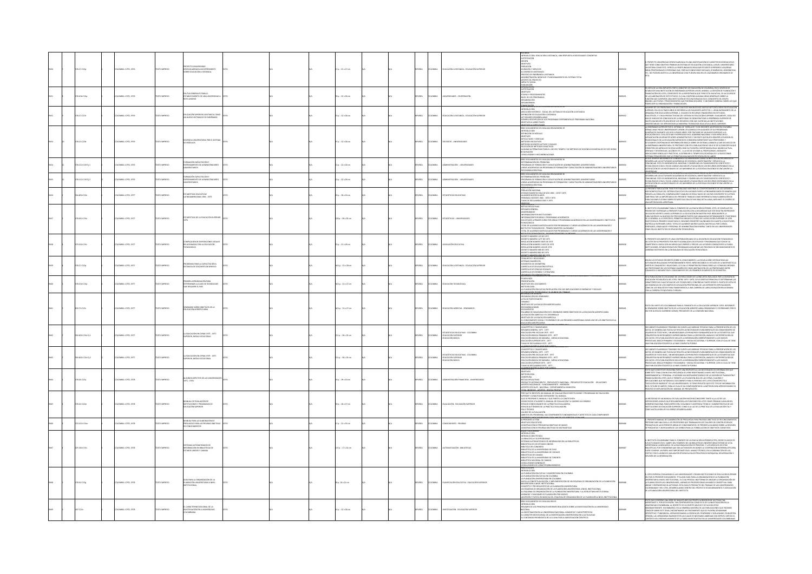|  | 78.17 IC15p     | CMBIA: ICFES, 1976   | O22RRM OT         | ECTO UNIVERSIDAD<br>ISESCOLARIZADA UN EXPERIMENTO<br>DRRE EDUCACIÓN A DISTANCIA      |  | 17 p. : 21 x 27 cm       |  | AÑOL         | OMEIA         | DUCACIÓN A DISTANCIA - EDUCACIÓN SUPERIOR                              | .<br>COÓN: EDUCACIÓN A DISTANCIA, UNA RESPUESTA A NECESIDADES CONCRETAS<br>-INTRODUCCION<br>-USTIFICACIÓN<br>-OBJETIVOS<br>-FOBLACIÓN<br>-<br>-DURACIÓN Y SERVICIOS<br>-EL DISEÑO DE ENSEÑANCIA<br>-PROCESO DE ENSEÑANCIA A DISTANCIA<br>TROMINISTRACIÓN: MONTALE Y FUNCIONAMIENTO DEL SISTEMA TOTAL<br>-APORTE DEL PROYECTO<br>-IMPACTO SOCIAL                                                                                                                                                                                                                                                                      | OUE TIENE COMO OBJET<br>AR UN SISTEMA DE EDUCACIÓN A DE<br>CA A NIVE<br>ie Thene Lunius Liberti futulismus de Neire India de Lunius de Martineres, a printer Lunius De Martin (1996).<br>E Sistema Commulis o personas que, por seus condidornis socialista, el denomina de Martinismus.<br>C., No pueden as                                                                                                                |
|--|-----------------|----------------------|-------------------|--------------------------------------------------------------------------------------|--|--------------------------|--|--------------|---------------|------------------------------------------------------------------------|----------------------------------------------------------------------------------------------------------------------------------------------------------------------------------------------------------------------------------------------------------------------------------------------------------------------------------------------------------------------------------------------------------------------------------------------------------------------------------------------------------------------------------------------------------------------------------------------------------------------|-----------------------------------------------------------------------------------------------------------------------------------------------------------------------------------------------------------------------------------------------------------------------------------------------------------------------------------------------------------------------------------------------------------------------------|
|  | 18.1041C15p     | CMBIA: ICFES, 1976   | O22RRM OT         | UTAS GENERALES PARA EL<br>TABLECIMENTO DE UNA UNA<br>VEL ANDINO                      |  | $9p. : 22 \times 28$ cm  |  | vios         | OMBU          | ERSIDADES - COOPERACIÓN                                                | -<br>CONCUGATION<br>- CONTINUES<br>- CONTINUES<br>- CONTINUES<br>- CONTINUES<br>- CONTINUES<br>- CONTINUES<br>- CONTINUES<br>- CONTINUES<br><b>LIGHTING</b>                                                                                                                                                                                                                                                                                                                                                                                                                                                          | en vesta de la orga explorera por el lobardo de especiación de Colonada, en el servido de<br>Francasco de les especiacións de la invoctión de la corona de trata esta responsa a un ocupación<br>Francasco de les estas concidentes                                                                                                                                                                                         |
|  | 12 (17)         | MEIA: ICFES, 1976    | O MPRESO          | ICACIÓN SUPERIOR A DISTANCIA COM<br>NUEVO SISTEMA DE DE ENSEÑANZA                    |  | $: 22 \times 28$ cm      |  | ušoi.        | <b>SMEM</b>   | UCACIÓN A DISTANCIA - EDUCACIÓN SUPERIO                                | -WIRDENCOON<br>- UNICACIÓN DE TOUCHO DE SISTEMA DE EDUCACIÓN A DISTANCIA<br>- ONTWICHING DE EDUCACIÓN A DESTANCIA<br>- ACTIVIDADES DESARBOLICADES<br>- CANERA DESCRIPCIÓN EN DES PROGRAMAS EXPERIMENTALES PROGRAMA NACIONAL<br>- CANERA DESCR                                                                                                                                                                                                                                                                                                                                                                        |                                                                                                                                                                                                                                                                                                                                                                                                                             |
|  | 278.12 (C15d)   | CMBIA: ICFES, 1976   | <b>O22RRM OTX</b> | )<br>Cencia Universitaria por el sistema<br>1 módulos                                |  | $7 p. : 22 \times 28$ cm |  | <b>JORKS</b> | <b>AIGNOL</b> | DOCENTES - UNIVERSIDADES                                               | ESIS DOCUMENTOS DE DIVISIGADEN NÚMERO 29<br>«INTERNACIO EN MÁDIO»<br>«INTERNACIO EN MÁDIO»<br>«INTERNACIO EN MÁDIO»<br>«INTERNACIO EN MÁTIONS DE PARADOS<br>«INTERNACIO EN MÁTIONS DE PARADOS<br>«INTERNACIO EN MÁTIONS DE PARADOS<br>«INTERNACIO E<br>DURACIÓN<br>INCLUSIONES Y RECOMENDACIONES                                                                                                                                                                                                                                                                                                                     | ARROW ALL THE PERSONAL PROPERTY THROUGH A SUMMIT CONTROL 2012 (2012) 2013 (2013) 2013 (2013) 2013 (2013) 2013 (2013) 2013 (2013) 2013 (2013) 2013 (2013) 2013 (2013) 2013 (2013) 2013 (2013) 2013 (2013) 2013 (2013) 2013 (                                                                                                                                                                                                 |
|  | 1121C15F631     | MEIA: ICFES, 1976    | O23RM OTH         | MACIÓN CAPACITACIÓN Y<br>NAMENTO DE ADMINISTRADORES<br>ESITABIOS                     |  | $1p. : 22 \times 28$ cm  |  | ulios        | <b>SMEM</b>   | MISTRACIÓN - UNIVERSIDADES                                             | SERIE DOCUMENTOS DE DIVULGACIÓN NÚMERO 20<br>-<br>OLTERMINACIÓN DEL PROBLEMA<br>I BRINNALION DEL PROBAAVY.<br>SGRAMA DE FORMACIÓN Y CAPACITACIÓN DE ADMINISTRADORES UNIVERSITARIOS<br>EAS ACADÉMICAS UN PROGRAMA DE FORMACIÓN Y CAPACITACIÓN DE ADMINISTRADORES U                                                                                                                                                                                                                                                                                                                                                    | ZIST ITAMPOS MODERNOSE SE CONSIDERA A LA UNINERSIDAD COMO LA INSTITUCIÓN ENCARGINA DE<br>ARBOLLAR LAS ACTIVIDADES ACADÉMICAS DE DOCISICIA, INVESTIGACIÓN Y SERVICIO A LA<br>AUNDAD, ESTO ES INCREMENTAR, MELORAR Y CONSERVAR LOS CON                                                                                                                                                                                        |
|  | 0.1121C15F612   | CMBIA: ICFES, 1976   | <b>O22RRM OT</b>  | MOÓN CAPACITACIÓN Y<br>NAMENTO DE ADMINIST<br><b>BADORES</b><br>ZOIAATIZA            |  | $p. : 22 \times 28$ cm   |  | wio.         | <b>LOMBIA</b> | INSTRACIÓN - UNIVERSIDADES                                             | -ÜNEAS AFADRALISES UN PROGRAMA DE FOBRAGÓN Y CAPACITACIÓN DE ARMINISTRADORES<br>28 COMENDACÓN FRANCACIÓN (NÚMERO 20<br>28 COMENDACÓN FRE DISCUSSIÓN NÚMERO 20<br>28 TERRAMA DE VISUALISEA (NÚMERO 20<br>29 TERRAMA DE FORMACÓN Y CAPACITAC                                                                                                                                                                                                                                                                                                                                                                           | Italiación de las historiados de los membros de la socieda de dones se discuriter la<br>Americana de las historiados academicas de doctricas incluitos de dones se incluitos el al constanta de la co<br>Americana de Saturnados aca                                                                                                                                                                                        |
|  | 04.6021C15e     | LOMBIA: ICFES, 1977  | O23RN OTH         | IDÉSTICAS EDUCATIVAS<br>NOAMERICANAS 1965 - 1975                                     |  | 0 a. : 30 x 20 cm        |  | <b>MGCL</b>  | <b>LOMBIA</b> | <b>TADÍSTICAS EDUCATIVAS</b>                                           | $\begin{array}{l} \texttt{\bf \textcolor{red}{\bf \textcolor{red}{\bf \textcolor{red}{\bf \textcolor{red}{\bf \color{green}{\bf \color{green}{\bf \color{green}{\bf \color{green}{\bf \color{green}{\bf \color{green}{\bf \color{green}{\bf \color{green}{\bf \color{green}{\bf \color{green}{\bf \color{green}{\bf \color{green}{\bf \color{green}{\bf \color{green}{\bf \color{green}{\bf \color{green}{\bf \color{green}{\bf \color{green}{\bf \color{green}{\bf \color{green}{\bf \color{green}{\bf \color{green}{\bf \color{green}{\bf \color{green}{\bf \color{green}{\bf \$                                   | limatronia<br>Lin Presenta Publicación tene por Finalidad Mostrar al Comportamento de las Variables<br>Más Significativas del Sistema Educativo en Algunos Países Latinoamericanos de Manera que<br>Permita Alconsulta, Companación Y A<br>ICACIONES FUTURAS SOBRE ESTADÍSTICAS EDUCATIVAS MAS DETALLADAS, MEDIANTE EL DISEÑO DE                                                                                            |
|  | 278.021 (C15e)  | LOMBIA: ICFES, 1977  | <b>O22RRM OTX</b> | TADÍSTICAS DE LA EDUCACIÓN SUPERIOR                                                  |  | 228 p. : 30 x 20 cm      |  | wio.         | OMEIA         | TADISTICAS - UNIVERSIDADE                                              | -UNIVERSIDADES<br>-INFORMACIÓN POR INSTITUCIONES<br>-INFORMACIÓN POR ÁREAS Y PROGRAMAS ACADÉMICOS<br>-information for absent yprocenamis academices<br>-solutions as primer cliency por absent yrochamis académicos en las universidans e institutos<br>-total de Allimans Matericlagos por programais y clience académicos en las univer<br>DES E INSTITUTOS                                                                                                                                                                                                                                                        | IS INSTRUCTION OR PARK IT FOUND OUT A LODGED SUPERIOR, CITY, AT COMPACT ON THE SUPERIOR CONTAINS IN THE SUPERIOR OF A MICHAEL CONTAINS IN THE SUPERIOR OF THE SUPERIOR OF THE SUPERIOR OF THE SUPERIOR OF THE SUPERIOR OF THE                                                                                                                                                                                               |
|  | 0.1541015c      | TER 2331 MARK        | O22RRM OT         | MPILACIÓN DE DISPOSICIONES LEGALES<br>LACIONADAS CON LA EDUCACIÓN<br>CNOLÓGICA       |  | $16.21$ × 21 m           |  | wio.         | was           | <b>CALLAGE COUNTRIES</b>                                               | PRESENTACIÓN<br>- OECRETO NÚMBRO 123 DE 1973<br>- OECRETO NÚMBRO 1277 DE 1973<br>- RESCUJCIÓN NÚMBRO 6870 DE 1973<br>- RESCUJCIÓN NÚMBRO 10173 DE 1973<br><b>FEEZ 20 REP ORDINAL HODALICS</b><br>2013 20 880 083MÜN OT3RC<br>CRETO NÚMERO 882 DE 1976                                                                                                                                                                                                                                                                                                                                                                | PRESENTE DOCUMENTO ES UNA CONTRIBUCIÓN MAS DE LA DIVISIÓN DE EDUCACIÓN TECNOLÓGICA<br>NA PRAINING ANNOUNCED ANNOUNCEMENT PRODUCTS IN DEVICES TROUBLEMENT IN DIRECTOR OF THE SERVE SUITS AND INTERNATIONAL CONSTITUENCY PROGRAMMING QUE SON DE SUI<br>COMPRETENCIA: NUSCA SER UN MISSIO QUE OSIDENT P PROGRE LA ACCONIST                                                                                                     |
|  | 8.17 IC15p      | MARIA: ICFES, 1977   | TO IMPRESO        | AMMA PARA LA CAPACITACION A<br>NICIA DE DOCENTES EN SERVICIO                         |  | (Ap.: 22 x 28 cm         |  |              | <b>SMEM</b>   | CACIÓN A DISTANCIA - EDUCACIÓN SUPERIOR                                | CONDITIONS AND CONTRACTORS<br>- CONTINUES WIND CONTRACTORS<br>- CLEMENTOS DE GEOMETRÍA<br>- CLIRRÉCULO DE EDUCACIÓN ESTÉTICA<br>- CLIRRÉCULO DE CIENCIAS SOCIALES<br>URRÍCULO DE ESPAÑOL Y LITERATURA                                                                                                                                                                                                                                                                                                                                                                                                                | .<br>IEGŪN LOS ESTUDIOS RECIENTES SOBRE EL CONOCIMIENTO. LA ESCUELA DEBE SISTEMATIZAR LAS<br>UN NUM BI FUNDIS PARAMINI DE ARMANI EN L'UNIVALITATIVO, UN PARAMINO EL ESTUDIO DE LA MATEMAÑTICA A<br>INDARES BEAUZADAS ESPONTÁNIA AMENTE POR EL HIÑO INDIANDO EL ESTUDIO DE LA MATEMAÑTICA<br>TIR DE CONLUNIDES DE LOS SIETEANS NUM                                                                                           |
|  | <b>BISAICIS</b> | CMBIA: ICFES, 1977   | O22RN OT          | imera aproximación para<br>Terminar la clase de Tecnólogos<br>Je requiere el país    |  | $(4 - 21x)$ 77cm         |  | wiou         | OMBH          | <b>NY ACIÓN TECNOLÓGICA</b>                                            | GNOROÓKADAMISTRATVA<br>RESULTADOS PREDIMINARES DE<br>TECNÓLOGOS<br>-PRESENTACIÓN<br>-CRIETIVOS DEL DOCUMENTO<br>TODOLOGÍA<br>CON SUS IMPLICACIONES ECONÓMICAS Y SOCIALES                                                                                                                                                                                                                                                                                                                                                                                                                                             | .<br>ISTA PUBLICACIÓN ES UN AVANCE DE LOS RESULTADOS DE LA ENCUESTA REALIZADA POR LA DIVISIÓN DE<br>ROUCACIÓN TECNOLÓGICA DEL ICEES, ENTRE 1975 Y 1976, (1140 PRINTINA PARACINA) CO DISPOSICIÓN                                                                                                                                                                                                                             |
|  | 30.71 (C15s)    | LOMBIA: ICFES, 1977  | O22RRM OTH        | A J 30 20 VITALES 2RECE OERA<br>UCACIÓN AGROPECUARIA                                 |  | N/A p.: 21 x 27 cm       |  | PAÑOL        | <b>LOMBIA</b> | DUCACIÓN AGRÍCOLA - SEMINARIOS                                         | METODOLOGIA<br>LA FLANEACIÓN EDUCATIVA EN RE<br>LA FLYLICACIÓN TECNOLÓGICA Y EL<br>ORGANIZACIÓN DEL SEMINARIO<br>ORGANIZACIÓN DEL SEMINARIO<br>LISTA DE PARTICIPANTES<br>-TEMARIO<br>-DRIETIVOS DE LA EDUCACIÓN AGROPECUARIA<br>-RECOMENDACIONES<br>-DOCUMENTOS<br>-PALABAIS DE INAUGURACIÓN EN EL SEMINARIO SOBRE OBJETIVOS DE LA EDUCACIÓN AGROPECUMBIA<br>-LA EDUCACIÓN AGRÍCOLA Y EL DESARROLLO<br><b>NATURAL PRODUCTION ASSOCIATION AND SECURE CONDUMERTO SOCIAL V ECONÔMICO DE LAS REGIONES CA<br/>LICACIÓN AGROPECUARIA</b><br>UCACIÓN AGROPECUARIA                                                           | TEXTO DEL INSTITUTO COLOMBIANO PARA EL FOMBITO DE LA EDUCACIÓN SUPERIDR-ACFES-REFERENTE<br>N. SEMINARIO SOBRE OBIETIVOS DE LA EDUCACIÓN AGROPECLIARIA ORGANIZADO Y COORDINADO POR EL<br>BOCTOR GUSTAVO GUERRERO GÓMEZ, PRESIDENTE DE                                                                                                                                                                                        |
|  | 6021C15e EL1    | CRABLIN: ICFES, 1977 | O22RRM OT         | educación en Cifras 1975 - 1977.<br>Perior, media vocacional                         |  | 110.120x19.cm            |  | wio.         | <b>MEM</b>    | ISTICAS EDUCATIVAS - COLOMBI<br>EDUCACIÓN SUPERIOR                     | CONCERTING V COMEM FAROS<br>CONCERTAS V COMEM FAROS<br>CONCERTAS V COMEM FAROS<br>COLOCIÓN RE ESCOLAR 1975 - 1977<br>COLOCIÓN RESCA SECURDARA - NEDA VOCACIONAL<br>COLOCIÓN RÉGIA SECURDARA - NEDA VOCACIONAL<br>COLOCIÓN RESCA SECURDARA - NEDA                                                                                                                                                                                                                                                                                                                                                                     | .<br>DOCUMENTO ELABORADO TENENIDO EN CUENTA LAS NORMAS TÉCNICAS PARA LA PRESENTACIÓN DE LOS<br>DATOS, DE MANERA QUE PUEDA SATISFACER LAS NECFOINANTE DI NESSANTATOS DE TENTIONOS DE<br>KOMMERO DAMSARAO TRINSINO DIVORNA LA MONDAMO TRONICA PARA LA SEGUNDADO DE LOS<br>LUGAS DE TODO BUSE. EN MENIDICADA LOS FERODES ENDOLUCIÓN PARA LA ESTADION DE OS<br>MAINOS DE TODO BUSE. EN MENIDICADA LOS FERODES ENDOLUCIÓN LES DE |
|  | 60210150112     | CMBIA: ICFES, 1977   | O22RRM OTH        | educación en Cifras 1975 - 1977.<br>Perior, media vocacional                         |  | 151 p. : 30 x 19 cm      |  | uáo.         | way           | DÍSTICAS EDUCATIVAS - COLOMBIL<br>SUCACIÓN SUPERIOR<br>SUCACIÓN BÁSICA | $\begin{tabular}{l c c c c} \hline \textbf{GMER} & \textbf{GMER} & \textbf{GMER} & \textbf{GMER} \\ \hline \textbf{GMER} & \textbf{GMER} & \textbf{GMER} & \textbf{GMER} & \textbf{GMER} & \textbf{GMER} \\ \hline \textbf{GKER} & \textbf{GMER} & \textbf{GMER} & \textbf{1975} & \textbf{1977} & \textbf{1977} \\ \hline \textbf{GUEG} & \textbf{GMER} & \textbf{HSER} & \textbf{1987} & \textbf{1977$                                                                                                                                                                                                             | DOCUMENTO ELABORADO TEN ENDO EN CUENTA LAS NORMAS TÉCNICAS PARA LA PRESENTACIÓN DE LOS                                                                                                                                                                                                                                                                                                                                      |
|  | 38.02 IC15a     | LOMBIA: ICFES, 1978  | O22RRM OTH        | A GUNOS ASPECTOS DE LAS L<br>971 - 1976                                              |  | $0.0129 + 20.07$         |  | uáo.         | <b>OMEN</b>   | WINSTRACIÓN FINANCIERA - UNIVERSIDADES                                 | MARINE MALAMMARING 1975 - 197<br>PREMINUEDR<br>-METODOLOGÍA<br>-COBERTURA<br>-NOTAS DONLCATIVAS<br>-RUINA MOLFALINNA<br>- PRODUCTO INTERNO BRUTO - PRESUPUESTO NACIONAL - PRESUPUESTO EDUCACIÓN - -RELACIONES<br>- APODETES NACIONALES - ENFOCONAMENTO - INVESSIÓN<br>- APORTES OFICIALES - NACIONAL - DEPARTAMENTAL MUNICIPAL<br>- APORTES O                                                                                                                                                                                                                                                                        | THE DESCRIPTION OF REPORT ON REPORTANT ON RECORD OF IN RECORD CONSULTANT QUE THE STATE RELATIONS OF THE STATE OF THE STATE OF THE STATE OF THE STATE OF THE STATE OF THE STATE OF THE STATE OF THE STATE OF THE STATE OF THE<br>ROCESO DE IMPLANTACIÓN DEL MANUAL DE PRESUPUESTO.                                                                                                                                           |
|  | 9.16 IC15m      | CMBIA: ICFES, 1978   | <b>O22RRM OTX</b> | NUAL DE EVALUACIÓN DE<br>STITUCIONES Y PROGRAMAS DE<br>IUCACIÓN SUPERIOR             |  | 0 p.: 30 x 27 cm         |  | AÑOL         | OMEIA         | ALUACIÓN - EDUCACIÓN SUPERIOR                                          | -FOR QUE SE NECESITA UN MANUAL DE EVALUACIÓN DE INSTITUCIONES Y PROGRAMAS DE EDUCACIÓN<br>SUPERIOR Y COMO PUEDE ENTENDERSE TAL MANUAL<br>-QUE SE PROPONE EL MANUAL Y QUE PARTES LO CONSTITUYEN<br>-COMO PUEDE UTILIZARSE EL MANUAL DE EVALUACIÓN Y A QUIENES VA DIRIGIDO<br>-SSPACIO CONDICIONANTE DE LA PRÁCTICA EVALUADORA<br>-ESPACIO AUTÓRIOMO DE LA PRÁCTICA EVALUADORA<br>-FOLO TÉCNICO<br>LO ILLINILO<br>LIDEZ DE LA EVALUACIÓN<br>1917OS DEL PROGRAMA, SUS 6                                                                                                                                                 | JA RECESIDAD DE UN MANUAL DE EVALUACIÓN PUEDE RECONDCERSE TANTO A LA LUZ DE LAS<br>DISPORCIONES LEGALES QUI REGLAMATAN LAS FUNCIONIS DEL LETS COND ÓBSANO AUXIUNA DEL<br>GOBERNO NACIONAL PARA INSPECIÓN, VIGILANCIA Y ASSTENCIA TÉC                                                                                                                                                                                        |
|  | <b>1521C15m</b> | LOMBIA: ICFES, 1978  | O22RRM OT         | .<br>Anual Para la Elaboración de<br>Reguntas para las pruebas objetiva<br>NOCMENTOS |  | $7a:22\times33$ cm       |  | uáo.         | OMBA          | 2AG2UR1-OTM2MC20WC                                                     | ARREST AND COMMISSION AND AND UNDER THE ARREST<br>CONSTRUCTION OF PRECIDENTAL CONTINUES ON INSIST<br>CONSTRUCTION OF PRECIDINAL ORIETIVAL DE INSIST<br>CONSTRUCTIÓN OF PRESERVA ORIETIVAL DE MATEMÁTICAL<br>SACTO OUTCOM                                                                                                                                                                                                                                                                                                                                                                                             | EL PRESENTE MANUAL DE ELABORACIÓN DE PREGUNTAS PARA PRUEBAS DOEITIVAS DE RECONDICIMIENTOS<br>PRETENTE DAR UNA GUÍA A LOS PROFESORES QUE TRABANA EN LOS TALESES DE CONSTRUCIÓN DE<br>PREGUNTAS DE LAS DIFERENTES ÁREAS DE CONDICIMIEN                                                                                                                                                                                        |
|  | 5.31610156      | LOMBIA: ICFES, 1978  | O22RRM OTH        | ISTEMAS AUTOMATIZADOS DE<br>NFORMACIÓN EN BIBLIOTECAS DE<br>FTADOS UNIDOS VICANADA   |  | 115 p. : 17 x 24 cm      |  | <b>MÃOL</b>  | <b>AIGMO</b>  | CMATIZACIÓN - BIBLIOTECAS                                              | -INTRODUCCIÓN<br>-INTRODUCCIÓN TÉCNICA<br>-LA BIBLIOTECA Y SUS PROBLEMAS<br>-<br>SISTEMAS AUTOMATIZADOS DE INFORMACIÓN EN LAS BIBLIOTECAS<br>-BIBLITECA DEL CONGRESO<br>-BIBLITECA DEL CONGRESO<br>NCLUSIONES DE CARÁCTER BIG                                                                                                                                                                                                                                                                                                                                                                                        | , INSTITUTIO COLOMINARIO PARA EL COMENTO DE LA ENCACADA GUERRO (USOS EL COLOS EL NACIO DE CALE)<br>EL ACTIVIDADES EN EL CAMPO DEL FORMATO DE LAS BELOTICAS LINYISTECIDADES EN ESTAS UNA COMENCIA DE COLOS EL COL<br>MARCIFICANA LA                                                                                                                                                                                          |
|  | 278.01 IC15g    | LOMBIA: ICFES, 1978  | O23RN OTX         | .<br>Ka para la organización de la<br>Aneación Universitaria a Nivel<br>Stitucional  |  | 66 p. 16 x 22 cm         |  |              | <b>MEM</b>    | NEICACIÓN EDUCATIVA - EDUCACIÓN SUPERIOR                               | OOPCIÓN Y FUESTA EN MARCHA DEL ESQUEMA DE ORGANIZACIÓN DE LA PLANEACIÓN A NIVEL INSTITUCI                                                                                                                                                                                                                                                                                                                                                                                                                                                                                                                            | mik priema prima in konsultantius, in italiana kaur prima no prima na kao popolanta in a dialanta ang mitata m<br>Lin mentalizan en luas universidants, al cium preceda una forma de aidean la organización de<br>Lin car y entender<br>)<br>Mirianas y del Icees, desagrollando dentro del provecto de Meioramiento y Adecuación<br>A flaneación universitaria del Instituto.                                              |
|  |                 | CMBIA: ICFES, 1978   | O22RRM OTH        | AJ 30 JAVADIO DE REGISTARE<br>VESTIGACIÓN EN LA UNIVERSIDAD<br>XOMBIANA              |  | 42 p. : 22 x 28 cm       |  |              | <b>OMBIA</b>  | NVESTIGACIÓN - EDUCACIÓN SUPERIOR                                      | SERIE DOCUMENTOS DE DIVULGACIÓN 33<br>-introducción<br>-resumen de los principales informes realizados sobre la investigación en la universidad<br>JONAL<br>INVESTIGACIÓN EN LA UNIVERSIDAD NACIONAL: MAGNITUD Y CARÁCTERÍSTICAS<br>-<br>ARÁCTER NEOCOLONIAL DE LA INVESTIGACIÓN UNIVERSITABLA EN LA ACTUALIDAD<br>ONTENIDO PROGRESISTA DE LA LUCIA POR LA INVESTIGACIÓN CIENTÍFICA<br>the control of the control of the control of the control of the control of the control of the control of the control of the control of the control of the control of the control of the control of the control of the control | TEXTO QUE CONTIDIE UNA SERIE DE INQUITIDUES ENSITEIRES AUSSIDENTS EN 12 HON 13 MA<br>ANGELES COMPARENT DE LA CONTIDUENTATION CONTIDE LA CIU A UN ANGELEMENT DE LA CONTINUE DE LA CONTINUE DE LA CON<br>ANGELES COMPARENT DE LA CONF                                                                                                                                                                                         |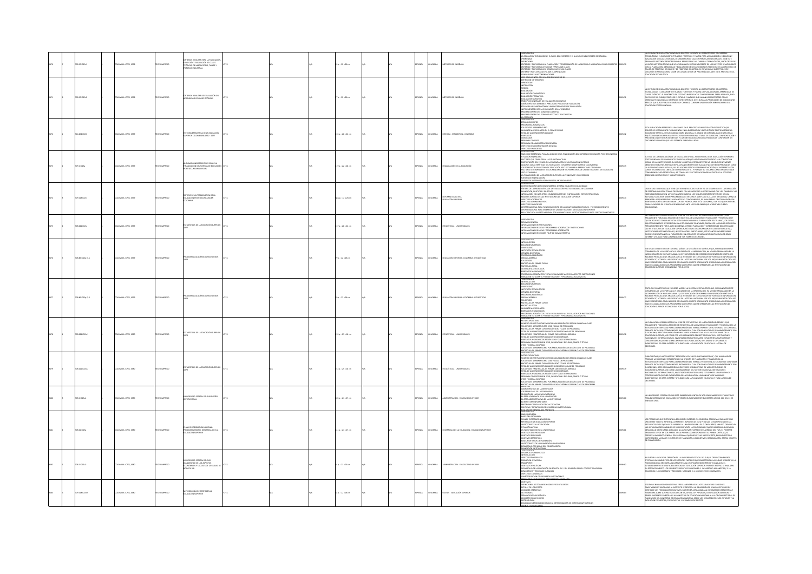| 78.17 (C15c1       | LOMBIA: ICFES, 1978  | OZZRRM OTXI          | <b>RIDS Y PAUTAS PARA LA PLANEACI</b><br>LRITIKILIN 1 YANKINGIÖN DE CLASES<br>TEÓRICAS, DE LABORATORIO, TALLER Y<br>PRÁCTICA INDUSTRIAL |  | 15 p. : 22 x 28 cm  |  | PAÑOL          | MEM           | TODOS DE ENSEÑAZ                               | SENTACIÓN<br>EDUCACIÓN TECNOLÓGICA Y EL PAPEL DEL PROFESOR Y EL ALUMNO EN EL PROCESO ENSEÑANZA-<br>ENDIZAJE<br>FINCONES<br>GERWOORS<br>CHEMICAL TAN TAS ARA IA NAKALSONY FROGRAMACÓN DE LA MATERIA O AGGINTURA EN UN SEMISTRI<br>CHEMICA Y PAUTAS PARA EL GERARDLE DE LA CLASSE<br>CHEMICA Y PAUTAS PARA EL GUARDLE DE LA CLASSE<br>CHEMICA Y PAUTAS PARA ENVILURE EL                                                                                                                                                                                                                                                                                                                                                                                                                   |      | .<br>A DIVISIÓN DE EEUCACIÓN TECNOLOGÍA DEL ICFES PRESENTA A LOS PROFESORES DE CARRERAS<br>TECNOLÓGIA DE CLASES TEÓRICAS, DE LABORATORIOS, TALLER Y PRÁCTICAS INDUSTRIALES". CON ESTE<br>INALUACIÓN DE CLASES TEÓRICAS, DE LABORATORIO,                                                                                                                                                                                                                                                                                                                                                                                                                                                                              |
|--------------------|----------------------|----------------------|-----------------------------------------------------------------------------------------------------------------------------------------|--|---------------------|--|----------------|---------------|------------------------------------------------|-----------------------------------------------------------------------------------------------------------------------------------------------------------------------------------------------------------------------------------------------------------------------------------------------------------------------------------------------------------------------------------------------------------------------------------------------------------------------------------------------------------------------------------------------------------------------------------------------------------------------------------------------------------------------------------------------------------------------------------------------------------------------------------------|------|----------------------------------------------------------------------------------------------------------------------------------------------------------------------------------------------------------------------------------------------------------------------------------------------------------------------------------------------------------------------------------------------------------------------------------------------------------------------------------------------------------------------------------------------------------------------------------------------------------------------------------------------------------------------------------------------------------------------|
| 08.17 IC15c2       | LOMBIA: ICFES, 1978  | OZZRRM OTX           | ERTERIOS Y PAUTAS DE EVALUACIÓN DEL<br><i>PRE</i> NDIZAJE DE CLASES TEÓRICAS                                                            |  | 77 p. : 22 x 28 cm  |  | <b>SPAÑOL</b>  | .<br>Milita   | <b>STODOS DE ENSEÑA</b>                        | -DIFFINIDAD IST TERMINOS<br>-MPERICOCH<br>-MEDICA<br>-MEDICA<br>-DIMILIACON DIAGNÓSTICA<br>-DIMILIACON DIAMATIVA<br>-PIRACTOR SUBARTIVA<br>-PIRACTORS CORRALS DE DIAMATIVA<br>-PIRACTORS CORRALS DE DIAMATIVA<br>-PIRACTORS CORRALS DE DIAMATIVA<br>"Francesche Manastas de Kinsuarium Nuolemina<br>-Carácterísticas desearles para todo proceso de Evaluación<br>-Etapas en la Elaboración de UN procedimento de Evaluación<br>-Reutras dentro del Donanio Cognitivo<br>-Pruebas dentro del D<br>IERAS DENTRO DEL DOMINIO AFECTIVO Y PSICOMOTOR<br>A PREGUNTA                                                                                                                                                                                                                          |      | MARIÓN DE EDUCACIÓN TECNOLOGÍA DEL VEES BRESENTA A LOS BROESDRES DE CARRERA<br>UN UNISIDENT UN NUO MALINI IN INTERNATION DE STANDA DE PRODUCTION DE L'ANGUISTICA EN CARRISTERE DE CONTENENT D<br>TECHNOLOGICAS EL DOCUMENTO TITULADO: "CRITIRIOS Y PAUTAS DE EVALUACIÓN DEL APRENDIZAJE DE<br>CLASES TEÓRICAS", EL<br>MOCOS QUE SUSCEPTIBLES DE ANÁLISE Y CAMBIOS, CUMPLAN UNA FUNCIÓN RENOVADORA DE LA<br>DUCACIÓN POSTSECUNDARIA.                                                                                                                                                                                                                                                                                  |
| 4.6021C15h         | LOMBIA: ICFES, 1979  | O22RRM OTX2          | ITORIA ESTADÍSTICA DE LA EDUCACIÓN<br>PERIOR COLOMBIANA 1960 - 1977                                                                     |  | 135 p. : 28 x 22 cm |  | SPAÑOL         | MEM           | HISTORIA - ESTADÍSTICA - COLOMBIA              | -<br>ESTABLECIMENTOS<br>- FROGRAMAS ACADÉMICOS<br>- SOLICITUDES A PRIMER CURSO<br>LIMNOS MATRICULADOS EN EL PRIMER CURSO<br>ITAL DE ALUMNOS MATRICULADOS<br>Gresados<br>Raduados<br>Ersonal docente<br>RSCINAL DE ADMINISTRACIÓN GENERAL<br>PECTOS DE ADMINISTRACIÓN GENERAL<br>PECTOS FINANCIEROS<br>RODUCCIÓN                                                                                                                                                                                                                                                                                                                                                                                                                                                                         |      | .<br>TA PUBLICACIÓN REPRESENTA UN AVANCE EN EL PROCESO DE INVESTIGACIÓN ESTADÍSTICA QUE<br>410 Y-VAN CHEMINAND REVOLUTION AND MANUFACTURE IN MAIL CONSULTANT AND A SERVE AND A STANDARD CHEMINAL STANDARD IN A STANDARD CHEMINAL STANDARD CONSULTANT AND A MANUFACTURE CONSULTANT AND A MANUFACTURE CONSULTANT AND A MANU                                                                                                                                                                                                                                                                                                                                                                                            |
| 79.1 IC15a         | LOMBIA: ICFES, 1979  | O22RRM OTX           | ALGUNAS CONSIDERACIONES SOBRE LA<br>FINANCIACIÓN DEL SISTEMA DE EDUCACI<br>POST-SECUNDARIA OFICIAL                                      |  | 19p.: 22 x 28 cm    |  | PAÑOL          | MEM           | ANCIACIÓN DE LA EDUCACIÓN                      | ACCO DE REFERENCIA PARA EL ANÁLISIS DE LA FINANCIACIÓN DEL SISTEMA DE EDUCACIÓN POST-SECUNDAR<br>ACCO DE REFERENCIA PARA EL ANÁLISIS DE LA FINANCIACIÓN DEL SISTEMA DE EDUCACIÓN POST-SECUNDAR<br><b>CON A LA STUARIÓN ACTUAL</b><br>(TORIS QUE CONDUCEN A LA SITUACIÓN ACTUAL<br>RITIORACIÓN DEL ESTADO EN LA FINANCIACIÓN DE LA EDUCACIÓN SUPERIOR<br>GUNAS CARÁCTERÍSTICAS DEL SISTEMA DEL ESTUDANTE UNIVERSITARIO COLOMBIANO<br>I GORESADOS DEL SISTEMA DE LOS REQUERIND<br>ST-SECUNDARIA<br>FRANCIACIÓN DE LA EDUCACIÓN SUPERIOR: ALTERNATIVAS Y SUGERENCIAS<br>ENTES DE DINANCIACIÓN<br>ANÁLISE DE ALTERNATIVAS PROPUESTAS ANTERIORMENTE<br>MTRODUCO DE                                                                                                                           |      | .<br>EMA DE LA FINANCIACIÓN DE LA EDUCACIÓN OFICIAL, Y EN ESPECIAL DE LA EDUCACIÓN SUPERIOR O<br>III THUS OIL A HUNANGHOID OIL AS INDICIOID COLLAY THE SEPACH IS LA EXIGACIÓN SPERIES ON A CHARACTER COMPARED COMPARED UNIVERSITY COMPARED UNIVERSITY COMPARED UNIVERSITY COMPARED UNIVERSITY COMPARED UNIVERSITY COMPARED UNI                                                                                                                                                                                                                                                                                                                                                                                       |
| 1131015            | LOMBIA: ICFES, 1979  | TO IMPRESO           | ÍNTESIS DE LA PROBLEMÁTICA DE LA<br>DUCACIÓN POST-SECUNDARIA EN<br>OLOMBIA                                                              |  | N/A p.: 22 x 28 cm  |  | <b>DAÑOL</b>   | OMBIA         | REFORMA EDUCATIVA<br>EDUCACIÓN SUPERIOR        |                                                                                                                                                                                                                                                                                                                                                                                                                                                                                                                                                                                                                                                                                                                                                                                         |      | JINA DE LAS EKSERCIAS QUE TIDES QUE APROVEMA TODO PAÍS EN VÍA DE DESARROLLO ES LA FORMACIÓN<br>DE FERDINAS EN ENSEIGNEMENT EN CARACTERISTANT EN CONTRESSE EN LA CONTRESSE EN LA CARACTERISTA EN CARACTERISTA<br>ACTIVINADO CONCIEREN                                                                                                                                                                                                                                                                                                                                                                                                                                                                                 |
| 8.021 (C15e        | LOMBIA: ICFES, 1979  | <b>TECTO IMPRESO</b> | .<br>STADÍSTICAS DE LA EDUCACIÓN SUPERIOR                                                                                               |  | 137 p. : 28 x 22 cm |  | SPAÑOL         | <b>MEM</b>    | TADISTICAS - UNIVERSIDADES                     | SENTACIÓN<br>-essimum cenedia;<br>-información por instituciones<br>-información por áreas y programas académicos e instituciones<br>-información por enyembr político administrativa<br>-información por enyembr político administrativa                                                                                                                                                                                                                                                                                                                                                                                                                                                                                                                                               | 3475 | LA PUBLICACIÓN FORMA PARTE DE LA SERIE DE "ESTADÍSTICAS DE LA EDUCACIÓN SUPERIOR", QUE<br>LA PUBLICACIÓN EXPRANA PARTE DE LA SERIE DE "ESTADESTICAS EN LA EDUCACIÓN SUPERIDON", QUE<br>ANUALMENTE PUBLICA LA SECCIÓN DE ESTADÉSTICA DE LA DIVISIÓN DE PLANEACIÓN Y FINANCIACIÓN Y<br>QUE DE ACUERDO CON LA METODOLOGÍA EMPLEAD<br>MARAMANINAMIN II MON NA PALIN MARINEMA, ASÍ COMO LOS OBGANISMOS DEL SECTOR EDUCATIVO,<br>ANS INSTITUCIONES INTERNACIONALES, INVESTIGADORS PARTICULARES, ESTUDANTES UNIVERSITARIOS<br>QUIENES ENCUENTRAN EN LA PUBLICACIÓN, UN CONJUN<br>INTERÉS Y UTILIDAD PARA LA PLANEACIÓN Y LA TOMA DE DECISIONES.                                                                             |
| 28.86 IC15o EL1    | ECRE ZERE JAIBINDE   | OZZRRA OTX           | MAS ACADÉMICOS NOCTURNOS                                                                                                                |  | 79 p. : 22 x 28 cm  |  | PAÑOL          | LOMBIA        | DUCACIÓN SUPERIOR - COLOMBIA - ESTADÍSTICAS    | <b>SENTACIÓN</b><br>PRIMINING<br>-EDUCACIÓN SUPERIOR<br>-ENSTRUTOS TECNOLÓGICOS<br>-IOBNADA NOCTURNA<br>-PROGRAMA ACADÉMICO<br>-ÁREA ACADÉMICA<br>PAIN PONDAMINA<br>ANTRÍCULA EN PRIMER CURSO<br>ANTRÍCULA TOTAL<br>AUMINOS MATRICULADOS<br>ISADOS Y GRADUADOS<br>GRAMAS ACADÍNACOS, TOTAL DE ALUMNOS MATRICULADOS POR INSTITUCIONES                                                                                                                                                                                                                                                                                                                                                                                                                                                    | 3476 | EXTO QUE CONSTITUYE UN ESFUERZO MÁS DE LA SECOÓN DE ESTADÍSTICA QUE, PERMANENTEMENTE<br>.<br>Convencida de la importancia y utilización de la información, ha venido trabamido en la<br>Necercorción de Nuevas variales, en exercación de formas de presentación y métodos<br>Ágiles de producción y análise con la intención d<br>ESTADÍSTICA", ACORDE A LAS EXIGENCIAS DE LA TÉCNICA MODERNA Y DE LOS REQUERMIENTOS CADA VEZ<br>lijnensitust, prugnen plan lokuvingo de uslijanse, en este documento se consiguarion un dogo material<br>Vas descritats sobre los proderados uslijanse, en este documento se consigua la información<br>Vas descritats sobre los pro                                               |
| 278.86 IC15p Ej.2  | DLOMBIA: ICFES, 1979 | O23RRM OTKIT         | <b>SAMAS ACADÉMICOS NOCTURNOS</b>                                                                                                       |  | 19 p. : 22 x 28 cm  |  | <b>JORARDS</b> | AIRMOX        | EDUCACIÓN SUPERIOR - COLOMBIA - ESTADÍSTICAS   | OBLACIÓN ESTUE<br>SSENTACIÓN<br>roducción<br>Jeación Superior<br>-ENGLACIÓN SUPERIOR<br>- INSTITUTOS TECNOLÓGICOS<br>- INSTITUTOS TECNOLÓGICOS<br>- FROGRAMA ACADÉMACO<br>- FROGRAMA ACADÉMACO<br>- SELACTURIS<br>- INATRÉCILA ETOTAL<br>- AMATRÉCILA ETOTAL<br>- ALIGNINOS MATRÉCILA ETOTAL<br>- ALIGNINOS MATRÉCILA ETOT<br>.<br>GRAMAS ACADÉMICOS. TOTAL DE ALUMNOS MATRICULADOS POR INSTITUCIONES.<br>CIONES Y PROGRAMAS ACADÉMICO                                                                                                                                                                                                                                                                                                                                                  |      | texto que constituye un espuerzo más de la sección de estacéstica que, permanentemente<br>Convencion de la maportancia y utilización de la información, un vened trabamino en la<br>incorporación de nuevas varialees, enversificaci<br>ESTADÍSTICA", ACORDE A LAS DIREINIDAS DE LA TÉCNICA MIDDIRINA Y DE LOS REQUIRIMIENTOS CADA VEZ.<br>MAS EDISERVIS DEL GRAN NÚMERO DE USU/AROS. EN ESTE DOCUMENTO SE CONSIDEIA LA INFORMACIÓN<br>MÁS DESTACADA SOBRE LOS PROGRAMAS NOC<br>DUCACIÓN SUPERIOR RECONOCIDAS POR EL ICFES.                                                                                                                                                                                          |
| 38.0211C15e1       | DLOMBIA: ICFES, 1980 | <b>OZZRAM OTXIT</b>  | ADÍSTICAS DE LA EDUCACIÓN SUPERIOR                                                                                                      |  | 135 p. : 25 x 18 cm |  | JORARDS        | <b>AIRMOX</b> | ESTADÍSTICAS - UNIVERSIDADES                   | PRINAMINA MLADIMILLIS, III<br>POBLACIÓN ESTUDIANTIL POR<br>MOTAS DIPLICATIVAS<br>JINERO DE INSTITUCIONES Y PROGRAMS ACADÉMICOS SEGÚN JORNADA Y CLASE<br>-WOMEN OR INSTITUTIONES A PROGRAMA ACADEMICAN SERVED CERTAIN ISSUES AND A CALCULATED AND A SAME PARTICULAR AND A CALCULATED AND A CALCULATED AND A CALCULATED AND A CALCULATED AND A CALCULATED AND A CALCULATED AND A CALCUL<br>CITUDES A PRIMER CURSO POR ÁREAS ACADÊMICAS SEGÚN CLASE DE PR<br>ANTRÍCULA EN PRIMER CURSO POR ÁREAS ACADÉMICAS SEGÚN CLASE DE PROGRAM<br>RESENTACIÓN                                                                                                                                                                                                                                          | 101  | A PUBLICACIÓN FORMA PARTE DE AL SEBE QUE VEZ EMPIRECIONA EM A DESCACADA ENFERENCIA CENTRAL EN ARCHITECTO EN EL COMERCIONAL EN ARCHITECTO EN EL COMERCIO EN CONTRA EN EL COMERCIO EN CONTRA EN EL COMERCIO EN COMERCIO EN EN E<br>.<br>KOÓN, LI<br><b>ZINDICIO</b>                                                                                                                                                                                                                                                                                                                                                                                                                                                    |
| 0211C15e2          | LOMBIA: ICFES, 1980  | OZZRRM OTX           | STICAS DE LA EDUCACIÓN SUPERIO                                                                                                          |  | 153 p.: 25 x 18 cm  |  | <b>DAÑOL</b>   | OMBIA         | ADÍSTICAS - UNIVERSIDADE                       | SSENTACIÓN<br>ĴNUKSO DE NISTITUIGONES Y PROGRAMAS ACADÉMICOS SEGÚN JORNADA Y CLASE<br>ĴNUKSO DE NISTITUICIONES Y PROGRAMAS<br>JULITIUDES A PRIMER CURSO SEGÚN SENO Y CLASE OF PROGRAMA<br>JULITICULA EN PRIMER CURSO SEGÚN SENO Y CLASE DE<br>MINTINGUNUM MATHOLIANOS SEGÚN SERO Y CLASE DE PROGRAMA<br>SOLICITUDES Y MATRÍCULA EN PRIMER CURSO SEGÚN JORNADA<br>SOLICITUDES Y MATRÍCULA EN PRIMER CURSO SEGÚN JORNADA<br>TOTAL DE ALUMNOS MATRICULADOS SEGÚN JORNADA<br>IO INIC DI ALDUMON MATIKOLOMON SAGUNI ZONNADA<br>EGREGADOS Y GRADUADOS SEGÚN SONO Y CLASE DE PROGRAMA<br>FERSONAL DOCENTE SEGÚN SEXO, DEDICACIÓN Y DIFLOMA, GRADO O TÍTULO<br>DELICITUDES A PRIMER CURSO POR ÁREAS ACADÉMICAS SEGÚN CLA<br>TRÉCULA EN PRIMER CURSO POR ÁREAS ACADÉMICAS SEGÚN CLASE DE PROGRAM |      | publicación que hace parte de "estadéficas de la educación superide", que anualmente<br>Produce la sección de estadéstica de la división de plantación y financiación. La<br>Metodología empleada para la elaboración del trabajo, p<br>MINI LOUGUAN MONTANY MON LA NAMOMALINI NIL I MAMALI, NY MONTANI NI MATO AMANDA NI CUMOMANZA<br>RABA LOS DATOS AQUÍ CONSIGNADOS, PAIÓN POR LA CUM. SON CONSULTADOS PERMANENTENENTE POR<br>EL GOBERNO, JEFES DE FANKACIÓN Y DIRECTORES<br>NAULUMALIS A INTERNACIONALES, INVESTIGADULATS PARTIELUMAS, IST ECONOMIS CONVINSITAIRES<br>OTROS LIGUARDOS QUIDIES ENCUENTRAN EN LA PUBLICACIÓN, UN CONIUNTO DE VARIABLES<br>SIGNIFICATIVAS DE GRAN INTERÉS Y UTILIDAD PARA LA PLANEA |
| <b>78.1 IC15u1</b> | LOMBIA: ICFES, 1980  | O23RRM OTKIT         | INIVERSIDAD ESTATAL DEL SUR DISEÑO<br>NSTITUCIONAL                                                                                      |  | 205 p. : 21 x 27 cm |  | SPAÑOL         | OMBIA         | WINSTRACIÓN - EDUCACIÓN SUPERIOR               | UNITIONS<br>CARÁCTERÍSTICAS DE LA INSTITUCIÓN<br>SELECCIÓN DE LAS ÁREAS ACADÉMICAS<br>AREA ACADEMICA DE LA UNIVERSIDAD<br>-<br>1. ÁREA ADMINISTRATIVA DE LA UNIVERSIDAD<br>1. BENESTAR UNIVERSITARIO<br>ROGRAMACIÓN PLANTA FÍSICA Y DOTACIÓN<br>OLÍTICAS Y ESTRATEGIAS DE DESARROLLO INSTI<br>CONAL<br>MUADÓN GENERAL DEL DROYECTO                                                                                                                                                                                                                                                                                                                                                                                                                                                      |      | LA UNIVERSIDAD ESTATAL DEL SUR ESTÀ ENMARCADA DENTRO DE LOS DELINEAMIENTOS ESTABLECIDOS<br>PARA EL SISTEMA DE LA EDUCACIÓN SUPERIOR DEL PAÍS MEDIANTE EL DECRETO-LEY NO, 080 DEL 22 DE<br>ENERO DE 1980.                                                                                                                                                                                                                                                                                                                                                                                                                                                                                                             |
| 4231 IC15          | DLOMBIA: ICFES, 1980 | O23RN OTIO           | <b>LAN DE INTEGRACIÓN NACIONA</b><br>PROGRAMA PARA EL DESARROLLO DE LA<br>EDUCACIÓN SUPERIOR                                            |  | 341 p. : 21 x 27 cm |  | <b>JORARDS</b> | <b>LOMBIA</b> | ESARROLLO DE LA EDUCACIÓN - EDUCACIÓN SUPERIOR | FRANKLING<br>-BASES DEL PROGRAMA<br>-PLAN DE INTEGRACIÓN NACIONAL<br>-MANUM MELANDUM MALUMAN<br>- REFORMA DE LA EDUCACIÓN SUPERIOR<br>- ANTICEDENTES Y IUSTIFICACIÓN<br>- AN INVESTIGACIÓN EN LA UNIVERSIDAD<br>- DAITIVOS CEL PROGRAMA<br>- ORITIVOS CENERALES<br>- ORITIVOS CENERALES<br><b>BASES Y CRITERIOS DE PLANEACIÓN</b><br>TECEDENTES DE LA PLANEACIÓN UNIVERSITARIA<br>LARROLLO POR ÁREAS DEL CONOCIMIENTO                                                                                                                                                                                                                                                                                                                                                                   |      | los problemas que enfrenta la educación superior en colombia, problemas cada vez nás<br>Orecentes y que se refierir a enferrites aspectos de esta pero que se manifiestan en las<br>frecuentes crise que iratantesencia aurecente de<br>ON INTERNATION CARRY CHARGE AND ON THE MAILMON TO DESIGN CARRY AND A DESIGNATION OF STANDARD ON STANDARD AND C<br>TRANSPOLICION CARRY AND COST PARTIES, THE ALL PRINCIPAL CONSISTOINT DEPARTMENT CONTINUES. SE PRESENTE<br>PRESENTA<br>NANCACIÓN                                                                                                                                                                                                                             |
| 8.1 (2562)         | CMBIA: ICFES, 1980   | CO MPRESO            | UNIVERSIDAD ESTATAL DEL SUR<br>DIAGNÓSTICO DE LOS ASPECTOS<br>ECONÓMICOS Y SOCIALES DE LA CIUDAD DI<br>30 ATG                           |  | 1 p. : 21 x 26 cm   |  | ušoi.          |               | <b>ESTRACIÓN - EDUCACIÓN SUPERIOR</b>          | <b>ILIANNOLLU POR ANLAS DE<br/>LANGACIÓN INSTITUCIONAL<br/>IESARROLLO URBANISTICO</b><br>VTRODUCOÓN<br>ASPECTO DEMOGRÁFICO<br>FOBLACIÓN A VIVIENDA<br>TRANSPORTE<br>Dauttivos y Políticas<br>Desarrollo de la educación en Bogotá d.E. y su relación con el contexto nacional<br>SANDORAS DE VILONDO DE HUMANOS<br>SPECTOS ECONÓMICOS<br>ARÁCTERIZACIÓN DEL DESARROLLO ECONÓMICO                                                                                                                                                                                                                                                                                                                                                                                                        |      | SURGIR LA IDEA DE LA CREACIÓN DE LA UNIVERSIDAD ESTATAL DEL SUR, SE CREYÓ CONVENIENTE<br>éféctura un dalgmóstico de los distintos factores que caracterizan la ciudad de Bogotá. La<br>Fenonismolidgía encontarda daría pe para justificar desde enfrentes ángulos, el<br>Establecimiento de una nueva entidad de educación s<br>.<br>IN ESTE DOCUMENTO, LOS SIGUIENTES ASPECTOS PRINCIPALES: 1. DESARROLLO URBANÍS<br>IDUCACIÓN; 3. DEMOGRAFÍA Y RECURSOS HUMANOS; Y 4. LOS ASPECTOS ECONÓMICOS.<br>O URBANÍSTICO: 2. LA                                                                                                                                                                                            |
| 118 iC15m          | DLOMBIA: ICFES, 1980 | O23RRM OTKIT         | DOGLOGÍA DE COSTOS EN LA<br>EDUCACIÓN SUPERIOR                                                                                          |  | 64 p. : 22 x 28 cm  |  | <b>JORASS</b>  | LOMBIA        | COSTOS - EDUCACIÓN SUPERIOR                    | <b>COUNTINOS</b><br>OBIETIVOS<br>DEFINICIONES DE TÉRMINOS Y CONCEPTOS UTILIZADOS<br>DETALLE DE LOS COSTOS<br>UNIDADES OPERATIVAS<br>NIDADES OPERATIVAS<br>CTIVIDADES<br>ERMINOLOGÍA ACADÉMICA<br>ONCEPTO SOBRE COSTOS<br>IETODOLOGÍA<br><b>JAMA METODOLÓGICO PARA LA DETERMINACIÓN DE COSTOS UNIVERSITARIOS</b>                                                                                                                                                                                                                                                                                                                                                                                                                                                                         |      | SCON LA TORNIA CONSULTANTA TEGENHATING SEL CUSTURI DE LA PRODUCTION DE CONSULTANT DE LA CONSULTANT DE LA CONSULTANT DE LA CONSULTANT DE LA CONSULTANT DE LA CONSULTANT DE LA CONSULTANT DE LA CONSULTANT DE LA CONSULTANT DE                                                                                                                                                                                                                                                                                                                                                                                                                                                                                         |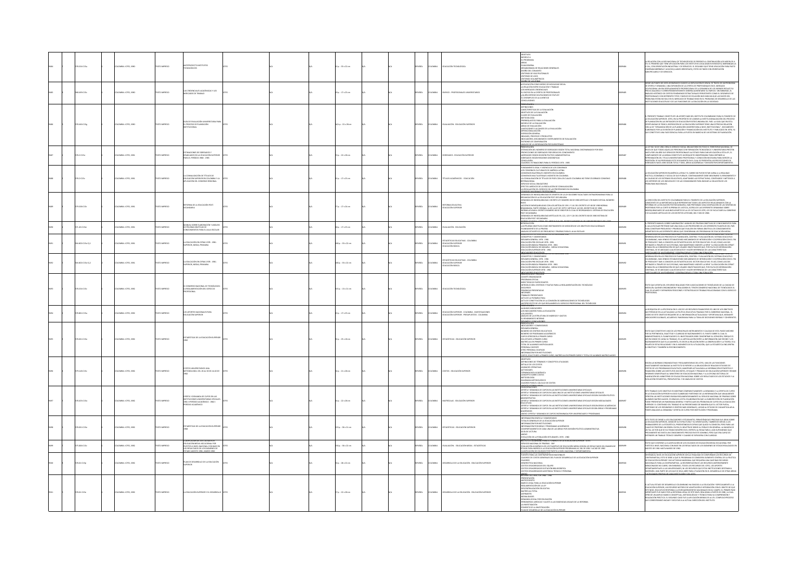|  | 15410154           | LOMBIA: ICFES, 1980 | TO IMPRESO        | VIERROVECTO INSTITUTOS<br>ENGLÓGICOS                                                                                        |  | 2 p.: 33 x 22 cm       |  | AÑOL           |               | <b>CACIÓN TECNOLÓGIC</b>                                                                    | <b>TALISTICIAN<br/>-DISCRIPSOR<br/>-DISCRIPSOR<br/>-FLAN GENERALM<br/>-PLAN GENERALMA DE RELACIONES GENERALE<br/>-DISGRIPSORMA DE RELACIONES GENERALE</b><br>-DISGRIPSOR CONJUNTO<br><b><i>TRITERIOS DE VÁRS PEATONALES</i></b><br>TRITERIOS DE USOS<br>TRITERIOS VOLUMÉTRICOS                                                                                                                                                                                                                                                                                                                                                                                                                                                                                                             |       | RELACIÓN CON LA RED NACIONAL DE TECNOLÓGICOS SE PRESENTA A CONTINUACIÓN LOS MODELOS A<br>.<br>1981, CENNERO QUE TENE APUCADÓN PARA LOS INSTITUTOS LOCALIZADOS EN BOGOTÁ, BARRANQUILLA<br>1983, NON ORIENTACIÓN INDUSTRIAL Y OS SERVIDOS. EL SEGUNDO QUE TENE APUCADÓN PARA PASTO<br>1983RANCABERMEIA Y ACACÍAS (ILIANOS ORIENTAL<br>20 DIVISION VIOLATION                                                                                                                                                                                                                                                                                                       |
|--|--------------------|---------------------|-------------------|-----------------------------------------------------------------------------------------------------------------------------|--|------------------------|--|----------------|---------------|---------------------------------------------------------------------------------------------|--------------------------------------------------------------------------------------------------------------------------------------------------------------------------------------------------------------------------------------------------------------------------------------------------------------------------------------------------------------------------------------------------------------------------------------------------------------------------------------------------------------------------------------------------------------------------------------------------------------------------------------------------------------------------------------------------------------------------------------------------------------------------------------------|-------|-----------------------------------------------------------------------------------------------------------------------------------------------------------------------------------------------------------------------------------------------------------------------------------------------------------------------------------------------------------------------------------------------------------------------------------------------------------------------------------------------------------------------------------------------------------------------------------------------------------------------------------------------------------------|
|  | 368.1691C15c       | COMBIA: ICFES, 1980 | O22RM OTH         | S CREDENCIALES ACADÉMICAS Y LOS<br>ERCADOS DE TRABAJO                                                                       |  | $9a:17x25$ cm          |  | PAÑOL          | <b>HARM</b>   | MPLEO - PROFESIONALES UNIVERSITARIOS                                                        | EDUCACIÓN COMO MEDIO DE MOVILIDAD SOCIAL<br>RELACIÓN ENTRE EDUCACIÓN Y TRABAJO<br>OS MERCADOS CREDENCIALES<br>L EXCESO EN LA OFERTA DE PROFESIONALES<br><b>LOSSENGIA DE LA JUVENTUO<br/>LOSSENGIA DE LA JUVENTUO<br/>LOSSENGIAD DE LA JUVENTUO<br/>DNCLUSIONES</b><br>INTACION                                                                                                                                                                                                                                                                                                                                                                                                                                                                                                             | HBS   | DESDE UN PUNTO DE VISTA ECONÓMICO CLÁSICO LA EXPUCACIÓN ES OBVIA. SE TRATA DE UN PROBLEMA<br>RESIDE UN PROPO DE VERTA DESIDENCIA DE LOS CALIFORNES DE CONTRA LA TRAVA DE VERTAS DE VERTAS EN EN CONTRA EL ESTADO DE VERTAS EN EL ESTADO DE VERTAS EN EL ESTADO DE VERTAS EN EL ESTADO DE VERTAS EN EL ESTADO DE VERTAS EN                                                                                                                                                                                                                                                                                                                                       |
|  | <b>28.1661C15a</b> | LOMBIA: ICFES, 1980 | O23RNA OTH        | A DE EVALUACIÓN UN<br>PROCESO DE PLANEACIÓN                                                                                 |  | N/A p.: 22 x 28 cm     |  | PAÑOL          | LOMBIA        | VALUACIÓN - EDUCACIÓN SU PERIOR                                                             | 95558/14208<br>DEFRICONES<br>DARCTERÍSTICAS DE LA EVALUACIÓN<br>DARCTERÍSTICAS DE LA EVALUACIÓN<br>METODOLIO DE LA EVALUACIÓN<br>METODOLIO DE LA EVALUACIÓN<br>METODOLIO DE LA EVALUACIÓN<br>METOELO DE LA EVALUACIÓN<br>-<br>- AREAS DE EVALUACIÓN<br>- LIMITACIONES Y ALCANCES DE LA EVA<br>- OPERACIONALIZACIÓN<br><b><i>VEREICHMANNUM</i></b><br>POSICÓN GENERAL<br>SUMOS, PROCESOS Y PRODUCTOS<br>DICADORES, MECANISMOS E INSTRI.<br>ATRONES DE COMPARACIÓN<br><b>ENTOS DE EVALUACIÓN</b><br>SIS DE LA INFORMACIÓN POR SUB                                                                                                                                                                                                                                                            |       | R PRESIDENT BRANDA CONSTRUINT UN APOSTE MÁS EM INSTRUITO CONSIMIANO PARA EL CONSTRUYO EN ARCENTE A EL CONSTRUYO EN EN ENCICIO EN EN ENCICIO EL CONSTRUYO EN ENTRE EL CONSTRUYO EN ENTRE EL CONSTRUYO EN ENTRE EL CONSTRUYO EN                                                                                                                                                                                                                                                                                                                                                                                                                                   |
|  | 278.2 IC15e        | LOMBIA: ICFES, 1981 | O22RRM OTH        | MACIONES DE EGRESADOS Y<br>ADUADOS EN LA EDUCACIÓN SUPERIOR<br>RA EL PERÍODO 1980 - 1985                                    |  | 3 p. : 22 x 28 cm      |  | SPAÑOL         | <b>KOMBIA</b> | GRESADOS - EDUCACIÓN SUPERIOR                                                               | NTACIÓN<br>MACÓN DEL NÚMERO DE EGRESADOS SEGÚN TOTAL NACIONAL DISCRIMINADOS POR SEXO<br>ECCIONES DE EGRESADOS POR ÁREAS DEL CONCIMIENTO<br>UTINGUNUS SEGÜN DIVISIÓN POLÍTICO ADMINISTRATIVA<br>JESSADOS SEGÜN DIVISIÓN POLÍTICO ADMINISTRATIVA<br>JRICUISIÓN<br>JNCLUSIÓN<br>LLUINUN<br>1905: ESTIMACIONES PARA EL PERÍODO 1976 - 1985                                                                                                                                                                                                                                                                                                                                                                                                                                                     | 10487 | $\lambda$ LEV MO. 50 DE 1994 L'OBA EL SERVICO SOCIAL OBJACIONO EN 1500 EL TERRITORIO MACONAL, SE<br>1945 L'OBA DE COLO AGOLIALAS PRESIDANA CON FORMACIÓN (PLONOLOGICA V MANGIORIAL PARE DE TRADICA DE 1941 PARE D<br>1949 POLITICA DE LA<br>SADOS HASTA 1985 SEGÚN TOTAL Y SEXO, ÁREAS ACADÉMICAS Y DIVISIÓN POR DEPARTAMENTOS.                                                                                                                                                                                                                                                                                                                                 |
|  | 278.2 IC15c        | LOMBIA: ICFES, 1981 | O23RNA OTH        | AUDACIÓN DE TÍTULOS DE<br>CACIÓN SUPERIOR EN COLOMBIA Y<br><b>CACIÓN DEL CONVENIO REGIONAL</b>                              |  | $2a:17x25$ cm          |  | PAÑOL          | OMBM          | TIULOS ACADÉMICOS - EDUCACIÓN                                                               | NDAMENTO LEGAL Y VIGENCIA DE LOS CONVENIOS<br>S CONVENIOS CULTURALES DE AMÉRICA LATINA<br>IVENIOS BILATERALES VIGENTES EN COLOMBIA<br>IVENIOS MI II TII ATERAI ES VICENTES EN COLOMBIA<br>VENNES MOLITIATIONES VISIT 153 ET VANAMING.<br>CONVALIDACIÓN DE TÍTULOS DE PISES CON LOS CUALES COLOMBIA NO TIENE CELEBRADO CONVENIO<br>LAMINOMAL<br>ERNADONAL<br>ECTOS JURÍDICOS DE LA RESOLUCIÓN DE CONVAUIDACIÓN<br>SEGULACIÓN DEL EJERCICIO DE LAS PROFESIONES EN COLOMBIA                                                                                                                                                                                                                                                                                                                   | 3488  | LA EDUCACIÓN SURFIROR EN AMÉRICA LATINA Y EL CARIBE NO PUEDE ESTAR AJEMA A LA REALIDAD<br>POLÍTICA, ECONÓMICA Y SOCIAL DE SUS PUEBLOS. CONTINUAMENTE DEBE MEIORARIS EL BENGMENTO<br>LA CALIDAD DE LOS SOSTEMAS EDUCATIVOS, ADAPTANDO<br>LOS INTERESES DE LOS INDIVIDUOS Y DE LAS COMUNIDADES PARA BUSCAR LA SOLUCIÓN DE LOS                                                                                                                                                                                                                                                                                                                                     |
|  | 1581015            | MEA: ICFES, 1981    | O22RRM OT         | .<br>FORMA DE LA EDUCACIÓN POST-                                                                                            |  | $7a: 17x24$ cm         |  | <b>DAÑOL</b>   | <b>MEM</b>    | .<br>REFORMA EDUCATIVA                                                                      | <mark>elevol eug</mark> emelli et deoctorialistat.<br>Annon ce inexeccubilismo de apartes de la ley ba sobre facultades extragronarias para la<br>Annon ce inexecubilismo: decentro ley Número Bo de 1980 artículo 178 diario gricini, Número<br>An<br>155<br>Colón de Inidelouisiudad con los artículos 138-1 y 141 del decreto Ley 80 de 1980 norma<br>Mandada: Parte ordinal 16 de la Ley de 1979 y artículo 142 del decreto 80 de 1980<br>.<br>NAMA ACUSADA: DECRETO NÚMERO BO DE 1980 POR EL CUAL SE REORGANIZA EL SISTEMA DE EDUCACIÓN<br>NNNY-NUAL<br>In-Secundaria<br>In-Secundaria<br>Injuli acuellos l'ottasi del l'attículos 50, 132, 133 y 134 del decreto 80 de 1980 sestema de<br>Injuli acuellos l'ottasi del l'attículo el del decreto kuímico el de l'oro degle éleco del |       | RECCIÓN DEL INSTITUTO COLOMBIANO PARA EL FOMENTO DE LA EDUCACIÓN SUPERIOR.<br>AMMALINI HAN BARTINI DA LA CAMBINI PROVINCI PROTO DE A PARAMANA MINISTRA DE LA MARCA CON LA<br>FORMA DE LA MARCATANCIA QUE REPRESENTAN TODOS LOS ASPECTOS RELACIONADOS CON LA<br>FORMA DE LA MARCATANCIA QUE REPRESENTAN TODOS LOS A<br>DE ALGUNDS ARTÍCULOS DE LOS DECRETOS LEVES 080, 081 Y 082 DE 1980.                                                                                                                                                                                                                                                                        |
|  | 126 (C15m)         | OMBIA: ICFES, 1981  | O22RRM OT         | anlial scrre elaboración y análisis<br>: Pruebas Obiettivas de<br>: Nocimientos Para el Alila escolar                       |  | 8p.: 17 x 25 cm        |  | wio.           | MEM           | ALUACIÓN - EDUCACIÓN                                                                        | GOBLES SOURCES (1989-1930), ARTÍCULO AL DIO DAVIRTA NO MINOR AL DE LORO RAVIDO (1942-1941).<br>(1900-DUCCIÓN :<br>AS PRUTINAS OBJETIVAS COMO INSTRUMENTO DE MEDICIÓN DE LOS OBJETIVOS EDUCACIÓNALES<br>S PROMINATO DE LA PRUGUA<br>MACAMIENTO DE LA PRUGUATAS Y PRUGUAS PARA EL AULA ESCOLAR<br>MACAMIENTO DE LA PRUGUATAS Y PRUGUAS PARA EL AULA ESCOLAR<br>LIMERTOS Y COMENTARIOS<br>MEGIPTOS Y COMENTARIOS                                                                                                                                                                                                                                                                                                                                                                              |       | PRESENTE MANUEL SOBRE ELABORACIÓN Y ANÁLISIS DE PRUEBAS OBJETIVAS DE CONDCIMIENTOS PARA<br>AULA ESCOLAR PRETENDE DAR UNA GUÍA A LOS PROFESORES DE LOS DIFERENTES PUANTELES DEL PAÍS                                                                                                                                                                                                                                                                                                                                                                                                                                                                             |
|  | GO ICISA D. L      | MEN: ICFES, 1981    | O22RRM OT         | DUCACIÓN EN CIFRAS 1978 - 1981.<br>ERIOR, MEDIA, PRIMARIA                                                                   |  | $0.6 - 33 + 22$ cm     |  | wios           |               | TADÍSTICAS EDUCATIVAS - COLOMBIA<br>VICACIÓN SUPERIOR<br><b><i>CONCIDA BUTBOL</i></b>       | NGERTOS VICOMENTARIOS<br>ULFACIÓN PRE-ESCOLAR 1978 - 1981<br>UCACIÓN PRE-ESCOLAR 1978 - 1981<br>UCACIÓN BÁSICA FRENARIA 1978 - 1981<br>UCACIÓN BÁSICA SECUNDARIA - MEDIA VOCACIÓNAL<br>UCACIÓN SUPERTIVITOTS<br>VICACORES EDUCATIVITS<br><b>CARCOSS EDUCATION</b>                                                                                                                                                                                                                                                                                                                                                                                                                                                                                                                          |       | <b>A RAN COOL PRINTING SUCH AS A REPORTED TO A RANGE AND CONTROL THE ANNEX CONTROL IN THE ANNEX CONTROL IN THE AN<br/> SUCH AS A REPORTED TO A RANGE AND A REPORT OF A RANGE AND CONTROL TO A RANGE AND A RANGE AND A RANGE AND CO</b>                                                                                                                                                                                                                                                                                                                                                                                                                          |
|  | 4,602 (C15e El.2)  | LOMBIA: ICFES, 1981 | <b>O22RRM OTX</b> | EDUCACIÓN EN CIFRAS 1978 - 1981.<br>PERIOR, MEDIA, PRIMARIA                                                                 |  | 80 p. : 33 x 22 cm     |  | <b>DARGE</b>   | <b>HARM</b>   | <b>ADRITIONS EDUCATINAS - COLOMBIA</b><br>ACACIÓN SUPERIOR<br>ACACIÓN BÁSICA                | NCEPTOS Y COMENTARIOS<br>SUMEN GENERAL 1978 - 1981<br>UCACIÓN PRE-ESCOLAR 1978 - 1981<br>CACIÓN BÁSICA PRIMARIA 1978 - 1981<br>icación básica secundaria - media vocacional<br>Icación superior 1978 - 1981<br>ICADORES EDUCATIVOS<br>IENTACIÓN Y PRÓLOGO                                                                                                                                                                                                                                                                                                                                                                                                                                                                                                                                  | 39492 | SE BASA EN LA CONSIDERACIÓN DE QUE USUARIO INVESTIGADOR QUE, POR FALTA DE INFORMACIÓN<br>CONTINUA, SE VE ABOCADO A AUSTAR DATOS Y HACER INFERENCIAS DE LAS CARACTERÍSTICAS                                                                                                                                                                                                                                                                                                                                                                                                                                                                                      |
|  | 278.1541C15c       | LOMBIA: ICFES, 1982 | <b>O23RRM OTX</b> | II CONGRESO NACIONAL DE TECNÓLOGOS<br>A REGLAMENTACIÓN DEL EJERCICIO<br>PROFESIONAL                                         |  | 25 p. : 13 x 21 cm     |  | <b>JORASZI</b> | <b>MEM</b>    | DUCACIÓN TECNOLÓGICA                                                                        | OMTÉ ORGA<br><b>LOOR</b><br>INTI LAMPANIANA<br>SCRAMA OFICIAL<br>TRODUCCIÓN, CRITERIOS Y PAUTAS PARA LA REGLAMENTACIÓN DEL TECNÓLOGO<br><b>SCURSOS</b><br>NLUKNOS<br>INENCIAS PRESENTADAS<br>FORMES<br>ABAJOS PRESENTADOS<br>TA DE LA PLENARIA FINAL<br>ISERENTECTO DE LEY QUE REGLAMENTA EL EJERCICIO PROFESIONAL DEL TECNÓLOG<br>SERVALIURI                                                                                                                                                                                                                                                                                                                                                                                                                                              |       | .<br>Natio que aforta del espuerzo realizado por e asociaciones de tecnólideos de la culdad de<br>Cual se aclaró y definieron forciones y estrategnis de trabajo reacionadas con el ejercio<br>Cual se aclaró y definieron forciones y                                                                                                                                                                                                                                                                                                                                                                                                                          |
|  | 23.861 IC15a       | OMBIA: ICFES, 1982  | <b>CC2RRM CT</b>  | APORTES NACIONALES PARA<br>CACIÓN SUPERIOR                                                                                  |  | $1p:17*25$ cm          |  | <b>AÑOL</b>    |               | UCACIÓN SUPERIOR - COLOMBIA - INVESTIGACIONES<br>UCACIÓN SUPERIOR - PRESUPUESTOS - COLOMBIA | NSKRIAUDR<br>LGUNOS INDICADORES<br>25 INDICADORES PARA LA EDUCACIÓN<br>APORTES<br>LUSIS DE LA ESTRUCTURA DE INGRESOS Y GASTOS<br><b>SUMPLY COMPLISHING</b>                                                                                                                                                                                                                                                                                                                                                                                                                                                                                                                                                                                                                                 |       | LA BÚSQUEDA DE LA EFICIENCIA EN EL USO DE LOS RECURSOS FINANCIEROS ES UNO DE LOS OBJETIVOS<br>QUE PERSIGUE EN LA ACTUALIDAD LA POLÍTICA EDUCATIVA TRAZADA POR EL GOBIERNO NACIONAL. EL<br>OGRO DE ESTE OBJETIVO REQUIERE DE LA INFORMACIÓN ACTUALIZADA Y OPORTUNA QUE, MEDIANTE<br>NDICADORES GLOBALES, ACLAREN EL PANORAMA PARA LA TOMA DE DECISIONES RÁPIDAS Y COHERENTE:                                                                                                                                                                                                                                                                                     |
|  | 02110154           | MEIA: ICFES, 1982   | O MPRESC          | TADÍSTICAS DE LA EDUCACIÓN SUPERIO                                                                                          |  | $p. : 25 \times 18$ cm |  | wios           |               | IDÍSTICAS - EDUCACIÓN SUPERH                                                                | RESINTACIÓN<br>VIDICAGOBES Y COMENTARIOS<br>VENUMEN GENERAL<br>VÚMERO DE CINTROS EDUCATIVOS<br>VÚMERO DE PROGRAMAS ACADÍNACOS<br>CILIPOS OFRECIDOS A PRIMER CURSO<br>CALIFICULA EN PRIMER CURSO<br>VATRÍCULA EN PRIMER CURSO<br>-MATRICULA EN PRIMER CURSO<br>-TOTAL DE ALUMNOS MATRICULADOS<br>-FERSONAL DOCENTE<br>-DERO MAROÓN POR INSTITUCIONES<br>-INFORMACIÓN POR INSTITUCIONES<br>UPOS, SOLICITUDES A PRIMER CURSO, MATRÍCULA EN PRIMER CURSO Y TOTAL DE ALUMNOS MATRICULADOS                                                                                                                                                                                                                                                                                                       |       | TO QUE CONSTITUYE UNO DE LOS PRINCIPALES INSTRUMENTOS Y CAUDAD DE ESTA PUEDE MEDIRSE<br>IN TOTAL GUES CONSTITUIT VAN DIE 1000 FRANCHALES SICILITAIREN DE LA POLITIER DE SETA POLITIER (1992) EN SERVIN<br>1995: SOCIETA DE LA CONSTITUIT VAN DIE SUIDIGARDEN DE LA POLITIER DE LA COLLECTION DE LA COLLECTION DE LA COL<br>                                                                                                                                                                                                                                                                                                                                     |
|  | 9.1181C15c         | LOMBIA: ICFES, 1982 | O22RRM OTH        | TOS UNIVERSITARIOS UNA<br>TODOLOGÍA. DEL 26 AL 30 DE JULIO DE                                                               |  | 44 p. : 21 x 28 cm     |  | <b>AÑOL</b>    | <b>HARM</b>   | <b>STOS - EDUCACIÓN SUPERIOR</b>                                                            | -DAIETIVOS<br>-DEFINICIONES DE TÉRMINOS Y CONCEPTOS UTILIZADOS<br>-DETALLE DE LOS COSTOS<br>UNIDADES OPERATIVAS<br>ACTIVIDADES<br>TERMINOLOGÍA ACADÉMICA<br>MINIMUM MARINIMA<br>ISTOROLOGÍA<br>IAGRAMA METODOLÓGICO<br>UADROS PARA EL CÁLCULO DE COSTOS                                                                                                                                                                                                                                                                                                                                                                                                                                                                                                                                    | aeas  | TIVAS Y REGLAMENTARIAS DEL ICFES, UNA DE LAS FUN<br>SEGUINAL REMONSA CONSULTANTE VIENE AMERICANO EN ESTE, UNIX EL ESTADO CONSULTANTE EN EN EN EN EN EN EN EN EN EN<br>CONSTRUER EL EN PROGRAMA EDUCATIVO, AMATERIA ACTUALIZADA LA BICORADA EL ESTADENTA Y<br>PROMECIA ESSEE LA MOTERIA                                                                                                                                                                                                                                                                                                                                                                          |
|  | 18.1051C150        | MEH: ICFES, 1982    | O MPRESC          | ERTA Y DEMANDA DE CUPOS EN LAS<br>STITUCIONES UNIVERSITABAS OFICIALE<br>81 II PERÍODO ACADÉMICO - 1982 I<br>RÍODO ACADÉMICO |  | 4 p. : 22 x 28 cm      |  | wios           |               | TRÍCULAS - EDUCACIÓN SUPERIO                                                                | MINIMUS PRODUCTION IN CONTACT<br>INSERIA CODINADA DE CUPOS EN LAS INSTITUCIONES UNIVERSITABAS OFICIALES<br>FERITA Y DEMANDA DE CUPOS EN LAS INSTITUCIONES UNIVERSITABAS OFICIALES<br>FERITA Y DEMANDA DE CUPOS EN CADA UNA DE LAS INSTI<br><b>ERTA Y DEMANDA DE CUPOS EN LAS INSTITUCIONES UNIVERSITABLAS OFICIALES SEGÚN DIVISIÓN POLÍTICO-</b><br>lahian turmman.<br>Damintrating - Maria Cupus in Las Rigitius dan Singeritabas organis segun dinision politics<br>Damintrating<br>Dacating<br>Dacating<br>Junifium - Maria de Cupus en Las Rigitius dans Singeritabas organis segun Árias, ac<br>NEXO: OFERTA Y DEMANDA DE CUPOS DISCRIMINADA POR UNIVERSIDADES Y PROGRAMAS                                                                                                            |       | TRABAIN CINO OBJETIVO ES MOSTRAR COMPARATIVAMENTE LA DEMANDA Y LA OEERTA DE CUROS                                                                                                                                                                                                                                                                                                                                                                                                                                                                                                                                                                               |
|  | 9.0211C15e         | OMBIA: ICFES, 1982  | O22RRM OT         | ADÍSTICAS DE LA EDUCACIÓN SUPERIOR                                                                                          |  | 23 p. : 30 x 21 cm     |  | <b>DAÑOL</b>   | OMBIA         | ADÍSTICAS - EDUCACIÓN SUPERIOR                                                              | HIMMADÓN GRÁFICA Y COMENTARIOS<br>FORMACIÓN GRÁFICA Y COMENTARIOS<br>FORMACIÓN POR INSTITUCIONES<br>JRMACIÓN POR INSTITUCIONE<br>JRMACIÓN POR ÁREAS Y PROG<br>MAS ACADÉMICOS<br>MPORTAMENTO DE CADA UNA DE LAS ÁREAS POR DIVISIÓN POLÍTICO-ADMINISTRATIVA.<br>JÍA DE LECTURA<br>CREW OF LA POBLACIÓN ESTUDIANTE, 1970 - 1980                                                                                                                                                                                                                                                                                                                                                                                                                                                               |       | este texto se dirige a los educadores y estudiantes, permitiêndoles precisar sus ideas sobre<br>La educadón supridor, consocer su estructura y su obientación, también se obrge a los 1<br>Trabajadores de la estabística, presentán<br>if New Monday in Transverse, the Marine States of Conservation (Paris Day 1994)<br>DIMES SE PROPONE UN ORDEN, EN FRY, EL BOLETÍN SE DRIGIE AL PÚBLICO EN GENERAL: LA IMMAGIN DE<br>PREVAMANTE NO DOSTA UN ENDIDO SIEMPRE EN EL ESPÍR                                                                                                                                                                                    |
|  | 5.0061015c         | OMBIA: ICFES, 1982  | O22RRM OTH        | CROOM MINOR VOORDONAL CON BASE EN<br>RESULTADOS DE LOS EXÁMENES DE                                                          |  | 66 p. : 30 x 22 cm     |  | <b>AÑOL</b>    | <b>MBS</b>    | ALUACIÓN - EDUCACIÓN MEDIA - ESTADÍSTICAS                                                   | dukulon da Ayuro-Lon Dukumen e Kung- 1980<br>Biyudo MacDowl G Thurman - De Dukumen da Tarument Raphros, 1978<br>Principal MacDowl The MacDowl Street en Education Media Segün des Resultages est examen de<br>Film Dukument da Cornella                                                                                                                                                                                                                                                                                                                                                                                                                                                                                                                                                    | 09499 | TEXTO QUE CONTENE LA CLASIFICACIÓN DE LOS COLEGIOS DE EDUCACIÓN MEDIA VOCACIONAL POR<br>IESTOS A NIVEL NACIONAL CON BASE EN LOS RESULTADOS DE LOS DIÁMENES DE ESTADO REALIZADOS EN<br>GOSTO DE 1981 HASTA MARZO DE 1982.                                                                                                                                                                                                                                                                                                                                                                                                                                        |
|  | 28.01 IC15p        | LOMBIA: ICFES, 1982 | O22RRM OTH        | AN DE DESARROLLO DE LA EDUCACIÓN<br>JPERIOR                                                                                 |  | 66 p : 28 x 22 cm      |  | <b>DAÑOL</b>   | <b>LOMBIA</b> | ESARROLLO DE LA EDUCACIÓN - EDUCACIÓN SUPERIOR                                              | INTES PARA LAS CONTRAPARTIDAS NACIONALES<br>LOROS DE COSTOS GENERALES DEL PLAN DE DESARROLLO DE LA EDUCACIÓN SUPERIOR<br>OTECA NACIONAL<br>ISTOS DESAGREGADOS DEL EQUIPO<br>ISTOS DESAGREGADOS DOTACIÓN BIBLIOGRÁFICA<br>ISTOS DESAGREGADOS ASISTENCIA TÉCNICA Y PER                                                                                                                                                                                                                                                                                                                                                                                                                                                                                                                       | 9500  | reagrama parte de la irage de la helirentataller de llei relorsos que chorinariante es se<br>Tinan al Nivel de Educación superide con la finalidad de conformar los recursos de<br>ITINNO MORNEUR EDUCADO FIUNDO DO INVINIDIO DE LONGURA EL DIRIU EN CERCADO DE LA POLÍTICA<br>EDUCACIÓN SUPERIOR Y NO ACTIVENA DANGUNA, QUE REQUERA UNA CANTIDAD RECURSO E<br>EDUCACIÓN SUPERIOR Y NO ACTIVENA DANGUNA, QUE REQUERA UN<br>MENCIONADOS NO CUBRE, SIN EMBARGO, TODOS LOS RECURSOS DEL ICFES, LOS APORTES<br>DEPARTAMENTALES A LAS UNIVERSIDADES, IN LOS RECURSOS QUE ESTAS INSTITUCIONES DESTINAN A<br>INVERSIÓN, UNA PARTE DE LOS QUE SE DEIA LUBRE PARA UTILIZ |
|  | <b>38.01 IC15e</b> | CMBIA: ICFES, 1982  | TO IMPRESO        | Childrende Supparte y Ci de Saber                                                                                           |  | 70.224m                |  |                | .<br>UZA      | .<br>HEROITO DE LA EDITECTÓN - EDITACIÓN SUBERIOR                                           | ESENTACIÓN<br>ITECEDENTES<br>ARCO LEGAL PARA LA EDUCACIÓN SUPERIOR<br>GLAMENTACIÓN DE LA LEY<br>SCENTRALIZACIÓN DE LA LEY<br>SCENTRALIZACIÓN EDUCATIVA<br>NIKULIA I DI AL<br>PIRANTES<br>JOALIDADES<br>MANDA SOCIAL POR EDL<br><b>SYAHKTEA LAS EVICENCIAS LEGALES DE LA BEEDBM</b><br>NVESTIGACIÓN<br>IENTO DE LA INVESTIGACIÓN                                                                                                                                                                                                                                                                                                                                                                                                                                                            |       | ACTUAL ESTADO DE DESARROLLO COLOMBIANO HA EXIGIDO A LA EDUCACIÓN Y ESPECIALMENTE A LA<br>IS ACTIVAL ESTRO DO ESTROSOLIDO COLOMÍBANO DAS ESDECUNHAS CONSUMIDATES A ALEXANDARES EN EN ENTERECHIA EN EL ESTROSOLIDO EN ENTERECHIA EN EL ESTROSOLIDO EN EL ESTROSOLIDO EN EL ESTROSOLIDO EN EL ESTROSOLIDO EN EL ESTROSOLI                                                                                                                                                                                                                                                                                                                                          |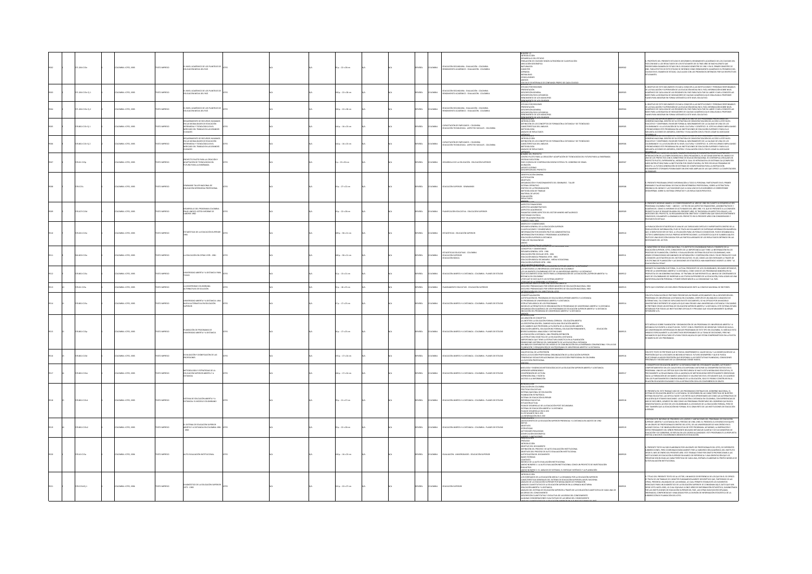|  | <b>MIC1Se</b>      | MEIA: ICFES, 1983          | <b>IMPRESO</b>      | .<br>NIVEL ACADÉMICO DE LOS PLANTELES I<br>NIVEACIÓN MEDIA DEL PAÍS                                                                       |  | $x: 22 \times 28$ cm    |  |              |                | .<br>DESCACIÓN SECUNDARIA - EVALUACIÓN - COLOMBIA<br>DESCUNDENTO ACADÉMICO - EVALUACIÓN - COLOMBIA | NÚMERO 12<br>-introducción<br>-población de estudio<br>-población de colegios si<br>SEGÚN CATEGORÍAS DE CLASIFICACIÓN<br>UBICACIÓN GEOGRÁFICA<br>NATURALEZA<br>CARÁCTER<br>JORNADA<br>$\begin{array}{ll} \text{MODALIA} \\ \text{MODALIBOMS} \\ \text{DNCUBOMS} \\ \text{TADS} \end{array}$                                                                                                                                                                                                                                                                                                                                                                                                                                                                                                         |       | <b>LEGIOS</b> DE<br>ii: Prathonio Unit, Praemini Rational di Lori Campania in Anno 1990, a conservato un riugio unitato della vien<br>Prostantaroni diamanti de estano en el seglindo senastre de 1981 y en el primer semestre de<br>1982 sana espectis<br><b>DIAMTES</b>                                                                                                                                                                                                                                                                                                  |
|--|--------------------|----------------------------|---------------------|-------------------------------------------------------------------------------------------------------------------------------------------|--|-------------------------|--|--------------|----------------|----------------------------------------------------------------------------------------------------|-----------------------------------------------------------------------------------------------------------------------------------------------------------------------------------------------------------------------------------------------------------------------------------------------------------------------------------------------------------------------------------------------------------------------------------------------------------------------------------------------------------------------------------------------------------------------------------------------------------------------------------------------------------------------------------------------------------------------------------------------------------------------------------------------------|-------|----------------------------------------------------------------------------------------------------------------------------------------------------------------------------------------------------------------------------------------------------------------------------------------------------------------------------------------------------------------------------------------------------------------------------------------------------------------------------------------------------------------------------------------------------------------------------|
|  | 264 (C15n Ej.1)    | CMBIA: ICFES, 1983         | OZBRNE OTX          | NIVEL ACADÉMICO DE LOS PLANTELES DE<br>ACIÓN MEDIA DEL PAÍS                                                                               |  | 6 p. : 22 x 28 cm       |  | AÑOL.        |                | SUCACIÓN SECUNDARIA - EVALUACIÓN - COLOMBIA<br>ENDIMIENTO ACADÉMICO - EVALUACIÓN - COLOMBIA        | -<br>ALCULO DE INTERVALO DE CONFIANZA PROPIO DE CADA COLEG<br>NUMERO 12<br>SESSION CONSTANTS<br>-PRESENTACIÓN<br>-DESCRIPCIÓN<br>-DESCRIPCIÓN<br>-BENDMIENTO DE LOS MUNI<br>-BENDMIENTO DE LOS MUNI<br>-BENDMIENTO DE LOS MUNI<br>-BENDMIENTO DE LOS MUNI<br>-RESENTACIÓN<br>-PRESENTACIÓN                                                                                                                                                                                                                                                                                                                                                                                                                                                                                                          |       | LOBIETIVO DE ESTE DOCUMENTO ES DAR A CONOCER A LAS INSTITUCIONES Y PERSONAS RESPONSABLES<br>is variituos kai sonominin sa samo nominas montantino kai parti artas parandis sono kalendare<br>Académico de Cada, una de las segiones del paésara de le inaé, información sono kai la la<br>Académico de Cada, una de las segiones                                                                                                                                                                                                                                           |
|  | 264 (C15n EL)      | CMBIA: ICFES, 1983         | <b>CERENCI</b>      | ENEL ACADÉMICO DE LOS PLANTELES D<br>ICACIÓN MEDIA DEL PAÍS                                                                               |  | 6p.: 22 x 28 cm         |  | <b>AROL</b>  | <b>MAGAA</b>   | ACACIÓN SECUNDARIA - EVALUACIÓN - COLOMBIA<br>IDIMIENTO ACADÉMICO - EVALUACIÓN - COLOMBIA          | minuus<br>Haririni cenebal<br>ESCRIPCIÓN POR CATEGORÍAS<br>ENDIMENTO DE LOS MUNICIPIOS<br><b>ENDINGSTO DE LI</b>                                                                                                                                                                                                                                                                                                                                                                                                                                                                                                                                                                                                                                                                                    |       | I. OBJETIVO DE ESTE DOCUMENTO ES DAR A CONDCER A LAS INSTITUCIONES Y PERSONAS RESPONSABLES<br>EL LA EVALUACIÓN Y SUPERVISIÓN DE LA EDICACIÓN MEDIA EN EL PAÍS, INSCRIMACIÓN SOBRE NINEL<br>ICADÉMICO DE CADA UNA DE LAS REGIONES DEL<br>iases para la rúsqueda de indicadores de calidad académica que conilevan a proponer.<br>Lanes para meiorar en forma sistemática este ninel educativo.<br><b>DOCATION SUPERIOR AWERCA T A US-DAILIA ES UNU UE LUS PROGRAMAS F</b>                                                                                                   |
|  | 8611015r4j1        | <b>CAABUA: ICFES, 1983</b> | CO IMPRESO          | (UERIMIENTO DE RECURSOS HUMANOS<br>LAS MODAUDADES DE EDUCACIÓN<br>ERMEDIA Y TECNOLÓGICA EN EL<br>RCADO DEL TRABAJO EN LAS GRANDES<br>anec |  | 4p.: 16 x 23 cm         |  | ula          |                | PACITACIÓN DE EMPLEADOS - COLOMBIA<br>UCACIÓN TECNOLÓGICA - ASPECTOS SOCIALES - COLOMBIA           | <br>DISPINDÓN DE LOS CONCEPTOS DE FORMACIÓN A DISTANCIA Y DE TECNÓLOGO<br>JARÁCTERÍSTICAS DEL ANÁLISIS<br>AETODOLOGÍA<br>NAUSIS DE RESULTADOS<br>christ.                                                                                                                                                                                                                                                                                                                                                                                                                                                                                                                                                                                                                                            |       | OBIERNO NACIONAL DENTRO DE SU ESTRATEGIA DE DEMOCRATIZACIÓN DEL ACCESO A ESTE NIVEL<br>.<br>Joanways y a la devación de s'eu navel cornario de la calidad de vida de los<br>Jombwads y a la devación de su navel cultural y científico. En lotes ha venado impuls<br>Gomoviendo este programa en las instituciones de educació<br>LANTA ACCIONES DE ASESORÍA, CONTROL Y EVALUACIÓN CON EL FIN DE LOGAR SU ADECUADO                                                                                                                                                         |
|  | $0.8611C15rE_12$   | LOMBIA: ICFES, 1983        | DC244M OTX          | ERIMENTO DE RECURSOS HUMA<br>.<br>LAS MODALI<br>S MODAUDADES DE EDUCACIÓN<br>MEDIA Y TECNOLÓGICA EN EL<br>CADO DEL TRABAJO EN LAS GRANDE  |  | 4p.: 16 x 23 cm         |  | zûa          | OMBIA          | AIRMOJOS - 20043/9M3 20 MODATOARE<br>KAOÓN TECNOLÓGICA - ASPECTOS SOCIALES - COLOMBIA              | -INTRODUCCIÓN<br>OSFINICIÓN DE LOS CONCEPTOS DE FORMACIÓN A DISTANCIA Y DE TECNÓLOGO<br><b>JAMCTERISTICAS DEL ANÁLISIS</b><br>METODOLOGÍA<br>ANÁLISIS DE RESULTADOS                                                                                                                                                                                                                                                                                                                                                                                                                                                                                                                                                                                                                                 | 9505  | unitation malamente de Maria de la production de la principale de Maria de Maria de Maria de Maria de Maria de<br>CHERCHE DI NACIONAL DENTRO DE SU ESTRATEGIA DE DE MOCRATIZACIÓN DEL ACCESO A ESTE NIVEL<br>DUCATIVO Y CONTRIBUIR,<br>ha-min'ny i Samtinimany, ari melalik farent al melalikantiketo de la landad de Veda de Los<br>Konverwooy y al elevación de su hinel cultural y certrífico. El lotes ha Venero bravles<br>Kenwonenbo este programa en las institucion                                                                                                |
|  | <b>78.01 IC15p</b> | EBEL 2373 MINORS           | <b>O23RNA OTXIT</b> | TO BE OTO BASE LA CREACIÓN Y<br>PTACIÓN DE TECNOLOGÍAS DEL<br>URO PARA LA ENSEÑANZA                                                       |  | $1:22 \times 30$ cm     |  | <b>JORAS</b> | <b>AIGMOJC</b> | ROBERUZ INDIANATOM - RODANIA AJ 30 OJJORRANA                                                       | . Anémitec<br>- Centro Pilotecto<br>- Centro Pilote Para ia creación y adaptación de tecnologías del futuro para la exseñanza<br>- Entidad exelitora<br>-<br>-PAÍS O GENCIA DE COOPERACIÓN DEGEM SYSTEM LTD. GOBIERNO DE ISRAEL<br>$\begin{array}{l} \textit{AB} \textit{B} \textit{B} \textit{m} \ldots \\ \textit{J} \textit{UBACO} \textit{B} \textit{N} \textit{B} \textit{B} \textit{B} \textit{C} \textit{B} \textit{C} \textit{D} \textit{C} \textit{C} \textit{C} \textit{C} \textit{D} \textit{C} \textit{D} \textit{C} \textit{B} \textit{C} \textit{B} \textit{D} \textit{B} \textit{D} \textit{B} \textit{C} \textit{D} \textit{C} \textit{C} \textit$                                                                                                                                  | 9507  | WITHOUT CONSULTANT AND A THE REAL PROPOSITION IS AN ORDER DRIVING IN MAKED OF A REAL CONDITION OF THE CONDITION OF THE CONDITION OF THE REAL CONDITIONS AND CONDITIONED AND CONDITION OF A REAL CONDITION OF THE CONDITION OF                                                                                                                                                                                                                                                                                                                                              |
|  | <b>78 IC151</b>    | OLOMBIA: ICFES, 1983       | O22RRM OTKI         | .<br>INARIO TALLER NACIONAL DE<br>CACIÓN INTERNAEDIA PROFESI                                                                              |  | $a: 27 + 22$ on         |  | <b>LORAS</b> | LOMBIA         | <b>SUCACIÓN SUPERIOR - SEMINARIOS</b>                                                              | VIARADORINA<br>- ISBN FINANCION<br>- ISBN FINANCION<br>- OBERVIZOON<br>- OBERVIZOON<br>- OBERVIZOON FINANCION<br>- SNITESIS DE LA PROGRAMACIÓN<br>- MATERIAL DE RIPIN<br>- MATERIAL DE RIPIN<br>- MATERIAL DE RIPIN<br>TO DEL SEMINARIO - TALLER<br>OYORA 20 JARITAM-                                                                                                                                                                                                                                                                                                                                                                                                                                                                                                                               | asoa  | IL PRESENTE PROGRAMA OFRECE INFORMACIÓN A TODO EL PRISONAL PARTICIPANTE EN EL PRIMER<br>EMINIARO - FALLER NACIONAL DE EDUCACIÓN INTERMEDIA PROFESOINAL, SORRE LA ESTRUCTURA<br>INGÁNICA DEL NISMO Y LAS FUNCIONES QUE A CADA UNO DE                                                                                                                                                                                                                                                                                                                                        |
|  | 78.107 (C15d)      | LOMBIA: ICFES, 1983        | O22RRM OTK          | ROLLO DEL PROGRAMA COLOMBIA<br>JD UNESCO-ICETEX INFORME DE<br>ORES 1982                                                                   |  | p.: 22 x 28 cm          |  | <b>JORK</b>  |                | FICACIÓN EDUCATIVA - EDUCACIÓN SUPERIOR                                                            | <b>ATRODUCCION</b><br>ASPECTOS FINANCIEROS<br>ASPECTOS ADMINISTRATIVOS<br>ASPECTOS ACADÉMICOS<br>MSANTÍAS SOBRE ASPECTOS<br>VOSTGRADO EN FÍSICA<br>VOST EN ADMINISTRACIÓN<br>001010101101                                                                                                                                                                                                                                                                                                                                                                                                                                                                                                                                                                                                           |       | .<br>1 Presente informe abarca lo correspondiente al año de 1982 en Cuanto al Desarrollo de<br>Rograma colombia pund - Unesco - Icetex en sus aspectos financieros, administrativos y<br>PRODUCTION CALCOMIENT PARTICULAR COMPANY AND AN INFORMATION PRODUCTION CONDUCTS CONDUCTS IN A COMPANY OF THE CONDUCTS IN THE CONDUCTS OF THE CONDUCTS IN A COMPANY OF THE CONDUCTS IN A COMPANY OF THE CONDUCTS IN A COMPANY O<br>RATADOS EN DETALLE.                                                                                                                             |
|  | 02110150           | LOMBIA: ICFES, 1983        | O23RNM OTX2         | ADÍSTICAS DE LA EDUCACIÓN SUPERIOR                                                                                                        |  | 9p.:30x21 cm            |  | <b>AROL</b>  | <b>AIGMENT</b> | <b>cranknicas</b> , enucación superiora                                                            | FRAINISTINICH<br>-GRÁFICOS Y COMENTARIOS<br>-BESLINEN GEMERAL DE LA EDUCACIÓN SUPERIOR<br>-ELASIFICACIONES Y COMENTARIOS<br>-INFORMACIÓN POR ÁREAS Y PROGRAMAS ACADÉMICOS<br>-INFORMACIÓN POR ÁREAS Y PROGRAMAS ACADÉMICOS<br>ADMATING A ROBERT MODALIST<br>2ADAM DE EQUIVALENCIAS<br>196000000000                                                                                                                                                                                                                                                                                                                                                                                                                                                                                                  |       | LA PROGENCIÓN DE SERVADIRICA ES UNA EN LAS PARÍS MAÍS DENSIDES EL MONORIANTE DESINIO DE LA .<br>PRODUCCIÓN DE MICROBALCIÓN, INSE ES TRATA NO DELAMBITUT DE ENFIESCAL INFORMACIÓN INJAISSEN.<br>PRODUCCIÓN DE MICROBALCIÓN, INSE ESTI                                                                                                                                                                                                                                                                                                                                       |
|  | 6021C15e           | LOMBIA: ICFES, 1983        | OZZRRA OTX          | EDUCACIÓN EN CIFRAS 1978 - 1981                                                                                                           |  | 0p.:30×21 cm            |  | AÑOL         | LOMBIA         | TADISTICAS EDUCATIVAS - COLOMBIA<br>EDUCACIÓN SUPERIO<br>A3624 WODACA                              | ONCEPTOS Y COMENTARIOS<br>ESUMEN GENERAL 1978 - 1981<br>DUCACIÓN PRE-ESCOLAR 1978 - 1981<br>UCACIÓN BÁSICA PRIMARIA 1978 - 1981<br>icación básica secundaria - media vocacional<br>Icación superior 1978 - 1981<br>LIAL ES EL PROPOSITO DE LA EDUCACIÓN SUPERIOR ABERTA Y A DISTANCIA                                                                                                                                                                                                                                                                                                                                                                                                                                                                                                               | 611   | el Ministerio de Educación Nacional y el Instituto Colombiano Para el Fomento de La<br>Educación superfor, (Eses, Conscientes de la Importancia que tene la Instoración en Luís<br>Procesos de Planeación, contedly tevaluación del                                                                                                                                                                                                                                                                                                                                        |
|  | 8.8611C15u         | EBRI 2373 MBM02            | OZBRNI OTX          | ABERTA Y A DISTANCIA P.                                                                                                                   |  | $n: 13 \times 21$ cm    |  | <b>AÑOL</b>  | LOMBIA         | DUCACIÓN ABERTA Y A DISTANCIA - COLOMBIA - PLANES DE ESTUDIO                                       | MA STAN COLOMBIA?<br>US INTESARA LA UNIVERSIDAD A DISTANCIA EN COLOMBIA?<br>US INTESARA LA UNIVERSIDAD A DISTANCIA EN COLOMBIA?<br>US DOCUMENTO COLOMBIANO ESTE DE LA UNIVERSIDAD ABIERTA Y A DISTANCIA?<br>US MOLO EN COLOMBIA?<br>STANCIA E<br>POR QUÉ SE DICE QUE ES UN SISTEMA ABIERTO?<br>POR QUÉ SE DICE QUE ES UN SISTEMA ABIERTO?                                                                                                                                                                                                                                                                                                                                                                                                                                                           | 6530  | durante su campaña electoral, el actual presidente de los colombianos, belisario betancur,<br>Ofreció La Unaversina Abienta y a Destanca, como uno de los programas bandera en su i<br>Propuesta de un gobierno Nacional. Se trataba<br>AILES DE COLOMBIANOS DE INGRESAR A LAS ETAPAS SUPERIDRES DE LA EDUCACIÓN, PARA LOGAR ASÍ UNA.<br>ANYOR REALIZACIÓN PERSONAL Y PODER SERVIR MEJOR A LA COMUNIDAD Y AL PAÍS.                                                                                                                                                         |
|  | 0110154            | CMBA: ICFES, 1983          | O22RN OT            | JNIVERSIDAD COLOMBIANA<br>ERNATIVAS DE SOLUCIÓN                                                                                           |  | $0.18125$ cm            |  | 601          | <b>WELL</b>    | REAMENTO EDUCATIVO - EDUCACIÓN SUPERIOR                                                            | .<br>UNIVERSIAS AMERIKA PARA UNA SOCIIDAD ABERIA<br>UNICURSO PRONUNCIADO POR SEÑOR MINISTRO DE EDUCACIÓN NACIONAL 1982<br>-<br>OISCURSO PRONUNCIADO POR SEÑOR MINISTRO DE EDUCACIÓN NACIONAL 1983<br>TERVENCIÓN DEL DR. DIRECTOR DEL ICEES                                                                                                                                                                                                                                                                                                                                                                                                                                                                                                                                                          |       | TO QUE CONTENE LOS DISCURSOS PRONUNCIADOS ENTE AL CONCEIO NACIONAL DE RECTORES.                                                                                                                                                                                                                                                                                                                                                                                                                                                                                            |
|  | 8.8611C15u         | LOMBIA: ICFES, 1983        | O23RRM OTX          | NIVERSIDAD ABIERTA Y A DISTANCIA. UN<br>JEVA ALTERNATIVA EN EDUCACIÓN<br>INTROS                                                           |  | $p: 17 \times 25$ cm    |  | AÑOL.        | OMBIA          | NACACIÓN ABIERTA Y A DISTANCIA - COLOMBIA - PLANES DE ESTUDIO                                      | KOSTUAUZACIÓN<br>ECEPTUAUZACIÓN<br>TEICACIÓN DEL PROGRAMA DE EDUCACIÓN SUPERIOR ABIERTA Y A DISTANCIA<br>uuttuvallainen trukoittoin kuululainen kuthaisuun tuhaista palkittaa ja kohtaa ja kohtaa ja kohtaa ja kohtaa j<br>Estrictura Aágos or lok prostaanas.<br>Desensualde aágos or oranastalon or programas or liniversola amerita ya ort                                                                                                                                                                                                                                                                                                                                                                                                                                                       |       | .<br>20 ceta publicación se pretende presentar un primer acercamiento en la descripción del<br>Rograma de Universidad a distancia en colombia, después de un análisis cuidadoso de<br>PROMINING NO MORAMONO NA MAPANCA HI NOMINIMALI CHA MATA LO PRIMA MORAMONO NO MORAMONI COMPARATION DE DEPLACA A<br>LINTERNATIONA, TAI, CEMIO SE DEPLACAN AN ESTE DOCUMENTO, SE HA OPTARO POR UN MODELO<br>LINTERNATION DERENTAT DE AS                                                                                                                                                 |
|  | <b>78.8611C15p</b> | OLOMBIA: ICFES, 1983       | DOM MPRESO          | .<br>Ación de Programas<br>RSIDAD ABIERTA Y A DIS                                                                                         |  | $5p. : 17 \times 25$ cm |  | <b>LORAS</b> |                | NICACIÓN ABERTA Y A DISTANCIA - COLOMBIA - PLANES DE ESTUDIO                                       | -INICIALISM<br>ANCHORODOM<br>- ACLARACIÓN DE CONCEPTOS<br>- ACLARACIÓN DE CONCEPTOS<br>- ACLARACIÓN DE CONCEPTOS<br>- AL DESCENTIRALIZACIÓN, CAMINO HACIA UNA EDUCACIÓN ABIERTA<br>- LOS CAMINOS QUE PROPONEN LA FILOSOFÍA DE LA EDUCACIÓN ABIER<br>US CONTRA AGRIFA, EDUCACIÓN NO FORMAL, EDUCACIÓN PERMANENTE,<br>SESCOLABZADA: ANALOGÍAS Y DISTRIODAES<br>4 EDUCACIÓN A DISTANCIA: UNA PRIMERA DEFINICIÓN<br>-EDUCACIÓN<br>A ESTRUCTURA DEDÁCTICA DE LA EDUCACIÓN A DISTANCIA<br>APORTANCIA QUE TIENE LA ESTRUCTURA DIDÁCTICA EN LA PLANEACIÓN<br>.<br>DECIONES HISTÓRICAS DEL SURGIMENETO DE LA EDUCACIÓN A DISTANCIA<br>MAÍJISS COMBADATIVO DEL MODELO DE COMUNICACIÓN EN LA ENSEÑAL<br><b>HALYEN LAD</b><br>-<br>LANEACIÓN Y ORGANIZACIÓN DE UN PROGRAMA DE UNIVERSIDAD ABIERTA Y A DISTANCIA |       | TE MÓDULO SOBRE PLANEACIÓN Y ORGANIZACIÓN DE UN PROGRAMA DE UNIVERSIDAD ABIERTA Y A<br>INTH MINORIUS JAMBE FANKINGIDINY ORGANIZACIONI EGI UN PROGRAMA DE UNIVERSIDAD ARIERTA Y A<br>OSTANICA FUE ESCEFITO A SOLICITUD DEL "ICEST" CON EL PROPÓGITO DE ORIENTAN Y SERVIR DE GUÍA À<br>LAS UNIVERSIDADES INTERSIADAS EN INDEC                                                                                                                                                                                                                                                |
|  | 8611015d           | CMBIA: ICFES, 1983         | O23RRM OTX          | LGACIÓN Y DIGNIFICACIÓN DE LAS<br>Zavoga                                                                                                  |  | 5p.: 17 x 24 cm         |  | <b>SOL</b>   |                | CACIÓN ABERTA Y A DISTANCIA - COLOMBIA - PLANES DE ESTUDIO                                         | MADR SOCIAL DE LA PROFESIÓN<br>VALOR SOCIAL DE LA PROFESIÓN<br>HACIA LA ELECCIÓN PROFESIONAL ORGANIZACIÓN DE LA EDUCACIÓN SUPERIOR<br>idencias sociales relacionadas con la elección profesional en colombia.<br>Lección profesional                                                                                                                                                                                                                                                                                                                                                                                                                                                                                                                                                                |       | .<br>20N ESTE TEXTO SE PRETENDE QUE SE PUEDA COMPRENDER EL VALOR SOCIAL Y LA DIGNIFICACIÓN DE LA<br>ROFESIÓN QUE VA A ESCOGER UN INDIVIDUO PARA EL FUTURO DESEMPEÑO Y QUE SE PUEDA<br>.<br>L'ONCEPTO DE EDUCACIÓN ABIERTA Y A DISTANCIA EXIGE DEL ESTUDIANTE VALORES, ACTITUDES Y                                                                                                                                                                                                                                                                                          |
|  | 78.8611C15m        | EBEL 2373 MINORS           | <b>O23RNA OTXIT</b> | .<br>Todología y estrategias de la<br>Ucación superior abierta y a<br><b>FANCIA</b>                                                       |  | 4p.: 17 x 24 cm         |  | <b>JORAS</b> | LOMBIA         | DUCACIÓN ABERTA Y A DISTANCIA - COLOMBIA - PLANES DE ESTUDIO                                       | akidlogía y dirgencias metodológicas de la educación superior abierta y a distancia.<br>Aprender aprendiendo<br>-comprensión de lectura<br>PRESIÓN CRAL Y ESCRITA<br>ICESO A LA INFORMACIÓN                                                                                                                                                                                                                                                                                                                                                                                                                                                                                                                                                                                                         |       | MPORTAMENTOS SIN LOS CUALES RESULTA IMPOSIBLE ANTICIPAR SU DESENVISÃO DIITOSO EN EL<br>OGRAMA: UNA DE LAS CRÍTICAS QUE CON FRECUENCIA SE HACE A ESTA MODUDAD EDUCATIVA, ES<br>ECEAMENTE LA RELACIONADA CON LA AUSENCIA DE METODOLOGÍ<br>PRIGINNIBITO LO RIGINISMO NA CALIFICA DE MARCA DE LO DE LO DE LO DE LO DE LO DE LO DE LO DE LO DE LO DE LO DE<br>LO CAS LA FLANTARIATOS CONVINCONALIS DE LA EXIGADO DE EL ESTUDIANT QUE, DE ACUERDO<br>SELACÓN EDUCADOR EDUCADO Y EN                                                                                               |
|  | 78.8611C15s1       | EBRI ZERS : MEMODI         | OZBRNI OTX          | MA DE EDUCACIÓN ABERTA Y A<br>TANCIA: EL MODELO COLOMBIANO                                                                                |  | a.: 21 x 27 cm          |  | <b>JORK</b>  | LOMBIA         | DUCACIÓN ABERTA Y A DISTANCIA - COLOMBIA - PLANES DE ESTUDIO                                       | ntroducción<br>Educación en Colombia<br>KÍTICAS EDUCATIVAS<br>ITEMA NACIONAL DE EDUCACIÓN<br>-<br>FLANEACIÓN ESTRATÉGICA<br>- SISTEMA DE EDUCACIÓN SUPERIOR<br>- REFORMA EDUCATIVA<br>INTUACIÓN ACTUAL<br>ISTEMA DE DESARROLLO DE LA EDUI<br>ISTEMA DE EDUCACIÓN ABERTA<br>ILAY DE DESARROLLO DE EL SED<br>ILAY DE DESARROLLO DE L'ED<br>ESTUDIANTE EN EL SED                                                                                                                                                                                                                                                                                                                                                                                                                                       |       | ISSENTA EN ESTE TRABAJO UNO DE LOS PROGRAMAS CENTRALES DEL GOBIERNO NACIONAL, EL<br>.<br>STEMA DE EDUCACIÓN ABIERTA Y A DISTANCIA. SE DESCRIBEN EN LAS CARACTERÍSTICAS DE NUESTRO.<br>STEMA EDUCATIVO, LAS DIFICULTADES Y LOS RETOS QUE AFRONTAMOS ASÍ COMO LAS ALTERIATIVAS.<br>OLUCIÓN QUE ESTAMOS BUSCANDO. LA EDUCACIÓN<br>ANANDAMI HOMA MINIMUM MUSICANO NA MARINALISMO TRANSMISSIONE CON MINIMUM CON CONTRARIO CON CANNO ANGLES ANGLES<br>DANG DE DIEZ ARIOS, APABECE EN 1992 COMO UN PROGRAMA PRIORITARIO DEL GOBIERNO QUE BUSCA<br>DEMOCRATIZAR EL ACCESO D        |
|  | 522311034          | EBEL 23731 MARNOLD         | <b>O23RNA OTXIT</b> | .<br>ISTEMA DE EDUCACIÓN SUPERIOR<br>ISTA Y A DISTANCIA EN COLOMBIA 15                                                                    |  | a.: 22 x 28 cm          |  | <b>JORAS</b> | OMBIA          | OICACIÓN ABERTA Y A DISTANCIA - COLOMBIA - PLANES DE ESTUDIO                                       | -<br>-<br>-<br>MITTAGS<br>- DILITATION<br>- DILITATION<br>- DILITATION<br>- DILITATION<br><b>ESTRATEGIAS</b><br>.<br>WIDADES REALIZADAS<br>MEN'AOÓN CEOCRÁEIC                                                                                                                                                                                                                                                                                                                                                                                                                                                                                                                                                                                                                                       | it ta | -PRODUCTION AND ASSOCIATED AND CONSULTANT CONTROL PROCESS AND COLLECTION CONSULTANTS AND CONSULTANTS IN A CONSULTANT CONTROL OF THE SECOND CONSULTANTS IN A CONSULTANT CONSULTANT CONSULTANTS IN A CONSULTANT CONSULTANT CONS                                                                                                                                                                                                                                                                                                                                              |
|  | 18.16 IC15a        | LOMBIA: ICFES, 1984        | O23RNA OTH          | <b>DAMINGON INSTITUCIONAL</b>                                                                                                             |  | 6p.: 16 x 23 cm         |  | <b>AROL</b>  | LOMBIA         | ALUACIÓN - UNIVERSIDADES - EDUCACIÓN SUPERIOR                                                      | JOGEOS Y HME<br>PRESENTACIÓN<br>-PRÓLOGO<br>TRODUCOÓN<br>-<br>Objetivo del documento<br>- Obfinición del Proceso de Auto-Evaluación Institucional<br>- Objetivos del Proceso de Auto-Evaluación Institucional<br>OTHER ADDITIONS ARCHIVES<br><b>ASES TEÓRICAS</b><br>-CONTEXTO<br>-MODELO DE LA AUTO-EVALUACIÓN INSTITUCIONAL<br>-ANEXO NÚMERO 1: LA AUTO-EVALUACIÓN INSTITUCIONAL COMO UN PROYECTO DE INVESTIGACIÓN .<br><b>ATMA</b><br>NEXO NÚMERO 2: EL ANÁLISIS DE SISTEMAS, EL ENFOQUE SISTÉMICO Y LA FLANEACIÓ                                                                                                                                                                                                                                                                                | 9520  | KURDINIC CONNE, PERO COORDINALO IMACIONALISTE POL LA SUBDINICADINI. DUL LAPA, DA USTRINTISTO<br>DEDDE IL NES DE DISPO DEL PRESINTE ARO. ESTE TRABAJO TIDA POR OGNIERNO PROPORCIONALA AL INSTITUTO<br>MESTITUCIONES DE EDUCACIÓN SUPR                                                                                                                                                                                                                                                                                                                                       |
|  | i icasa qua        | DLOMBIA: ICFES, 1984       | DC244M OTX          | DIAGNÓSTICO DE LA EDUCACIÓN SUPERIOR<br>1973 - 1983                                                                                       |  | 10 p.: 22 x 27 cm.      |  | JORAS        | AIRMOJO:       | <b>EDUCACIÓN SUPERIOR</b>                                                                          | <b>NTRODUCCIÓN</b><br>25 EGRESADOS DE LA EDUCACIÓN MEDIA Y LA DEMANDA POR LA EDUCACIÓN SUPERIOR<br>-LOS DISSURANCE DE A UNICACIÓN MIGRIA VA LO DEMONDARIO EN ESCUCIÓN SUPERIOR.<br>COMÁTIVISTICA CRUSALES DE ASTROLO EN EXCURSO EN ENTRE A NATIONALES EN ENCADOR<br>COMÁTIVISTICA CRUSALES DE ASTROLO EN ENTRE EN LA DISPONSA MECHENA<br><br>THE CHARGE CREW OF LA PRESCURSION CHARGES FALLICIA                                                                                                                                                                                                                                                                                                                                                                                                     |       | TÍTULO DEL PRESENTE TEXTO DE AL LECTOR, UN MARCO DE REFERENCIA DE LOS QUE EN EL SE OFRECE:<br>se trata de un trabajo de carácter fundamentalmente descriptivo que, partiendo de las<br>Cifras, presenta un análise de las meranas, lo cual permite establectr los elementos<br>Esenciales para un diagnóstico de la educación supe<br>naminama popoloni varmoninio voi kateloomaan aanvadus. Ja konkampan parju, kundi quid varmittirad.<br>Desde 1973 inasta 1983, Lo Clina eguininae a onee años de information estabéndo, summittirad.<br>Porcha inectividades de educa |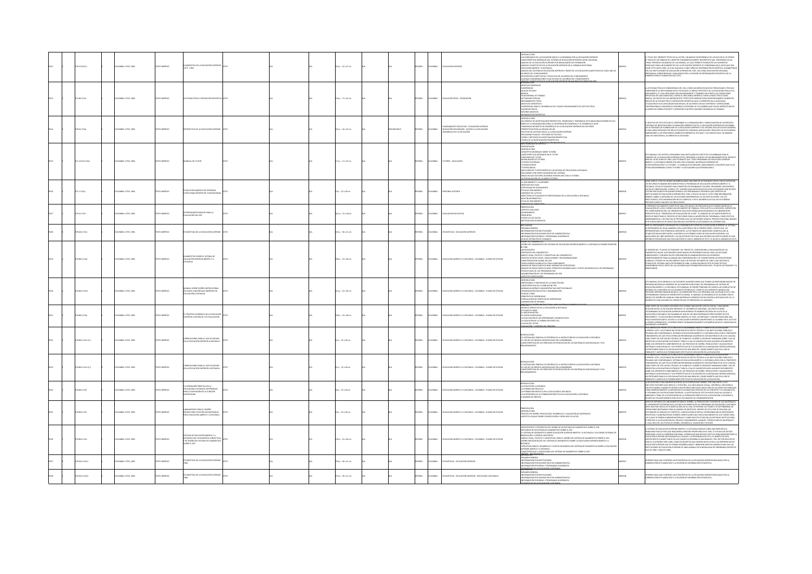|     | e icasa qiz     | DMEAN ICFES, 1984     | OZZRRA OTX        | NÓSTICO DE LA EDUCACIÓN SUPERIO<br>973 - 1983                                                                    |  | 501 p. : 22 x 27 cm |              | <b>MÃOL</b>  | <b>MEM</b>     | EDUCACIÓN SUPERIOR                                                                                                              | -introducción<br>-los egresados de la educación media y la demanda por la educación superior<br>-<br>CARÁCTERÍSTICAS GENERALES DEL SISTEMA DE EDUCACIÓN SUPERIOR A NIVEL NACIONAL<br>-ANÁUSIS DE LA EDUCACIÓN SUPERIOR POR MODALIDADES DE FORMACIÓN<br>-ANÁUSIS CUANTITATIVO DE LA EDUCACIÓN SUPERIOR EN LA JORNADA NOCTURNA<br>-EDUCACIÓN ABERTA Y A DISTANCIA<br>-ANÁUSIS DEL SISTEMA DE EDUCACIÓN SUPERIOR A TRAVÉS DE LA EVOLUCIÓN CUANTITATIVA DE CADA UNA DE<br>-MINIGIO MA ANTIMO VA RIGUILI<br>LAS ÁREAS DEL CONOCIMIENTO<br>-DISCRIPCIÓN CUANTITATIVA Y EVOLUTIVA DE LAS ÁREAS DEL CONOCIMIENTO<br>-ALGUNAS CONSIDERACIONES CUALITATIVAS DE LAS ÁREAS DEL CONOCIMIENTO |              | el título del presente texto de al lector, un marco de referencia de los que en el se checci:<br>se trata de un trabajo de carácter fundamentalmente descriptivo que, partiendo de las<br>deras, presenta un maíus de la memas, lo q<br>DESDE 1973 HASTA 1983, LO CUAL EQUIVALE A ONCE AÑOS DE INFORMACIÓN ESTADÍSTICA, SUMINE<br>POR LAS INSTITUCIONES DE EDUCACIÓN SUPERIOR DEL PAÍS, LAS CIFRAS HAN SIDO RECOPILADAS,<br>DRDENADAS, CONFRONTADAS Y ANALIZADAS POR LA DIVISIÓN DE INFORMACIÓN ESTADÍSTICA DE LA<br>SUBDRECCIÓN DE PLANSACIÓN DEL ICFES.                                                                                                                   |
|-----|-----------------|-----------------------|-------------------|------------------------------------------------------------------------------------------------------------------|--|---------------------|--------------|--------------|----------------|---------------------------------------------------------------------------------------------------------------------------------|---------------------------------------------------------------------------------------------------------------------------------------------------------------------------------------------------------------------------------------------------------------------------------------------------------------------------------------------------------------------------------------------------------------------------------------------------------------------------------------------------------------------------------------------------------------------------------------------------------------------------------------------------------------------------------|--------------|-----------------------------------------------------------------------------------------------------------------------------------------------------------------------------------------------------------------------------------------------------------------------------------------------------------------------------------------------------------------------------------------------------------------------------------------------------------------------------------------------------------------------------------------------------------------------------------------------------------------------------------------------------------------------------|
|     | 2.86 IC15a      | LOMBIA: ICFES, 1984   | O23RNM OT         | WIDAD FÍSICA Y RECREACIÓN DEPOR                                                                                  |  | 141p.: 17 x 24 cm   |              | <b>PAÑOL</b> | <b>OLOMBIA</b> | EDUCACIÓN FÍSICA - RECREACIÓN                                                                                                   | <b>NTRODUCCIÓN</b><br>OBJETIVOS GENERALES<br>-SUGERENCIAS<br>-GUÍA DE ESTUDIO<br>-MEDIOS<br>-PLAN GENERAL DE TRABAJO<br>-ACTIVIDADES PREVIAS<br><b>DORAMENTO FÍSICO</b><br>-DEATHVOS ESPECÍFICOS<br><b>CLO DEL PLAN DE MEJORAMENTO DE APTITUO FÍSICA</b><br>ERENCIAS PARA EL DESA<br>LENCIAS FÍSICAS<br>IONES MODELOS<br>ANGACIÓN DE                                                                                                                                                                                                                                                                                                                                            | 19523        | JA ACTIVIDAD FÉRCA ES CONSIDERADA HOY, DÍA, COMO UN MEDIO EDUCATIVO PRIVILEGIADO, POR QUE<br>COMPROMETE ALSER HUMANO EN SU TOTALIDAD. EL MEDIO ESPECÍFICO DE LA DILISTACIÓN FÉRICA ES<br>MONMIENTO, EL CUAL REALIZADO DISCIPLINADAME<br>.<br>Aísicos de actividad física y recreación deportiva que lo drienten en la adecuada.<br>Jituzación de sus capacidades naturales, de acuerdo con sus intereses y aspiraciones,<br>CONTRIBUYENDO A MEJORAR SU DESARROLLO INTEGRAL DE TAL MANERA QUE PUEDA INTERACTURR EN .<br>LU MEDIO EN FORMA EFICIENTE Y AFRONTAR CON DUTO MAYORES DIGENCIAS DE TRABAJO.                                                                        |
|     | 38.01 IC15p     | LOMBIA: ICFES, 1984   | O22RRM OTX        | SPECTIVA DE LA EDUCACIÓN SUPERIO                                                                                 |  | 161 p. : 16 x 23 cm | 0-009-009-02 | wio.         | <b>SMEM</b>    | - PLANEAMIENTO EDUCATIVO - EDUCACIÓN SUPERIOR<br>- EDUCACIÓN SECUNDARIA - ACCESO A LA EDUCACIÓN<br>- DESARROLLO DE LA EDUCACIÓN | INTRODUCCIÓN<br>UN EJEMPLO DE INVESTIGACIÓN PROSPECTIVA. PROBLEMAS Y TENDENCIAS DE PLANEACIÓN SUPERIOR EN LOS<br>UN ISSON DUCE INVESTIGATION PRODUCTION PRODUCTION TRIMINARY AND AN OUTSIDE SURFACE IN A CONFIDENTIAL CONTROL IN THE CHAPTER OF A STATEMENT OF THE CHAPTER OF A STATEMENT OF THE CHAPTER OF A STATEMENT OF THE CHAPTER OF A ST                                                                                                                                                                                                                                                                                                                                  |              | OBJETIVO DE ESTE ESTUDIO ES CONTRIBUIR A LA ORGANIZACIÓN Y CONSOLIDACIÓN DE UN PROCESO<br>CONTINUO DE INVESTIGACIÓN Y FAMILACIÓN PROSPECTIVA DE LA EDUCACIÓN SUPERIOR EN COLONIELA<br>LAS ACTIVIDADES DE PAMEIXACÍÓN DE LA EDUCACIÓN SUPERIOR Y DEL SESTEMA EDUCATIVO EN COLOMBIA<br>SE HAN CARACTERIZADO POR SER ACTIVIDADES<br>is Internationes<br>Demensiones a los profundos camiento (n. 1791).<br>Cada vez más rápida, ocurren en la sociedad.                                                                                                                                                                                                                        |
|     | 71.14124 (C15m) | LOMBIA: ICFES, 1984   | <b>O22RRM OTX</b> | NUAL DEL TUTOR                                                                                                   |  | 171 p.: 17 x 25 cm  |              | <b>PAÑOL</b> | OMEN           | TUTORES - EDUCACIÓN                                                                                                             | <b>CONTROLLING CONTROL</b><br>SERIE MANUALES DE APOYO 2<br>-PRESENTACIÓN<br>-INTRODUCCIÓN<br>-INTRODUCON<br>- CONCEPTOS GENERALES SOBRE TUTORÍA<br>- CARÁCTERÍSTICAS DESEABLES EN EL TUTOR<br>- FUNCIONES DEL TUTORÍA<br>- FUNCIONA TELEFÓNICA<br>- TUTORÍA ESCRITA<br>- TUTORÍA ESCRITA<br>TUTORÍA RADIAL<br>UBICACIÓN DEL TUTOR DENTRO DE UN SISTEMA DE EDUCACIÓN A DISTANCIA<br>-BELACIONES CON OTROS ELEMENTOS DEL SISTEMA<br>-ÁREAS EN QUE FACTORES ADVERSOS PUEDEN AFECTAR LA TUTORÍA<br>-AUTOEVALLUGIÓN DE LA LABOR TUTORIAL                                                                                                                                             | 8525         | iste manum. Fue escrito atendendo una invelación del instituto colombiano para el<br>fondato de la Educación Superson (fots), eseponde a uno de los deursonentes edl decreto<br>1892 del 38 de Jano de 1989, que establec que "Todo<br>STÁN DISEMPEÑANDO COMO TUTORES Y A EDUCADORES QUE ESPERAN SERLO.                                                                                                                                                                                                                                                                                                                                                                     |
| 826 | $71.1$ iC15p    | CMEIA: ICFES, 1984    | O22RRM OTX        | LAN DE SEGUIMIENTO DE PERSONAS<br>JAPACITADAS DENTRO DEL PLAN NACI                                               |  | 13 p. : 22 x 28 cm  |              | años         | OMEIA          | PERSONAL DOCENTE                                                                                                                | -EL SEGUIMENTO Y LA ASESORÍA<br>OBJETIVOS DEL PLAN<br><b>ESTRATEGIAS DE SEGUIMENTO</b><br>-<br>FICHA DE SEGUIMIENTO<br>- VARIABLES DE LA FICHA<br><b>CESIONALES DE LA EDUCACIÓN A DISTANCIA</b><br>DETIN INFORMATIVO<br>CHA DE SEGUIMIENTO<br>sato noi niser                                                                                                                                                                                                                                                                                                                                                                                                                    | 8526         | SYDDE 1980 III, CFES HA VENED OESARROLANDO UNA SERIE DE ACTIVIDADE CON IL FIN DE CARACTAR COM EL TRES CARACTAR COM EL TRES CARACTARES (1993) EN CARACTARES (1993) EN CARACTARES (1993) EN CARACTARES (1993) EN CARACTARES (19<br>FIRM IN PARTIES (ALIAN MARINALISM IN DESCRIPTION FOR DE INDIVIDUALITATION COMPARANT IN A PROGRAM)<br>PRECISAR CUÁLIS HAN SIDO SUS RISULTADOS.<br>EL PRESENTE DOCUMENTO CONSTITUYE UNA LISTA BUSCA DE PREGUNTAS QUE PUEDEN OBIENTAR L                                                                                                                                                                                                       |
|     | 0.15 (C15)      | LOMBIA: ICFES, 1984   | <b>O22RRM OT</b>  | <b>ERROGANTES BÁSICOS PARA LA</b><br>LUACIÓN DEL SED                                                             |  | (Ap.: 22 x 28 cm    |              | AÑOL         | MBM            | ALUADÓN EDUCATIVA                                                                                                               | PRESENTACIÓN<br>-ASPECTO EVALUADO<br>COMPONENTS<br>-PREGUNTAS<br>-FUENTE DE LOS DATOS<br>-METODOLOGÍA AUDIENCIA                                                                                                                                                                                                                                                                                                                                                                                                                                                                                                                                                                 | 8527         | () O COMPLEMENTACIÓN. LAS PREGUNTAS HAN SIDO FORMULADAS SIGUENDO LOS LINEAMIDITOS<br>PROPUESTO EN EL "FREMIDOELO DE EVALUACIÓN DE LA SED". EL ANÁLISIS DE LOS ANTECEDENTES SE<br>TRATA DE INVESTIGAR EL PROCESO DE SECCIONES PARA LA ADDROÓN DEL PROGRAMA, COMO POLÍTICA<br>GUIRIRMANISTEAL: DÍA TRAS DÍA SE PRETENDE QUE LAS DICIDIONIS SIGNA EL PROCESO RACIDIOAL BASADO<br>EN ESTUDIOS BÁSICOS DE INVESTIGACIÓN QU                                                                                                                                                                                                                                                       |
|     | 8.021 (C15e     | MEN: ICFES, 1984      | OZZRRM OTI        | NATIONS DE LA EDUCACIÓN SUPERIOR                                                                                 |  | 143 p. : 30 x 21 cm |              | AÑOL         |                | STADÍSTICAS - EDUCACIÓN SUPERIOR                                                                                                | NOICADORES<br><b>RESUMEN GENERAL</b><br>-INFORMACIÓN POR INSTITUCIONES<br>-INFORMACIÓN POR ENVEIÓN POLÍTICO A<br>-INFORMACIÓN POR ÁREAS Y PROGRAMA<br>GUÍA DE DEFINICIÓN DE VARIABLES                                                                                                                                                                                                                                                                                                                                                                                                                                                                                           | 39528        | ANTE AL CRECIMIENTO ACELERADO DE LA DEMANDA DE CUPOS EN LA EDUCACIÓN SUPERIOR, AL SISTEMA<br>HA RESPONDIDO DE IGUAL MANERA CON LA MATRÍCULA EN EL PRIMER CURSO, PUESTO QUE, HA<br>EXPERIMENTADO CON TENDENCIA CRECENTES, ALTOS ÍNDICES DE ABSORDÓN. SIGNIFICA QUE AL<br>ESTABLECER RELACIONS SINTEL LA MATÍSCULA EN PRIMER CLIBSO DE EDUCACIÓN. SIGNIFICA QUE AL<br>BACHLERRES DEL AÑO ANTERIOR Y LAS SOLICITUDES EFEC                                                                                                                                                                                                                                                      |
|     | 38.8611C15d     | LOMBIA: ICFES, 1985   | O22RRM OTX        | Anthro some in Sicrema ne<br>JCACIÓN SUPERIOR AGERTA Y A<br>TANCIA                                               |  | 356 p. : 22 x 28 cm |              | años         | OMEIA          | EDUCACIÓN ABERTA Y A DISTANCIA - COLOMBIA - PLANES DE ESTUDIO                                                                   | The macurity<br>DISEÑO DEL DIAGNÓSTICO DEL SISTEMA DE EDUCACIÓN SUPERIOR ABIERTA Y A DISTANCIA A PRIMER SEMESTR<br>2985<br>DE 1985<br>- MOTECONTES<br>- MARCOTOS DEI DAGNÓSTICO<br>- MARCO LEGAL, POLÍTICO Y CONCEPTUAL DEL DAGNÓS<br>- GIMELISIDAIS GLOBALES DE CADA COMPONENTE<br>- COMCLISIDAIS GLOBALES DE CADA COMPONENTE<br>- CONCLISIDAIS GLOBALES DE CADA COMPONENT<br>-ANÁLISIS DE RESULTADOS DE NIVEL NORMATIVO-ESTRATÉGICO<br>-ANÁUSIS DE RESULTADOS DE NINEL OPERATIVO DESARROLLADO Y PUESTA EN MARCHA DE LOS PROGR<br>-ESTADO LEGAL DE LOS PROGRAMAS SED<br>-AOMINISTRACIÓN DE LOS PROGRAMAS DEL SED                                                               | 09529        | A VIRTICON SIX TRANS EN ACTIVADADE TRA PROVIETO, CONTINUAVABLA LA KILIZANCIA DE LIN<br>SMARIORTECO INICIAL QUI SENISSA COMO MARCO DE REFERIRCA INICIAL PARA LAS ACTUAIS<br>SMARIORTECO, NICIAL QUI SENISSA COMO MARCO DE REFERIRCA I<br>COMPAÑADA POR EL RESTO DE LAS ACCIONES QUE ESTADAN PREVISTAS EN EL "PLAN DE ACTIVIDADES" Y<br>CIONADO                                                                                                                                                                                                                                                                                                                               |
|     | 28.8611C15m     | LOMBIA: ICFES, 1985   | OZZRRNI OTXI      | nual sobre diseño instruccional<br>ICADO A MATERIALES IMPRESOS EN<br>ICACIÓN A DISTANCIA                         |  | 341 p. : 22 x 28 cm |              | <b>AROL</b>  | OMBIA          | EDUCACIÓN ABERTA Y A DISTANCIA - COLOMBIA - DI ANES DE ESTUDIO                                                                  | <b>INTRODUCCIÓN</b><br>UNCIPIOS DE APRENDIZAJE<br>JRMULACIÓN DE OBJETIVOS DE APRENDIZAJE<br>ABORACIÓN DE PRUEBAS                                                                                                                                                                                                                                                                                                                                                                                                                                                                                                                                                                |              | INTERFERING STEEL DROEGD A AND CONDITION UNIVERSIDE AND ALSO THE UNIVERSIDE STEEL ANALYSIS CONDITION OF THE SECOND AND CONDITION OF THE SECOND CONDITION OF THE SECOND CONDITION OF THE SECOND CONDITION OF THE SECOND CONDIT<br>ÚMERO DE CASILIAS INDICA EL ORDEN EN QUE SE PRESENTAN LAS UNIDADES.                                                                                                                                                                                                                                                                                                                                                                        |
|     | 8611C15p        | MEN: ICFES, 1985      | O22RRM OT         | .<br>Proceso académico de la educación<br>Perior a distancia y su evaluación                                     |  | 169 p. : 22 x 28 cm |              | AÑOL         |                | CACIÓN ABERTA Y A DISTANCIA - COLOMBIA - PLANES DE ESTUDIO                                                                      | -MODELO OPERATIVO DE LA EDUCACIÓN A DISTANCIA<br>-EL PLAN DE CURSO<br>EL MEDIO MAESTRO<br>EL GUÍON AUDIOVISUAL<br>LA EVALUACIÓN DE LOS APRENDIZALES COGNOSCITIVOS<br>EVALUCIÓN DE LA FORMACIÓN PRÁCTICA<br>SUÍA DEL TUTOR                                                                                                                                                                                                                                                                                                                                                                                                                                                       |              | COMO PARTE DE UN HOMOO ESFUERZO POR LOGRAR UNA MAVORI JUSTICIA SOCIAL Y UNA MEIDIR<br>RELACIÓN ENTRE LA EDUCACIÓN SUPERIOR Y EL DESARDOLO MACIONAL, LAS INSTITUCIONES<br>COLONIBIANAS DE EDUCACIÓN SUPERIOR HAN ENTRADO DE MANERA OE<br>iusca democratizar el acceso a la educación superior convirtiendo al alumno en el acto de<br>Lu propio aprendizaje y contribuitindo fundamentalmente a desarrollar en su capacidad de<br>IMPRENDER A APRENDER".                                                                                                                                                                                                                     |
|     | 18.86110150511  | LOMBIA: ICFES, 1985   | OZZRRNI OTXI      | IENTACIONES PARA EL USO DE MEDIOS<br>LA EDUCACIÓN SUPERIOR A DISTANCIA                                           |  | 81 n : 22 x 28 cm   |              | <b>JORK</b>  | LOMBIA         | EDUCACIÓN ABERTA Y A DISTANCIA - COLOMBIA - PLANES DE ESTUDIO                                                                   | .<br>1951ean Multimedial de entrega de la instrucción en la educación a distancia.<br>USO DE LOS MEDIOS AUD<br>. USO DE LOS MEDIOS AUDIOVISUALES EN LA ENSEÑANZA<br>KRÁCTERÍSTICAS DE LOS PROCESOS DE PRODUCCIÓN DE LOS MATERIALES AUDIOVISUALES Y SUS<br>UERMIENTOS                                                                                                                                                                                                                                                                                                                                                                                                            | 09532        | SAMPAINGER A APRILISIONE :<br>RIPORTING A APRILISIONE DE INSTITUTO COLONIBIANO PARA EL FOMENTO DE LA EDUCACIÓN<br>RIPORTIN - COEZ-MA ESTANECIÓN ESTANTIGUAL DE APARIS ÉTICADO A AL ROSTITUCIONES FÓREMAN<br>PARRAMENTA DE QUE ESTAS CRE<br>SOBRE LOS DIFERENTES COMPONENTES DE LOS PROCESOS DE DISEÑO, PRODUCCIÓN Y VALIDACIÓN DE<br>TRIALES AUDIOVISUALES Y SUS PERSPECTIVAS DE UTILIZACIÓN EN LA MODALIDAD DESESCOLARIZADA<br>PRETENDER PARA ELLO SER EXHAUSTIVOS EN UNA ÁREA DEL CONOCIMIENTO QUE DÍA A DÍA SE                                                                                                                                                           |
|     | 1.0611C15o Ej.2 | LOMBIA: ICFES, 1985   | O22RRM OTX        | <b>TACIONES PARA EL USO DE MEDIOS</b><br>A EDUCACIÓN SUPERIOR A DISTANCI                                         |  | 81 p. : 22 x 28 cm  |              | wio.         | <b>MEM</b>     | EDUCACIÓN ABERTA Y A DISTANCIA - COLOMBIA - PLANES DE ESTUDIO                                                                   | oucción<br>EL SISTEMA MULTIMEDIAL DE ENTREGA DE LA INSTRUCCIÓN EN LA EDUCACIÓN A DISTANCIA<br>EL USO DE LOS MEDIOS AUDIOVISUALES EN LA ENSEÑANZA<br>.<br>Récterènticas de los procesos de producción de los materiales audiovisuales y sus<br>Suermientos                                                                                                                                                                                                                                                                                                                                                                                                                       | 8522         | en Requelty Yampija sus posibilidades efectivas de Afusación en la educación.<br>En el Nanco del Proyecto, el restruto colonibinado para el fondato de la educación<br>Rupiror: «Ces» ha establecido estavatigas de Aporo Técnico a<br>AMMONIMUM NA CASA ESTA DE CONSUMERA PRODUCA DE PORTADO DE CONSUMENCIA DE LOS DE CONSUMERADOS DE PORTER DE ESTA DE CONSUMERCIÓN PRODUCADO DE CONSUMERCIÓN EN EL ENTRE EN ENTRE EL ENTRE EL ENTRE EL ENTRE EL ENTRE EL ENTRE EL<br>o dhi biy y biy ze<br>Tibyo bezhverwwr<br>EN RIQUECE Y AMPLÍA SUS POSIBILIDADES EFECTIVAS DE APLICACIÓN EN LA EDUCACIÓN.                                                                            |
|     | 12.2011038      | CANBUA: ICFES, 1985   | OZBRNI OTX        | -<br>Changache polimica pui a<br>CACIÓN A DISTANCIA: REFERENCIAS<br>ra la definición de la función<br>Pervisora  |  | 60 p. : 22 x 28 cm  |              | <b>MGCL</b>  | 14,404         | DUCACIÓN ABERTA Y A DISTANCIA - COLOMBIA - PLANES DE ESTUDIO                                                                    | .<br>Educación a distancia<br>FORMACIÓN PRÁCTICA<br>A FORMALION PRÁCTICA EN LA EDUCACIÓN A DISTANCIA<br>A EGRAMACÓN PRÁCTICA EN LA EDUCACIÓN A DISTANCIA<br>I MANERA DE SÍNTESES                                                                                                                                                                                                                                                                                                                                                                                                                                                                                                | 0534         | EN RIQUECE Y AMPUA SUS POSIBILISADES EFECTIVAS DE APUCACIÓN EN LA EDUCACIÓN.<br>LA EDUCACIÓN ES UNA MANIFESTACIÓN DE ALTA COMPLEJBRO DEBIDO, POR UNA PARTE, A LOS<br>MIÚLTIPAES FACTORES QUE IMPLICA Y, POR OTRA, A SU NATURALEZA SO<br>EURGE INMEDIATAMENTE LA NECESIDAD DE ACLIMATARLO DENTRO DE SU CONTEXTO Y DE UBICARLO EN<br>IAMINI INNIMINO DE SUS BELACIONES DIVERSAS. A ACCIPITACIÓN DE ESTE SUPURTION DE INA LENGADO A<br>NOCIONARIO DE SUS BELACIONES DIVERSAS. LA ACCIPITACIÓN DE ESTE SUPURTIO ROS HA LENVADO A<br>NOCIONARIO DE SUS BELACIONES DIVIDOS SU                                                                                                     |
|     | 28.8611C151     | LOMBIA: ICFES, 1985   | OZZRRNI OTXI      | EAMENTOS PARA EL DISEÑO,<br>20UCCIÓN Y EDICIÓN ME MATERIALES<br>RA EDUCACIÓN ABIERTA Y A DISTANCIA               |  | $100 - 224$ cm.     |              | <b>JORK</b>  | OMBIA          | CONCACIÓN ABICETA Y A DISTANCIA - COLOMBIA - DI ANES DE ESTUDIO                                                                 | INUMENTAIN<br>DCESO DE DISEÑO, PRODUCCIÓN, DESARROLLO Y VALIDACIÓN DE MATERIALES<br>PECTOS LEGALES SOBRE CONTRATACIÓN Y DERECHOS DE AUTOR                                                                                                                                                                                                                                                                                                                                                                                                                                                                                                                                       | <b>Acade</b> | ES CONVENIENTE RECORDAR QUE LA PUESTA EN MARCHA DE 19 PROGRAMA DE EDUCACIÓN A DESTANCIA<br>EDIGE UNA AFEC INSCALI EN FAMINOCACIÓN, EN LA CUAL SE DESTRIN LOS FAMAS Y SE DETERMINAN LAS<br>OPERACIONES DE CENARIAS PARA ALCANZAR LOS<br>HAMEN PARA TAMMONDON DE DESIDIO COMPANDAMENTE LIAMADO "PRODUCCIÓN DE MATERIALES",<br>LOS CUALES SE DEBEN ELABORAR MATERIALES. CUMPADA ESTA ETAPA EN LAS DISTINTAS INSTITUCIONES,<br>EL PROCEDE A LA REALIZACIÓN DEL PROCESO COMÚNMEN                                                                                                                                                                                                 |
|     | 8.8611C15s      | LOMBIA: ICFES, 1985   | OZBRNI OTX        | MA DE EDISTACIÓN ABERTA Y A<br>ISTANCIA SED: DOCUMENTO CONCEPTU<br>DE DISEÑO DEL SISTEMA DE DIAGNÓSTI<br>032.038 |  | 120 p. : 22 x 28 cm |              | <b>JORKS</b> | LOMBIA         | DIGICACIÓN ABERTA Y A DISTANCIA - COLOMBIA - PLANES DE ESTUDIO                                                                  | -<br>-NATECEDENTES Y PROPÓSITOS DEL DISEÑO DE UN SISTEMA DE DIAGNÓSTICO SOBRE EL SED<br>-NECESIDAD DE UN SISTEMA DE DIAGNÓSTICO SOBRE EL SED<br>-EL SISTEMO DE Y CONTROL DISETINTES<br>OBIENTACIÓN Y CONTROL DISETINTES<br>-MARCO LEGAL, POLÍTICO Y CONCEPTUAL PARA EL DISEÑO DEL SISTEMA DE DIAGNÓSTICO SOBRE EL SED<br>A Y ATRIBA ROBERTA MODA AJ 28802 OUTZONER DA AMITZE J20 ODADO MARCO DE GO<br>ISTANCIA<br>STRATGIA PARAEL DESARROLLO Y PUESTA EN MARCHA DEL SISTEMA DE DAGNÓSTICO SOBRE LA EDU<br>CHRISTIA ABERTA Y A DISTANCIA<br>CARÁCTERÍSTICOS Y UNITALIONES DEL SISTEMA DE DAGNÓSTICO SOBRE EL SED<br>CARÁCTERÍSTICOS<br>"INTERNATIONA<br><b>Rooms</b>             | 39536        | el sistema de educación superidr abierta y a distancia surgió como una respuesta a<br>Problemas educativos que requieren atención probitabia en el país, el estudio de dicho<br>Problemas lenicativos que requieren a forbulha una d<br>DISPOSICIÓN SE PLASMÓ TANTO EN LOS PLANES DE DESARROLLO NACIONALES Y DEL SECTOR EDUCATIVO<br>PARA EL CLIATRIENIO 1982-1986, COMO EN DECRETOS QUE DIERON NUEVA VIDA A LAS DIPERIENCIAS EN<br>rinal de 1982 y 1820 de 1983).<br>Nextructonse de Educación superior de Sarroulardo y Abrieron nuevos cannos para que las<br>Nextructonse de Educación superior se vincularão y Abrieron nuevos cannos para que las<br>Trijuonses de Ed |
|     | <b>DOLUTION</b> | TANKING INTERNATIONAL | m weerso          | NOTICAS DE LA EDIACACIÓN SUBERIOR                                                                                |  | 150 x 130 x 21 cm   |              | <b>AROL</b>  | OMBA           | estanísticas - enucación superiora                                                                                              | NDORIA<br>MEN GENERAL<br>RMACIÓN POR INSTITUCIONES<br>.<br>DRMACIÓN POR DIVISIÓN POLÍTICO ADMINISTRATIVA<br>DRMACIÓN POR ÁREAS Y PROGRAMAS ACADÉMICOS<br>DÍSTICAS DE LA EDUCACIÓN A DISTAN                                                                                                                                                                                                                                                                                                                                                                                                                                                                                      | acor         | .<br>DRME FINAL QUE CONTIENE LAS ESTADÍSTICAS DE LA EDUCACIÓN SUPERIOR REALIZADA POR LA<br>DRIECCIÓN DE PLANEACIÓN Y LA DIVISIÓN DE INFORMACIÓN ESTADÍSTICA.                                                                                                                                                                                                                                                                                                                                                                                                                                                                                                                |
|     | 211C15e2        | OMBA: ICFES, 1986     | O23RM OT          | DÍSTICAS DE LA EDUCACIÓN SUPERIOR                                                                                |  | 253 p. : 30 x 21 cm |              | ušoi.        | LOMBIA         | .<br>STADÍSTICAS - EDUCACIÓN SUPERIOR - EDUCACIÓN A DISTANCIA                                                                   | INUILAUURIS<br>-RESUMEN GENERAL<br>-INFORMACIÓN POR INSTITUCIONES<br>-INFORMACIÓN POR DIVISIÓN POLÍTICO ADMINISTRATIVA<br><b>DRMACIÓN POR ÁREAS Y PROGRAMAS ACADÉMICOS</b><br>NEDER OF LA POUR ADDRESS PETABOTIA                                                                                                                                                                                                                                                                                                                                                                                                                                                                | isaa         | .<br>DRINE FINAL QUE CONTIENE LAS ESTADÍSTICAS DE LA EDUCACIÓN SUPERIOR REALIZADA POR LA<br>DIRECCIÓN DE PLANEACIÓN Y LA DIVISIÓN DE INFORMACIÓN ESTADÍSTICA.                                                                                                                                                                                                                                                                                                                                                                                                                                                                                                               |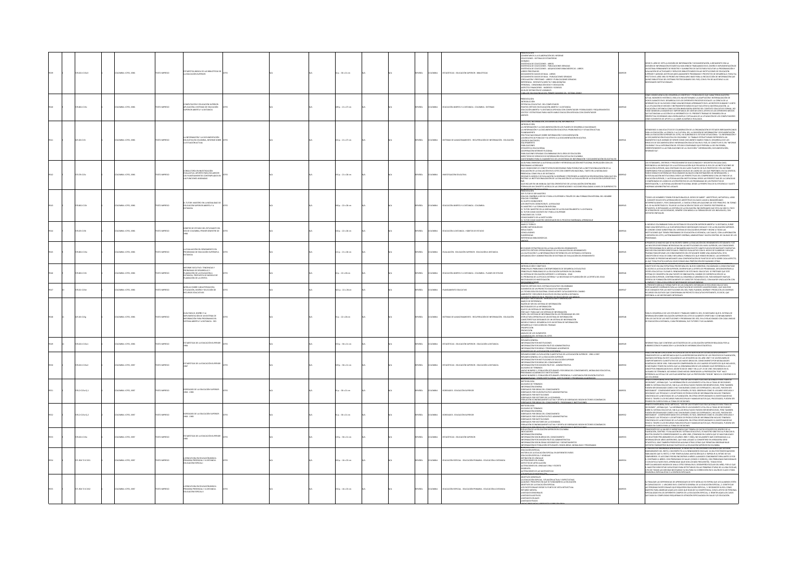|  | 78.021 (C15e3     | LOMBIA: ICFES, 1986 | O2394M OT          | .<br>Tadística básica de las bibliotecas<br>Educación superior                                                                                    |  | 4 p. : 30 x 21 cm        |  |              |                | <b>TADÍSTICAS - EDUCACIÓN SUPERIOR - BIBLIOTECA</b>                   | <b>SESENTACIÓN</b><br>COMENTARIOS A LA ELABORACIÓN DEL INFORME<br>TEXAMINAJES<br><b>JUECODNES - SISTEMA DE ESTANTERÍAS</b><br>JRARIO<br>ISTENICA DE COLECCIONES - IUROS<br>ISTENICA DE COLECCIONES - PUBLICACIONES SERIADAS<br>ISTENICA DE COLECCIONES - ADQUISICIONES BRIUDGRÁFICAS - UBROS<br>IROS PROCESADOS<br>XUMENTOS DADOS DE BAIA - LIBROS<br>XUMENTOS DADOS DE BAIA - PUBLICACIONES SERIADAS<br>"GREGILADÓN VPRESTANO" (1882S Y PUBLICADONES SEBADAS<br>"EREDEADÓN Y PRESTANO" (1882S Y PUBLICADONES SEBADAS<br>"FEFERINCIA" RESPUESTA DIRECTA Y BIBLIOGRAFÍAS<br>"FEREIYAN" (1810/1805 - INGRESOS Y DERESOS<br>AN DE DEFINICIÓN DE VARIABLES<br>AN DE DEFINICIÓN DE VARIABLES<br>ANA DE EQUEVALENCIAS DEL PRIMER SUMARIO DEL SISTEMA I |        | esse el año de 1979 la división de información y documentación, juntamente con la<br>Ivisión de información estadística han venido trabajando en el diseño e implementación di<br>DMISION DE INFORMACIÓN LYANGYATA HAN VANDU I KAMANDUD LAN IA UDIA-na a surtanum mataran va<br>UN SETENAA FERMANDINTE DE BEGISTRO Y SUMMISTIKO DE DATOS PARA FACILITAR, LA PROGRAMACIÓN Y<br>EVALUACIÓN DE ACTIVIDADES Y SERVICIOS BI<br>.<br>Fecto en el año 1981 se probó un formulario base para la recolección de informació<br>Junice Bibliotecas del sistemas postsecundario del país, con el fin de austario a las<br><b>MOÓN OU</b><br>SIDADES INSTITUCIONALES.                                                                                                                                          |
|--|-------------------|---------------------|--------------------|---------------------------------------------------------------------------------------------------------------------------------------------------|--|--------------------------|--|--------------|----------------|-----------------------------------------------------------------------|--------------------------------------------------------------------------------------------------------------------------------------------------------------------------------------------------------------------------------------------------------------------------------------------------------------------------------------------------------------------------------------------------------------------------------------------------------------------------------------------------------------------------------------------------------------------------------------------------------------------------------------------------------------------------------------------------------------------------------------------------|--------|---------------------------------------------------------------------------------------------------------------------------------------------------------------------------------------------------------------------------------------------------------------------------------------------------------------------------------------------------------------------------------------------------------------------------------------------------------------------------------------------------------------------------------------------------------------------------------------------------------------------------------------------------------------------------------------------------------------------------------------------------------------------------------------------------|
|  | 278.8611C15c      | LOMBIA: ICFES, 1986 | <b>OZZREMI OTI</b> | : CMPUTACIÓN Y EDUCACIÓN SUPERIOR<br>PEJCACIÓN A SISTEMAS DE EDUCACIÓN<br>LUPERIOR ABIERTA Y A DISTANCIA                                          |  | $189a : 21 \times 27$ cm |  | <b>LORAS</b> | <b>AIRMOJO</b> | EDUCACIÓN ABERTA Y A DISTANCIA - COLOMBIA - SISTEMAS                  | KÓLONTACIÓN<br>-RETORICODA<br>-FOTENCH ERICATIVO DEL COMPUTADOR<br>-FOTENCH ERICATIVO DEL COMPUTADOR<br>-EDUCACÓN ABERTA Y A DESTANCIA APOYADA CON COMPUTADOR FOSBILIDADES Y REQUERIMENTOS<br>-EDUCACÓN ABERTA Y A DESTANCIA APOYADA CON COMPUTADOR<br>-MAED                                                                                                                                                                                                                                                                                                                                                                                                                                                                                     |        | COMO CONSECUENCIA DEL DESARROLLO DENTÍFICO Y TECNOLÓGICO QUE CARACTERIZA NUESTRO<br>ACTUAL MOMENTO HISTÓRICO, RESULTA INDUSTRONABLE LA ADAPTACIÓN E INTERNALIZACIÓN DE<br>BICHOS AVANCES EN EL OSSARROLLO DE LOS DERRINTES PROCESOS<br>A A A ITALIZACIÓN EN MEDIOS E NEITRANANTOS MAGICOS QUA MALILI NO AMMINIMO ECONÓMICO COMANA, NO<br>EDUCACIÓN A DISTANCIA COMO ACTIÓN INNOVADORA DESTRO DEL CONTEXTO EDUCATIVO COMANA, NO<br>PUEDE IGNORIAL A ANGENINO E EM INFORMÁTIC<br>COMO ELEMENTOS DE APOYO A LA LABOR ACADÊMICA REALIZADA.                                                                                                                                                                                                                                                            |
|  | 25.06 IC151       | LOMBIA: ICFES, 1986 | O23RNM OT          | MOÓN Y LA DOCUMENTAC<br>.<br>Jeativa en colombia, informe sobr<br>Situación actual                                                                |  | 101 p. : 21 x 27 cm      |  | AÑOL         |                | MAS DE ALMACENAMENTO - RECUPERACIÓN DE INFORMACIÓN - EDUCACIÓN        | -INTRODUCCIÓN<br>-LA INSOBANCIÓN Y LA DOCUMENTACIÓN EN LOS PLANES DE DESARROLLO NACIONALES<br>-LA INSOBRACIÓN Y LA DOCUMENTACIÓN EDUCATIVA: PROBLEMÁTICA Y SITUACIÓN ACTUAL<br>-FLANEAMENTO<br>-FOLÍTICAS MACIONALES SOBRE INFORMACIÓN Y DOCUMENTACIÓN<br>-LAS BIBLIOTECAS FÚBLICAS Y SU APOVO A LA DOCUMENTACIÓN EDUCATIVA<br>-CENTROS EXISTENTES<br>-EQUIPAMENTO<br>-FUBLICACIONES<br>-ESTABÍSTICA EDUCACIÓNAL<br>-COOPERACIÓN INTERNSTITUCIONAL<br>-Lueindadintationalisticamentalistic de lata de Educación<br>- Publicaciónes servicis de Nicomariación educativa en Coloniaia<br>- Auscidenado d'Arnados de Nicomarco de Los Sectivas en Dicionaia<br>- Cultidenado para el Danamódico                                                     |        | ATENDIEMICO A UNA SCULTITUD DE COLABORACIÓN DE LA ORGANIZACIÓN DE ESTADOS BERDAMERICANOS<br>PARA LA EDUCACIÓN, LA CENCA Y LA CULTURA, OEI, LA DINISIÓN DE NISOBRACIÓN Y SOCUMENTACIÓN<br>PARA LA EDUCACIÓN SUPERIOR DEL LEFES, HA EL<br>LA DOCUMENTA FORM EDIDAMINA IN KULOMINA". LA TAMMINO EN MICAL COMPADI PAPPARAMO DE LOS<br>SERVICIOS EN COCUMENTACIÓN E INSERIA COMO DOCUMENTO MARCO PARA EL DESARBOLLO DE LOS<br>SERVICIOS EN COCUMENTACIÓN E INSERIALIZÓN EDUCATIVA<br>RRESPONDIEI<br>FORMÁTICA".                                                                                                                                                                                                                                                                                        |
|  | 270.78 IC15c      | LOMBIA: ICFES, 1986 | <b>O22RRM OT</b>   | ALTORÍA EN INVESTIGACIÓN<br>MULIKTIVA: APORTES PARA ESCLARECER<br>OS PLANTEAMIENTOS CONTEMPLADOS EI<br>IS FUNCIONES ASIGNADAS                     |  | 191 p. : 21 x 28 cm      |  | <b>JORKS</b> | AIRMOJO        | INVESTIGACIÓN EDUCATIVA                                               | GUÍA PARA ORENTAR LA AUTOEVALUACIÓN Y HETEROEVALUACIÓN INSTITUCIONAL EN RELACIÓN CON LOS<br>NORMAN MARINHALMONT UNIVERSITY IN INTERNATIONAL CONTROL IN EXPLORATION IN EQUIPMENT CONDITIONS IN A STATE OF CONDITIONS IN A STATE OF CONDITIONS IN A STATE OF CONDITIONS IN A STATE OF CONDITIONS IN A STATE OF CONDITIONS IN<br>-OUE INCLUIR EN UN MANUAL QUE SEA ORIENTATIVO DE LA EVALUACIÓN CONTINUADA<br>ULAR UN CONCEPTO ACERCA DE LAS ORIENTACIONES Y ACCIONES REALIZADAS A NIVEL DE SUBPRO<br><b>OCCENTACIÓN</b>                                                                                                                                                                                                                            |        | los estándares, criterios y procedimientos seleccionados y descritos en cada caso,<br>Responden a un enfocult de la altidenallación que prinegia el reu de las instituciones de<br>Educación superior, mas centrado en un claro plan<br>CONFRONTSO POR ALCANZAR RAZONARLES NIVELES DE LOGRO DE LOS QUE PROPONEN. EN TAL SENTIDO<br>ARECE SENSATO DIFERENCIAR TRAS GRANDES BLOQUES CONCENTRADORES DE INFORMACIÓN: 1.<br>.<br>Rutorvalliación institucional desde las perspectivas del compromiso con los fines de la<br>Ducación superior, 2. Autorvalliación institucional desde las perspectivas de la capacida<br>I conpromiso de logro de los propósitos de<br>nvestigación, 3. autodvaluación institucional desde la perspectiva de su eficiencia y auste<br>A normas administrativo-legales. |
|  | 278.8611C15t      | LOMBIA: ICFES, 1986 | OZBRNI OTX         | TUTOR: MAESTRO EN LA MODALIDAD E<br>UCACIÓN SUPERIOR ABERTA Y A<br>ITANCIA                                                                        |  | 366 p. : 22 x 28 cm      |  | PAÑOL        | <b>AIGMENT</b> | EDUCACIÓN ABERTA Y A DISTANCIA - COLOMBIA                             | -SER TUTOR ES SER MAESTRO<br>-EDUCAR: ENSEÑAR A SER EN Y PARA LO SUPERIOR A TRAVÉS DE UNA FORMACIÓN INTEGRAL DEL HOMBRE<br>-EDUCAR Y ENSEÑAR<br>-EL SUIETO COGNOCENTE<br>-LOS OBIETIVOS COGNOSCIBLES, LA REALIDAD<br>LOS UNICITADO LOS DESENSOS EN FINIDADES EN EXPLOSION ABIERTA Y A DISTANCIA<br>EL TUTOR: MAESTRO EN LA MODALIDAD DE LA EDUCACIÓN ABIERTA Y A DISTANCIA<br>EL TUTOR COMO DOCENTE EN Y PARA LO SUPERIOR<br>el Tutor Como Docente en Y Para lo Superior<br>Funciones del Tutor<br>El Tutor Como de la Institución<br>Funcion Linix<br>Funcion Linix<br>Funcion Linix                                                                                                                                                            |        | TOOS LOS MARINES TENNI POL MUSILMATA EL SOCIO DE MARIE A ASTOTICOL METADESCO DE LOS MARINES (1880)<br>1. DUBANTE SAGUE ESTA ARBANCADE A ARENTELES HA DADICADA A INVIAIS ANIMADA EL SUR CONSTANTE EN EN ANOS EN EN E<br>14. DE AN AN                                                                                                                                                                                                                                                                                                                                                                                                                                                                                                                                                               |
|  | <b>PRO3 IC15h</b> | DIMENSIONES, 1986   | O23RNM OT          | .<br>Antos de estudio del estudiante dei<br>D de colonibia, princer semestre de                                                                   |  | 6p. : 22 x 28 cm         |  | AÑOL         | OMBM           | DUCACIÓN A DISTANCIA - HÁBITOS DE ESTUDIO                             | THE INTERNATIONAL MARCO TECHNOLOGY<br>-MARCO TECHNOLOGY<br>-DISENTADOS<br>-CONCLUSIONES<br>-SUGERENCIAS<br>-REFERENCIAS BRUDGRÁFI<br>-REFERENCIAS BRUDGRÁFI<br>-REFERENCIAS BRUDGRÁFI                                                                                                                                                                                                                                                                                                                                                                                                                                                                                                                                                            |        | el Modelo Colombiano para un sistema de equicación superide aberta y a destavica, subest<br>Cono una respuesta a la viltapaciocía de recedidants sociales y est a regulación superide.<br>Re conoire cono subbistiva del settra de e                                                                                                                                                                                                                                                                                                                                                                                                                                                                                                                                                              |
|  | 78.8611C15e       | CANBUA: ICFES, 1986 | <b>O22RRM OT</b>   | LUACIÓN DEL RENDIMIENTO EN<br>GRAMAS DE EDUCACIÓN SUPERIOR A<br>TANCIA                                                                            |  | 21p.:21×28 cm            |  | <b>JORK</b>  | OMBIA          | VALUACIÓN - EDUCACIÓN SUPERIOR - EDUCACIÓN A DISTANCIA                | ONES ESTRATÉGICAS EN LA EVALUACIÓN DEL RENONAIGNEE<br>UNCIMIDAS SAIRANTALISAS IN LA NOVALISACIÓN DEL RIANDIMIDITO<br>-ASPECTOS CRÍTICOS OPERACIONALES DE LA EVALUACIÓN DEL RENOMBENTO<br>-LA CALIFICACIÓN Y LA INFORMACIÓN DE SISTEMAS DE EVALUACIÓN DEL RENOMBENTO<br>-ORGANIZACIÓN Y ADMINI                                                                                                                                                                                                                                                                                                                                                                                                                                                    |        | "<br>Like a de la mucha que se un escrito sobre la funculación del remoniento estudinotare y de<br>Like mélòtiples reformas intentadas en las instituciones del mine superdor, las condiciones<br>Lice mélòtiples reformas intentadas e<br>pruebas para revisar los conocimientos del estudiante sobre una agishatura. Esta<br>Concepción se hola de dobie influencia formalista que hibiós recibido. Las diferentes<br>Decisiones se presentan mediante una confrontación de p                                                                                                                                                                                                                                                                                                                   |
|  | 228.8611C15       | LOMBIA: ICFES, 1986 | <b>O22RIM OT</b>   | ORME EIECUTIVO: TENDENCIAS Y<br>LEMAS DE DESARROLLO Y<br>.<br>Néación de la educación a<br>Tancia, propuesta de Modelo di<br>Néación de la oferta |  | 0 p.: 22 x 28 cm         |  | AÑOL         |                | DUCACIÓN ABERTA Y A DISTANCIA - COLOMBIA - PLANES DE ESTUDIO          | REMONT ARCHITECTURE TEMPORA<br>PRIMONACON I VOLETIVOS<br>FRIMONALE PROBLEMAS EL ATEMONAMENTO DE DESARDOLO EDI VATIVO<br>EL ASTRIMO DE EDICANCÍN SUPERIOR Y A DESPARTA - SEAD<br>EL ASTRIMO DE EDICANCÍN SUPERIOR Y A DESPARTA - SEAD<br>MECER<br>MENDADONES                                                                                                                                                                                                                                                                                                                                                                                                                                                                                      | 201545 | NISIONING SI PRESIDENTA MISIONALE UNA CONFIDENTACIÓN DE VIA PARTICIO EL CON MARCO COMENZANTE EN EL CONSUMERATOR<br>19 de de Toua Política Marco de Escochas una proposición de Dianardo de Marco Comenzante<br>19 de de Toua Palisa                                                                                                                                                                                                                                                                                                                                                                                                                                                                                                                                                               |
|  | 28.01 IC15m       | CMEIA: ICFES, 1986  | <b>OZZRRM OT</b>   | .<br>24. lán 1988 Caracter: Zación<br>24. lán 1958 v selección de<br>RSOS EDUCATIVOS                                                              |  | (Ap.: 22 x 28 cm         |  | zûa          | OMEN           | CANCAMIENTO EDUCATIVO                                                 | -FUNTOS CRÍTICOS EN EL SISTEMA EDUCATIVO COLOMBIANO<br>-ELEMENTOS DE UN PROYECTO EDUCATIVO INNOVADOR<br>elementos de un provecto educativo innovador<br>La tecnología educaciónal como agente catalizador del cambio<br>Ambientes y recursos educativos en educación a distancia                                                                                                                                                                                                                                                                                                                                                                                                                                                                 |        | en Harrista Pontification and Martin Company and Department Company and Martin Company and Company and Company<br>El Tamericky Kyning (D. 1984) A Party de University of Martin Charlot Company and Statement Description (D. 19<br><br>ECURSOS EDUCATIVOS QUE CONFORMAN UN PROVECTO EDUCATIVO PERTINENTE, ES DECIR, QUE<br>ESPONDA A LAS NECESIDADES INTEGRALES.                                                                                                                                                                                                                                                                                                                                                                                                                                 |
|  | 325.06 IC15g      | LOMBIA: ICFES, 1986 | <b>O22RRM OT</b>   | A PARA EL DISEÑO Y LA<br>MREMENTACIÓN DE UN SISTEMA DE<br>NFORMACIÓN PARA PROGRAMAS DEL<br>ISTEMA ABERTA Y A DISTANCIA - SED                      |  | 4 p. : 22 x 28 cm        |  | AÑOL         |                | TEMAS DE ALMACENAMENTO - RECUPERACIÓN DE INFORMACIÓN - EDUCACIÓN      | <b>IN EMERITY BÁSICALE DE BROCKA DE SE ECONÓMIE DE 105 M</b><br>ENFOQUE Y MOTIVACIÓN - INTRODUCCIÓN Y ORIENTACIÓN<br>- MARCO DE REFERENCIA<br>- RAZÓN DE SER DEL SISTEMA DE INFORMACIÓN<br>-BACIN DI SIR DEL SITEMA E RATIONALCON<br>- ARCENDIARE DE LA INFORMACIÓN<br>- ARCENDIARE DE LA INFORMACIÓN<br>- ARCENDIARE DE LA INFORMACIÓN<br>- ARPEL DEL SITEMA DE INFORMACIÓN EN LOS FROGRAMAS DEL SED<br>- ARAEL DE SITEMA DE RESPONACI<br>SARROLLU Y LILLUCION L<br>OSPECCIÓN<br>ONECCIÓN<br>IÁUSIS DE LOS ELEMENTO<br>EMENTOS DEL SISTEMA DEL K                                                                                                                                                                                                |        | RA EL DESARROLLO DE LOS ESTUDIOS Y TRABAJOS SOBRE EL SED. ES NECESARIO QUE EL SISTEMA DE<br>NFORMACIÓN SOBRE EDUCACIÓN SUPERIOR DEL ICFES SE ALIMENTE OPORTUNA Y CONFIABLEMENTE<br>.<br>CON LOS DATOS DE LAS INSTITUCIONES Y PROGRAMAS DEL SED, EN LO RELACIONADO CON CADA UNIDAD<br>DE EDUCACIÓN A DISTANCIA, CADA PROGRAMA, SUS TUTORES Y SUS ALUMNOS.                                                                                                                                                                                                                                                                                                                                                                                                                                          |
|  | 8.021 (C15e1      | MEIA: ICFES, 1986   | <b>OZZRRM OT</b>   | ADÍSTICAS DE LA EDUCACIÓN SUPERIO                                                                                                                 |  | p.:30 x 21 cm            |  | AÑOL         | MEM            | <b>TADÍSTICAS - EDUCACIÓN SUPERIOR - EDUCACIÓN A DISTANCIA</b>        | RESUMEN GENERAL<br>INFORMACIÓN POR INSTITUCIONES<br>HIMAGÓN POR DIVISIÓN POLÍTICO ADMINISTRATIVA<br>IRMAGÓN POR ÁREAS Y PROGRAMAS ACADÉMICOS<br>IRÍSTICAS DE LA EDUCATIÓN A DISTANCIA                                                                                                                                                                                                                                                                                                                                                                                                                                                                                                                                                            |        | .<br>IFORME FINAL QUE CONTIENE LAS ESTADÍSTICAS DE LA EDUCACIÓN SUPERIOR REALIZADA POR LA<br>JEDRECCIÓN DE PLANEACIÓN Y LA DIVISIÓN DE INFORMACIÓN ESTADÍSTICA.                                                                                                                                                                                                                                                                                                                                                                                                                                                                                                                                                                                                                                   |
|  | 021101542         | MEN: ICFES, 1987    | O22RRM OT          | ESTADÍSTICAS DE LA EDUCACIÓN SUPERIOR                                                                                                             |  | l9 p. : 30 x 21 cm       |  | AÑOL         |                |                                                                       | $\begin{minipage}[t]{0.9\textwidth}\begin{tabular}{p{0.8cm}p{0.8cm}} \textbf{A.} & \textbf{A.} & \textbf{A.} & \textbf{A.} & \textbf{A.} & \textbf{A.} & \textbf{A.} \\ \textbf{A.} & \textbf{A.} & \textbf{A.} & \textbf{A.} & \textbf{A.} & \textbf{A.} & \textbf{A.} & \textbf{A.} \\ \textbf{A.} & \textbf{A.} & \textbf{A.} & \textbf{A.} & \textbf{A.} & \textbf{A.} & \textbf{A.} & \textbf{A.} & \$<br>-MADRO NÚMERO 1: POBLACIÓN ESTUDIANTE, POR ÁREAS DEL CONOCIMIENTO, MODALIDAD EDUCATIVA,<br>PROGRAMAS ACADÉMICOS E INSTITUCIONES<br>ANEXO NÚMERO 2: POBLACIÓN ESTUDIANTE, PRESENCIAL Y A DISTANCIA POR DIVISIÓN POLÍTICO                                                                                                           |        | CONTINUAR CON LA SERIE HISTÓRICA DE LAS ESTADÍSTICAS DE LA EDUCACIÓN SUPERIOR<br>PARA CONTINUAR CON LA SER HISTÓRICA EL LOS ESTADÍSTICAS EL LA ELUCACIÓN SUPRISOR Y<br>LOCACIÓNTES DE LA IMPORTANCIA QUE ELLAS BERESÍTICAN DISITIO DE LOS PROCESOS DE FLANGACIÓN,<br>HACIONADOS DISIGNA DE SET VOLUMEN DE LAS ESTADÍS<br>ES NECESARIO TENER EN CUENTA QUE LA DENOMINACION DE LOS MISMOS HACE REFERENCIA A LOS<br>CONCEPTOS ENMARCADOS EN EL DECENTO DO ES 1980 Y EN LA LEY 25 DE 1987, ASSUMIDOS EN EL<br>GLOSARIO DE TÉRMINOS. ASÍ MISMO COMO MEDIO ORIENTAD<br>S COLUMNAS.<br>NESTO SHIEFELBEIN: EN SU ARTÍCULO: "USO DE LAS ESTADÍSTICAS EDUCACIONALES PARA TOMA DE                                                                                                                            |
|  | 18.2 IC15e Ej.1   | CMBIA: ICFES, 1987  | <b>O22RRM OT</b>   | ijresados de la educación superior<br>160 - 1985                                                                                                  |  | $p:30\times21$ cm        |  | AÑOL         | OMEN           | ESADOS - EDUCACIÓN SUPERIOR                                           | NITODOLOGÍA<br>GLOSARIO DE TERMINOS<br>-GUSARD CITERINGS<br>- GUSARD COMPANY - CONDOMISTIO<br>- GUSARDO FOR MAKING CONDOMISTIO<br>- GUSARDO FOR INTITUCIONIS<br>- GUSARDO FOR INTITUCIONIS<br>- GUSARDO FOR INTITUCIONIS<br>- FORARDO FOR INTERNATIVI ACTIVA FORTA DE GUSERADOS SEGÚN S<br><b>KELOCON</b>                                                                                                                                                                                                                                                                                                                                                                                                                                        |        | $\begin{minipage}[t]{0.9\textwidth} {\small \textbf{MSE}} {\small \textbf{MSE}} {\small \textbf{MSE}} {\small \textbf{MSE}} {\small \textbf{MSE}} {\small \textbf{MSE}} {\small \textbf{MSE}} {\small \textbf{MSE}} {\small \textbf{MSE}} {\small \textbf{MSE}} {\small \textbf{MSE}} {\small \textbf{MSE}} {\small \textbf{MSE}} {\small \textbf{MSE}} {\small \textbf{MSE}} {\small \textbf{MSE}} {\small \textbf{MSE}} {\small \textbf{MSE}} {\small \textbf{MSE}} {\small \textbf{MSE}} {\small \textbf{MSE}} {\small \textbf{MSE}} {\small \textbf{$                                                                                                                                                                                                                                         |
|  | 08.2 iC15e Ej.2   | LOMBIA: ICFES, 1987 | <b>GEZRAM OT</b>   | EGRESADOS DE LA EDUCACIÓN SUPERIOR<br>1960 - 1985                                                                                                 |  | $1p:30 \times 21$ cm     |  | <b>JORK</b>  | OMBIA          | GRESADOS - EDUCACIÓN SUPERIOR                                         | FODOLOGÍA<br>ISARIO DE TERMINOS<br>usigioni de l'estationi<br>Resarción General<br>Resarción General del Condomierito<br>Resarció Por Instituciones<br>Resarció Por Sectores de la Economía<br>Resarció Por Sectores de la Economía<br>INOLUCIÓN DE LA EDUCACIÓN SUPERIOR EN COLOMBIA                                                                                                                                                                                                                                                                                                                                                                                                                                                            | 09552  | makin'ilay kaominina dia kaominina mpikambana kaominina amin'ny fivondronan-kaominin'ilay kaominina dia kaomin<br>Ny INSEE dia mampiasa ny kaodim-paositra 2008–2014. Ilay kaominina dia kaominina mpikambana amin'ny fivondron<br>N<br>nine el tiempo o los recursos para recopilar y manejar datos que, procesados, pueden ser<br>Iendos en cuenta para la toma de decisiones.                                                                                                                                                                                                                                                                                                                                                                                                                  |
|  | ozu in ta         | THEIR ICEES, 1987   | O22RRM OT          | ADÍSTICAS DE LA EDUCACIÓN SUPERIO                                                                                                                 |  | $16 - 35 + 21$ cm        |  | AÑOL         |                | inkticas, en inación superior                                         | LOLADORES<br>DICADORES<br>FORMACIÓN SERIERAL<br>FORMACIÓN SEGÚN ÁREAS DEL CONDOMIENTO<br>-RIVANNA-MA – –<br>-RIVANNA (200 – RIVAN DEL CONCOMIENTO)<br>-RIVORMACÓN SEGÚN ÁRIAS DELÍTICO-AGMINISTRATIVA<br>-RIVORMACÓN DE POBLACIÓN ESTUDIANTE, SEGÚN ÁRIAS, MODALIDAD Y PROGRA-<br>-RIVORMACÓN DE POBLACIÓN ESTUDIANTE, SEGÚN ÁRIAS,                                                                                                                                                                                                                                                                                                                                                                                                              |        | THROUGH DECENT WARRANT TOMA RE DESCRIPTION CONTROL DES DATOS ESTADOS DE CONTRO DE LA CONTROL DE LA CONTROL DE MARCARE DE LA CONTROL DE LA CONTROL DE LA CONTROL DE LA CONTROL DE LA CONTROL DE LA CONTROL DE LA CONTROL DE LA                                                                                                                                                                                                                                                                                                                                                                                                                                                                                                                                                                     |
|  | 1.90472 (C151)    | LOMBIA: ICFES, 1987 | OZZRRM OTI         | ENCIATURA EN EDUCACIÓN BÁSICA<br>IMARIA PRESENCIAL Y A DISTANCIA.<br>UCACIÓN ESPECIAL I                                                           |  | 202 p. : 16 x 23 cm      |  | AÑOL         |                | .<br>Ducación especial - Educación Primaria - Educación a distanci    | MUNICIÓN ESPECIAL<br>STORIA DE LA EDUCACIÓN ESPECIAL EN DIFERENTES PAÍSES<br>STORIA DE LA EDUCACIÓN ESPECIAL EN DIFERENTES PAÍSES<br>FULNCION SAMULINA TANGUNIN<br>EFINICIÓN DE LENGUAIE<br>EFICTOS DE ARTICULACIÓN<br>EFICTOS DE ARTICULACIÓN<br>TERACIONES DEL LENGUAIE ORAL Y ESCRITO<br>GRAFÍA<br>ERACIONES DE LAS MATE<br>HANDAR DE REFERANCO<br><b>IÁTICAS</b>                                                                                                                                                                                                                                                                                                                                                                             |        | DISTINITOS PARÁMATERIS NUEVAS FACETAS DE LA EDUCACIÓN SUPERIOR EN COLOMBIA.<br>EL PROCESO DE ENSEÑARCA APRIDADORA, EL MASCEIDO SE DICONTRANÁ CON NAÑOS QUE DIFIEREN<br>MICHAMANTHE EL RESTO, CON RESPUETO A SU BINORMINTO ESCUAN, YA<br>Gonfronda la princiana podre nacionale de Salud (Ciegos de Santos), con problema in allamenta de Pari<br>O Con Diricultures en el aprendente (que son los más frecuentes), ton problemas emploidanais<br>Particularidades inciden de<br>IL MAESTRO DEBE ESTAR CAPACITADO PARA DETECTARLOS EN LAS PRIMERAS ETAPAS DE LA VIDA ESCOLAI<br>A FIN DE TOMAR LAS MEDIDAS NECESARIAS YA SEA PARA SU CORRECCIÓN EN EL SALÓN DE CLASE O PARA                                                                                                                        |
|  | 1.90472 (C1512)   | MEIA: ICFES, 1987   | O22RRM OT          | ENCIATURA EN EDUCACIÓN BÁSICA<br>IMARIA PRESENCIAL Y A DISTANCIA.<br>UCACIÓN ESPECIAL II                                                          |  | i0 p. : 16 x 23 cm       |  | <b>JORK</b>  |                | <b>JUCACIÓN ESPECIAL - EDUCACIÓN PRIMARIA - EDUCACIÓN A DISTANCIA</b> | -DAISTIVOS GENERALES<br>-LA EDUCACIÓN ESPECIAL: SITUACIÓN ACTUAL Y EXPECTATIVAS<br>-ALGUNOS: PRINCIPIOS EN QUE SE FUNDAMENTA LA EDUCACIÓN<br>-DESTRUES DE LA EDUCACIÓN ESPECIAL<br>-LOS EXCEPCIONALES DESDE EL PUNTO DE VISTA INTELECTUAL<br>-RETARDO MENTAL<br>-REIMROO MINIM.<br>-LIMITADOS SENSORIALES<br>-LIMITADOS AUDITINOS<br>-LIMITADOS VISUALES<br>-LIMITADOS FÍSICOS                                                                                                                                                                                                                                                                                                                                                                   |        | K, TOMADIA LAS ENFERIENCAS A APROVENAIS DE ESTE MÉDIO A ESPERA QUE LAS ALIMANES ESTÉN<br>LAS FRANCADO ES 1. LUIGUANES DE EL CONTENTO GENERAL DE LA EDUCACIÓN EDISCAN, 3 DESENTICAN<br>LAS FRANCADO EN 1. LUIGUANES DE EL CONTENTO GE                                                                                                                                                                                                                                                                                                                                                                                                                                                                                                                                                              |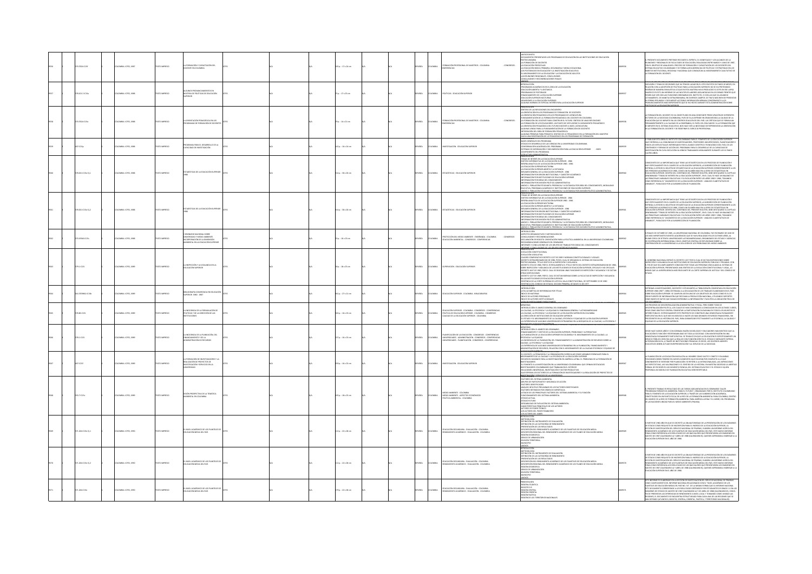|  | 122311039            | CRASH JOSES, 1987    | O22RM OTH         | FORMACIÓN Y CAPACITACIÓN DEL<br>CENTE EN COLOMBIA                                                          |  | 505 p. : 17 x 24 cm   |  | AÑOL         | <b>MEM</b>     | MAGÓN PROFESIONAL DE MAESTROS - COLOMBIA<br>FERENCIAS<br>concessos.                                                                                                  | INTERCEDENTES<br>-ANTECEDENTES<br>-DOCUMENTOS PRESENTADOS LOS PROGRAMAS DE EDUCACIÓN EN LAS INSTITUCIONES DE EDUCACIÓN<br>TSECUNDARIA<br>FORMACIÓN DE DOCENTES<br>EDUCACIÓN PREESCOLAR<br>educación preescolar<br>Educación Básica Primaria, secundaria y media vocacional<br>S Postgrados en Educación y la investigación Educativa<br>-EL MEIORAMENTO DE LA EDUCACIÓN Y LA EDUCACIÓN DE ADULTOS<br>-LAS REUNIONES REGIONALES, CONCLUSIONES<br>-CONCLUSIONES Y RECOMENDACIONES FRALES                                                                                                                                                                                                                                                                                                                          |       | EL PRESENTE DOCUMENTO PRITENDE RECOGER EL ESPÍRITU, EL SIGNIFICADO Y LOS ALCANCES DE LA<br>REUNIONES Y REGIONALES DE FACULTADES DE EDUCACIÓN, REALIZADAS ENTRE MARZO Y JUNIO DE 1887,<br>CON LE OBLITIVO DE ANALIZANE LE PROCESO DE<br>BITOS INSTITUCIONAL, REGIONAL Y NACIONAL QUE CONDUZEAN AL MEJORAMIENTO CUALITATIVO DE<br>FORMACIÓN DEL DOCENTE.                                                                                                                                                                                                                                                                                                                                                              |
|--|----------------------|----------------------|-------------------|------------------------------------------------------------------------------------------------------------|--|-----------------------|--|--------------|----------------|----------------------------------------------------------------------------------------------------------------------------------------------------------------------|-----------------------------------------------------------------------------------------------------------------------------------------------------------------------------------------------------------------------------------------------------------------------------------------------------------------------------------------------------------------------------------------------------------------------------------------------------------------------------------------------------------------------------------------------------------------------------------------------------------------------------------------------------------------------------------------------------------------------------------------------------------------------------------------------------------------|-------|---------------------------------------------------------------------------------------------------------------------------------------------------------------------------------------------------------------------------------------------------------------------------------------------------------------------------------------------------------------------------------------------------------------------------------------------------------------------------------------------------------------------------------------------------------------------------------------------------------------------------------------------------------------------------------------------------------------------|
|  | 278.1012 (C15a)      | COMBIA: ICFES, 1988  | O22RM OTH         | .<br>ATERIA DE POLÍTICAS DE EDUCACIÓN<br>PERIOR                                                            |  | <b>Bin 17x25mm</b>    |  | PAÑOL        | <b>Chase</b>   | oni foras - courande succede                                                                                                                                         | <b>MTRODUCCIÓN</b><br>INTRODUCCIÓN<br>-PEDGRAMMA ACADÉMICOS EN EL ÁREA DE LA EDUCACIÓN<br>-ERDUCACIÓN ABIERTA Y A DISTANCIA<br>-PINANCIAMIENTO DE LA EDUCACIÓN SUPERIOR<br>-FINANCIAMIENTO DE LA EDUCACIÓN SUPERIOR<br>-<br>EDUCACIÓN SUPERIOR NOCTURNA<br>-ADMISIONES A LA EDUCACIÓN SUPERIOR<br>-ALGUNAS NORMAS DE ESPECIAL INTERÉS P<br><b>ALLA PROPAGANA PURPRICA</b>                                                                                                                                                                                                                                                                                                                                                                                                                                       |       | ILMUL III, VINN MILONIUMUL MASINIMUM TAMILINIANA MILIAI JESTI ALTI ILMUL ILMUL ILMUL VINNAS JA<br>KILANDAN CON LA AGOSTONIS OJE PALITICAR PARA LA EDUCACIÓN SURSICA ESTOS ULTIMOS 20 MESSE, EN<br>KILANDAN CON LA AGOSTONI DE FOLITI                                                                                                                                                                                                                                                                                                                                                                                                                                                                                |
|  | 0.76241C150          | LOMBIA: ICFES, 1988  | O22RRM OTH        | ORIENTACIÓN PEDAGÓGICA EN LOS<br>AMMAS DE FORMACIÓN DE DOCEN                                               |  | 79 p. : 14 x 21 cm    |  | PAÑOL        | <b>LOMBIA</b>  | MACIÓN PROFESIONAL DE MAESTROS - COLOMBIA<br>CONGRESOS<br>EERENCIAS                                                                                                  | <b>MODATAGE</b><br>ORTESIS DE LAS REFLEXIONES DEL ENCUENTRO<br>ntess de las reslevidints del Dirculnitro<br>Lobentación prugó programas de formación: de docentes<br>Lobentación primacógica en los programas de licenciatura:<br>Indramión del Docente Para construir el Futuro. Sínteses de UNAS Ref<br>n formmunt uns louisien fyrm kunsi fram a fylken. Attillade un unna fafta anderna<br>A formmuntan pedagógica del futuro decente a huel licenciatura pedagógico<br>A grentalción pedagógica del futuro decente a huel licenciatura<br>Li<br>GEINAS LINEAS PARA LA FUNDAMENTACION DE LA FORMACION DE DOCENTES<br>TITGRACIÓN DEL ÁREA DE FORMACIÓN FEDAGÓGICA<br>GEINAS PREMISAS PARA PENSAR EL SENTIDO DE LO PEDAGÓGICO EN LA FORMACIÓN DEL MAISTRO<br>ACIA LINA REDISFINICIÓN DE LO                    |       | .<br>LA FORMACIÓN DEL DOCENTE SE HA CONSTITUIDO EN UNA CONSTANTE PREOCUPACIÓN DE DIFERENTES<br>EDUCACIÓN QUE SE IMPARTE EN LOS CENTROS EDUCATIVOS DEL PAÍS. LAS CRÍTICAS QUE SE FORMULAN<br>EDUCACIÓN QUE SE IMPARTE EN LOS CENTROS EDU<br>UNHAISI YANA JEHIRI YAN KATA KOMA MARI BULIN DA DA YA KATA DA LA MARI BILI YA MARI TA LA FORMATIN' DI KATA LA<br>NAMARIN' EN EL SESTEMA EDUCATIVO, NOS HATE VIR LA NECESENZA DE REPRESENTAR LA OBIENTACIÓN<br>LA FORMACIÓN DEL DOCEN                                                                                                                                                                                                                                     |
|  | 07 IC150             | CANSA-ICEC 1000      | O22RN OT          | AA PARA EL DESARROLLO DE LA<br>10 DE INVESTIGACIÓN<br><b>MONEY CAR</b>                                     |  | 42 n - 16 x 34 cm     |  | ulanı        | OMBH           | <b>MESTICACIÓN - EDILICACIÓN SIBERING</b>                                                                                                                            | issantalium<br>ASES Generales del Programa<br>STASO DE DESARROLLO DE LAS CIENCIAS EN LA UNIVERSIDAD COLOMBIANA<br>DINFORMACIÓN ACADÉMICA DEL PROGRAMA<br>NFORMACION ACADEMICA DEL PROGRAMA<br>TEMAS DE INFORMACIÓN Y DOCUMENTACIÓN PARA LA EDUCACIÓN SUPERIOR - - SIDES -<br>MPONENTES DEL PROGRAMA<br><b>BUCTURA AD</b>                                                                                                                                                                                                                                                                                                                                                                                                                                                                                        |       | publicar esta obra el instituto colombiano para el fomento de la educación superior<br>ce entrega a la comunidad de innestialedose, profesores universitarios, planificadose<br>dos los intelectuales interesados por el avance cent<br>STIGACIÓN EN CUYA EJECUCIÓN HA VENIDO TRABAJANDO ARDUAMENTE DURANTE LOS ÚLTIMOS<br><b>ZORA CRT.</b>                                                                                                                                                                                                                                                                                                                                                                         |
|  | 378.021 (C15e EL1)   | DLOMBIA: ICFES, 1988 | OZSRRA OTX        | DÍSTICAS DE LA EDUCACIÓN SUPERH                                                                            |  | 314 p. : 30 x 20 cm   |  | PAÑOL        | <b>AIRMOJO</b> | <b>ESTADÍSTICAS - EDUCACIÓN SUPERIOR</b>                                                                                                                             | -<br>MAS DE INTERÉS EN LA EDUCACIÓN SUPERIOR<br>ITESIS INFORMATIVA DE LA EDUCACIÓN SUPERIOR - 1986<br>-PRITRIE REGIONAUMENT CAL LA COLOCADE SUPERFORT (1913)<br>- ESTADO ANGELECIÓN DE CALIFORNIA ESTADO EN 1916<br>- ESTADO ANGELECIÓN DE CALIFORNIA EL CALIFORNIA EN 1916<br>- ESTADO ANGELECIÓN DE CALIFORNIA EL CALIFORNIA EL CALIFORNIA<br>DUCATIVA, PROGRAMA ACADÊMICO E INSTITUCIONES DE EDUCACIÓN SUPERIOR<br>ANEXO 2: POBLACIÓN ESTUDIANTIL PRESENCIAL Y A DISTANCIA POR DIVISIÓN POLÍTICO ADMINISTRA                                                                                                                                                                                                                                                                                                  |       | CENTES DE LA IMPORTANCIA QUE TIENE LAS ESTADÍSTICAS EN LOS PROCESOS DE PLANEACIÓN Y<br>AMMARINING AN ANTHONOLOGIC LATING AND A MARINING LA SUBDIRECTION DE POARMACIÓN<br>DIVINEGRA A USTEDES EL BOLETÍN DE ESTADÍSTICAS DE LA EDUCACIÓN SUPERIOR CORRESPONDERATE A LOS<br>DIS PRIGNA A USTEDES EL BOLETÍN DE ESTADÍSTICAS D<br>NUMMENT SUMMUM CRIMINU UNI CUNININUO DE PASANTI NOGENI, DAN DISSIMUNGO TE<br>DENDANNADO "TENAS DE INTERÉS EN LA EDUCADÓN SUPERIDE", EN EL CUAL SE HACE UN BALANCE DE<br>JAS PRINCIPALES VARIABLES EDUCATIVAS Y SU ENCLUDÓN ENTRE LOS                                                                                                                                                 |
|  | 278.021 (C15e E) 2   | LOMBIA: ICFES, 1988  | <b>G22RNM OTX</b> | ADÍSTICAS DE LA EDUCACIÓN SUPERIO                                                                          |  | 114 p. : 30 x 20 cm   |  |              |                | ADSTICKS - EDUCACIÓN SUPERI                                                                                                                                          | TEMAS DE INTERÉS EN LA EDUCACIÓN SUPERIOR<br>NTESIS INFORMATIVA DE LA EDUCACIÓN SUPERIOR.<br>ISEÑA ANALÍTICA DE LA EDUCACIÓN SUPERIOR: 1983<br>RESIÑA ANALÍTICA DE LA EDUCACIÓN SUPERIOR 1983 - 1995<br>LA EDUCACIÓN SUPERIOR NOCTURAL<br>LA EDUCACIÓN SUPERIOR ABERTAY A DISTANCIA<br>45 EUGLACIÓN SUPERIOR ABERTAY A DISTANCIA - 1986<br>45 EUGLACIÓN POR INSTITUCIONIS DE EDUCACIÓN SU<br>ORMACIÓN POR ÁREAS DEL CONOCIMIENTO<br>kormalin for akan ini lundominin'i<br>Kermalin for entren foltico-administrativa for área de conocimiento, modalidae<br>Kerma, programa académico e instituciones de educación superior<br>K.A.I IVA, PROGRAMA ACADÉMICO E INSTITUCIONES DE EDUCACIÓN SUPERIOR<br>SIXO 2: POBLACIÓN ESTUDIANTIL PRESENCIAL Y A DISTANCIA POR DIVISIÓN POLÍTICO ADMINISTRATIVA<br>INTERNORIA |       | CONSCIENTES DE LA IMPORTANCIA QUE TIENE LAS ESTADÍSTICAS EN LOS PROCESOS DE PLANEACIÓN Y<br>MUN ESPECIALMENTE EN EL CAMPO DE LA EDUCACIÓN SUPERIOR, LA SUBDIBECCIÓN DE PLANEACIÓN<br>ENTREGA A USTEDES EL BOLETÍN DE ESTADÍSTICAS DE<br>S PERÍODOS ACADÊMICOS DE 1986, COMO UN ESLABÓN MAS EN LA SERIE DE ESTADÍSTICAS EN<br>LOCICÓN SUPERIOR: DENTRO DEL CONTENIDO DEL PRESINTE EQUEITIN, DEBE DESTACARES EL CAPÍTULO<br>NOMINADO "TEMAS DE INTERÉS EN LA EDUCACIÓN SUPERIO<br>DENOMINADO "TEMAS DE INTERES EN LA EDUCACIÓN SUPERIOR", EN EL CUAL SE HACE UN BALANCE<br>LAS PRINCIPALES VARIABLES EDUCATIVAS Y SU ENDULOIÓN ENTRE LOS AÑOS 1982 Y 1986, TOMANDO<br>COMO REFERENCIA EL" DIAGNÓSTICO DE LA EDUCACIÓN |
|  | <b>20.193461C15s</b> | CRABLE-ICFES, 1988   | O22RRM OT         | .<br>KRSIDAD Y MEDIO AMBENTE.<br>KRYDAL EN LA EDUCACIÓN SUPERIOR.<br>KENTAL EN LA EDUCACIÓN SUPERIOR.      |  | $16 - 16 + 23$ cm.    |  | .<br>Noi     | way            | .<br>Tecnón del medio ambiente - enseñanza - colombia<br>Icación ambienta: Lochicaesos - consedencias                                                                | KODUCCÓN<br>.<br>TATIVOS Y METO<br><b>SCTOS OR</b><br>nclusiones y recontindaciones<br>Claración de Bogotá: Obertación para la política ambiental en la universidad colombiana<br>Comendaciones Generales del Seminario<br>MARES Y CONCLUSIONES DE LOS GRUPOS DE TRABAJO POR ÁREAS DEL CONOCIMIENTO<br><b>SOBMEX CONCLUSION</b>                                                                                                                                                                                                                                                                                                                                                                                                                                                                                 |       | ALES DE OCTUBRE DE 1985, LA UNIVERSIDAD NACIONAL DE COLOMBIA, FUE ESCENARIO DE UNO DE<br>: MÁS IMPORTANTES EVENTOS ACADÉMICOS QUE SE HAYA REALIZADO EN LOS ÚLTIMOS AÑOS, AL<br>INIR CERCA DE SETENTA UNIVERSIDADES LATINOAMERICANAS, ORGANISMOS DEL ESTADO Y AGENCIA<br>COOPERACIÓN INTERNACIONAL CON EL OBJETIVO CENTRAL DE<br>TRIBUCIÓN DE LA UNIVERSIDAD A LA SOLUCIÓN DE LOS PROBLEMAS DEL MEDIO AMBIENTE.                                                                                                                                                                                                                                                                                                      |
|  | 29.1 (C15)           | REEL ZEED, ANNOUN    | O23RN OTH         | INSPECCIÓN Y LA VIGILANCIA EN LA<br>JOACIÓN SUPERIOR                                                       |  | $58a : 38x25$ cm      |  | PAÑOL        | <b>LOMBIA</b>  | UPERVICIÓN - EDUCACIÓN SUPERIOR                                                                                                                                      | .<br>Julaán constitucional<br>Julaán legislativa<br>-POLOGICAL MAGNATING<br>CLUADAD COMPANYING DECRETO 1227 DE 1989 Y NORMAS CONSTITUCIONALES Y LEGALES<br>-CLUADAD COMPANYING DE DOS 1990, POR EL CUAL SE COGARDE AL SOSTEMA DE EDUCACIÓN<br>-POSTSETO JED AOS 1990, POR EL SE REGIAR Y AL<br>ANANTO SAN DE 1983, POR EL CUAL SE DELEGAN UNAS FUNCIONES DE INSPECIÓN Y VIGILALES Y NO OFICIALES<br>DERE INSPECCIÓN Y VIGILANCIA DE LAS INSTITUCIONES DE EDUCACIÓN SUPERIOR, OFICIALES Y NO OFICIALES<br>DECRETO SAFI DE 1983, POR<br>KS DISPOSICIONES<br>RETO 1227 DE 1989, POR EL CUAL SE DICTAN NORMAS SOBRE LA FACULTAD DE INSPECCIÓN Y VIGILANCIA<br>IN LAS INSTITUCIONES DE EDUCACIÓN SUPERIOR                                                                                                            | 09563 | el Gobienno Nacional Expedió el Secreto 1127 por el Clial se dictan depodeciones sobre la constancia de la la<br>Auspreción Vivigia Nacional da la rentificional de edicidador superbio, a píblica y fisipadas. Con<br>El pír de que                                                                                                                                                                                                                                                                                                                                                                                                                                                                                |
|  | 44131430005134       | COMBIA: ICFES, 1989  | OZZRRA OTX        | <b>AAFÍA COMENTADA EN EDUCACIÓN</b><br>PERIOR 1980 - 1987                                                  |  | 61p.:27x21cm          |  | <b>MGCL</b>  | <b>LOMBIA</b>  | EDUCACIÓN SUPERIOR - COLOMBIA - BIBLIOGRAFÍAS                                                                                                                        | RODUCCIÓN<br>FA ALFABÉTICA DE REFERENCIAS POR TÍTULO :<br><b>HOE DE MAT</b><br>ince de materias<br>dice de materias<br>dice de autores personales<br>dice de autores institucionales<br>E <mark>rce d'Ferrorner predic pate</mark> ls.                                                                                                                                                                                                                                                                                                                                                                                                                                                                                                                                                                          |       | PORA A ANALISANO NO PARAMANANO I NA MANDISTA ANIMA NA NAZISANO NA COMPARA NA UNICIDADA ANIMA DE A CONSTANTA E<br>EN TREGAR A ANASTICALOGRES, DOCENTES Y ESTADONANTES LA "RELIDIGANCIA" COMENTADA EN ESOCIADON<br>ESDERE EN CACADO: S                                                                                                                                                                                                                                                                                                                                                                                                                                                                                |
|  | 28.86 (C15)          | COMBIA: ICFES, 1989  | O23RNA OTH        | INCIDENCIA DE LA FORMULACIÓN DE<br>LÍTICAS Y DE LA DIRECCIÓN DE LAS<br><b>TUCIONES</b>                     |  | 02 p.: 16 x 23 cm     |  |              |                | .<br>Ducación Superior - Colombia - Congresos - Conferencias<br>Olítica de Educación Superior - Colombia - Congresos<br>LIDAD DE LA EDUCACIÓN SUPERIOR - COLOMBIA    | drins<br>Oducoón: el marco general del seminario<br>-<br>- LA CALIDAD, LA EFICIENCIA Y LA EQUIDAD EL PANORAMA GENERAL Y LATINOAMERICAN<br>- LA CALIDAD, LA EFICIENCIA Y LA EQUIDAD DE LA EDUCACIÓN SUPERIOR EN COLOMBIA<br>-<br>AMA CENERAL Y LATIN DAMERICANO<br>14 DESCENDI DE MESITURIONES DE EDUCACIÓN SUPERIOR APPRAIA EN LUMINIMA<br>-EL SEMOD Y EL MEDIONAISTO DE LA CAUDAD , ENGINADA Y EQUIDAD DE LA ESTADO Y ELISTADA SUPERIOR<br>-EL SEMOD Y EL MEDIONAISTO DE LA CAUDAD , ENGINADA Y EQUID                                                                                                                                                                                                                                                                                                          |       | S PROCESOS DE DESCENTRAUZACIÓN AEMINISTRATIVA Y FISCAL, PERO SOBRE TODO DE<br>NE COMO ALEICIÓN POLÍTICA, LOS CUALES SE HAN COMENZADO A CONSOLIDAR EN LOS ÚLTIMOS 3 AÑOS,<br>NE COMO OBIETNO CIRTIPAL FONENTAR LA PARTICIPACIÓN CUAND<br>unkat vaikaal kai parlaminkai kai kyhävän kai vaikainain viri kaikajakalen yakivalliselt, sin<br>Iceleriitsen la hisetoria del paře, para garantizar efectivamente la eficiencia, la calidad y<br>Liidad de la educación superior.<br>L                                                                                                                                                                                                                                     |
|  | $08.1$ iC151         | MEN: ICFES, 1989     | O22RRM OT         | .<br>WODENCA DE LA PLANEACIÓN, DEL<br>WWOAMERTO Y DEL 1<br>NUMBERTO FOILLA<br>INSTRACIÓN DE RECURSOS       |  | $176:16 \times 23$ cm |  |              |                | nificación de la educación - congresos - conferencia<br>Versidades - administración - congresos - conferenc<br>Versidades - planificación - congresos - conferencia: | ilianum 1 lm ruundi.<br>A incidencia de la planeación, del financiamiento y la administración de recursos sobre la<br>INNASINATA DE REPORTANTA E EQUIDAD<br>EDAD, LA ERCEBICIA Y LA EQUIDAD<br>EDAD LA ERCEBICIA Y LA EQUIDAD<br>MINISTRACIÓN DE RECURSOS, RELACIÓN CON EL MEJORAMENTO DE LA CALIDAD ERCIENCIA Y EQUIDAD DI                                                                                                                                                                                                                                                                                                                                                                                                                                                                                     |       | E HACE VARIOS AÑOS Y CON SOBRADA RAZÓN SOCIÓLOGOS Y EDUCADORES HAN INSISTIDO QUE LA<br>INN PARTIE MARINARY IN CONTRACTOR CONTRACTOR IN THE CONTRACTOR IN THE UNIT OF A SECOND AND CONTRACTOR OF A SECOND AND CONTRACTOR OF A SECOND AND CONTRACTOR IN THE UNIT OF A SECOND AND CONTRACTOR IN THE UNIT OF A SECOND AND                                                                                                                                                                                                                                                                                                                                                                                               |
|  | 0710151              | MEIA: ICFES, 1989    | TO IMPRESO        | ORES Y LA<br>ACIÓN DE INVE<br>:<br>Muzación de Proyectos de<br>Mestigación y servicios en la<br>Niversidad |  | 159 p. : 16 x 23 cm   |  | wios         | OMEN           | ESTIGACIÓN - EDUCACIÓN SUPERIOR                                                                                                                                      | <b>14. FOUR BERRY AURENT EDUCTION AUF TANCH.</b><br>-EL EOCENTET, LA FEDALOGÍA Y LA CIBALADA DE DA COURBICULAR COMO VARIABLES ESENCIALES PARA EL<br>MEIORAMIENTO DE LA CALIDAD Y LA EFICIENCIA DE LA EDUCACIÓN SUFFIRIOR.<br>-BECURSOS HUMANOS PARA LA INVESTIGACIÓN EN AMÉRICA LATINA. EL PROBLEMA DE LA FORMACIÓN DE<br>INVESTIGADORES<br>-EL FOMENTO A LA INVESTIGACIÓN EN LA UNIVERSIDAD COLOMBIANA: QUE OPINAN DESTACADOS<br>INVESTIGADORES COLOMBIANOS QUE TRABAJAN EN EL EXTERDR<br>MINIMI MONTHAL COLORINING WAS THE ADDRESS ON A RESIDENCE TO A REALIZACIÓN DE PROVECTOS DE<br>- GELACIONES UNIVERSIDAD, WANSTIGACIÓN Y SECTOR PRODUCTIVO<br>- GULT ESTRAVILOS SECTORES DE LA IMINISTANA DE INVESTIGADORES Y LA REALIZ<br><b>SEDERACIÓN</b>                                                            |       | A PLANEADON DE LA EDUCACIÓN INVOLUCIA AL HOMBRE COMO SULETO Y OBJETO Y EN AMBAS<br>SPIRANDAMON DE TENERAL EN CUENTA ELEMENTOS QUE ESCAPAN POR COMPLETO A LO QUE<br>COMÚNMENTE SE ENTIENDE POR PLANEACIÓN: SE REFIERE A LA INTENCIONALIDAD, LAS ASPIRACIONES<br>LAS EXPECATIVAS, LAS VALORACIÓN EST LESITEDE A LA INITEN<br>ONGA UN MODELO DE PLANEACIÓN EDUCATIVA DEBE RESPETARLO.                                                                                                                                                                                                                                                                                                                                  |
|  | 333.7 IC15v          | LOMBIA: ICFES, 1989  | O22RRM OTX        | VISIÓN PROSPECTIVA DE LA TEMÁTICA<br>AMBIENTAL EN COLOMBIA                                                 |  | 105 p. : 18 x 25 cm   |  | <b>JORKS</b> | <b>AIGNOL</b>  | - MEDIO AMBIENTE - COLOMBIA<br>- MEDIO AMBIENTE - ASPECTOS ECONÓMICOS<br>- POLÍTICA AMBIENTAL - COLOMBIA                                                             | $\begin{minipage}[t]{0.09\textwidth} \begin{tabular}{l p{0.8cm}p{0.8cm}p{0.8cm}p{0.8cm}p{0.8cm}p{0.8cm}p{0.8cm}p{0.8cm}p{0.8cm}p{0.8cm}p{0.8cm}p{0.8cm}p{0.8cm}p{0.8cm}p{0.8cm}p{0.8cm}p{0.8cm}p{0.8cm}p{0.8cm}p{0.8cm}p{0.8cm}p{0.8cm}p{0.8cm}p{0.8cm}p{0.8cm}p{0.8cm}p{0.8cm}p{0.8cm$<br>ACTORES DEL SABER<br>RODUCCIÓN                                                                                                                                                                                                                                                                                                                                                                                                                                                                                       |       | DOCCENTE TO AGAIN DS OCSI II TANO DE LAS TADEAS ADELANTADAS EN EL SEMINADIO, TALI ED<br>IM PRIMIRIU INHANO LIS NISATA LONG A UNA GARANTA COMA ANI AL SUR MORTANO MATA SE PROGRAMA CORRANDO CON CARRA C<br>PROGRAMA EL CONSTANTO LA ANGIONACIÓN SURFORDA A TRAVIÉS DE LAS CARRASTES CÓN A MACINITATO COLOMBIANO<br>DONGTITURO                                                                                                                                                                                                                                                                                                                                                                                        |
|  | 264 (C15n Ej.1)      | MEIA: ICFES, 1990    | OZZRRNI O         | .<br>I NIVEL ACADÉMICO DE LOS PLANTELES D<br>DI ICACIÓN MEDIA DEL PAÍS                                     |  | 112 p. : 22 x 28 cm   |  | AÑOL         | way            | -<br>EDUCACIÓN SECUNDARIA - EVALUACIÓN - COLOMBIA<br>- RENYIMAENTO ACADÉMICO - EVALUACIÓN - COLOMBIA                                                                 | uuuuum<br>Nición del instrumento de evaluación<br>Nición de las categorías de rendimiento<br>SERINGON DE LAS CATEGOR<br>aphradio de l'alemandata de Maraillienna<br>Escensión de l'as resultados<br>Escensión de l'as resultados<br>Escensión regional del rendimiento académico de los planes de educación media<br>Escénsión regional del rendimiento académico<br>MDO DE URBANIZACIÓN<br>NSIÓN TERRITORIAL<br>UNICIPIO                                                                                                                                                                                                                                                                                                                                                                                       |       | PARTIR DE 1980 AÑO EN QUE SE DECRETÓ LA OBLIGATORIEDAD DE LA PRESENTACIÓN DE LOS EXÁMENES<br>NY FORMAL ARRAIGNMENT DE WACKING ÓN MARKET DIKTAKSO DE LA EDUCACIÓN SUN RIGIA, LA<br>SE ESTADO COMO REQUISITO DE WACKING ÓN ARA EL INGRESO DE LA EDUCACIÓN SUN RIGIA, LA<br>RECCIÓN DE INVESTIGACIÓN DEL SERVICIO NACIDIAL DE PRUEBA<br>.<br>STO DE 1987 (CALENDARIO A) Y ABRIL DE 1988 (CALENDARIO B), QUIENES ASPIRABAN A INGRESAR A LA<br>ICACIÓN SUPERIOR EN EL AÑO DE 1988.                                                                                                                                                                                                                                       |
|  | 01.264 (C15n Ej.2)   | LOMBIA: ICFES, 1990  | O23RM OTH         | NIVEL ACADÉMICO DE LOS PLANTELES I<br>IJICACIÓN MEDIA DEL PAÍS                                             |  | 112 p. : 22 x 28 cm   |  | wios         | OMBIA          | - EDUCACIÓN SECUNDARIA - EVALUACIÓN - COLOMBIA<br>- RENDIMIENTO ACADÉMICO - EVALUACIÓN - COLOMBIA                                                                    | ANEXOS<br>INTRODUCCIÓN<br>-METODOLOGÍA<br>-DEFINICIÓN DEL INSTRUMENTO DE EVALUACIÓN<br>-DEFINICIÓN DE LAS CATEGORÍAS DE RENDIMIENTO<br>"-<br>- PRESINTACIÓN DE REISENATADOS<br>- OSESINTACIÓN DE REISENATADOS<br>- PRESINTACIÓN DE REISENATADOS<br>-<br>- REGIÓN GEOGRÁFICA<br>- AEGIÓN GEOGRÁFICA<br>- AEGIÓN GEOGRÁFICA<br>-<br>DO DE URBA<br>ADON<br><b>JAIROTIRRITORIAL</b><br>CIPIO<br>$005 -$                                                                                                                                                                                                                                                                                                                                                                                                             |       | .<br>HETER DE 1980 AÑO EN QUE SE DECRETÓ LA OBLIGATORIEDAD DE LA PRESENTACIÓN DE LOS EXÁMENE<br>WIN HAL ARRAPOLA INCIDENTAL REGIONAL POLITICAL DESCRIPTION DE CONSUMINGATION DE LA INSTITUCIÓN EN PRODUCTION DE<br>LETARD COMO REQUESTO DE INSCRIPTIÓN PARA EL INGRESO DE LA EDUCACIÓN SUPERIDR, LA<br>LONGON DE INVESTIGACIÓN DE SE<br>CACIÓN SUPERIOR EN EL AÑO DE 1988.                                                                                                                                                                                                                                                                                                                                          |
|  | 12641C15n            | CMBIA: ICFES, 1990   | O MPRESO          | NIVEL ACADÉMICO DE LOS PLANTELES D<br>UCACIÓN MEDIA DEL PAÍS                                               |  | 179 p. : 22 x 28 cm   |  |              | OMBIA          | EDUCACIÓN SECUNDARIA - EVALUACIÓN - COLOMBIA<br>- RENDIMIENTO ACADÉMICO - EVALUACIÓN - COLOMBIA                                                                      | RESENTACIÓN<br><b>REGIÓN ATLÁNTICA</b><br>-RAMON ATANIKA<br>-REGIÓN CENTRAL<br>-REGIÓN CENTRAL<br>-REGIÓN PACÍFICA<br>-REGIÓN DE LOS TERRITORIOS NACIONALES                                                                                                                                                                                                                                                                                                                                                                                                                                                                                                                                                                                                                                                     |       | .<br>The increase is a sensate by a score of investigation to several service in contract of squade.<br>TO DEL INFORME NACIONAL RELACIONADO CON EL "NIVEL ACADÉMICO DE LOS<br>ANTELES DE EDUCACIÓN MEDIA DEL PAÍS NO. SA". DE LA MISMA FORMA QUE EL INFORME NACIONAL<br>este documento corresponde a los resultados obtenidos por estudiantes de grado 11 en los<br>Diárentes de estado de agosto de 1987 (calendaro a) y de abril de 1988 (calendaro in), con el<br>En de presentar las diferencias de reno<br>JONES, EL DOCUMENTO SE ENCUENTRA ESTRUCTURADO PARA CADA UNA DE LAS REGIONES QUE SE<br>MOO (43 ANTICO BOGOTÁ CENTRAL OBENTAL BACÍCICA Y TERRITORIOS NACIONALES)                                      |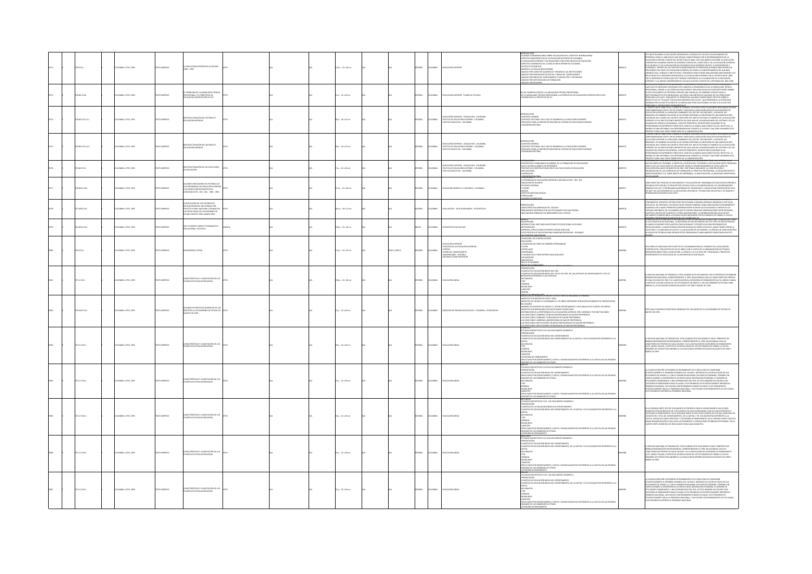|  |                  | MEIA: ICFES, 1990   | O IMPRESO         | LA EDUCACIÓN SUPERIOR EN LA DÉCADA<br>1980 - 1990                                                                                                                                                                |       |  | 52 p. : 22 x 28 cm       |              |             |               |                                                                                                                                                        | RODUCCIÓN<br>introducción<br>-Algunas consideraciones sobre educación en el contexto internacional<br>-Alguctos demográficos de la educación superida en colombia<br>-Alguctos demográficos de la educación superida en colombia<br>-Agrictos económeci<br>STOS ESTUDIANTEES<br>SRESO A LA EDUCACIÓN SUPERIOR<br>ÁLISIS POR CARÁCTER ACADÉMICO Y ORIGEN DE LAS INSTITUCIONES<br>VINGIS POR MODALIDAD EDUCATIVA Y ÁREAS DEL CONDIDAIENTO<br>NNÁLISE POR AREAS DEL CONOCIMIENTO Y NIVELES PRE Y POSTGRADO<br>NNÁLISE POR METODOLOGÍA DE FORMACIÓN<br>USIS POR REGIONES                                                                                                                                                                                                                                                                                                                                               |      | TE BOLETÍN SOBRE LA EDUCACIÓN SUPERIOR EN LA DÉCADA DE LOS 80 ES UN DOCUMIENTO DE<br>FERENCIA PARA EL ANÁLISES DE UNA DÉCADA CARACTERIZADA POR EL REORDENAMIENTO DE LA<br>UCACÓN SUPERIOR A PANÍLISES DE UNA DÉCADA CARACTERIZADA PO                                                                                                                                                                                                                                                                                                                                                                                                                                                                                                                                                                 |
|--|------------------|---------------------|-------------------|------------------------------------------------------------------------------------------------------------------------------------------------------------------------------------------------------------------|-------|--|--------------------------|--------------|-------------|---------------|--------------------------------------------------------------------------------------------------------------------------------------------------------|--------------------------------------------------------------------------------------------------------------------------------------------------------------------------------------------------------------------------------------------------------------------------------------------------------------------------------------------------------------------------------------------------------------------------------------------------------------------------------------------------------------------------------------------------------------------------------------------------------------------------------------------------------------------------------------------------------------------------------------------------------------------------------------------------------------------------------------------------------------------------------------------------------------------|------|------------------------------------------------------------------------------------------------------------------------------------------------------------------------------------------------------------------------------------------------------------------------------------------------------------------------------------------------------------------------------------------------------------------------------------------------------------------------------------------------------------------------------------------------------------------------------------------------------------------------------------------------------------------------------------------------------------------------------------------------------------------------------------------------------|
|  | 28.86 (C15p)     | COMBIA: ICFES, 1990 | O22RRM OT         | PROBLEMA DE LA MODALIDAD TI<br>DEESIDNAL Y SU PROPUESTA DE<br>JCACIÓN SUPERIOR POR CICLOS                                                                                                                        |       |  | $10.22 \times 28$ cm     |              | PAÑOL       | <b>CMEM</b>   | COUCACIÓN SUPERIOR - PLANES DE ESTUDIO                                                                                                                 | LAS CARRERAS CORTAS A LA MODALIDAD TÉCNICA PROFESIONAL.<br>LA MODALIDAD TÉCNICA PROFESIONAL A LA PROPUESTA DE EDUCACIÓN SUPERIDR POR CICLOS<br>MENTARIDS AL PROYECTO DE LEY                                                                                                                                                                                                                                                                                                                                                                                                                                                                                                                                                                                                                                                                                                                                        |      | <b>EVERY IN CORRESPONDING TO THE CONSULTER CONTROL CONTROL 2018</b><br><b>EVERY IN CORRESPONDING TO THE CONSULTER CONTROL CONTROL CONTROL CONTROL CONTROL CONTROL CONTROL CONTROL CONTROL CONTROL CONTROL CONTROL CONTROL CONTROL CON</b>                                                                                                                                                                                                                                                                                                                                                                                                                                                                                                                                                            |
|  | 78.86 IC15r Ej.1 | CMBIA: ICFES, 1991  | O22RRM OT         | ESTRUCTURACIÓN DEL SISTEMA DE<br>IUCACIÓN SUPERIOR                                                                                                                                                               |       |  | 00 p. : 16 x 23 cm       |              | wios        | wau           | - EDUCACIÓN SUPERIOR - LEGISLACIÓ<br>- POLÍTICA DE EDUCACIÓN SUPERIOR<br>- POLÍTICA EDUCATIVA - COLOMBIA                                               | MINIMUMO GENERAL<br>-CONTEXTO GENERAL<br>-CONTEXTO GENERAL<br>-PROPUESTA PARA LA REESTRUCTURACIÓN DEL SISTEMA DE EDUCACIÓN SUPERIOR<br><b>NSDERACIÓN FINAL</b>                                                                                                                                                                                                                                                                                                                                                                                                                                                                                                                                                                                                                                                                                                                                                     |      | SITALIZ VI BETLOIDET TIIKOALESTAJ VI<br>CORTO BO DE 1980 LEVA 11 AÑOS DE VIGINCIA. EN DICHO LAPSO HA RECIBIDO REGLAMENTA<br>PLEMENTARIAS CON EL FIN DE AFINAR Y ADECUAR LA LEGISLACIÓN EDUCATIVA EN MATERIA D<br>LINDRI (U BUST VIRHULINDRI TARIOSIS) VOGARIALE NADULARI (DAPOLINDRI DEL MARIA DEL MARIAN DEL MARIAN DEL MARIA<br>LINDRI DEL MARIA DE LA CARLI DE LA POLITICA DE LA CARLI DE LA CARLI DE LOCARDA EN MATEIAN DE VARIA DE LA CARL<br>LI<br>-INRIS DIL SERVICIO EN GENERAL, CON ESTE PROPÓSITO, EN KRIMININAS OCASIONES SE LAN.<br>IRRISSION: SERVICIO EN GENERAL, CON ESTE PROPÓSITO, EN KRIMINIAS OCASIONES SE NA.<br>IRRISRIZADO EN OFFRENTES FOROS EN EL SENO DE LA MISMA JU                                                                                                        |
|  | 28.86 (C15r E) 2 | LOMBIA: ICFES, 1991 | O22RRM OTH        | estructuración del sistema de<br>Xucación superior                                                                                                                                                               |       |  | $0 p. : 26 \times 23$ cm |              |             | <b>MEM</b>    | CACIÓN SUPERIOR - LEGISLACIÓN - COLOMBIA<br>POLÍTICA DE EDUCACIÓN SUPERIOR - COLOMBIA<br>- POLÍTICA EDUCATIVA - COLOMBIA                               | CONTEXTO GENERAL<br>CONTEXTO SECTORIAL EN EL QUE SE DESARROLLA LA EDUCACIÓN SUPERIOR<br>FROFUESTA PARA LA REESTRUCTURACIÓN DEL SISTEMA DE EDUCACIÓN SUPERIOR<br>CONSIDERACIÓN FINAL                                                                                                                                                                                                                                                                                                                                                                                                                                                                                                                                                                                                                                                                                                                                |      | MIGALINI IL COMMO UNUA TARGIA PRODATI ARIA ALE LA AGMINISTRACION.<br>EL DECRETO BO DE 1980 LLEVA 11 AÑOS DE VIGENCIA. EN DICHO LAPSO HA RECIBIDO REGLAMENTACIONES<br>.<br>PLEMENTARIAS CON EL FIN DE AFINAR Y ADECUAR LA LEGISLACIÓN EDUCATIVA EN MATERIA DE<br>CACIÓN SUPERDR A LA REALIDAD CAMBUANTE DEL SECTOR. NO OBSTANTE, A PESAR DE SUS<br>DADES, DE MANERA PAULATINA SE HA VENIDO SINTIENDO LA NECES<br>DROADES, SE MANARA PAULATINA SE 14 VANDED SIMITINGO LA RACCEDIDAD DE UNA MODIFICADOR<br>JARRASE, SE LA IGNIPALO DE CASTER POR PARTE DEL INSTITUTO PARA D. FOMENTO DE LA EDUCACIÓN<br>JARRASE, DE LA IGNICIO EN CINERAL CON ESTE PROP<br>SENTE COMO UNA TAREA PRICRITARIA DE LA ADMINISTRACIÓN.<br>STUDIO DEL PROBLEMA REFERIDO A LA FORMACIÓN DE EDUCADORES TIENE UNA HISTORIA YA DE |
|  | 18.86 (C15r)     | LOMBIA: ICFES, 1991 | O23RN OTH         | :<br>STRUCTURACIÓN DE LAS FACULTADES<br>EDUCACIÓN                                                                                                                                                                |       |  | $n: 22 \times 28$ cm     |              | <b>MGCL</b> | <b>MEM</b>    | .<br>Lítica de educación superior - colombia<br>Lítica de educación superior - colombia<br>AGAINST AVATABLES ASTRO                                     | MARANAMI<br>SCENDLÓN Y PROBLEMÁTICA GENERAL DE LA FORMACIÓN DE EDUCADORES<br>CIN UN NUEVO MARCO DE REFERENCIA<br>DIVISIONAIS<br>NUCLEORES<br>MATHAMAS                                                                                                                                                                                                                                                                                                                                                                                                                                                                                                                                                                                                                                                                                                                                                              | 9576 | in Minimum Paramenta Paramental Paramental De Minimum (1998)<br>Minimum Paramental Paramental Dessen (1998)<br>Conditi de Las Facultants de Education (2006) (1998) Santana de Facultants de<br>Deutacon De Las Facultants de Las Facul                                                                                                                                                                                                                                                                                                                                                                                                                                                                                                                                                              |
|  | 78.8611C15a      | COMBIA: ICFES, 1992 | OZSRRA OTX        | SUNOS INDICADORES DE EFICIENCIA DE<br>I PROGRAMAS DE EDUCACIÓN SUPERIO<br>ISTANCIA PARTICIPANTES EN EL<br>NVENIO ICFES - SED - BID. - 1985 - 1991                                                                |       |  | 157 p. : 22 x 28 cm      |              | PAÑOL       | <b>AIGNOL</b> | EDUCACIÓN ABERTA Y A DISTANCIA - COLOMBIA                                                                                                              | -EL PROGRAMA DE EDUCACIÓN SUPERIOR A DISTANCIA ICFES - SED - BID<br>-POBLACIÓN ESTUDIANTE:<br>-EFICIENCIA INITERIA<br><b>ZARDTUT</b><br><b>EXOS</b><br>SPECTOS METODOLÓGICOS                                                                                                                                                                                                                                                                                                                                                                                                                                                                                                                                                                                                                                                                                                                                       |      | como parte del proceso de Seguardato y Evaluación del Programa de Educación Superior a<br>Despara Kets-sed RD, Se Rahadó est estudo con a l'ocalisación de los coordinados de Sense.<br>Ediminade de Los 13 programas académicos de                                                                                                                                                                                                                                                                                                                                                                                                                                                                                                                                                                  |
|  | .<br>2061C15c    | MEIA: ICFES, 1993   | O IMPRESO         | <b>SECADÓN DE LOS COLEGOS DE</b><br>ANHEANIN DE LIS COLLAIDS DE<br>ISSTOS A NIVEL NACIONAL CON BASE EN<br>ISSTOS A NIVEL NACIONAL CON BASE EN<br>ISBESULTADOS DE LOS DIÁMENES DE<br>TADO AGOSTO 1992, MARZO 1993 |       |  | (Ap.: 30 x 22 cm         |              | AÑOL        |               | LUADÓN - EDUCACIÓN MEDIA - ESTADÍSTICAS                                                                                                                | ENTACIÓN<br>FRANCIS INTERNATIONALIS DEL COLEGIO<br>-GARÁCTERÍSTICAS GENERALES DEL COLEGIO<br>-RENOMMENTO ORTENIDO POR LOS ESTUDIANTES EN CADA PRUEBA<br>-RENCADORES GENERALES DE RENOMMENTO DEL COLEGIO                                                                                                                                                                                                                                                                                                                                                                                                                                                                                                                                                                                                                                                                                                            |      | ADMINISTRATION EN ESTADO POR A DE ENCORREGA DE A QUINTA ASPIRA A ANGESAR A ESTE WATE.<br>LONDON NO CARTANTE, SUS BESUEL POR SELECCIÓN A A QUINTA ASPIRA A ANGESAR A ESTE WATE.<br>LONDON NO CARTANTE, SUS BESUEL PORTOR UN EN ENCORR                                                                                                                                                                                                                                                                                                                                                                                                                                                                                                                                                                 |
|  | 60210154         | MARIA: ICFES, 1993  | O22RRM OT         | SE OF SAMPLE SURVEY TECHNIQUES IN<br>XUCATIONAL STATISTICS                                                                                                                                                       | NESCO |  | 28 p. : 21 x 30 cm       |              | as          | 14444         | ADÍSTICAS EDUCATIVA                                                                                                                                    | vace<br>Jeground<br>Roduction: Gaps and Linitations of Educational Data Base<br>ITTHODOLOGY<br>KETHODOLOGY<br>MPIRICAL APPLICATIONS OF SAMPLE DESING AND PLAN<br>TATE PROFILES OF EDUCATION AND SAMPLING PROCEDURE - GUALNRAT<br>WEBURW AND BESINE                                                                                                                                                                                                                                                                                                                                                                                                                                                                                                                                                                                                                                                                 |      | NORMAND COMMISSIONER COMMISSION OF THE RESIDENCE IN A MANUFACTURE OF THE REAL AREA COMMISSION OF THE REAL AREA COMMISSION OF THE REAL AREA COMMISSION OF THE REAL AREA COMMISSION OF THE REAL AREA COMMISSION OF THE REAL AREA<br>ANNAS USANIMIS PAIK PARNILLIS LIGUI AUDIO PERSIS PAIKIS ILAS VARA NESPONDING UUS;<br>ECCUPN VIA VARIILISAD ER DATOS Y LA VALIDACIÓN DE LOS MASIOS: LA VINTANA DE USAS NUESTRAS.<br>INCUESTAS TÉCNICAS PARA REDUCIR ESTOS PROBIENAIS                                                                                                                                                                                                                                                                                                                                |
|  | <b>278 IC15u</b> | LOMBIA: ICFES, 1994 | <b>O22RRM OTX</b> | <b>ERSIDAD UTOPIA</b>                                                                                                                                                                                            |       |  | 12 p. : 24 x 34 cm       | 68-11-0395-3 | AROS        |               | EDUCACIÓN SUPERIOR<br>FILOSOFÍA DE LA EDUCACIÓN SUPERIOR<br>UTOPÍAS<br>UNIVERSIDADES - HISTORIA<br>UNIVERSIDADES - HISTORIA<br>DOCENCIA COMO PROFESIÓN | CONOCERSE, NO CONTRA HACERSE<br>-UNIVERSIDAD<br>- EL MUNDO SOLO TIENE INTERÉS HACIA ADELANTE<br>- DOCUMENTOS<br>- BIBLIOGRAFÍA<br>- ÎNDICE DE NOMBRES                                                                                                                                                                                                                                                                                                                                                                                                                                                                                                                                                                                                                                                                                                                                                              |      | esta obra es publicada por el instituto colombiano para el fomento de la educación<br>Superior Icfes, con motivo de sus 25 años, con el apono de la organización de estados<br>IBERIDAMERICANOS PARA LA EDUCACIÓN, LA CIENCIA Y LA CULTURA OEI Y REALIZADA A TRAVÉS DEL<br>DEPARTAMENTO DE SOCIOLOGÍA DE LA UNIVERSIDAD DE ANTIOCHIA.                                                                                                                                                                                                                                                                                                                                                                                                                                                                |
|  | $72.2$ iC15c     | CRABLE-ICFES, 1995  | <b>CC2RRM CT</b>  | MACTERÍSTICAS Y CLASIFICACIÓN DE LO<br>VATELES DE EDUCACIÓN MEDIA                                                                                                                                                |       |  | 138 p. : 22 x 28 cm      |              | ulanı       | .<br>Wili     | <b>NICACIÓN MEDIA</b>                                                                                                                                  | -<br>Offerencement and Consideration (2008)<br>- Presidentation<br>- Martines de Consideration (2008)<br>- Martines de Consideration (2008)<br>- Martines de Consideration<br>- Martines de Consideration<br>- Martines de Consideration<br>- Martines<br>-IIPO<br>-MODALIDAD<br>-MODALIDAD<br>-REGIÓN<br>-REGIÓN                                                                                                                                                                                                                                                                                                                                                                                                                                                                                                                                                                                                  |      | i, servicio Hacional de Pruebas el Icees elabora este documento con el propósito de Brinoar<br>Geobración Macional correspondente a 1964, bli acomiano con las características propós<br>Facilia del Cas Besoltaco de los estudantes                                                                                                                                                                                                                                                                                                                                                                                                                                                                                                                                                                 |
|  | 278.1661C15a     | 2001 2333 MARIN O   | OZSRRA OTX        | .<br>CRITOS ALOS EXÁMENES DE ESTADO DE<br>2002 30 0720                                                                                                                                                           |       |  | $15a:22 \times 28$ cm    |              | PAÑOL       | <b>AIGNOL</b> | MEDICIÓN DE PRUEBAS EDUCATIVAS - COLOMBIA - ESTADÍSTICAS                                                                                               | .<br>OLLOOM DEL MÍMERO DE INSCRITOSEM EL SERVICIO NACIONAL DE PRUEBAS<br>SERITOS POL GAUROS DE EDAD Y SEXO<br>SERITOS DEL GRADO 11 CALEMDARIO A Y DE AÑOS ANTERIORES SEGÚN DEPARTAMENTO DE PRESENTACIÓN<br><b>DOMEN</b><br>DEL EXAMEN<br>- inclentor pol necestor de Grado 11, seglín departamento y inaturaleza del flantel de Egreso<br>- inclentor por Modalidad del Bachillerato seglín sexo<br>- distribución de la preferencia en la educación superior, por<br>MAI POR MAIN DE LA PERFINANCIA DE PERSONALES DE MANDR PREFERENCIA<br>LAS VEINTICINCO CARRERAS TÉCNICAS PROFESIONALES DE MANDR PREFERENCIA<br>LAS VEINTICINCO CARRERAS UNIVERSITARIAS DE MANDR PREFERENCIA<br>LAS VEINTICINCO CARRERAS U<br>VEINTICHICO CARABAS ONVERBITARIA DE MATOR PREFERENCIA<br>VEINTICHICO INSTITUCIONES TÉCNICAS PROFESIONALES DE MAYOR PREFERENCIA<br>LAS VEINTICINCO INSTITUCIONES TECNOLÓGICAS DE MAYOR PREFERENCIA |      | .<br>Tato que contiene estadísticas generales de los inscritos a los exámenes de estado de<br>Gosto de 1995.                                                                                                                                                                                                                                                                                                                                                                                                                                                                                                                                                                                                                                                                                         |
|  | $72.2$ iC15c1    | LOMBIA: ICFES, 1995 | O22RRM OTX        | ARACTERÍSTICAS Y CLASIFICACIÓN DE LOS<br>JANTELES DE EDUCACIÓN MEDIA                                                                                                                                             |       |  | p.: 22 x 28 cm           |              | AÑOL        | OMBU          |                                                                                                                                                        | <b>INTURIOS DESCRIPITIVOS S.N.P.104 DOCUMENTO NÚMERO 4</b><br>unium unium al-<br>- Prentrución<br>- Prentrución (prención media del departamento de la capital y de los municipios diferentes a la<br>-FLANTILLIS DE LI<br>CAPITAL<br>-NATURALEZA<br>-TIPO<br>U<br>BNADA<br>JOALIDAO<br>-MON-WHIP<br>-CARACTER<br>-EATERCREA DEL REMONARATO<br>-RESULTADOS POR DEPARTAMENTO, CAPITAL Y DEMÁS MUNICIPIOS DIFERENTES A LA CAPITAL EN LAS PRUEBAS                                                                                                                                                                                                                                                                                                                                                                                                                                                                     |      | .<br>ERVICIO NACIONAL DE RRIIERAS DEL ICEES ELABORA ESTE DOCUMENTO CON EL RRORÓSITO DE<br>II, SERVICO MACORAL EN PRUBBA COL CITS EMAGOA ESTI COCUMENTO CON EL PROPOSITO DE<br>SIRINDAR IMPORANCIÓN DERAFTANDISTAL CORRESPONDENTE A 1994, RELACIONADA CON LAS<br>JORNATISTECHOS PROPAGE O CADA COLORIO Y SU CASSIFICACIÓN EN CA                                                                                                                                                                                                                                                                                                                                                                                                                                                                       |
|  | $22$ iC15c2      | CMBIA: ICFES, 1995  | O22RRM OT         | CTERÍSTICAS Y CLASIFICACIÓN DE LO<br>ANTELES DE EDUCACIÓN MEDIA                                                                                                                                                  |       |  | $4 p. : 22 \times 28$ cm |              | <b>MÃOL</b> | OMBU          |                                                                                                                                                        | AKAULA<br>-ESTUDIOS DESCRIPTIVOS S.N. P106 DOCUMENTO NÚMERO 4<br>ational singer itera aust aux Demonster Prominer<br>Paktinis de Educación Media en Educacións<br>1952/1742/5 Pre Conson Media en Educacións<br>Churación Cos Educacións de Estado<br>Laturaleza<br>Arturaleza<br>ARÁCTER<br>-<br>RESULTADOS POR DEPARTAMENTO, CAPITAL Y DEMÁS MUNICIPIOS DIFERENTES A LA CAPITAL EN LAS PRUEBAS<br>VATIODUIA:<br>NATIODUIA                                                                                                                                                                                                                                                                                                                                                                                                                                                                                        |      | LASIFICACIÓN POR CATEGORÍAS DE RENDIMIENTO ES EL RESULTADO DE COMPARAR<br>LA MERCHANDRI POR ANTIGORIANO DE RESOLUCIONALES DE RESOLUCIONA COMPANIALES DE GREGO LA CONSTANTINO EN CONSTANT<br>L'INDANCIA ES GRADO 11, CON EL PRODUCTO NACIONALES (DE VANTOS ESTÁNDAS): TENESEIO EN 1970 (11) CONSTANTINO EN<br>L<br>O PROMEDIO SUPERIOR AL PROMEDIO NACIONAL                                                                                                                                                                                                                                                                                                                                                                                                                                           |
|  | aa kasa          | COMBIA: ICFES, 1995 | O2244M OT         | .<br>ARACTERÍSTICAS Y CLASIFICACIÓN DE LO<br>LANTELES DE EDUCACIÓN MEDIA                                                                                                                                         |       |  | $4a:22x28$ cm            |              |             | <b>MEM</b>    | IN ACTION METER                                                                                                                                        | FUDIOS DESCRIPTIVOS S.N.P. 104 DOCUMENTO NÚMERO 4<br>FUDIOS DESCRIPTIVOS S.N.P. 104 DOCUMENTO NÚMERO 4<br>-PLANTELES DE LA EDUCACIÓN MEDIA DEL DEPARTAMENTO<br>-PLANTELES DE EDUCACIÓN MEDIA DEL DEPARTAMENTO, DE LA CAPITAL Y DE LOS MUNICIPIOS DIFERENTES A I<br>pital<br>kturnieza<br>-<br>-BESULTADOS FOR DEPARTAMENTO, CAPITAL Y DENÁS MUNICIPIOS DIFERENTES A LA CAPITAL EN LAS PRUEBAS<br>-CANUNES DE LOS EXÁMENES DE ESTADO<br>- ANASONAS<br>- ANASONAS                                                                                                                                                                                                                                                                                                                                                                                                                                                    |      | OLEAN AN OTHER ARRESTS OF A ARR A THESE AT OTHER IN THE ECONOMIC ARRESTS AND SERVED AND<br>N IN APPRIMINA VIRTUES DE LA SECURIDA NUEVA EN CALENDADE DE LA CONSTANTINA EN EN CALENDADES EN LA CONSTANTINA<br>CATEGORÍA DE READRAMENTO, EN LA SECURIDA PARTE DE INCLUYER COMBIBIO DE LOS QUE AGRUNAN LOS<br>CATEGORÍA DE TORNAME                                                                                                                                                                                                                                                                                                                                                                                                                                                                       |
|  | $22$ iC15c4      | COMBIA: ICFES, 1995 | O23RN OTH         | .<br>Anteles de Educación Media<br>Anteles de Educación Media                                                                                                                                                    |       |  | $4n: 22 \times 28$ cm    |              | <b>MADL</b> | OMBIA         | DUCACIÓN MEDIA                                                                                                                                         | MALINAS<br>"LIGIOS DESCRIPTIVOS S.N.P. 104 DOCUMENTO NÚMERO 4<br>ESENTACIÓN<br>-<br>PLANTELES DE EDUCACIÓN MEDIA DEL DEPARTAMENTO.<br>-PLANTELES DE EDUCACIÓN MEDIA DEL DEPARTAMENTO, DE LA CAPITAL Y DE LOS MUNICIPIOS DIFERENTES A LA<br>ntal<br>Turaleza<br>IPO<br>ORNADA<br>INTO, CAPITAL Y DEMÁS MUNICIPIOS DIFERENTES A LA CAPITAL EN LAS PRUEBA<br>UNES DE LOS EXÁMENES DE ESTADO                                                                                                                                                                                                                                                                                                                                                                                                                                                                                                                           |      | . ISBN 000 MACONING DI PRATANA EN LOTS E LABORA EST. DO CHARTINO COM EN PROPÓDIO DE 1<br>BRINGAR INFORMACIÓN ESPARTAMENTAL CORRESPONDENTE A 1994, RELACIONADA CON LAS<br>BRINGITERITACAS PROPAS EN CADA COLEGIO Y SU CASERCACIÓN IN                                                                                                                                                                                                                                                                                                                                                                                                                                                                                                                                                                  |
|  | <b>ESSES</b>     | 2001 2373 MARIN     | O22RM OTH         | .<br>Anteles de Educación Media.<br>Anteles de Educación Media.                                                                                                                                                  |       |  | $a: 22 \times 28$ cm     |              |             | w             |                                                                                                                                                        | CATEGORÍA DE RENDIMIENTO<br>ESTUDIOS DESCRIPTIVOS S.N.P. 104 DOCUMENTO NÚMERO 4<br>PLANTELES DE EDUCACIÓN MEDIA DEL DEPARTAMENTO<br>-<br>PLANTELES DE EDUCACIÓN MEDIA DEL DEPARTAMENTO, DE LA CAPITAL Y DE LOS MUNICIPIOS DIFERENTES A L<br>ntal<br>Turaleza<br>.<br>anada<br>THE-<br>- MODALISMO<br>- GEOLITARIOS POR DEPARTAMENTO, CAPITAL Y DENÁS MUNICIPIOS DIFERENTES A LA CAPITAL EN LAS PRUEBAS<br>- RESULTARIOS POR DEPARTAMENTO, CAPITAL Y DENÁS MUNICIPIOS DIFERENTES A LA CAPITAL EN LAS PRUEBAS                                                                                                                                                                                                                                                                                                                                                                                                        |      | ASEICACIÓN POR CATEGORÍAS DE RENDIMIENTO ES EL RESULTADO DE COMPARAI<br>LA MERICADO PRO LOTROSIA DE BORBARDO COLEA LA REGALIZADO EL DE MERICADO EL ESTADO EL ENTRE EL DE MERICADO EL ESTADO EL ENTRE EL DE MERICADO EL ENTRE EL ENTRE EL ENTRE EL ENTRE EL ENTRE EL ENTRE EL ENTRE EL ENTRE EL ENTRE                                                                                                                                                                                                                                                                                                                                                                                                                                                                                                 |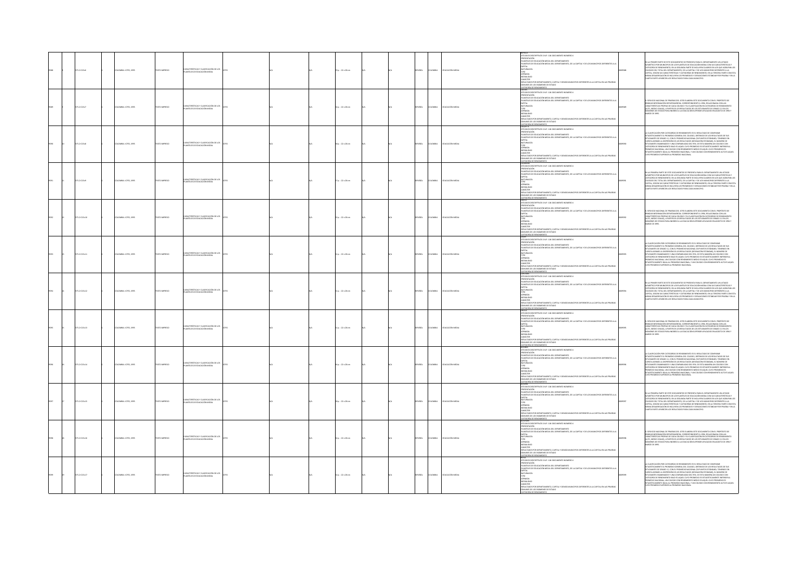|  | $2$ IC15cG     | MEIA: ICFES, 1995   | O22RRM OT         | ARACTERÍSTICAS Y CLASIFICACIÓN DE LOI<br>LANTELES DE EDUCACIÓN MEDIA        |  | 10 p. : 22 x 28 cm        |  | wios           | OMBIA         | <b>CACIÓN MEDI</b>   | MUTHUM<br>-ESTUDIOS DESCRIPTIVOS S.N.P. 104 DOCUMENTO NÚMERO 4<br>-PEASITELES DE EDUCACIÓN MEDIA DEL DEPARTAMENTO<br>PLANTELES DE EDUCACIÓN MEDIA DEL DEPARTAMENTO, DE LA CAPITAL Y DE LOS MUNICIPIOS DIFERENTES A I<br><b>FORMADA</b><br>-MINAURUM<br>- CAMALINA<br>- CAMALINE DI COI DI DIPARTAMENTO, CAMINA I DEMÁS MUNICIPOS DIFERENTES A LA CAMINA EN LAS PRUEBA<br>- CATEGORÍA DE OS ENFANHES DE ESTADO<br>- CATEGORÍA DECERPITADES EN P. 204 DOCUMENTO NÚMERO 4<br>- GETURIOS DO                                                                                                       | LA PRIMER PARTE DE ESTE DOCUMENTOS SE PRESENTA PARA EL DEPARTAMENTO UN LISTADO<br>1 MY-MINIMUS PYPOLAIN MUNICIPADE DE L'ORIGINALISTA EN DISPOSICIONE DE LONGO DE LOS CONSULTANTS POR MUNICIPAD S<br>1 FAMÍLTICO POR MUNICIPADS DE LOS PUNYITUSS DE EDUCACIÓN MEDIA CON SUS CARACTERÍSTICAS Y<br>1 FAGORÍA DEL TOTAL DE<br>ISMA DESAGREGACIÓN SE INCLUYEN LOS PROMEDIOS Y DESVACIONES ESTÁNDAR POR PRUEBA Y EN LA<br>JARTA PARTE APARECEN LOS RESULTADOS PARA CADA MUNICIPIO.                                                                                                                                      |
|--|----------------|---------------------|-------------------|-----------------------------------------------------------------------------|--|---------------------------|--|----------------|---------------|----------------------|-----------------------------------------------------------------------------------------------------------------------------------------------------------------------------------------------------------------------------------------------------------------------------------------------------------------------------------------------------------------------------------------------------------------------------------------------------------------------------------------------------------------------------------------------------------------------------------------------|-------------------------------------------------------------------------------------------------------------------------------------------------------------------------------------------------------------------------------------------------------------------------------------------------------------------------------------------------------------------------------------------------------------------------------------------------------------------------------------------------------------------------------------------------------------------------------------------------------------------|
|  | $272.2$ (C15c7 | LOMBIA: ICFES, 1995 | <b>OZZRRM OTX</b> | TERÍSTICAS Y CLASIFICACIÓN DE LO<br>INTELES DE EDUCACIÓN MEDIA              |  | 64 p. : 22 x 28 cm        |  | <b>DARGE</b>   | OMBIA         | <b>UCACIÓN MEDI</b>  | -istudies descriptives S.N.P. 204 documentiu Numiriu 4<br>-Passentación<br>-Passentación<br>-Panteles de Educación Media del Departamento, de la capital y de los municipios diferentes a la<br><b>JAPITAL</b><br>****HANEZA<br><b>IORNADA</b><br>-CARÁCTER<br>-BERLETADOS POR DEPARTAMENTO, CAPITAL Y DEMÁS MUNICIPIOS DIFERENTES A LA CAPITAL EN LAS PRUEBA<br>COMUNES DE LOS EXÁMENES DE ESTADO                                                                                                                                                                                            | 20 GENERAL DE PRUEBAS DEL ICEES ELABORA ESTE DOCUMENTO CON EL PROPÓSITO DE<br>RRINGAR INFORMACIÓN DEPARTAMON NA CORRESPONDENTE A 1994, RELACIONAR CON LAS<br>CARCIONES INFORMACIÓN DEPARTAMON NA CORRESPONDENTE A 1994, RELACIONAR CON LAS<br>CARCIONESTOS PROPAS DE CARCIOLEO Y SU CLASSIFICACIÓN DE CARCIONES DE                                                                                                                                                                                                                                                                                                |
|  |                | LOMBIA: ICFES, 1995 | <b>OZZRRM OT</b>  | :<br>ARACTERÍSTICAS Y CLASIFICACIÓN DE LO!<br>YLANTELES DE EDUCACIÓN MEDIA  |  | (80.22)                   |  | unikan         |               | <b>CACCO MEDI</b>    | COMUNIS DE NATIONALISTO<br>CATEGORÍA DE RENDIMENTO<br>- GATUDIOS DESCRIPTIVOS S.N.P. 104 DOCUMENTO NÚMERO 4<br>-PRESINTACIÓN<br>-PANTILIS DE EDUCACIÓN MEDIA DEL DEPARTAMENTO<br>-PANTILIS DE EDUCACIÓN MEDIA DEL DEPARTAMENTO, DE LA CAPITAL Y DE LOS MUNICIPIDS DIFERINTES A I<br>-PANTILIS DE EDUCACIÓN MEDIA DEL DEPARTAMENTO, DE LA CAPITAL Y DE<br>NATI<br>11PO<br><b>AGAMROL</b><br>.<br>RESULTADOS POR DEPARTAMENTO, CAPITAL Y DEMÁS MUNICIPIOS DIFERENTES A LA CAPITAL EN LAS PRUEB<br>COMUNES DE LOS EXÁMENES DE ESTADO<br>ATEGORÍA DE RENDIMIENTO                                  | JA A SARTACHO PRO CHUIGHÉAS AR ROBHNAIRD (10, 15 ROSANDA COMPANA)<br>ESTADO PARA EL ER ROBATO GRAFIA DEL COLEGO, CATENDO DE LOS RECURSOS EN ENCESADOS EN ENCESADOS (10, 100 EL COLE<br>ESTADO PARA EL ER EN ENCESADO EN ENCESADO EN                                                                                                                                                                                                                                                                                                                                                                               |
|  | 72.2 IC15c9    | LOMBIA: ICFES, 1995 | O22RRM OT:        | SIFICACIÓN DE LO<br>ANTELES DE EDUCACIÓN MEDIA                              |  | $57 p. : 22 \times 28$ cm |  | ANOL           |               | <b>UCACIÓN MEDIA</b> | STUDIOS DESCRIPTIVOS S.N.P. 104 DOCUMENTO NÚMERO 4<br>- - ----------------<br>- -Planteles de educación media del departamento<br>- -Planteles de educación media del departamento, de la capital y de los municipios diferivees<br>Capital<br>naturaleza<br>190<br><b>JORNADA</b><br>OGATZ2 30 ZEMA MÁXZ 201 30 ZSMUMO<br>CATEGORÍA DE RENDIMENTO                                                                                                                                                                                                                                            | EN A MONDERO PORTE DE SETE DOCUMENTE DE PRESIDE ARMA EL SERVATIVATE DE UN LITERATO DE CARRIERA EN 1999 EN 1999<br>L'ATACIONA EL SERVATOR DE LA LA SERVATOR DE LA CARRIERA DE LA CARRIERA DE LA LA LA LA LA LA LA LA LA LA LA LA<br>C                                                                                                                                                                                                                                                                                                                                                                              |
|  | 373.2 IC15c10  | LOMBIA: ICFES, 1995 | <b>O23RRM OTX</b> | NAACTERÍSTICAS Y CLASIFICACIÓN DE LOS<br>ANTELES DE EDUCACIÓN MEDIA         |  | 62 p. : 22 x 28 cm        |  | <b>JORARDS</b> | <b>AIGMEN</b> | DUCACIÓN MEDIA       | ESTUDIOS DESCRIPTIVOS S.N.P. 104 DOCUMENTO NÚMERO 4<br>t franteles de educación media del departamento<br>- Flanteles de Educación media del departamento,<br>- Flanteles de Educación media del departamento, de la capital y de los municipios diferentes .<br>Capital<br>-NATURALEZA<br>-NATURALEZA<br>-IDRNADA<br>MULINLIUM.<br>CARÁCTER<br>LULTADOS POR DEPARTAMENTO, CAPITAL Y DEMÁS MUNICIPIOS DIFERENTES A LA CAPITAL EN LAS PRUEBA<br>OGATZ3 30 ZIMMANS DE ESTADO<br>CATEGORÍA DE RENDIMIENTO                                                                                        | .<br>RVICIO NACIONAL DE PRUEBAS DEL ICFES ELABORA ESTE DOCUMENTO CON EL PROPÓSITO DE<br>DAR INFORMACIÓN DEPARTAMENTAL CORRESPONDIENTE A 1994, RELACIONADA CON LAS<br>MINITION I MINIMARCANT MUPAN KOMATAN NA LOAMISAÑ DE DER PARA (REALCOUNDAR CON LAS<br>CARACTERÍSTICAS PROPINS DE CARA COLEGIO Y SU CLASIFICACIÓN EN CATEGORÍAS DE RENDIMIENTO<br>JALTO, NATIO O BADOJ, A PARTIR DE LOS RESULTADOS DE                                                                                                                                                                                                          |
|  | 272.2 (C15c11) | LOMBIA: ICFES, 1995 | <b>O22RRM OTX</b> | : ARACTERÍSTICAS Y CLASIFICACIÓN DE LOS<br>YLANTELES DE EDUCACIÓN MEDIA     |  | 61 p. : 22 x 28 cm        |  | <b>JORARDS</b> | <b>AIGMEN</b> | EDUCACIÓN MEDIA      | <b>ESTUDIOS DESCRIPTIVOS S.N.P. 104 DOCUMENTO NÚMERO 4</b><br>-PRESENTACIÓN<br>-PASTELES DE EDUCACIÓN MEDIA DEL DEPARTAMENTO<br>PLANTELES DE EDUCACIÓN MEDIA DEL DEPARTAMENTO, DE LA CAPITAL Y DE LOS MUNICIPIOS DIFERENTES A<br><b>VITAL</b><br><b>NATURALEZA</b><br>CARÁCTER<br>AESULTADOS POR DEPARTAMENTO, CAPITAL Y DEMÁS MUNICIPIOS DIFERENTES A LA CAPITAL EN LAS PRUEBAS<br>COMUNES DE LOS EXÁMENES DE ESTADO                                                                                                                                                                         | ASIFICACIÓN POR CATEGORÍAS DE REF<br>ENTO ES EL BESILTADO DE COMPARAS<br>.<br>KRÍSTICAMENTE EL PROMEENO GENERAL DEL COLEGIO, OBTENIDO DE LOS RESULTADOS DE SUS<br>LIDANTES DE GRADO 11, CON EL PROMEENO NACIONAL (SO PUNTOS ESTÁNDAR): TENENDO EN<br>IENTA ADEMÁS LA DISPERSIÓN DE LOS RESULTADOS IDESVIACIÓN ESTÁNDARI. EL NÚMERO DE<br>MINNANING IN AMERICAN UNIVERSITY OF STATE RESIDENCE IN A CONSUMER THE RESIDENCE IN A CONSUMERCY UNIVERSITY UNIVERSITY OF STATE REPORT OF STATE OF STATE AND CONSUMER THE DESIDENT OF STATE OF STATE OF STATE OF STATE OF STATE<br>PROMEDIO SUPERIOR AL PROMEDIO NACIONAL |
|  | 272.2 IC15c12  | LOMBIA: ICFES, 1995 | O22RRM OTX        | ACTERÍSTICAS Y CLASIFICACIÓN DE LOS<br>NTELES DE EDUCACIÓN MEDIA            |  | 61 p. : 22 x 28 cm        |  | SPAÑOL         |               | DUCACIÓN MEDIA       | ESTUDIOS DESCRIPTIVOS S.N.P. 104 DOCUMENTO NÚMERO 4<br>-PRESINTACIÓN<br>-PLANTELS DE EDUCACIÓN MEDIA DEL DEPARTAMENTO<br>-PLANTELES DE EDUCACIÓN MEDIA DEL DEPARTAMENTO, DE LA CAPITAL Y DE LOS MUNICIPIOS DIFERENTES A LA<br>SAPITAL<br>NATURALEZA<br>CARÁCTER<br>ULTADOS POR DEPARTAMENTO, CAPITAL Y DEMÁS MUNICIPIOS DIFERENTES A LA CAPITAL EN LAS PRUEBA<br>IUNES DE LOS EXÁMENES DE ESTADO<br>CATEGORÍA DE RENDIMIENTO                                                                                                                                                                  | DOMED DARTE DE ESTE DOCUMENTOS SE DRESENTA DADA EL DEDARTAMENTO UN LISTAD<br>LA MORRIA PARI LA ULA LA LOCA UNA RIVA DE SEGUNDA PARA LA GUAPACANDA RI LON CADADO<br>FIGGIRIA DE REMONDERO DE LOS FUANTILES DE EDICICADA MEDIA CON USO CADACTERÍSTICAS Y<br>FIGGIRIA DE REMONDEROS EN LOS FUANTILES DE LA CAPITAL Y<br>HATA PARTE APARECEN LOS RESULTADOS PARA CADA MUNICIPIO.                                                                                                                                                                                                                                      |
|  | 12 IC15c13     | LOMBIA: ICFES, 1995 | O22RRM OT         | .<br>NETERÍSTICAS Y CLASIFICACIÓN DE LOS<br>NTELES DE EDUCACIÓN MEDIA       |  | 61 p. : 22 x 28 cm        |  | <b>UAROL</b>   |               | UCACIÓN MEDIA        | chocó<br>-estudide descriptivos e.n.p. 194 documento número 4<br>-presentación: ducación media del departamento<br>-pantelles de Educación media del departamento, de la capital y de los municipios diferentes a la.<br>-pantelles de Edu<br>CAPITAL<br>-NATURALEZA<br>-TIPO<br>RESULTADOS POR DEPARTAMENTO, CAPITAL Y DEMÁS MUNICIPIOS DIFERENTES A LA CAPITAL EN LAS PRUEBA<br>COMUNES DE LOS EXÁMENES DE ESTADO                                                                                                                                                                           | RVICIO NACIONAL DE PRUEBAS DEL ICFES ELABORA ESTE DOCUMENTO CON EL PROPÓSITO DE<br>INDAR INFORMACIÓN DEPARTAMINTAL CORRESPONDIBNITA 1994, RELACIONADA CON LAS<br>RACTRESTICAS PROPAS DE CADA COLEGIO Y SU CLASIFICACIÓN DY CATECIDANS DE RENDIMIENTO<br>J.TO, MEDIO D'ANDI, A PARTIR DE LOS RESULTADOS DE LOS ESTUDIANT<br>4820 DE 1995.                                                                                                                                                                                                                                                                          |
|  | 122 ICIScH     | COMBIA: ICFES, 1995 | <b>OZZRRM OTX</b> | MACTERÍSTICAS Y CLASIFICACIÓN DE LOS<br>ATELES DE EDUCACIÓN MEDIA           |  | 14 p. : 22 x 28 cm        |  | <b>AÑOL</b>    | <b>HARM</b>   | Internation Avenue   | AUXINOS DESCRIPTIVOS S.N.P. 104 DOCUMENTO NÚMERO 4<br>ESSENTACIÓN<br>"PHAINMANIA"<br>"FLANTILES DE EDUCACIÓN MEDIA DEL DEPARTAMENTO,<br>"FLANTILES DE EDUCACIÓN MEDIA DEL DEPARTAMENTO, DE LA CAPITAL Y DE LOS MUNICIPIOS DIFERENTES A LA<br>"APOTIAL"<br>"IPO<br>"IPO<br><b>JORNADA</b><br>MODALIDAD<br>CARÁCTER<br>.<br>LTADOS POR DEPARTAMENTO, CAPITAL Y DEMÁS MUNICIPIOS DIFERENTES A LA CAPITAL EN LAS PRUEDA<br>JNES DE LOS EXÁMENES DE ESTADO<br>LATEGORÍA DE RENDIMENTO<br>CATEGORÍA DE RENDIMENTO                                                                                   | LASEICACIÓN POR CATEGORÍAS DE RENDIMIENTO ES EL RESULTADO DE COMPARAR<br>ISTICAMENTE EL PROMEDIO GENERAL DEL COLEGIO, OBTENIDO DE LOS RESULTADOS DE SUS<br>ANNUAL MORE CONSUMER CONSUMER A REPORT OF A REPORT OF A REPORT OF A REPORT OF A REPORT OF A REPORT OF A REPORT OF A REPORT OF A REPORT OF A REPORT OF A REPORT OF A REPORT OF A REPORT OF A REPORT OF A REPORT OF A REPORT OF                                                                                                                                                                                                                          |
|  | $73.2$ iC15c15 | LOMBIA: ICFES, 1995 | O22RRM OT         | .<br>CARACTERÍSTICAS Y CLASIFICACIÓN DE LOS<br>PLANTELES DE EDUCACIÓN MEDIA |  | SR p. : 22 x 28 cm        |  | JORASZ         | LOMBIA        | DUCACIÓN MEDIA       | .<br>ESTUDIOS DESCRIPTIVOS S.N.P. 104 DOCUMENTO NÚMERO 4<br>PRESENTACIÓN<br>"PRAININGAININ<br>-FLANTILISS DE EDUCACIÓN MEDIA DEL DEPARTAMENTO, DE LA CAPITAL Y DE LOS MUNICIPIOS ENFERENTES A LA<br>-FLANTILIS DE EDUCACIÓN MEDIA DEL DEPARTAMENTO, DE LA CAPITAL Y DE LOS MUNICIPIOS ENFERENTES A LA<br>-HATURALEZ<br><b>FORMADA</b><br>-VOLUMEN<br>- AMONALISMO<br>- GABÁCTER<br>- AESULTADOS POR DEPARTAMENTO, CAPITAL Y DENÁS MUNICIPIOS DIFERENTES A LA CAPITAL EN LAS PRUEBAS<br>-RESULTABLIS PUR DEPARTAMENTO, CAPIT.<br>COMENCS DE LOS EXÁMENES DE ESTADO<br>-CATEGORÍA DE RENDIMENTO | LA PRIMERA PARTE DE ESTE DOCUMENTOS SE PRESENTA PARA EL DEPARTAMENTO UN LISTADO<br>FARÉTICO POR MUNICIPISOS DE LOS PARATELES DE ERUCICIÓN MEDIA CON SUS CARACTERÍSTICAS Y<br>TEGORÍA DE REMONMENTO; EN LA SEGUNDA PARTE SE INCLUYEN<br>APITAL, SEGÚN SUS CARACTERÍSTICAS Y CATEGORÍAS DE RENDIMENTO; EN LA TERCERA PARTE CON ESTA<br>HEMA DESAGREGACIÓN SE INCLUYEN LOS PROMEDIOS Y DESVIACIONES ESTÁNDAR POR PRUEBA Y EN LA<br>LIARTA PARTE APARECEN LOS RESULTADOS PARA CADA MUNICIPIO.                                                                                                                         |
|  | 373.2 (C15c16) | 2001 2333 MARINEZ   | OZZRRA OTK        | ACTERÍSTICAS Y CLASIFICACIÓN DE LOS<br>ANTELES DE EDUCACIÓN MEDIA           |  | 34 p. : 22 x 28 cm        |  | JORARDS        | <b>AIGMEN</b> | EDUCACIÓN MEDIA      | -<br>ESTUDIOS DESCRIPTIVOS S.N.P. 104 DOCUMENTO NÚMERO 4<br>-PRESENTACIÓN<br>-PRESIDITACIÓN<br>FRANTISE DE EDICICIÓN MEDIA DEL DEPARTAMENTO<br>CAPRITELES DE EDICICIÓN MEDIA DEL DEPARTAMENTO, DE LA CAPITAL Y DE LOS MUNICIPIOS DIFIERNITES A LA<br>FRANTISE DE EDICICIÓN MEDIA DEL DEPARTAMENTO, DE LA CAPITAL Y D<br>190<br>Iornada<br>-MODALIDAD<br>-CABÁCTER<br>-RESULTADOS POR DEPARTAMENTO, CAPITAL Y DEMÁS MUNICIPIOS DIFERENTES A LA CAPITAL EN LAS PRUEBAS<br>OGATZ1 30 ZIMBAAR 201 30 ZIMUN<br>ATEGORÍA DE RENDIMIENTO                                                             | II, SERVICO (MACORMA), ED PRILISAS OS LICERS EJARDORA ESTE DOCUMISMOR COM EL PRODÓDENO DE<br>RRINDAR IMPORMACIÓN DEPARTAMENTAL CORRESPONDENTE A 1994, BELACIONADA CON LAS<br>RRINDAR IMPORMACIÓN DER ARAN COLEGIO Y SU CLASIFICACÓN<br>420 DE 1995.                                                                                                                                                                                                                                                                                                                                                               |
|  | 222 (C15c17)   | LOMBIA: ICFES, 1995 | OZZRRA OTX        | ARACTERÍSTICAS Y CLASIFICACIÓN DE LOS<br>ANTELES DE EDUCACIÓN MEDIA         |  | 62 p. : 22 x 28 cm        |  | unikan         | 144014        | UCACIÓN MEDI         | UDIOS DESCRIPTIVOS S.N.P. 104 DOCUMENTO NÚMERO 4<br>"historicalism" (ITV) and ". We book with the finances"<br>"Presentación"<br>"Presentación" (ITV) consultantes del departamento<br>Capital de Educación Media del Departamento, de la Capital y de los Municipios diferentes a l<br>"Antur<br>neo<br>MODANINAO<br>-CARÁCTER<br>-RESULTADOS POR DEPARTAMENTO, CAPITAL Y DENÁS MUNICIPIOS DIFERENTES A LA CAPITAL EN LAS PRUEBAS<br>COMUNIS DE LOS EXÁMUNIS DE ESTADO<br>-COMUNIS DE LOS EXÁMUNIS PO.<br>-                                                                                  | ASPICACIÓN POR CATEGORÍAS DE RENDIMIENTO ES EL RESULTADO DE COMPARAR<br>n lingumentade de Regional de Constantino estas menoriales de Confortas.<br>Stadiantes de Gando II, com el promeno de Colegia, de Penitos de Los Regiutados de Sus<br>Stadiantes de Gando II, com el promeno nacional (so puntos est<br>NYIN MANINDA UNAJIPANDANA WA NAZIPANJI MAJI MAZIPANO MAJI MAJI MAJI MANINDA NA KOLEGID CON<br>TEGOMILIS DAMANAROS Y UNA CONFINILIDAD DEL 959. DI ESTA MANERA UN COLEGID CON<br>TEGORILI DI KATADINALI UN COLEGIO CON RENDONENTO MEDI                                                              |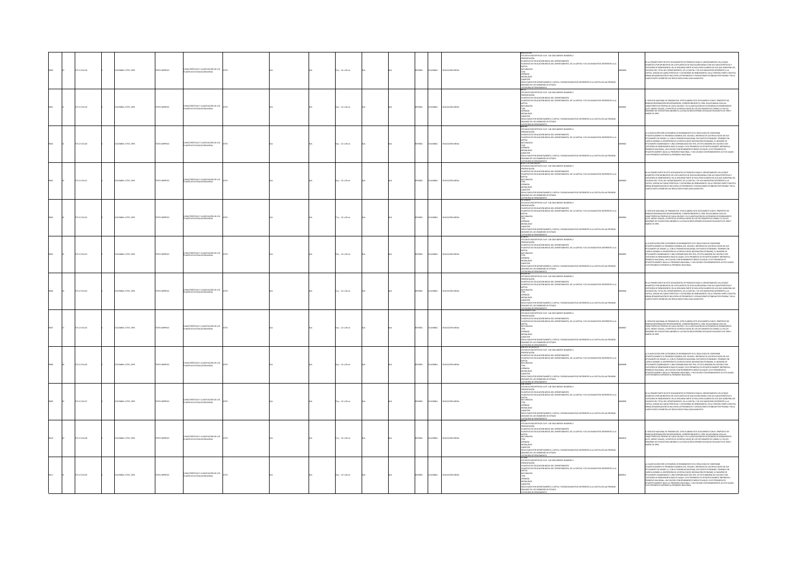|  | 12 IC15c18     | MEIA: ICFES, 1995   | O22RRM OT         | NANCTERÍSTICAS Y CLASIFICACIÓN DE LOS<br>ANTELES DE EDUCACIÓN MEDIA         |  | 62 p. : 22 x 28 cm       |  | wios           | OMBIA         | <b>CACIÓN MEDI</b>   | MAGAHAIN<br>-ESTUDIOS OESCRIPTIVOS S.N.P. 104 DOCUMENTO NÚMERO 4<br>-PEANTELES DE EDUCACIÓN MEDIA DEL DEPARTAMENTO<br>PLANTELES DE EDUCACIÓN MEDIA DEL DEPARTAMENTO, DE LA CAPITAL Y DE LOS MUNICIPIOS DIFERENTES A I<br><b>FORMADA</b><br>-resultados por departamento, cardal y demás municipas diferentes a la cartal en las pruer<br>comunistas los exámenses de estado<br>ATIA<br>ATIA                                                                                                                                                                                                   | LA PRIMER PARTE DE ESTE DOCUMENTOS SE PRESENTA PARA EL DEPARTAMENTO UN LISTADO<br>1 MY FIRMING PORT MAIN MARK MARK ON THE PRIME IN PRICE AL DUPARTAMENT ID UNLOCANDED AT A MAIN CHARGE OF THE ST<br>THREETING POR MUNICIPIDES OF LOS FUNNITILIS DE EDUCATION MEDIA CON SUS CARACTERÍSTICAS Y<br>KREGISE DEL TOTAL DEL<br>ISMA DESAGREGACIÓN SE INCLUYEN LOS PROMEDIOS Y DESVACIONES ESTÁNDAR POR PRUEBA Y EN LA<br>JARTA PARTE APARECEN LOS RESULTADOS PARA CADA MUNICIPIO.                                                                                                                                       |
|--|----------------|---------------------|-------------------|-----------------------------------------------------------------------------|--|--------------------------|--|----------------|---------------|----------------------|-----------------------------------------------------------------------------------------------------------------------------------------------------------------------------------------------------------------------------------------------------------------------------------------------------------------------------------------------------------------------------------------------------------------------------------------------------------------------------------------------------------------------------------------------------------------------------------------------|-------------------------------------------------------------------------------------------------------------------------------------------------------------------------------------------------------------------------------------------------------------------------------------------------------------------------------------------------------------------------------------------------------------------------------------------------------------------------------------------------------------------------------------------------------------------------------------------------------------------|
|  | 272.2 IC15c19  | LOMBIA: ICFES, 1995 | <b>OZZRRM OTX</b> | TERÍSTICAS Y CLASIFICACIÓN DE LO<br>ANTELES DE EDUCACIÓN MEDIA              |  | $60a: 22x28$ cm          |  | <b>DARGE</b>   | OMBIA         | <b>UCACIÓN MEDI</b>  | ENN.<br>STUDIOS DESCRIPTIVOS S.N.P. 104 DOCUMENTO NÚMERO 4<br>-istudies descriptives S.N.P. 204 documentiu Numiriu 4<br>-Passentación<br>-Passentación<br>-Panteles de Educación Media del Departamento, de la capital y de los municipios diferentes a la<br><b>JAPITAL</b><br>****HANEZA<br>TIPO<br>IORNADA<br>-MODANIDAD<br>-CARÁCTER<br>4ESULTADOS POR DEPARTAMENTO, CAPITAL Y DENÁS MUNICIPIOS DIFERENTES A LA CARTAL EN LAS PRUEBA<br>COMUNES DE LOS EXÁMENES DE ESTADO                                                                                                                 | VICIO NACIONAL DE PRUEBAS DEL ICFES ELABORA ESTE DOCUMENTO CON EL PROPÓSITO DE<br>RRINGAR INFORMACIÓN DEPARTAMON NA CORRESPONDENTE A 1994, RELACIONAR CON LAS<br>CARCIONES INFORMACIÓN DEPARTAMON NA CORRESPONDENTE A 1994, RELACIONAR CON LAS<br>CARCIONESTOS PROPAS DE CARCIOLEO Y SU CLASSIFICACIÓN DE CARCIONES DE                                                                                                                                                                                                                                                                                            |
|  | <b>DERECK</b>  | LOMBIA: ICFES, 1995 | <b>OZZRRM OT</b>  | :<br>ARACTERÍSTICAS Y CLASIFICACIÓN DE LO!<br>YLANTELES DE EDUCACIÓN MEDIA  |  | $(6.6 \cdot 32 + 28.09)$ |  | unikan         |               | KADDA MEDI           | COMUNIS UN LUX RAPPARTATO<br>CATEGORÍA DE RENOMIENTO<br>NARINO<br>ESTUDIOS DESCRIPTIVOS S.N.P. 104 DOCUMENTO NÚMERO 4<br>-PRESINTACIÓN<br>-PANTILIS DE EDUCACIÓN MEDIA DEL DEPARTAMENTO<br>-PANTILIS DE EDUCACIÓN MEDIA DEL DEPARTAMENTO, DE LA CAPITAL Y DE LOS MUNICIPIDS DIFERINTES A I<br>-PANTILIS DE EDUCACIÓN MEDIA DEL DEPARTAMENTO, DE LA CAPITAL Y DE<br>NATI<br>11PO<br><b>AGAMROL</b><br>ESULTADOS POR DEPARTAMENTO, CAPITAL Y DEMÁS MUNICIPIOS DIFERENTES A LA CAPITAL EN LAS PRUE<br>DMUNES DE LOS EXÁMENES DE ESTADO                                                           | A A AGREPACHING CONTENTAL SUBSIDIARY AND THE RESULTING COMPANY OF THE STATE CONTENT CONTENT IS INSTANTANT CONTENT<br>STANDARD MANY IS a realistic content in the subsidiary and contents, on the space of the state content<br>Acti                                                                                                                                                                                                                                                                                                                                                                               |
|  | 73.2 (C15c21   | LOMBIA: ICFES, 1995 | O22RRM OT:        | SIFICACIÓN DE LO<br>ANTELES DE EDUCACIÓN MEDIA                              |  | 66 p. : 22 x 28 cm       |  | ANOL           |               | <b>UCACIÓN MEDIA</b> | "" MANTALADIN<br>- PLANTELES DE EDUCACIÓN MEDIA DEL DEPARTAMENTO<br>- PLANTELES DE EDUCACIÓN MEDIA DEL DEPARTAMENTO, DE LA CAPITAL Y DE LOS MUNICIPIOS DIFERENTES<br>CAPITAL<br><b>NATURALEZA</b><br>TIPO<br><b>JORNADA</b><br>OGATZ2 30 ZEMA MÁXZ 201 30 ZSMUMO<br>CATEGORÍA DE RENDIMENTO                                                                                                                                                                                                                                                                                                   | N LA PRIMER PARTE DE ESTE DOCUMENTOS SE PRESENTA PARA EL DEPARTAMENTO UN LISTADO<br>LEVAÉTICO POR MUNICIPISO EN LOS FLANTELES DE EXIGICACIÓN MECIA CON SUS CARACTENÍSTICAS<br>ATECORÍA DE REMIDIMENTO: EN LA SEGUNDA PARTE SE INCLUY<br>JONNING VIRT (MOND AND LAUFORDSING) NO DE DES DE LA DE LOS MIGRICIPICAS DE TENERAL SEGUEIRO DE LA ESTA<br>MENTAL, SEGUEIR SUS CARACTERÍSTICAS Y CATEGORÍAS DE RENDOMENTO; EN LA TERCERA PARTE CON ESTA<br>DIARA DESAGRE APARECEN LOS                                                                                                                                      |
|  | 373.2 IC15c22  | LOMBIA: ICFES, 1995 | <b>O23RRM OTX</b> | NAACTERÍSTICAS Y CLASIFICACIÓN DE LOS<br>ANTELES DE EDUCACIÓN MEDIA         |  | 57 p. : 22 x 28 cm       |  | <b>JORARDS</b> | <b>AIGMEN</b> | DUCACIÓN MEDIA       | ESTUDIOS DESCRIPTIVOS S.N.P. 104 DOCUMENTO NÚMERO 4<br>t franteles de educación media del departamento<br>- Flanteles de Educación media del departamento,<br>- Flanteles de Educación media del departamento, de la capital y de los municipios diferentes .<br>Capital<br>-NATURALEZA<br>-NATURALEZA<br>-IDRNADA<br>MULINLIUM.<br>CARÁCTER<br>LULTADOS POR DEPARTAMENTO, CAPITAL Y DEMÁS MUNICIPIOS DIFERENTES A LA CAPITAL EN LAS PRUEBA<br>OGATZ3 30 ZIMMANS DE ESTADO<br>ATEGORÍA DE RENDIMIENTO                                                                                         | .<br>RVICIO NACIONAL DE PRUEBAS DEL ICFES ELABORA ESTE DOCUMENTO CON EL PROPÓSITO DE<br>DAR INFORMACIÓN DEPARTAMENTAL CORRESPONDIENTE A 1994, RELACIONADA CON LAS<br>MINITION I MINIMARCANT MUPAN KOMATAN NA LOAMISAÑ DE DER PARA (REALCOUNDAR CON LAS<br>CARACTERÍSTICAS PROPINS DE CARA COLEGIO Y SU CLASIFICACIÓN EN CATEGORÍAS DE RENDIMIENTO<br>JALTO, NATIO O BADOJ, A PARTIR DE LOS RESULTADOS DE                                                                                                                                                                                                          |
|  | 272.2 (C15c23) | LOMBIA: ICFES, 1995 | <b>O22RRM OTX</b> | : ARACTERÍSTICAS Y CLASIFICACIÓN DE LOS<br>YLANTELES DE EDUCACIÓN MEDIA     |  | 59 p. : 22 x 28 cm       |  | <b>JORARDS</b> | <b>AIGMEN</b> | EDUCACIÓN MEDIA      | ESTUDIOS DESCRIPTIVOS S.N.P. 104 DOCUMENTO NÚMERO 4<br>PRESENTACIÓN<br>PI ANTELES DE EDUCACIÓN MEDIA DEL DEPARTAMENTO<br>PLANTELES DE EDUCACIÓN MEDIA DEL DEPARTAMENTO, DE LA CAPITAL Y DE LOS MUNICIPIOS DIFERENTES A<br><b>APITAL</b><br><b>NATURALEZA</b><br>CARÁCTER<br>AESULTADOS POR DEPARTAMENTO, CAPITAL Y DEMÁS MUNICIPIOS DIFERENTES A LA CAPITAL EN LAS PRUEBAS<br>COMUNES DE LOS EXÁMENES DE ESTADO<br>CATEGORÍA DE RENDIMIENTO                                                                                                                                                   | ASIFICACIÓN POR CATEGORÍAS DE REN<br>ENTO ES EL BESILTADO DE COMPARAS<br>.<br>KRÍSTICAMENTE EL PROMEENO GENERAL DEL COLEGIO, OBTENIDO DE LOS RESULTADOS DE SUS<br>LIDANTES DE GRADO 11, CON EL PROMEENO NACIONAL (SO PUNTOS ESTÁNDAR): TENENDO EN<br>IENTA ADEMÁS LA DISPERSIÓN DE LOS RESULTADOS IDESVIACIÓN ESTÁNDARI. EL NÚMERO DE<br>MINNANING IN AMERICAN UNIVERSITY OF STATE RESIDENCE IN A CONSUMER THE RESIDENCE IN A CONSUMERCY UNIVERSITY UNIVERSITY OF STATE REPORT OF STATE OF STATE AND CONSUMER THE DESIDENT OF STATE OF STATE OF STATE OF STATE OF STATE<br>PROMEDIO SUPERIOR AL PROMEDIO NACIONAL |
|  | 272.2 IC15c24  | LOMBIA: ICFES, 1995 | O22RRM OTX        | ACTERÍSTICAS Y CLASIFICACIÓN DE LOS<br>NTELES DE EDUCACIÓN MEDIA            |  | 61 p. : 22 x 28 cm       |  | SPAÑOL         |               | DUCACIÓN MEDIA       | ESTUDIOS DESCRIPTIVOS S.N.P. 104 DOCUMENTO NÚMERO 4<br>-PRESINTACIÓN<br>-PLANTELS DE EDUCACIÓN MEDIA DEL DEPARTAMENTO<br>-PLANTELES DE EDUCACIÓN MEDIA DEL DEPARTAMENTO, DE LA CAPITAL Y DE LOS MUNICIPIOS DIFERENTES A LA<br>SAPITAL<br>NATURALEZA<br>CARÁCTER<br>ultados por departamento, capital y demás municipios diferentes a la capital en las prueba<br>Iunes de los exámenes de estado                                                                                                                                                                                              | DOMED DARTE DE ESTE DOCUMENTOS SE DRESENTA DADA EL DEDARTAMENTO UN LISTAD<br>LA MORRIA PARI LA ULA LA LOCA UNA RICA DE SEGUNA A PARA LA GUAPACANDA NO LON GALISTICA Y<br>L'AGRITICO POR MUNICIPIS EN LOS FUANTILES DE EDICINCIÓN MEDIA CON USI CARACTERÍSTICAS Y<br>FIGGIOS DE TOTAL DEL DEPARTAMENTO, DE LA CAPI<br>HATA PARTE APARECEN LOS RESULTADOS PARA CADA MUNICIPIO.                                                                                                                                                                                                                                      |
|  | 12 01505       | LOMBIA: ICFES, 1995 | O22RRM OT         | .<br>NETERÍSTICAS Y CLASIFICACIÓN DE LOS<br>NTELES DE EDUCACIÓN MEDIA       |  | $66 p : 22 \times 28$ cm |  | <b>UAROL</b>   |               | UCACIÓN MEDIA        | -attechnic de servamento<br>45to/martes descriptivos saus: XIII documento Número 4<br>-attachnic de Educación<br>-pareteus de Educación Media del Departamento, de la capital y de los municipios deferivees a la<br>-pareteus de Educació<br>CAPITAL<br>-NATURALEZA<br>-TIPO<br>-IORNADA<br>-MODALIDAD<br>-CIDÁCTER<br>rácter<br>ASSULTADOS POR DEPARTAMENTO, CAPITAL Y DEMÁS MUNICIPIOS DIFERENTES A LA CAPITAL EN LAS PRUEBA<br>COMUNES DE LOS EXÁMENES DE ESTADO<br>CATEGORÍA DE RENDIMIEI<br>LANTAFE DE BOGOTÁ                                                                           | RVICIO NACIONAL DE PRUEBAS DEL ICFES ELABORA ESTE DOCUMENTO CON EL PROPÓSITO DE<br>INDAR INFORMACIÓN DEPARTAMINTAL CORRESPONDIBNITA 1994, RELACIONADA CON LAS<br>RACTRESTICAS PROPAS DE CADA COLEGIO Y SU CLASIFICACIÓN DY CATECIDANS DE RENDIMIENTO<br>J.TO, MEDIO D'ANDI, A PARTIR DE LOS RESULTADOS DE LOS ESTUDIANT<br>4820 DE 1995.                                                                                                                                                                                                                                                                          |
|  | 222 (CLSCR)    | COMBIA: ICFES, 1995 | <b>OZZRRM OTX</b> | MACTERÍSTICAS Y CLASIFICACIÓN DE LOS<br>ATELES DE EDUCACIÓN MEDIA           |  | $66a: 22x28$ cm          |  | <b>AÑOL</b>    | <b>HARM</b>   | <b>CACCO MEDI</b>    | 45TUDIOS DESCRIPTIVOS S.N.P. 104 DOCUMENTO NÚMERO 4<br>PRESENTACIÓN<br>PLANTELES DE EDUCACIÓN MEDIA DEL DEPARTAMENTO<br>"THOM WAS AN ALLOWING MILDIA DIL DIFAREMANTATO, DE LA CARITAL Y DE LOS MUNICIPIOS EXERENTES A LA<br>"FLANTELES DE EDUCACIÓN MIEDIA DEL DEPAREMANTATO, DE LA CARITAL Y DE LOS MUNICIPIOS EXERENTES A LA<br>"LIPO"<br>"IPO"<br><b>JORNADA</b><br>MODALIDAD<br>CARÁCTER<br>.<br>LULTADOS POR DEPARTAMENTO, CAPITAL Y DEMÁS MUNICIPIOS DIFERENTES A LA CAPITAL EN LAS PRUEDA<br>AUMES DE LOS EXÁMENES DE ESTADO<br>CATEGORÍA DE RENDIMIENTO<br>VATEGORÍA DE RENDIMIENTO   | LASEICACIÓN POR CATEGORÍAS DE RENDIMIENTO ES EL RESULTADO DE COMPARAR<br>ISTICAMENTE EL PROMEDIO GENERAL DEL COLEGIO, OBTENIDO DE LOS RESULTADOS DE SUS<br>ANNUAL MORE CONSUMER CONSUMER A REPORT OF A REPORT OF A REPORT OF A REPORT OF A REPORT OF A REPORT OF A REPORT OF A REPORT OF A REPORT OF A REPORT OF A REPORT OF A REPORT OF A REPORT OF A REPORT OF A REPORT OF A REPORT OF                                                                                                                                                                                                                          |
|  | 0321015027     | LOMBIA: ICFES, 1995 | O22RRM OT         | .<br>CARACTERÍSTICAS Y CLASIFICACIÓN DE LOS<br>PLANTELES DE EDUCACIÓN MEDIA |  | 30 p. : 22 x 28 cm       |  | JORASZ         | LOMBIA        | DUCACIÓN MEDIA       | .<br>ESTUDIOS DESCRIPTIVOS S.N.P. 104 DOCUMENTO NÚMERO 4<br>PRESENTACIÓN<br>"YAHAHINANIN<br>- PLANTILIS DE EDUCACIÓN MEDIA DEL DEPARTAMENTO, DE LA CAPITAL Y DE LOS MUNICIPIOS ENFRENTES A LA<br>- PLANTILIS DE EDUCACIÓN MEDIA DEL DEPARTAMENTO, DE LA CAPITAL Y DE LOS MUNICIPIOS ENFRENTES A LA<br>- NATURALEZA<br><br><b>FORMADA</b><br>-VOLUME)<br>- AMONALISMO<br>- GABÁCTER<br>- AESULTADOS POR DEPARTAMENTO, CAPITAL Y DENÁS MUNICIPIOS DIFERENTES A LA CAPITAL EN LAS PRUEBAS<br>PRSULTAINS PUR DEPARTAMENTO, CAPIL<br>COMUNES DE LOS EXÁMENES DE ESTADO<br>CATEGORÍA DE RENDIMIENTO | LA PRIMER PARTE DE ESTE DOCUMENTOS SE PRESENTA PARA EL DEPARTAMENTO UN LISTADO<br>FAMÉTICO POR MUNICIPISOS DE LOS PAMITELES DE ERUCICIÓN MEDIA CON SUS CARACTERÍSTICAS Y<br>TEGORÍA DE REMDAMENTO; EN LA SEGUNDA PARTE SE INCLUYEN C<br>APITAL, SEGÚN SUS CARACTERÍSTICAS Y CATEGORÍAS DE RENDIMIENTO; EN LA TERCERA PARTE CON EST<br>HEMA DESAGREGACIÓN SE INCLUYEN LOS PROMEDIOS Y DESVIACIONES ESTÁNDAR POR PRUEBA Y EN LA<br>LIARTA PARTE APARECEN LOS RESULTADOS PARA CADA MUNICIPIO.                                                                                                                        |
|  | 373.2 (C15c28) | 2001 2333 MARINEZ   | OZZRRA OTK        | ACTERÍSTICAS Y CLASIFICACIÓN DE LOS<br>ANTELES DE EDUCACIÓN MEDIA           |  | 61 n : 22 x 28 cm        |  | JORARDS        | <b>AIGMEN</b> | EDUCACIÓN MEDIA      | -<br>ESTUDIOS DESCRIPTIVOS S.N.P. 104 DOCUMENTO NÚMERO 4<br>- PRESENTACIÓN<br>-PRESIDITACIÓN<br>FRANTISE DE EDICICIÓN MEDIA DEL DEPARTAMENTO<br>CAPRITELES DE EDICICIÓN MEDIA DEL DEPARTAMENTO, DE LA CAPITAL Y DE LOS MUNICIPIOS DIFIERNITES A LA<br>FRANTISE DE EDICICIÓN MEDIA DEL DEPARTAMENTO, DE LA CAPITAL Y D<br>190<br>Iornada<br>-MODALIDAD<br>-CABÁCTER<br>-RESULTADOS POR DEPARTAMENTO, CAPITAL Y DEMÁS MUNICIPIOS DIFERENTES A LA CAPITAL EN LAS PRUEBAS<br>OGATZ3 30 ZIMBAAR 20130 SIMUN                                                                                        | II, SERVICO (MACORAN, ED PRILISAS OS LICERS EJARGON, ESTE DOCUMENTO CON EL PRODÓSTIO DE<br>RRINGNE IMPOBANCIÓN DEPARTAMENTAL CORRESPONDENTE A 1994, BELACIONADA CON LAS<br>RRINGETRÉSTICAS PROPAS DE CADA COLEGIO Y SI CLASIFICACÓN<br>420 DE 1995.                                                                                                                                                                                                                                                                                                                                                               |
|  | 23.2 (C15c29)  | LOMBIA: ICFES, 1995 | OZZRRA OTX        | ARACTERÍSTICAS Y CLASIFICACIÓN DE LOS<br>ANTELES DE EDUCACIÓN MEDIA         |  | 66 p. : 22 x 28 cm       |  | unikan         | 144014        | DUCACIÓN MEDIA       | ATEGORÍA DE RENDIMENTO<br>ESTUDIOS DESCRIPTIVOS S.N.P. 104 DOCUMENTO NÚMERO 4<br>"historicalism" (ITV) and ". We book with the finances"<br>"Presentación"<br>"Presentación" (ITV) consultantes del departamento<br>Capital de Educación Media del Departamento, de la Capital y de los Municipios diferentes a l<br>"Antur<br>-WILLIAMS<br>MODANINAO<br>-CARÁCTER<br>-RESULTADOS POR DEPARTAMENTO, CAPITAL Y DENÁS MUNICIPIOS DIFERENTES A LA CAPITAL EN LAS PRUEBAS<br>-COMUNIS DE LOS EXÁMUNIS DE ESTADO<br>-COMUNIS DE LOS EXÁMUNIS PAS.<br>-                                             | ASPICACIÓN POR CATEGORÍAS DE RENDIMIENTO ES EL RESULTADO DE COMPARAR<br>n lingumentade de promotive de promotive de la presidence de confidence.<br>Stadisficaments de promotive genominal de colegia, de filmitado de los regultados de sus<br>Stadisficaments de promotive genomina de la promotive estánd<br>NYIN MANINONI MANINYANANYA NA NAMENINA MAZI POSTAVANI NA KIMINA MAZI MANINA MAZI MAZI MAZI CHARA MAZI MAZI MAZ<br>TECHNICH DI MAZI MAZI MAZI MAZI CHARA MAZI CHARA MAZI MAZI MAZI MAZI MAZI MAZI MAZI CHARA DI MAZI MAZI MAZI MA<br>                                                              |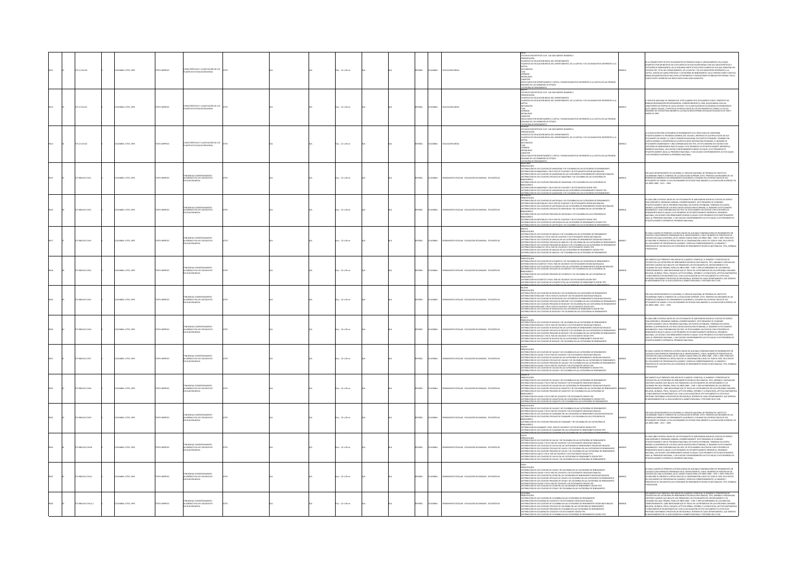|  | 0321015030        | LOMBIA: ICFES, 1995 | O23RRM OTX        | IACTERÍSTICAS Y CLASIFICACIÓN DE L<br>NTELES DE EDUCACIÓN MEDIA          |  | 8 p.: 22 x 28 cm     |  |              |            |                                                                | OS DESCRIPTIVOS S.N.P. 104 DOCUMENTO NÚMERO 4<br>i vanar vaškirini inda salin. 1844 documento numero 4<br>Estrukačni<br>Mittles de Educación media del Departamento<br>Mital:<br>Mital<br>Mital<br><b>ASSIMI</b><br>.<br>anada<br>-<br>HACTER<br>---- TANSS POR DE<br>UNES DE LOS EXÁMENES DE ESTADO<br>ATEGORÍA DE RENDIMENTO                                                                                                                                                                                                                                                                                                                                                                                                                                            |            | AUMERICAL) FOR WINNING ROS IN AN FARRITHAR DIE TAS INCLUSION WARD CANDING AN ARMINIAL MARINE AND LOS<br>CONTIGORÍA DE REMONVIENTO; EN LA SEGUNDA PARTE SE INCLUSIO CUADROS EN LOS QUE AGRUPAN LOS<br>CONTIAL, SEGÚN SUS CARACTERÍSTI<br>.<br>AN DESAGREGACIÓN SE INCLUYEN LOS PROMEDIOS Y DESVINCION<br>TTA PARTE APARECEN LOS RESULTADOS PARA CADA MUNICIPIO.<br>NDAR POR PRUGBA Y EN LA                                                                                                                                                                                                                                                                                                                                  |
|--|-------------------|---------------------|-------------------|--------------------------------------------------------------------------|--|----------------------|--|--------------|------------|----------------------------------------------------------------|---------------------------------------------------------------------------------------------------------------------------------------------------------------------------------------------------------------------------------------------------------------------------------------------------------------------------------------------------------------------------------------------------------------------------------------------------------------------------------------------------------------------------------------------------------------------------------------------------------------------------------------------------------------------------------------------------------------------------------------------------------------------------|------------|----------------------------------------------------------------------------------------------------------------------------------------------------------------------------------------------------------------------------------------------------------------------------------------------------------------------------------------------------------------------------------------------------------------------------------------------------------------------------------------------------------------------------------------------------------------------------------------------------------------------------------------------------------------------------------------------------------------------------|
|  | $22$ icsscas      | MARIA: ICFES, 1995  | <b>O22RRM OT</b>  | INTELES DE EFUICACIÓN MEDIA                                              |  | 4 p.: 22 x 28 cm     |  |              |            |                                                                | JOIDS DESCRIPTIVOS S.N.P. 104 DOCUMENTO NÚMERO 4<br>ESENTACIÓN<br>ANTELES DE EDUCACIÓN MEDIA DEL DEPARTAMENTO<br>ANTELES DE EDUCACIÓN MEDIA DEL DEPARTAMENTO, DE LA CAPITAL Y DE LOS MUNICIPIDS DIFERENTES A LA<br>ATAL<br>*TURALEZA<br>340A<br>JONILINO<br>BÁCTERI<br>SULTADOS POR DEPARTAMENTO, CAPITAL Y DENÁS MUNICIPIOS DIFERENTES A LA CAPITAL EN LAS PRUEBAS<br>NUNES DE LOS EXÁMENES DE ESTADO                                                                                                                                                                                                                                                                                                                                                                    |            | SERVICIO NACIONAL DE PRUEBAS DEL ICFES ELABORA ESTE DOCUMENTO CON EL PROPÓSITO DE<br>RRINDAR INFORMACIÓN DEPARTAMENTAL CORRESPONDENTE À 1994, RELACIONADA CON LAS<br>CARACTERÍSTICAS PROPAIS DE CADA COLEGIO Y SU CASENCACIÓN EN CATEGORÍAS DE RINDAMENTO<br>JALITE, MÉTOD O BADEJ, A PARTIR DE LOS RESULTADOS DE LOS EST                                                                                                                                                                                                                                                                                                                                                                                                  |
|  | 373.2 (C15c32)    | COMBIA: ICFES, 1995 | OZBRNI OTX        | ACTERÍSTICAS Y CLASIFICACIÓN DE L<br>NTELES DE EDUCACIÓN MEDIA           |  | $6a:22x28$ cm        |  | PAÑOL        | <b>MEM</b> | IN ACIÓN MEDIA                                                 | esiminación<br>Nateles de Educación Media del Departamento,<br>Nateles de Educación Media del Departamento, de la capital y de los Municipios Diferentes a la<br>Tubaleza<br>Tubaleza<br>AACTER<br>SULTADOS POR DEPARTAMENTO, CAPITAL Y DEMÁS MUNICIPIOS DIFERENTES A LA CAPITAL EN LAS PRUEBAS<br>AUMES DE LOS EXÁMENSE DE ESTADO<br>FECORÍA DE DENDRAIRINDO<br>CENTRAL COMPANIES                                                                                                                                                                                                                                                                                                                                                                                        | 8514       | LA CLASIFICACIÓN POR CATEGORÍAS DE RENOMMENTO ES EL RESULTADO DE COMPARAR<br>ESTADÍSTICAMENTE EL PROMECIO GENERAL DEL COLEGIO, O BITANDO DE LOS RESULTADOS ES SUS<br>ESTADIANTES EN GRADO 11, CON EL PROMECIO NACIONAL ESTÁNTOS ESTÁ<br>GINTIN PARINDU MA MIPARANO NE GANTABILISTADO (MENYPALISTA MANARA), ILA COLEGIO CON<br>CATEGORIA DE REMONATO NAJ O MA CONFINILISTAD DEL 955K. DE ESTA MANIRA LIN COLEGIO CON<br>CATEGORIA DE RENDONAL: UN COLEGIO CON RENDINIENTO MED<br>STADÍSTICAMENTE IGUAL AL PROMEDIO NACIONAL; Y UN COLEGIO CON RENDIMIENTO ALTO ES AQUEL<br>UNO PROMEDIO SUPERIOR AL PROMEDIO NACIONAL.                                                                                                      |
|  | 373.986126 K15t1  | COMBIA: ICFES, 1995 | OZBRNI OTX        | .<br>Cadéimeo en los colegios de<br>Cucación media                       |  | 6 p. : 22 x 28 cm    |  | PAÑOL        | OMBIA      | SNOMENTO ESCOLAR - EDUCACIÓN SECUNDARIA - ESTADÍSTICAS         | ualing<br>Stringońn<br>Stringońn de Los Colegios de Amazonas y de Colembia en las Categorías de Rendamento<br>Stringońn de Los Colegios de Amazonas en las Colembias de Romanieto Según<br>Stringońn de Los Colegios de Ramzonas en las Ca<br>XIMIENTO<br>TRIBUCIÓN DE LOS COLEGIOS PRIVADOS DE AMAZONAS Y DE COLOMBIA EN LAS CATEGORÍAS DE<br>NAMINATION EN ANAZIONAS Y EN EL PAÍS DE COLEGIOS Y DE ESTUDIANTES SEGÚN TIPO<br>STRIBUCIÓN EN LOS COLEGIOS DE AMAZIONAS EN LAS CATEGORÍAS DE RENDIMINETO SEGÚN TIPO<br>STRIBUCIÓN DE LOS COLEGIOS DE AMAZIONAS Y DE COLOMBIA EN LAS                                                                                                                                                                                        | <b>MAG</b> | .<br>POR CADA DEPARTAMENTO DE COLOMBIA, EL SERVICIO NACIONAL DE PRUEBAS DEL INSTITUTO<br>COLOMBIANO PARA EL FOMENTO DE LA EDUCACIÓN SUPERIOR-ICFES-PRESENTA UN RESUMEN DE LAS<br>hannementer from in Familieu die la budearlein Sofianum (Bassa Prinsen IV). Un besunden de las<br>Tenedinatus Generalus del Reykenmento Académico, con base en los besultados de sus<br>Estudinates de Grado 11 en los diáments de E                                                                                                                                                                                                                                                                                                      |
|  | 98612610512       | MEIA: ICFES, 1995   | O22RRM OT         | NDENCIAS COMPORTAMENTO<br>ADÉMICO EN LOS COLEGIOS DE<br>UCACIÓN MEDIA    |  | 6p.: 22 x 28 cm      |  |              |            |                                                                | SENTACIÓN<br>TRIBUCIÓN DE LOS COLEGIOS DE ANTIDOUJA Y DE COLONIBA EN LAS CATEGORÍAS DE RENDIMIENTO<br>inhibulari un lux luxiano lii antidagia y de luxianina en las Categorias de Renommento<br>Stribución en antioquia y en el país de colegias y de Estudiantes según naturaleza.<br>Stribución de los colegios de antioquia en las cate<br>idimiento<br>Tribución de los colegios privados de antidquia y de colombia en las categorías de<br>ITHING AND THE ASSOCIATION OF THE REPORT OF THE COLLEGES Y DIS ESTIMATIONS SEGLE IN THIS CONTRACT OF THE CONTR<br>ETRIBUCIÓN EN ANTIOCHIA Y EN EL PAÍS DE COLLEGIOS Y DIS ESTUDIANTES SEGLE THO<br>TRIBUCIÓN DE LOS COLLEGIOS DE ANT<br>TRIBUCIÓN DE LOS COLEGIOS DE ANTIDOLIA Y DE COLOMBIA EN LAS CATEGORÍAS DE RENDIM |            | .<br>En caga año los resultados de los estudiantes se agruparon según su colegio de egreso<br>Estazísticanente con el promedio nacional (50 puntos estándar), tenendo en cuenta.<br>Estazísticanente con el promedio nacional (50 punto<br>AGEMÁS LA DISPERSIÓN DE LOS RESULTADOS (DESINACIÓN ESTÁNDAR), EL NÚMERO DE ESTUDIANTES<br>EXAMINADOS Y UNA CONFIABILIDAD DEL RSYL DE ESTA MANERA UN COLEGIO CON CATIGORÍA DE<br>RENDIMIENTO BAIO ES AQUEL CUYO PROMIEDIO ES ESTADÈTI<br>MINIMININ'NI PROVEDE DELOTO PROMINO DE LI ALIZO PROVINCI PINAMORO ES ESTADESTICAMENTE<br>GUADINAL; UN COLEGIO CON BENDIMENTO MEDIO ES AQUEL CUYO PROMETIO ES ESTADESTICAMENTE<br>GUADINAL; UN COLEGIO CON BENDIMENTO MUCIDINAL:<br>STAD |
|  | 23.986126 K15c2   | COMBIA: ICFES, 1995 | OZZRRNI OTXI      | INDENCIAS COMPORTAMENTO<br>LADÉMICO EN LOS COLEGIOS DE<br>JUCACIÓN MEDIA |  | 6 p. : 22 x 28 cm    |  | PAÑOL        | OMBH       | NOIMENTO ESCOLAR - EDUCACIÓN SECUNDARIA - ESTADÍSTICAS         | ARALICA<br>PRESENTACIÓN<br>OTHER WORK OF A 24 SHOEP AND A 4 MINUTED TO Y ASAIAN TO 2012 2012 2012 20 WOOLINGTO<br>STRIBUCION EL LOS COLORES DE ARANCA Y EL COLORIDA EN LA CATACIONA DE RENDERICON EN ESTADO EN EL COLORES EN EL<br>CONSULTO EL LOS COLORES EN ARANCA EN LAS CATACIONES DE RENDERICIO DE EN EN EN EL LOS COLORES EN EL LOS COLORES<br>C                                                                                                                                                                                                                                                                                                                                                                                                                    |            | en cada cliadro se presenta los resultados de algunas comparaciones de renomiento en<br>Colegios con diferentes promedios en el departamento, con el número de porcentaje de fato<br>Colegios con diferentes promedios en el departa<br>EL DOCUMENTO SE PRESENTAN EN CUADROS Y GRÁFICAS CORRESPONDIENTES, EL NÚMERO<br>PORCENTAJE DE COLEGIOS EN LAS CATEGORÍAS DE RENDI<br>/ MODALIDAD.<br>AIRNTO SEGÚN SU NAT<br>URALIZA, TIPO, JORN                                                                                                                                                                                                                                                                                     |
|  | 986126101564      | 2001 2313/ MARK     | <b>O22RRM OT</b>  | .<br>CADÉMICO EN LOS COLEGIOS DE<br>DUCACIÓN MEDIA                       |  | $6a: 22x28$ cm       |  | wio.         | way        | <b>IDIMIENTO ESCOLAR - EDUCACIÓN SECUNDARIA - ESTADÍSTICAS</b> | atminiscript un liga elevation par paramente y un consumente una considerativa un participation.<br>Stribulisàn de los colicios de atlàntico en las cyclosics de rendemantes sociain naturaleza.<br>Stribulisàn de los colicios ofic<br>TRIBUCIÓN DE LOS COLEGIOS PRIVADOS DE ATLÁNTICO Y DE COLOMBIA EN LAS CATEGORÍAS DE<br>.<br>Hiución en atlántico y en el país de colegios y de estudiantes según tipo.<br>Hiución de los colegios de atlántico en las categorías de rendimineto según tipo.                                                                                                                                                                                                                                                                        |            | .<br>DCUMENTO QUE PRESENTA POR MEDIO DE CUADROS Y GRÁFICAS, EL NÚMERO Y PORCENTAJE DE<br>UNULUMANIU UJEM MRAMIN MUKAMUNI UJE LUKARNO TRANSALI ALI INDIANO TRANSALI MALIONALI INDIANA MALIONALI<br>COLOGINIS DI LAS CATEGORÍAS DE RENENARENTO SEGÚN SU NATURALIZA, TRO, JORNADA Y MOGNALI<br>COLOGINIA DI CALDADA PAULEM, VARA<br>LOMMANNUM INTERNATIONAL COM LA INVIA DE LOS PARTIMONALES DE LOS POSITIVOS LOMONOS.<br>NECONOLINISMOS EN MATEMANTICA, COM LA ENVIGIGACIÓN DE ESTE DOCUMENTO EL ICERS SOLO "<br>PRETING CONTRIBUIR A PROCESSO DE REFLIXÓN NA INTERIOR                                                                                                                                                       |
|  | 2.986126 K1515    | CMBIA: ICFES, 1995  | OZBRNI OTK        | CADÉMICO EN LOS COLEGIOS DE<br>DUCACIÓN MEDIA                            |  | 6 p. : 22 x 28 cm    |  | PAÑOL        | LOMBM      | NOIMIENTO ESCOLAR - EDUCACIÓN SECUNDARIA - ESTADÍSTICAS        | <b>ENTACIÓN</b><br>SERVICÓN DE LOS COLOGOS DE ROJANA Y DE COLOMINA DE LAS CATEGORÍAS DE RODOMENTO<br>ETRICICÓN DE LOS COLOGOS DE DOJANA DE LA CATEGORÍA DE PRODUCADO EN EN ENTRENCIA DE LOS INTERNACIONALES EN ENTR<br>ETRICICÓN DE LOS COLOGOS DE DOJ                                                                                                                                                                                                                                                                                                                                                                                                                                                                                                                    | 09619      | por cada departamento de colongia, el servicio nacional de pruebas del instituto<br>colongiano para el fonento de la educación superdir-l'ese, presenta un besunen de las<br>tendencias generales del renemiento académico, con base<br>STUDIANTES DE GRADO 111 EN LOS EXÉMENTS DE ESTADO PARA INICIAS EN LOS RESULTADOS DE SUS<br>STUDIANTES DE GRADO 11 EN LOS EXÉMENES DE ESTADO PARA INGRESO A LA EDUCACIÓN SUPERIOR, EN<br>DS AÑOS 1989 - 1911 - 1993.                                                                                                                                                                                                                                                                |
|  | 2.986126 K15t6    | CMBIA: ICFES, 1995  | OZBRNI OTK        | CADÉMICO EN LOS COLEGIOS DE<br>DUCACIÓN MEDIA                            |  | $a: 22 + 28$ cm      |  |              | MEM        | MIENTO ESCOLAR - EDUCACIÓN SECUNDARIA - ESTADÍSTICAS           | overs<br>SENTACIÓN<br>ITRIBUCIÓN DE LOS CO<br>SENTACIÓN<br>TRIBUCIÓN DE LOS COLEGIOS DE BOYACÁ Y DE COLONIBA EN LAS CATEGORÍAS DE RENDIMIENTO<br>TRIBUCIÓN EN BOIKICA Y EN EL PAÍS DE COLEGIOS Y DE ESTUDIANTES SEGÚN NATURALEZA<br>TRIBUCIÓN DE LOS COLEGIOS DE BOYACÁ EN LAS CATEGO<br>N MIRULIUDIN UNLUS LUILILIUDIS OSTALIS DE BOYALES LUI GUIRINGUE DE MIRURURI DU SANCIN DIN UNIVALIZZA.<br>STRIBULICIÓN DE LOS COLLEGIOS PRIVANCIS DE BOYALES Y DE COLCINIBIA EN LAS CATEGORÍAS DE RENDUMIENTO.<br>STRIBULICIÓN DE LOS<br>itribución de los colegios de Boyacá en las categorías de renominato según tipo<br>Itribución de los colegios de Boyacá y de colonibia en las categorías de Renomient                                                                    | 8620       | IN CASH ANGLO LIBERAL MINDS DE LOS ESTUDOS PER LA GRUPANO DA MIGRIA EL COMBO DE ESTADO DE LOS ENTREGUNAS EN ENCRETA EL CONTENER EN ENTRE EL CONTENER EL CONTENER EL CONTENER EL CONTENER EL CONTENER EL CONTENER EL CONTENER                                                                                                                                                                                                                                                                                                                                                                                                                                                                                               |
|  | 23.986126 K1517   | COMBIA: ICFES, 1995 | OZSRRA OTX        | .<br>Cadéimeo en los colegios de<br>Cucación media                       |  | 6 p. : 22 x 28 cm    |  | PAÑOL        | OMBIA      | ENDIMIENTO ESCOLAR - EDUCACIÓN SECUNDARIA - ESTADÍSTICAS       | LDAS<br><b>ENTACIÓN</b><br>RIBUCIÓN DE LOS COLEGIOS DE CALDAS Y DE COLONIBIA EN LAS CATEGORÍAS DE RENDIM<br>RIBUCIÓN EN CALDAS Y EN EL PAÍS DE COLEGIOS Y DE ESTUDIANTES SEGÚN NATURALEZA<br>TRIBILIONN IN CALONSY TAN IL PARS DE COLEGIOSY DE ISTUDIAMITS SIEGUN NATURALEZA<br>TRIBILIONN DE LOS COLEGIOS DE CALONS EN LAS CATEGORÍAS DE BENOMBENTO SEGÚN NATURALEZA<br>TRIBILIONN DE LOS COLEGIOS DIFONLES DE CALONS Y DE COLON<br>TRIBUCIÓN DE LOS COLEGIOS DE CALDAS EN LAS CATEGORÍAS DE RENOMANETO SEGÚN TIPO<br>TRIBUCIÓN DE LOS COLEGIOS DE CALDAS Y DE COLOMBIA EN LAS CATEGORÍAS DE RENOMAISYT<br>overa.                                                                                                                                                        | 9621       | I CADA CUADRO SE PRESENTA LOS RESULTADOS DE ALGUNAS COMPARACIONES DE RENDIMIENTO E<br>.<br>Colegios con diferentes promechos en el departamento, con el numero de porcentaje de<br>Colegios en cada categoría, (alto, medio o bajo) para los años 1989 - 1991 y 1993. Para este<br>LA AMAMA HA NHAM ANTARAMA, NA LIAJ MILION LU MANOJ PARA LOS ANOS 1889 – 1993 F 1993. PARA EST<br>LÍCTIMO AÑO SE PRESENTA EL RESULTADO DE LA COMPARACIÓN A NIVEL DE TODO EL PAÍS. EN EL RESTO<br>DEL DOCUMENTO SE PRESENTAN EN CLUADR                                                                                                                                                                                                    |
|  | 8061261C15t8      | MEIA: ICFES, 1995   | <b>O22RRM OT</b>  | CADÉMICO EN LOS COLEGIOS DE<br>DUCACIÓN MEDIA                            |  | 6 p. : 22 x 28 cm    |  | AÑOL         | <b>MEM</b> | MIENTO ESCOLAR - EDUCACIÓN SECUNDARIA - ESTADÍSTICAS           | exitación<br>Entación de los colegios de caldas y de colombia en las categorías de rendimiento<br>STRIBUCIÓN EN CALDAS Y EN EL PAÍS DE COLEGIOS Y DE ESTUDIANTES SEGÚN HATURALEZA<br>STRIBUCIÓN DE LOS COLEGIOS DE CALDAS EN LAS CATEGORÍAS DE BENEMANTES FOJÍN HATURALEZA<br>STRIBUCIÓN DE LOS COLEGIOS DECUALIS DE CAQUITÁ Y DE COLO<br>ERIBUCIÓN EN CALDAS Y EN EL PAÍS DE COLEGIOS Y DE ESTUDIANTES SEGÚN TIPO<br>RIBUCIÓN DE LOS COLEGIOS DE CAQUETÁ EN LAS CATEGORÍAS DE RENDIMINETO SEGÚN TIPO<br>RIBUCIÓN DE LOS COLEGIOS DE CAQUETÁ Y DE COLOMBIA EN LAS CATEGORÍAS DE RENDIMIEN                                                                                                                                                                                 | 9622       |                                                                                                                                                                                                                                                                                                                                                                                                                                                                                                                                                                                                                                                                                                                            |
|  | 9861261015e9      | MEIA: ICFES, 1995   | O22RRM OTX        | CADÉMICO EN LOS COLEGIOS DE<br>DUCACIÓN MEDIA                            |  | 6p.: 22 x 28 cm      |  | AÑOL         | 16464      | IMENTO ESCOLAR - EDUCACIÓN SECUNDARIA - ESTADÍSTICAS           | MIMIMATION<br>RESENTACIÓN<br>DISTRIBUCIÓN DE LOS COLEGIOS DE CALDAS Y DE COLOMBIA EN LAS CATEGORÍAS DE RENDIMIENTO<br>STRIBUCIÓN EN CALDAS Y EN EL PAÍS DE COLEGIOS Y DE ESTUDIANTES SEGÚN NATURALEZA.<br>STRIBUCIÓN DE LOS COLEGIOS DE CASANARS EN LAS CATEGORÍAS DE RENOMBRITOS SEGÚN NATURALEZA.<br>STRIBUCIÓN DE LOS COLEGIOS OFICIALES DE CASANARS Y<br>DIMIENTO<br>TRIBUCIÓN DE LOS COLEGIOS PRIVADOS DE CASANAIS Y DE COLOMBIA EN LAS CATEGORÍAS DE<br>itribución en casanare y en el país de colegios y de estudiantes según tipo<br>itribución de los colegios de casanare en las categorías de rendimineto según tipo<br>CALICA                                                                                                                                 |            | POR CADA DEPARTAMENTO DE COLOMBIA, EL SERVICIO PACIONAL DE PRUEBAS DEL INSTITUTO<br>COLOMBINAD PARA EL FONENTO DE LA EDUCACIÓN SUPERIOR, L'OES PRESENTA UN BESUELHO EL LAS<br>TENDENCHAS GENERALES DEL RENDEMENTO ACADÉMICO, CON BAS                                                                                                                                                                                                                                                                                                                                                                                                                                                                                       |
|  | 986126 (C15t10)   | CMBIA: ICFES, 1995  | <b>O23RRM OTX</b> | CADÉMICO EN LOS COLEGIOS DE<br>DUCACIÓN MEDIA                            |  | 6p.: 22 x 28 cm      |  |              | MEM        | MENTO ESCOLAR - EDUCACIÓN SECUNDARIA - ESTADÍSTICAS            | un<br>Terración de los colegios de Cauca y de Colonaira en las categorías de Rendarer<br>Tribución en Caldas y en el país de Colonair de L'horantes según naturalezh<br>itinibución de losa colegias de cauca en las categorías de renomientos según naturaleza.<br>Stribución de los colegias de cauca en las categorías de renomientos según naturaleza.<br>Stribución de los colegios privados de cauca y<br>ATMINISCHEN DE LOUIS DE TRE PARÉ DE COLEGIOS Y DE ESTUDIMATES SEGÚN. TRO<br>STRIBUCIÓN EN LOUIS A TEN EL PARÉ DE COLEGIOS Y DE ESTUDIMATES SEGÚN. TRO<br>STRIBUCIÓN DE LOS COLEGIOS DE CAUCA Y DE COLOMBIA EN LAS CATEGORÍAS DE REND                                                                                                                      | 8524       | en Cada año los resultados de los estudiantes se agruparon según su colegio de egreso<br>Para ortener el promedio general correspondiente, este promedio se comparo<br>Estalésticanente con el promedio nacional (ps pintos estándar<br>misionalisto vina confuniulino del 9255. De esta manera un colegio con catalogía de<br>Éxadultatos y una confuniulino del 9255. De esta manera un colegio con catalogía de<br>Étadourino bao es aquel cuyo promedio es estadéticamen<br>.<br>JUAL AL PROWEDIO NACIONAL; Y UN COLEGIO CON RENDIMIENTO ALTO ES AQUEL CUND PROMEDIO ES<br>STADÍSTICAMENTE SUPERIOR AL PROMEDIO NACIONAL                                                                                               |
|  | 986126 (C15111)   | MEIA: ICFES, 1995   | O22RRM OTX        | INDENCIAS COMPORTAMENTO<br>LADÉMICO EN LOS COLEGIOS DE<br>JUCACIÓN MEDIA |  | 6 p. : 22 x 28 cm    |  | <b>PAÑOL</b> | MEIA       | MIENTO ESCOLAR - EDUCACIÓN SECUNDARIA - ESTADÍSTICAS           | esar<br>Resentación<br>.<br>Ribución de los colegios de cesar y de colombia.<br>Ribución en caldas y en el país de colegios y de es<br>HRIBULDIN IN UALING THE HA IN IN IN A CATEGORIA DE RESININTO SEGLI HIPO<br>TRIBUCIÓN DE LOS COLEGOS DE CESAR EN LAS CATEGORÍAS DE RENDIMIDITO SEGLI NATURALEZA<br>TRIBUCIÓN DE LOS COLEGOS DECINAIS DE CESAR Y DE COLOMBIA FIN LAS C<br>tribución de los colegios de cesar en las categorías de rendimineto según tipo<br>Tribución de los colegios de cesar y de colombia en las categorías de rendimienti<br><b>CIVILA</b>                                                                                                                                                                                                       |            | en Caba Cliarro de Predenta Los Resultados de Algunas Companaciones de Renomiento en<br>Coloros Con Referents Franchisco en IL Germatamico, Con IL Número de Franchisco<br>Coloros en Caba Categoría, Nito, Medio O Bauch Para Los Á<br>.<br>DCUMENTO QUE PRESENTA POR MEDIO DE CUADROS Y GRÁFICAS: EL NÚMERO Y PORCENTAJE DE                                                                                                                                                                                                                                                                                                                                                                                              |
|  | 986126 (C15t Ej.1 | CMBIA: ICFES, 1995  | OZZRRA OTX        | .<br>Cadéimeo en los colegios de<br>Cucación media                       |  | $a: 22 \times 28$ cm |  |              |            | DIMENTO ESCOLAR - EDUCACIÓN SECUNDARIA - ESTADÍSTICAS          | SENTACIÓN<br>immidion in colonnia de colonnia en de estudiantes segün tipo<br>Stribución de los cologios de colonnia en las categorías de rendimidioto segün nati<br>Stribución de los cologios deciales de colonnia en las categorías de rendimi<br>NTO SEGÚN NATURALEZA<br>REUCIÓN DE LOS COLEGIOS DE COLOMBIA EN LAS CATEGORÍAS DE RE                                                                                                                                                                                                                                                                                                                                                                                                                                  | 9526       | ananthinin von Theimin in The Weinham In Jennes of Land Kan, Le Kurning i Verklan fal den Dalues<br>Colegios en Las Categorias de Bendramento se los estudiantes del departamento y di Sanada<br>Colembia en Cada Prueba, para los A<br>COLONIBIA DY CADA PRUSIDA, PARA LOS AÑOS 1999 – 1993 V 1993 ACOMPAÑADO DE LAS GRÁFICAS<br>CORRESPONDIENTES, CABE MINICIONAR QUE SE TRATA DE LOS PROMENOS EN LAS B PRUSIBAS COMUNIES:<br>BIDIOGGÁ, QUÍMAC, FÍSICA, SOCIALES, APÍTULO                                                                                                                                                                                                                                                |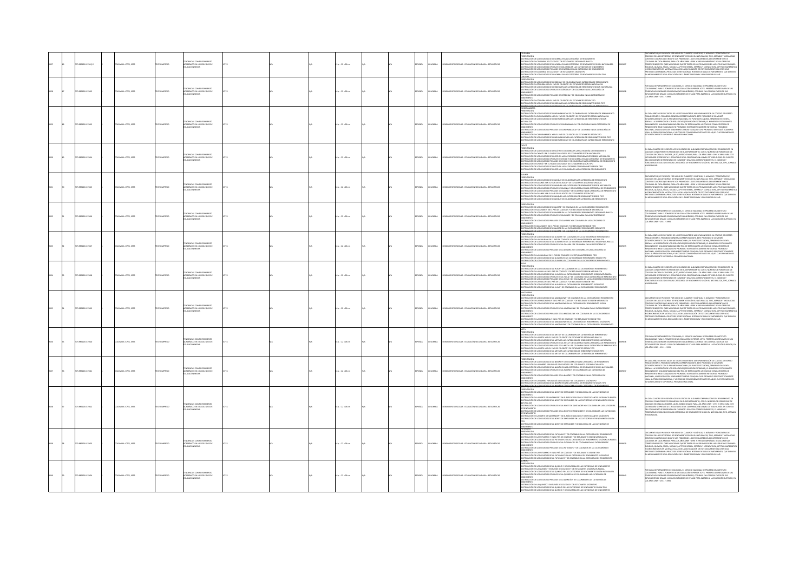|  |                    |                      |                   |                                                                          |  |                      |  |              |        |                                                           | <b>AIGMON</b>                                                                                                                                                                                                                                                                                                                                                                                                                                                                                                                                                                                                                                                                                                                                                                                                                                                                                                                                           |       | .<br>CUMENTO QUE PRESENTA POR MEDIO DE CUADROS Y GRÁFICAS: EL NÚMERO Y PORCENTAJE DE                                                                                                                                                                                                                                                                                                                                                                                                                                                                                                                                                                                                                                                                     |
|--|--------------------|----------------------|-------------------|--------------------------------------------------------------------------|--|----------------------|--|--------------|--------|-----------------------------------------------------------|---------------------------------------------------------------------------------------------------------------------------------------------------------------------------------------------------------------------------------------------------------------------------------------------------------------------------------------------------------------------------------------------------------------------------------------------------------------------------------------------------------------------------------------------------------------------------------------------------------------------------------------------------------------------------------------------------------------------------------------------------------------------------------------------------------------------------------------------------------------------------------------------------------------------------------------------------------|-------|----------------------------------------------------------------------------------------------------------------------------------------------------------------------------------------------------------------------------------------------------------------------------------------------------------------------------------------------------------------------------------------------------------------------------------------------------------------------------------------------------------------------------------------------------------------------------------------------------------------------------------------------------------------------------------------------------------------------------------------------------------|
|  | 86126 K15t EJ2     | MEIA: ICFES, 1995    | <b>OZZRRM O</b>   | JOENLING LUNA<br>ADÉMICO EN LOS 6<br>IUCACIÓN MEDIA                      |  | $p: 22 \times 28$ cm |  | AÑOL         | OMEN   |                                                           | PRESENTACIÓN<br>-DISTRIBUCIÓN DE LOS COLEGIOS DE COLOMBIA EN LAS CATEGORÍAS DE RENDIMIENTO<br>-<br>Ostrewoon in Colomba de Colegios y de estudiantes segün naturaleza<br>- Ostrewoon de los colegios de Colomba en las categorías de ennomento según naturaleza<br>- Ostrewoon de los colegios oficiales de Colomba en las categorías<br>RIBUCIÓN DE LOS COLEGIOS PRIVADOS DE COLOMBIA EN LAS CATEGORÍAS DE RENDIMIENTO<br>.<br>TRIBUCIÓN EN COLOMBIA DE COLEGIOS Y DE ESTUDIANTES SEGÚN TIPO<br>TRIBUCIÓN DE LOS COLEGIOS DE COLOMBIA EN LAS CATEGORÍAS DE RENDIMIENTO SEGÚN TIPO                                                                                                                                                                                                                                                                                                                                                                      |       | DESGIOS EN LAS CATEGORÍAS DE RENDEMENTO SEGÚN SU NATURALEZA, TIPO, JORNADA Y MODAUDAD.<br>DNTIENE CUADROS QUE INCLUYE LOS PROMEDIOS LOS ESTUDIANTES DEL DEPARTAMENTO Y DE<br>COLOMBIA DV CADA PRIJEBA, PARA LOS AÑOS 1989 — 1991 Y 1993 ACOMPAÑARO DE LAS GRÁFICAS<br>CORRESPONSIBITES, CARE MINICIONAR QUE SE TRATA DE LOS PROMEDIOS EN LAS B'PRIJEBAS COMUNITA<br>NOLOGÍA, QUÍMICA, FÍSICA, SOCIALES, APTITUD V<br>ltende contribura a procesos de reflexión al interior de cada departamento, que deriven<br>Mejoramento de la educación en el ámbito regional y por ende en el país.                                                                                                                                                                 |
|  | 73.986126 IC15t12  | LOMBIA: ICFES, 1995  | <b>O22RRM OT</b>  | <b>INCIAS COMPORTAN</b><br>ADÉMICO EN LOS COLEGIOS DE<br>JOACIÓN MEDIA   |  | 66 p. : 22 x 28 cm   |  | <b>JORAS</b> | OMBIA  | RENDIMIENTO ESCOLAR - EDUCACIÓN SECUNDARIA - ESTADÍSTICAS | -<br>Presentación<br>-distribución de los colegios de córdoba y de colombia en las categorías de rendim<br>-USI HINDUCUN UN LOS LOGANDO DE CONDONA Y DE COLOMNIA EN DAS CATALONIANS DE NENADRA.<br>-DISTRIBUCIÓN EN CÓRDORA Y EN EL PAÍS DE COLOGOS Y DE ESTUDAMITES SEGÚN NATURALEZA.<br>-DISTRIBUCIÓN DE LOS COLEGOS DE CÓRDORA EN LAS CATEGO<br>NATURALEZA<br>RENDIMIENTO<br>-DISTRIBUCIÓN DE LOS COLEGIOS PRIVADOS DE CÓRDOBA Y DE COLOMBIA EN LAS CATEGORÍAS DE<br>.<br>KTRIBI ICYN EN CÓBOCRA Y EN EI RAÍS DE COLEGIOS Y DE ESTI INANTES SEGÍN TIRO<br>TRIBUCIÓN DE LOS COLEGIOS DE CÓRDOBA EN LAS CATEGORÍAS DE RENDIMINETO SEGÚN TIPO                                                                                                                                                                                                                                                                                                           | 09628 | OR CADA DEPARTAMENTO DE COLOMBIA. EL SERVICIO NACIONAL DE PRUEBAS DEL INSTITUTO<br>COLOMBIANO PARA EL FOMENTO DE LA EDUCACIÓN SUPERIOR -ICFES- PRESENTA UN RESUMEN DE LAS<br>TENDENCIAS GENERALES DEL RENDEMBINTO ACADÉMICO, CON BASE EN LOS RESULTADOS DE SUS<br>ESTUDANTES DE GRADO 11 EN LOS DIÁMENES DE ESTADO PARA INGRESO A LA EDUCACIÓN SUPERIOR, EN<br>OS AÑOS 1989 — 1911 — 1993.                                                                                                                                                                                                                                                                                                                                                               |
|  | 272.986126 K15t13  | DLOMBIA: ICFES, 1995 | OZBRNI OTK        | IDENCIAS COMPORTAMENTO<br>ADÉMICO EN LOS COLEGIOS DE<br>CACIÓN MEDIA     |  | 46 p. : 22 x 28 cm   |  | PAÑOL        | LOMBIA | RENDIMIENTO ESCOLAR - EDUCACIÓN SECUNDARIA - ESTADÍSTICAS | <b>TINOMAMARCA</b><br>SENTACIÓ<br>FRAMENTADIN DE LOS COLEGIOS DE CUNDINANAREA Y DE COLOMBIA EN LAS CATEGORÍAS DE RENOMBRITO<br>-DISTRIBUCIÓN DE LOJISBONAMENTA Y EN EL PAÍS DE COLEGIOS Y DE ESTUDAMENTS SEGÚN INITURALIZA<br>-DISTRIBUCIÓN DE LOS COLEGIOS DE CUNDINA<br>STRIBUCIÓN DE LOS COLEGIOS PRIVADOS DE CUNDINAMARCA Y DE COLOMBIA EN LAS CATEGORÍAS DE<br>kemmento<br>Stribución en cundinammeca y en el país de colegios y de estudiantes según tipo<br>Stribución de los colegios de cundinammeca en las categorías de rendimineto s<br>.<br>IEGŪN TPO<br>STRIBUCIÓN DE LOS COLEGIOS DE CUNDINAMARCA Y DE COLOMBIA EN LAS CATEGORÍAS DE RENDIN                                                                                                                                                                                                                                                                                              |       | CADA AÑO LOS RESULTADOS DE LOS ESTUDIANTES SE AGRUPARON SEGÚN SU COLEGIO DE EGRESO<br>IN CHIM MAU LUS NOSICI MALDE UN LOS ISI ULUMPINI SI A MANICHAMI SIAUCA DEL CULTADO DE LOS MANICOS EL COMPARIÓ<br>PARA ORTENER EL PROMIEDIO GENERAL CORRESPONDENTE. ESTE PROMIEDIO SE COMPARIÓ<br>ARENTAGEN LA DISFRISIÓN DE LOS RESU<br>AMMINIMANO I UNING ANTARINANO NA BARA DE LA FINIS MONDANO NON LOS CANDIDARSES DE LA FRONTECIO<br>NACIONAL VIN COLEGIO CON BRIGORIATO DE LOS FANGUELANTATS INFERIDO NA PRONUECIO<br>NACIONAL, NA PRONUECIO NACIONAL; Y UN COLEGIO CON                                                                                                                                                                                       |
|  | 73.986126 K15t14   | LOMBIA: ICFES, 1995  | CO MPRESO         | INDENCIAS COMPORTAMENTO<br>LADÉMICO EN LOS COLEGIOS DE<br>JUCACIÓN MEDIA |  | 46 p. : 22 x 28 cm   |  | <b>PAÑOL</b> | OMBIA  | ENDIMENTO ESCOLAR - EDUCACIÓN SECUNDARIA - ESTADÍSTICAS   | DIDCÓ<br>PRESENTACIÓN<br>-distribution in co-concerns in organization y or estimation to the<br>construction in co-concerns in the second to the structure station with<br>realisation of the concerns in concerns in color y or economic in the<br>control of<br>OSTRIBUCIÓN DE LOS COLEGIOS DE CHOCÓ EN LAS CATEGORÍAS DE RENOMINIETO SEGÚN TIPO<br>OISTRIBUCIÓN DE LOS COLEGIOS DE CHOCÓ Y DE COLOMBIA EN LAS CATEGORÍAS DE RENOMIENTO                                                                                                                                                                                                                                                                                                                                                                                                                                                                                                               | 9630  | <b>FOR THE WARRANT WAS SERVED ON THE SERVE AND AN ASSOCIATION CONSTRUCT AND CONSTRUCT ON A CONSTRUCT ON A CONSTRUCT AND CONSTRUCT ON A CONSTRUCT ON A CONSTRUCT ON A CONSTRUCT ON A CONSTRUCT ON A CONSTRUCT ON A CONSTRUCT ON </b>                                                                                                                                                                                                                                                                                                                                                                                                                                                                                                                      |
|  | 3.986126 IC15115   | LOMBIA: ICFES, 1995  | OZZRRM OTI        | ADÉMICO EN LOS COLEGIOS DE<br>UCACIÓN MEDIA                              |  | 46 p. : 22 x 28 cm   |  | <b>JORK</b>  | MBM    | ENDIMIENTO ESCOLAR - EDUCACIÓN SECUNDARIA - ESTADÍSTICAS  | DRIBULGON DE LOS COLEGIOS DE GUAINÍA Y DE COLOMBIA EN LAS CATEGORÍAS DE RENDIMIENTO<br>"GUIRINGON DE GUINEAU EN EL PAÍS DE COLEGOSY DE ESTUDANTES SIGUE NOTIDALESA.<br>"OSTRIBUCÓN EN GUINEAU EN EL PAÍS DE COLEGOSY DE ESTUDANTES SIGUE NEVERALESA.<br>"OSTRIBUCÓN EN EGLORICAS DE GUINEAU EN GUINEAU PO COLONIBA EN LAS C<br>oistribución de los colegios de guainía en las categorías de rendimineto según tr<br>Oistribución de los colegios de guainía y de colombia en las categorías de rendimi<br>ORIT WÜGES                                                                                                                                                                                                                                                                                                                                                                                                                                    |       | .<br>Jumento que presenta for medio de cuadros y gráficas, el número y porcentaje de<br>egios en las categorías de rendimento según su naturaleza, tipo, jornada y modi<br>Itiene cuadros que incluye los promedios los estudiantes del departamento y de<br>OLOMBIA EN CADA PRUEBA. PARA LOS AÑOS 1989 - 1991 Y 1993 ACOMPAÑADO DE LAS GRÁFICAS<br>JOURNINA IN CAUSE DE MARCIONA QUE SE TRATA DE LOS PRONADIS EN LAS EPRUBAS COMUNISTANTES DE LOS PRODUCTIVOS EN LA<br>DEDISCRIPINDIENTES, CARE MENCIONAR QUE SE TRATA DE LOS PROMUNIDS, EN LAS EPRUBAS COMUNISTANTES EN LA CONTRACT<br>I MEJORAMIENTO DE LA EDUCACIÓN EN EL ÁMBITO REGIONAL Y POR ENDE EN EL PAÍS.                                                                                     |
|  | 73.986126 K15t16   | LOMBIA: ICFES, 1995  | <b>O22RRM OT</b>  | : ADÉMICO EN LOS COLEGIOS DE<br>XUCACIÓN MEDIA                           |  | 46 p. : 22 x 28 cm   |  | <b>JORAS</b> | OMEN   | GNOMENTO ESCOLAR - EDUCACIÓN SECUNDARIA - ESTADÍSTICAS    | www.your light and colleges be guavageey de coloniem en las categorías de renemaiento<br>- Oistribución de los colegios de guavageey de coloniem en las categorías de renemaiento<br>- Oistribución en guavariey en el país de coleg<br>ISTRIBUCIÓN DE LOS COLEGIOS DE GUAVIARE DII LAS CATEGORÍAS DE RENDIMIENTO SEGÚN NATURALEZA.<br>ISTRIBUCIÓN DE LOS COLEGIOS OFICIALES DE GUAVIARE Y DE COLOMBIA DII LAS CATEGORÍAS DE<br>emmento<br>Tribución de los colegios privados de guavare y de colombia en las categorías de<br>OSTRIBUCIÓN EN GUAVARE Y EN EL PAÍS DE COLEGIOS Y DE ESTUDIANTES SEGÚN TIPO<br>ISTRIBUCIÓN DE LOS COLEGIOS DE GUAVIARE EN LAS CATEGORÍAS DE RENEIMINETO SEGÚN TIPO                                                                                                                                                                                                                                                       |       | R CADA DEPARTAMENTO DE COLOMBIA. EL SERVICIO NACIONAL DE PRUEBAS DEL INSTITUTO<br>COLOMBIANO PARA EL FOMENTO DE LA EDUCACIÓN SUPERIOR -ICFES-PRESENTA UN RESUMEN DE LAS<br>endencias generales del renombento académico, con base en los resultados de sus<br>Studiantes de Grado 11 en los exámenes de estado para ingreso a la educación superior, en<br>DS AÑOS 1989 - 1911 - 1993.                                                                                                                                                                                                                                                                                                                                                                   |
|  | 3.986126 IC15t17   | LOMBIA: ICFES, 1995  | CO MPRESO         | INDENCIAS COMPORTAMENTO<br>CADÉMICO EN LOS COLEGIOS DE<br>XUCACIÓN MEDIA |  | 46 p. : 22 x 28 cm   |  | <b>AÑOL</b>  | MAGN   | INDIMENTO ESCOLAR - EDUCACIÓN SECUNDARIA - ESTADÍSTICAS   | PRESENTACIÓN<br>PRAIMINAURI<br>- Ostribución de los colegios de la guavira y de coloniba en las categorías de renomiento<br>- Ostribución de los colega y en el país de colgigis y de estudantes según naturaleza<br>- Ostribución de los colegios de l<br>DISTRIBUCIÓN DE LOS COLEGIOS OFICIALES DE LA GUAIRA Y DE COLOMBIA EN LAS CATEGORÍAS DE<br>emmento<br>Tribución de los colegios privados de la guaura y de colombia en las categorías de<br>STRIBUCIÓN EN LA GUAURA Y EN EL PAÍS DE COLEGIOS Y DE ESTUDIANTES SEGÚN TIPO<br>STRIBUCIÓN DE LOS COLEGIOS DE LA GUAVRA EN LAS CATEGORÍAS DE RENDMANETO SEGÚN TIPO                                                                                                                                                                                                                                                                                                                                |       | CADRA AÑO LOS RESULTADOS DE LOS ESTUDIANTES SE AGRUPARON SEGÚN SU COLEGIO DE EGRESO<br>.<br>NITENER EL PROMIEDIO GENERAL CORRESPONDIENTE, ESTE PROMIEDIO SE COMPARÓ.<br>STICAMENTE CON EL PROMIEDIO NACIONAL (SO PUNTOS ESTÁNDAR), TENIENDO EN CUENTA.<br>AUTOMOTOMONIN I NORTH A PRANIMINO PROGRAMO IN ESTATEMONO DE CONDITATA EN CONTRA EL INDIVIDUAL DE CONDITANTES C<br>EN CARA LA DISPERSIÓN DE LOS RESULTADOS (DE STAR AMANEA UN COLEGO CON CATIGORIA ES SUDONATIS<br>EN MONARCADO BAJO<br>ADÍSTICAMENTE SUPERIOR AL PROMEDIO NACIONAL                                                                                                                                                                                                             |
|  | 3.986126 (C15118)  | LOMBIA: ICFES, 1995  | OZZRRM OTI        | ADÉMICO EN LOS COLEGIOS DE<br>UCACIÓN MEDIA                              |  | 66 p. : 22 x 28 cm   |  | <b>JORK</b>  | OMBIA  | ENDIMENTO ESCOLAR - EDUCACIÓN SECUNDARIA - ESTADÍSTICAS   | <b>TACIÓN</b><br>TRIBUCIÓN DE LOS COLEGIOS DE LA HUILA Y DE COLOMBIA EN LAS CATEGORÍAS DE RENDIMIENTO<br>-SISTEMACHO IN LA HULA FIN III PARS DUT CONTAMINATION DE DES CONSTANTS AND ANNOUNCEMENT CONTAINS AND ASSESSED AND A CONTAINSTANCE OF A SUBSESSED AND A CONTAINSTANCE OF A SUBSESSED OF A SUBSESSED OF A SUBSESSED OF A SUBSESS<br>STRIBUCIÓN DE LOS COLEGIOS DE LA HUILA EN LAS CATEGORÍAS DE RENDIMINETO SEGÚN TIPO<br>DISTRIBUCIÓN DE LOS COLEGIOS DE LA HUILA Y DE COLOMBIA EN LAS CATEGORÍAS DE RENDIMIENTO                                                                                                                                                                                                                                                                                                                                                                                                                                |       | N CUADRO SE PRESENTA LOS RESULTADOS DE ALGUNAS (<br>.<br>Desgios con diferentes promedios en el departamento, con el número de porcentaje de<br>Desgios en Cada Categoría, (alto, medio o Bajo) para los años 1989 - 1991 y 1992. Para este<br>iltimo año se passenta el resultado de la comparación a nivel de todo el país. En el resto<br>Del documento se passentan en cliadros y gráficas cobbespondentes, el número y<br>porcintale de colegios en las categorías de renomien                                                                                                                                                                                                                                                                      |
|  | 73.986126 K15t19   | LOMBIA: ICFES, 1995  | O23RNM OT         | ADÉMICO EN LI<br>CACIÓN MEDIA                                            |  | 6 p. : 22 x 28 cm    |  | AÑOL         |        | NOIMENTO ESCOLAR - EDUCACIÓN SECUNDARIA - ESTADÍSTICAS    | MACONICIVA<br>PRAIMING LOW<br>-OSTRIBUCIÓN DE LOS COLEGOS DE LA MAGONIZINA Y DE COLOMBIA DE LAS CATGORÍAS DE REMONDENTO<br>-OSTRIBUCIÓN DE LOS COLEGOS DE LA MAGONIZINA Y DE COLOMBO Y DE SEUDAMENTO SE SIGNI<br>-OSTRIBUCIÓN DE LOS COLEGOS DE LA MA<br>renemmento<br>Oistribución de los colegios privados de la magdalena y de colombia en las categorías de<br>NAMINATION<br>STRIBUCIÓN EN LA MAGEIALENA Y EN EL PAÍS DE COLEGIOS Y DE ESTUDIANTES SEGÚN TIPO<br>STRIBUCIÓN DE LOS COLEGIOS DE LA MAGEIALENA EN LAS CATEGORÍAS DE REMDIAMMETO SEGÚN TIPO<br>STRIBUCIÓN DE LOS COLEGIOS DE LA MAGDALENA Y DE COLOMBIA EN LAS CATEGORÍAS DE RENDIMIENTI                                                                                                                                                                                                                                                                                               |       | LIMENTO QUE PRESENTA FOR MEDIO DE CUADROS Y GRÁFICAS, EL NÚMERO Y PORCENTAJE DE<br>COLEGIOS EN LAS CATEGORÍAS DE RENOMMENTO SEGÚN SU NATURALEZA, TIPO, JORNADA Y MODALIDAD<br>CONTIENE CLIADROS QUE INCLUYE LOS PRONEDIOS LOS ESTUDINATES DEL DEPARTAMENTO Y DE<br>COLEMBIA EN CADA PRUEBA, PARA LOS ARDS 1989 — 1991 Y<br>HOLOGÍA, QUÍMICA, FÍSICA, SOCIALES, APTITUD VERBAL, ESPAÑOL Y LICENCIATURA, APTITUD MATEMÁTIC<br>NAMES NORMANY, PRINCIPALMENTAL PRI IN UNIVERSIDADE DE CALENDARISMO DE INTERSIDO DE INTERSIONE DE INTERNATIONAL<br>TENDE CONTRIBUIR A PROCESSOS DE REFLEXIÓNI AL INTERIOR DE CAGA DEPARTAMENTO, QUE DERIVEN<br>MEJORAMIENTO DE LA EDU                                                                                         |
|  | 1.986126 IC15t20   | CMBIA: ICFES, 1995   | O22RRM OT         | IDENCIAS COMPORTAMIENTO<br>ADÉMICO EN LOS COLEGIOS DE<br>JCACIÓN MEDIA   |  | 6 p. : 22 x 28 cm    |  | zûa          | OMBU   | INDIMENTO ESCOLAR - EDUCACIÓN SECUNDARIA - ESTADÍSTICAS   | META<br>PRESENTACIÓN<br>TRIBUCIÓN DE LOS COLEGIOS DE LA META Y DE COLOMBIA EN LAS CATEGORÍAS DE RENDIM<br>SERIBILIONS DE LOS COLLEGES DE LA MATÍA VIDE COMPARA DE AS CONSEGUES DE RIBERADINTO DE LOS COLLEGES DE LA MATÍA VIDE CONSEGUES DE RIBERADOR DE LA MATÍA DE LA COLLEGE DE LA MATÍA DE LA COLLEGE DE LA MATÍA DE LA COLLEGE DE                                                                                                                                                                                                                                                                                                                                                                                                                                                                                                                                                                                                                  |       | R CADA DEPARTAMENTO DE COLOMBIA. EL SERVICIO NACIONAL DE PRUEBAS DEL INSTITUTO<br>PUR CHANNAIRMONAIRM DUR CLOURINING (14 ARMAID FAMILIAIR AG PROBINS ALLES DISTURBANTS DE LAS<br>COLONIBIANO PARA EL FONDENTO DE LA EDILICACIÓN SUPERIOR -ICEE-PRESENTA UN RESURIEN DE LAS<br>ESTUDIANTES DE GRADO 11 EN LOS EXÁMENTO                                                                                                                                                                                                                                                                                                                                                                                                                                    |
|  | 13.986126 IC15121  | LOMBIA: ICFES, 1995  | <b>O22RRM OT</b>  | NDENCIAS COMPORTAMIENTO<br>ADÉMICO EN LOS COLEGIOS DE<br>UCACIÓN MEDIA   |  | 6 p. : 22 x 28 cm    |  | <b>AÑOL</b>  | OMBIA  | RENDIMIENTO ESCOLAR - EDUCACIÓN SECUNDARIA - ESTADÍSTICAS | PRESENTACIÓN<br>OISTRIBUCIÓN DE LOS COLEGOS DE LA NARIÑO Y DE COLOMBIA EN LAS CATEGORÍAS DE RENDIMIENTO<br>-DISTRIBUCIÓN DE LOS LUCEGIOS DE EN RESIDE COESCIOS Y DE ESTUDIANTES SEGÜN MATURALEZA<br>-DISTRIBUCIÓN DE LOS COLCIGIS DE LA MASIÑO EN LAS CATEGORÍAS DE REMONANTES SEGÜN MATURALEZA<br>-DISTRIBUCIÓN DE LOS COLCIGIS DE FA MARÍÑO E<br>enminiu<br>Tribución de los colegios privados de la Naríño y de Colombia en las categorías de<br>ORIE WEDZE ZETWARTED 30 Y 2012/02/2012 30:30:49 JU WEDZEN VID WOODWARTS<br>OUT HUGGE OTHER WARRING AN ARREST AN HE DREAM AJ 20 SOLDAND 20J 20 HOURS<br><b>THE DE SANTANDIA</b>                                                                                                                                                                                                                                                                                                                      |       | .<br>N CARA AÑO LOS BESIN TADOS DE LOS ESTUDIANTES SE ACRIVRADON SECÚN SU COLECIO DE ECRESO.<br>.<br>ARA OBTENER EL PROMEDIO GENERAL CORRESPONDIENTE. ESTE PROMEDIO SE COMPARÓ.<br>STADÍSTICAMENTE CON EL PROMEDIO NACIONAL (SO PUNTOS ESTÁNDAR), TENENDO EN CUENTA.<br>MINIMUM MORTUN SUNTA PROMININA MARAMANI PAPPOLITURA DE LOS PRODUCAS EN ANALISAS LA DESPERADA EL ANTIONAL EN EN<br>EXAMINADO Y UNHA CONFINANZADA DEL 2515, DE ESTA MARIARA UN COLEGO CON CATEGORÍA EN ANALISADA EL ESTADA DE LOS<br>E<br>.<br>23AL AL PROMEDIO NACIONAL, Y UN COLEGIO CON RENDIMIENTO ALTO ES AQUEL CUNO PROMEDIO ES<br>STADÍSTICAMENTE SUPERIOR AL PROMEDIO NACIONAL                                                                                             |
|  | 373.986126 K15t22  | LOMBIA: ICFES, 1995  | <b>O22RRM OT</b>  | ADÉMICO EN LOS COLEGIOS DE<br>UGACIÓN MEDIA                              |  | 46 p. : 22 x 28 cm   |  | <b>JORAS</b> | OMBIA  | ENDIMENTO ESCOLAR - EDUCACIÓN SECUNDARIA - ESTADÍSTICAS   | ESENTACIÓN<br>ESENTACIÓN DE LOS COLEGIOS DE LA NORTE DE SANTANDER Y DE COLOMBIA EN LAS CATEGORÍAS DE<br>ETRIBUCIÓN DE LOS COLEGIOS DE LA NORTE DE SANTANDER Y DE COLOMBIA EN LAS CATEGORÍAS DE<br>ANNINGUES<br>TRIBUCIÓN EN LA NORTE DE SANTANDER Y EN EL PAÍS DE COLEGIOS Y DE ESTUDIANTES SEGÚN NATURAL!<br>TRIBUCIÓN DE LOS COLEGIOS DE LA NORTE DE SANTANDER EN LAS CATEGORÍAS DE RENDIAMENTO SEGÚN<br><b>URALEZA</b><br>INATIJAMIZIA<br>-OSTRIBUCIÓN DE LOS COLEGIOS OFICIALES DE LA NORTE DE SANTANDER Y DE COLOMBIA EN LAS CATEGORÍAS<br>-OSTRIBUCIÓN DE LOS COLEGIOS PRIVADOS DE LA NORTE DE SANTANDER Y DE COLOMBIA EN LAS CATEGORÍAS<br>-OSTRIBUCIADOS<br>DE<br>TRIBUCIÓN EN LA NORTE DE SANTANDER Y EN EL PAÍS DE COLEGIOS Y DE ESTUDIANTES SEGÚN TIPO<br>IN USAS OTHERWORK BE A SHERWORK OF LA MORTE DE SANTANDER EN LAS CATEGORÍAS DE RENDIMINETO SEGÚN<br>CON DE LOS COLEGIOS DE LA NORTE DE SANTANDER Y DE COLOMBIA EN LAS CATEGORÍAS DE |       | CADA CHARGO SE DOESENTA LOS DESHI TADOS DE ANGHAAS COMPAGACIONES DE DENDIMIENTO EN<br>.<br>CLEGIOS CON DIFERENTES PROMEDIOS EN EL DEPARTAMENTO, CON EL NÚMERO DE PORCENTAJE DE<br>CLEGIOS EN CADA CATEGORÍA, (ALTO, MEDIO O BAID) PARA LOS AÑOS 1989 - 1991 Y 1992. PARA ESTE<br>.<br>ETMO AÑO SE PRESENTA EL RESULTADO DE LA COMPARACIÓN A NIVEL DE TODO EL PAÍS. EN EL RESTO<br>EL DOCUMENTO SE PRESENTAN EN CLUADOS Y GRÁFICAS CORRESPONDENTES, EL NÚMERO Y<br>ORCENTALE DE COLEGIOS EN LAS CATEGORÍAS DE RENOMIENTO                                                                                                                                                                                                                                  |
|  | 373.986126 (C15t23 | LOMBIA: ICFES, 1995  | <b>OZZRRM OTX</b> | NDENCIAS COMPORTAMIENTO<br>ADÉMICO EN LOS COLEGIOS DE<br>UCACIÓN MEDIA   |  | 46 p. : 22 x 28 cm   |  | AÑOL         | MEM    | ENDIMENTO ESCOLAR - EDUCACIÓN SECUNDARIA - ESTADÍSTICAS   | PUI UNIVATO<br>-OSTRANJOČNI OS LOS COLEGIOS DE LA PUTUMANO Y DE COLOMBIA EN LAS CATEGORÍAS DE RENDRANTATO<br>-OSTRANJOČNI EN LA FUTURANO Y EN EL PAÍS DE COLEGIOS Y DE ESTUDIANTES SEGÚN INATURALIZA<br>-OSTRANJOČNI EN LOS COLEGIOS DE<br>ISTRIBUCIÓN DE LOS COLEGIOS OFICIALES DE LA PUTUMAYO Y DE COLOMBIA EN LAS CATEGORÍAS DE<br>emmento<br>Tribución de los colegios privados de la puturanio y de colombia en las categorías de<br>OISTRIBUCIÓN EN LA PUTUMAYO Y EN EL PAÍS DE COLEGIOS Y DE ESTUDIANTES SEGÚN TIPO<br>TRIBUCIÓN DE LOS COLEGIOS DE LA PUTUMANO EN LAS CATEGORÍAS DE RENDIMINETO SEGÚN. TIPO<br>ISTRIBUCIÓN DE LOS COLEGIOS DE LA PUTUMAYO Y DE COLOMBIA EN LAS CATEGORÍAS DE RENDIMIENTI                                                                                                                                                                                                                                        |       | .<br>JENTO QUE PRESENTA POR MEDIO DE CUADROS Y GRÁFICAS, EL NÚMERO Y PORCENTAJE DE<br>JOS EN LAS CATEGORÍAS DE RENDIMIENTO SEGÚN SU NATURALEZA. TIPO. JORNADA Y MODAU<br>ONTIENE CUADROS QUE INCLUYE LOS PROMEDIOS LOS ESTUDIANTES DEL DEPARTAMENTO Y DE<br>LOMBIA EN CADA PRUEBA, PARA LOS AÑOS 1989 - 1991 Y 1993 ACOMPAÑADO DE LAS GRÁFICAS<br>CORRESPONDIENTES. CARE MENCIONAR QUE SE TRATA DE LOS PROMEDIOS EN LAS R'PRUBRAS COMUNES:<br>RIDLOGÍA, QUÍMICA, FÍSICA, SOCIALES, APITUD VERRAL, ESPAÑOL Y LECENDATURA, APITUD MATEMÁTICA<br>Y CONDONIENTOS EN MATEMÁTICAS. CON LA DI<br><b>ETENDE CONTRIBURA PROD</b><br>OON AL INTERIOR DE CADA DEP<br>INTO, OUE DERIVEN<br>MEJORAMIENTO DE LA EDUCACIÓN EN EL ÁMBITO REGIONAL Y POR ENDE EN EL PAÍS. |
|  | 3.986126 IC15t24   | LOMBIA: ICFES, 1995  | TO IMPRESO        | NDENCIAS COMPORTAM<br>ADÉMICO EN LOS COLEG<br>UCACIÓN MEDIA              |  | 6 p. : 22 x 28 cm    |  | AÑOL         |        | IMENTO ESCOLAR - EDUCACIÓN SECUNDARIA - ESTADÍSTICAS      | und<br>Entación de los colegios de la quindío y de colonibia en las categorías de renomiento<br>Ribución de los colegios de la quindío y de colonibia en las categorías de renomiento<br>-GISTRIBUCIÓN DE LAS COLEGIOS DE LA QUINDÍO Y DE ESTUDANTES SEGUIN NATURALES.<br>-GISTRIBUCIÓN DE LAS COLEGIOS DE LA QUINDÍO DE LAS CATEGORÍAS DE RENDRIBUCIÓN DE LAS COLEGIOS (DE LA QUINDIO)<br>-GISTRIBUCIÓN DE LOS COLEGIOS DE L<br>VERMENTO<br>STRIBUCIÓN DE LOS COLEGIOS PRIVADOS DE LA QUINDÍO Y DE COLOMBIA EN LAS CATEGORÍAS DE<br>JINIMARIO<br>JRIBUCIÓN EN LA QUINDÍO Y EN EL PAÍS DE COLEGIOS Y DE ESTUDIANTES SEGÚN TIPO<br>TRIBUCIÓN DE LOS COLEGIOS DE LA QUINDÍO EN LAS CATEGORÍAS DE RENDIMINETO SEGÚN TIPO                                                                                                                                                                                                                                   |       | ror Cada Departamento de Colombia, el servicio nacional de Pruebas del Instituto<br>Colombiano para li formento de la educación superior. L'esta-presenta un besurta de la ca<br>Tengrikuas derigiales del rendemento académico, con                                                                                                                                                                                                                                                                                                                                                                                                                                                                                                                     |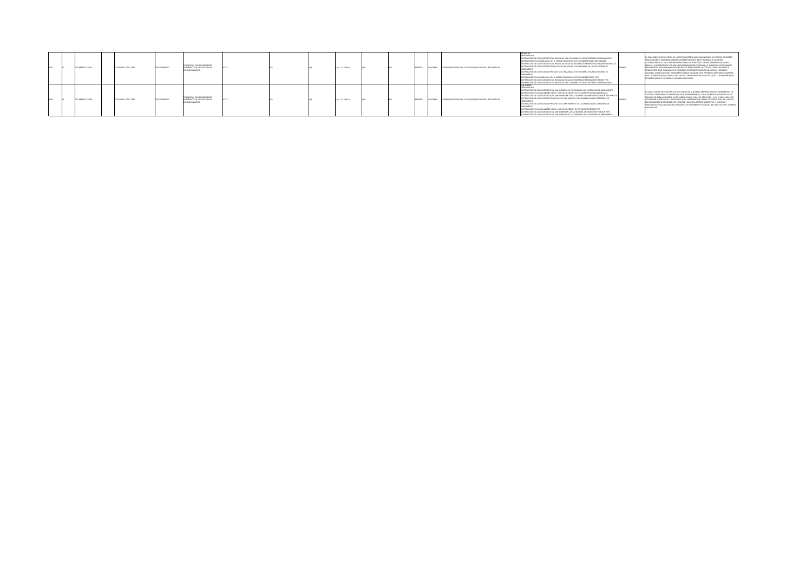|  | 373.986126 K15t25 | COLOMBIA: ICFES, 1995 | TEXTO IMPRESO | TENDENCIAS COMPORTAMENTO<br>ACADÉMICO EN LOS COLEGIOS DE<br>AIGUCACIÓN MEDIA |  | 46 p. : 22 x 28 cm |  | <b>Indastr</b> | COLOMBIA - RENOVASENTO ESCOLAR- EDUCACIÓN SECUNDARIA - ESTADÍSTICAS | DOCSENTACIÓN<br>DISTRIBUCIÓN DE LOS COLEGIOS DE LA RISARALDA Y DE COLOMBIA EN LAS CATEGORÍAS DE RENDIMIENTO<br>ISTRIBUCIÓN EN LA RISARALDA Y EN EL PAÍS DE COLEGIOS Y DE ESTUDIANTES SEGÚN NATURALEZA<br>DISTRIBUCIÓN DE LOS COLEGIOS DE LA RISARALDA EN LAS CATEGORÍAS DE RENDIMIENTO SEGÚN NATURALEZA<br>OVERSIDE IN THE LOS COLEGANS ORIGINALIST DE LA RISABALIDA Y DE COLOMBIA EN LAS CATEGORÍAS DE<br>VETRIBUICIÓN DE LOS COLEGOS DRIVADOS DE LA RISARAIDA Y DE COLOMBIA EN LAS CATEGORÍAS DE<br>ISTRIBUCIÓN EN LA RISARALDA Y EN EL PAÍS DE COLEGIOS Y DE ESTUDIANTES SEGÚN TIPO<br>OSTRIBUCIÓN DE LOS COLEGIOS DE LA RISARALDA EN LAS CATEGORÍAS DE RENDIMINETO SEGÚN TIPO<br>-DISTRIBUCIÓN DE LOS COLEGIOS DE LA RISARALDA Y DE COLOMBIA EN LAS CATEGORÍAS DE RENDIMIENTO                         | EN CADA AÑO LOS RESULTADOS DE LOS ESTUDIANTES SE AGRUPARON SEGÚN SU COLEGIO DE EGRESO<br>PARA ORTENER EL PROMEDIO GENERAL CORRESPONDENTE, ESTE PROMEDIO SE COMPARÓ<br>ESTADÍSTICAMENTE CON EL PROMEDIO NACIONAL (50 PUNTOS ESTÁNDAR). TENIENDO EN CUENTA<br>ADEMÁS LA DISPERSIÓN DE LOS RESULTADOS (DESVIACIÓN ESTÁNDAR). EL NÚMERO DE ESTUDIANTE?<br>DOM/INADOS Y UNA CONFIABILIDAD DEL 95%, DE ESTA MANERA UN COLEGIO CON CATEGORÍA DE<br>RENDIMIENTO BAJO ES AQUEL CUVO PROMEDIO ES ESTADÍSTICAMENTE INFERIOR AL PROMEDIO<br>NACIONAL: UN COLEGIO CON RENOMMENTO MEDIO ES AQUEL CUVO PROMEDIO ES ESTADÍSTICAMENTE<br>GUAL AL PROMEDIO NACIONAL: Y UN COLEGIO CON RENDIVIENTO ALTO ES AQUEL CUYO PROMEDIO ES<br>ISTANCH CHINERY CHECKING AN INFORMATION CONTROL |
|--|-------------------|-----------------------|---------------|------------------------------------------------------------------------------|--|--------------------|--|----------------|---------------------------------------------------------------------|-----------------------------------------------------------------------------------------------------------------------------------------------------------------------------------------------------------------------------------------------------------------------------------------------------------------------------------------------------------------------------------------------------------------------------------------------------------------------------------------------------------------------------------------------------------------------------------------------------------------------------------------------------------------------------------------------------------------------------------------------------------------------------------------------------------|-------------------------------------------------------------------------------------------------------------------------------------------------------------------------------------------------------------------------------------------------------------------------------------------------------------------------------------------------------------------------------------------------------------------------------------------------------------------------------------------------------------------------------------------------------------------------------------------------------------------------------------------------------------------------------------------------------------------------------------------------------------------|
|  | 373.986126 K15t26 | COLOMBIA: ICFES, 1995 | TEXTO IMPRESO | TENDENCIAS COMPORTAMENTO<br>ACADÉMICO EN LOS COLEGIOS DE<br>EDUCACIÓN MEDIA  |  | 46 p. : 22 x 28 cm |  | <b>Indastr</b> | COLOMBIA RENDIMENTO ESCOLAR - EDUCACIÓN SECUNDARIA - ESTADÍSTICAS   | <b>CAN ANDEC</b><br>DOCSENTACIÓN<br>DISTRIBUCIÓN DE LOS COLEGIOS DE LA SAN ANDRÉS Y DE COLOMBIA EN LAS CATEGORÍAS DE RENDIMIENTO<br>DISTRIBUCIÓN EN LA SAN ANDRES Y EN EL PAÍS DE COLEGIOS Y DE ESTUDIANTES SEGÚN NATURALEZA<br>OISTRIBUCIÓN DE LOS COLEGIOS DE LA SAN ANDRÉS EN LAS CATEGORÍAS DE RENDIMIENTO SEGÚN NATURALEZA<br>DISTRIBUTION OF LOS COLEGIOS OF LATER DE LA SAN ANDRÉS V DE COLOMBIA EN LAS CATEGORÍAS DE<br>VETRIBUICIÓN DE LOS COLEGOS DRIVADOS DE LA SAN ANDRÉS Y DE COLOMBIA EN LAS CATEGORÍAS DE<br>DISTRIBUCIÓN EN LA SAN ANDRÉS Y EN EL PAÍS DE COLEGIOS Y DE ESTUDIANTES SEGÚN TIPO<br>ONTRIBUCIÓN DE LOS COLEGIOS DE LA SAN ANDRÉS EN LAS CATEGORÍAS DE RENDIMINETO SEGÚN TIPO<br>JNSTRIBUTION OF LOS COLEGOS DE LA SAN ANDRÉS VIDE COLOMBIA EN LAS CATEGORÍAS DE RENOVARENTO | EN CADA CUADRO SE PRESENTA LOS RESULTADOS DE ALGUNAS COMPARACIONES DE RENDIMIENTO EN<br>COLEGIOS CON DIFERENTES PROMEDIOS EN EL DEPARTAMENTO, CON EL NÚMERO DE PORCENTAJE DE<br>COLEGIOS EN CADA CATEGORÍA, (ALTO, MEDIO O BAJO) PARA LOS AÑOS 1989 - 1991 Y 1993. PARA ESTE<br>ULTIMO AÑO SE PRESENTA EL RESULTADO DE LA COMPARACIÓN A NIVEL DE TODO EL PAÍS. EN EL RESTO<br>DEL DOCUMENTO SE PRESENTAN EN CUADROS Y GRÁFICAS CORRESPONDIENTES. EL NÚMERO Y<br>PORCENTAJE DE COLEGIOS EN LAS CATEGORÍAS DE RENDIMIENTO SEGÚN SU NATURALEZA. TIPO, JORNADA<br>CAROLINA V                                                                                                                                                                                          |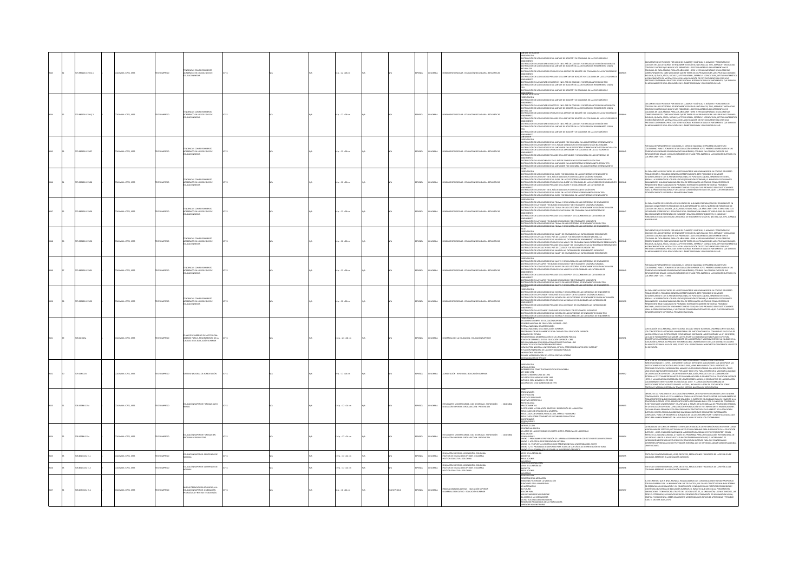|  | $073.986126$ K15t Ej.1 | LOMBIA: ICFES, 1995 | O23RM OT          | NDENCIAS COMPORTAMENTO<br>:ADÉMICO EN LOS COLEGIOS D<br>IUCACIÓN MEDIA                                            |  | 46 p. : 22 x 28 cm     |              |                |             | .<br>DIMIENTO ESCOLAR - EDUCACIÓN SECUNDARIA - ESTADÍSTICA                                                                 | ENTACIÓN<br>TRIBUCIÓN DE LOS COLEGIOS DE LA SANTAFE DE BOGOTÁ Y DE COLOMBIA EN LAS CATEGORÍAS DE<br>BMENTO<br>RIBUCIÓN EN LA SANTAFE DE BOGOTÁ Y EN EL PAÍS DE COLEGIOS Y DE ESTUDANTES SEGÚN NATURALEZA<br>TRIBUCIÓN DE LOS COLEGIOS DE LA SANTAFE DE BOGOTÁ EN LAS CATEGORÍAS DE REND<br>ecurin social<br>inhemann.<br>Tathalizm<br>Kathalizm or los collgris opiciales de la santafe de bogotá y de colombia en las catrgobías de<br>Kemburyo<br>Stribución de los collgris privados de la santafe de bogotá y de colombia en las catrgobías de<br>ICHAIENTO<br>STRIBUCIÓN EN LA SANTAFE DE BOGOTÁ Y EN EL PAÍS DE COLEGIOS Y DE ESTUDANTES SEGÚN TIPO<br>STRIBUCIÓN DE LOS COLEGIOS DE LA SANTAFE DE BOGOTÁ EN LAS CATEGORÍAS DE RENDIMINETO SEGÚN<br>JOÓN DE LOS COLEGIOS DE LA SANTAFE DE BOGOTÁ Y DE COLOMBIA EN LAS CATEGORÍAS DE<br>CHASHTO                                                                         |      | anons y coastinas, ci sulavezo y onor pytais ne<br>LUMINIU QUA PRABATA POR MALID LUI LUMINOA TARPALISA, IL IRURAND Y PORCANTAR LUCI.<br>KIRISE EN LAS CATEGORIAS EN BRIEDMIRITO SEGGÍA DI MATURALIZA, TIPO, JORNATA Y MODALIDAD.<br>KOMBA EN CADA PRI IRA, PARA LOS AÑOSE 1999 — 1991 Y<br>USUKA, USUKKOS EN MATEMÁTICAS, CENI LA ENVINGACIÓN DE ESTE DOCUMENTO EL ICEES SOLO<br>IETRIDE CONTRIBUIX A PROCESOS DE REFLOIÓN AL INTERIOR DE ESTE DOCUMENTO EL ICEES SOLO<br>IETRIDE CONTRIBUIX A PROCESOS DE REFLOIÓN AL INTERIOR                                                                                                                                                                                                         |
|--|------------------------|---------------------|-------------------|-------------------------------------------------------------------------------------------------------------------|--|------------------------|--------------|----------------|-------------|----------------------------------------------------------------------------------------------------------------------------|------------------------------------------------------------------------------------------------------------------------------------------------------------------------------------------------------------------------------------------------------------------------------------------------------------------------------------------------------------------------------------------------------------------------------------------------------------------------------------------------------------------------------------------------------------------------------------------------------------------------------------------------------------------------------------------------------------------------------------------------------------------------------------------------------------------------------------------------------------------------------------------------------------------------------|------|-----------------------------------------------------------------------------------------------------------------------------------------------------------------------------------------------------------------------------------------------------------------------------------------------------------------------------------------------------------------------------------------------------------------------------------------------------------------------------------------------------------------------------------------------------------------------------------------------------------------------------------------------------------------------------------------------------------------------------------------|
|  | 272.986126 (C15t E) 2  | LOMBIA: ICFES, 1995 | O22RRM OTH        | ENCIAS COMPORTAMENTO<br>ADÉMICO EN LOS COLEGIOS DE<br>UCACIÓN MEDIA                                               |  | 46 p. : 22 x 28 cm     |              | <b>JORARDS</b> | AIRMOJ      | RENDIMIENTO ESCOLAR - EDUCACIÓN SECUNDARIA - ESTADÍSTICAS                                                                  | ENTACIÓN<br>TRIBUCIÓN DE LOS COLEGIOS DE LA SANTAFE DE BOGOTÁ Y DE COLOMBIA EN LAS CATEGORÍAS DE<br><br>TRIBUCIÓN EN LA SANTAFE DE BOGOTÁ Y EN EL PAÍS DE COLEGIOS Y DE ESTUDIANTES SEGÚN NATURALEZA.<br>TRIBUCIÓN DE LOS COLEGIOS DE LA SANTAFE DE BOGOTÁ EN LAS CATEGORÍAS DE RENDIMIENTO SEGÚN<br>STRIBUCIÓN DE LOS COLEGIOS OFICIALES DE LA SANTAFE DE BOGOTÁ Y DE COLOMBIA EN LAS CATEGORÍAS<br>JOIMIENTO<br>TRIBUCIÓN DE LOS COLEGIOS PRIVADOS DE LA SANTAFE DE BOGOTÁ Y DE COLOMBIA EN LAS CATEGORÍAS D<br>ON WE WERE STIMULATED IN YOUR ZER EDGE SAR JE WEY AT A ROBERT AND SHATHER MADE IN WERE<br>RIBUCIÓN DE LOS COLEGIOS DE LA SANTAFE DE BOGOTÁ EN LAS CATEGORÍAS DE RENDIMINETO SEGÚN<br>.<br>NEUCLÍN DE LOS COLEGOS DE LA SANTAGE DE BOGOTÁ Y DE COLOMBIA EN LAS CATEGORÍAS DE                                                                                                                                | 9644 | DCUMENTO QUE PRESENTA POR MEDIO DE CLIADROS Y GRÁFICAS, EL NÚMERO Y PORCENTAJE DE<br>KEEDGE EN LAS CATEGORÍAS DE RENEVARENTO SEGÚN SU MATURALEZA, TIPO, JORNIGAY ANDOMIDAD.<br>NYITENE CLIADROS QUE INCLUYE LOS PROMEDIOS LOS ESTUDI<br>COORINING IN CHAIR TALLING, PROVINCIALISTIC DE PROVINCIALISTA DE LA CONTROLINGUALISTA DE LA CONTROLE CONTROLES<br>BIDOGGIA QUÍMICA, FÍSICA SOCIALES, APITUD VERBAL, ESPAÑOL I UCENCIATURA, APITUD IMATEMATICA<br>BIDOGGIA QUÍMICA, F<br>TENDE CONTRIBURA PROCESOS DE RE<br>itribuir a procesos de reflexión al interior de cada departamento, que deriven<br>Ento de la educación en el ámbito regional y por ende en el país.                                                                  |
|  | 273.986126 (C15127     | LOMBIA: ICFES, 1995 | O2299M OTX        | MOENCIAS COMPORTAMENTO<br>CADÉMICO EN LOS COLEGIOS DE<br>XUCACIÓN MEDIA                                           |  | 46 p. : 22 x 28 cm     |              | <b>JORASZI</b> | OMBIA       | ENDIMIENTO ESCOLAR - EDUCACIÓN SECUNDARIA - ESTADÍSTICAS                                                                   | AMMININGING ET LOS COLEGIOS DE LA SANTANDER Y DE COLOMBIA EN LAS CATEGORÍAS DE RENDIMIENTO<br>STRIBUCIÓN EN LA SANTANDER Y DIL EL PÁS DE COLEGIOS Y DE ESTUDIANTES SEGÚN NATURALEZA<br>ETRIBUCIÓN DE LOS COLEGIOS DE LA SANTANDER EN<br>CIMENTO<br>.<br>TRIBUCIÓN DE LOS COLEGOS PRIVADOS DE LA SANTANDER Y DE COLOMBIA EN LAS CATEGORÍAS DE<br>ONE WASNE 23TWAIGUTED BOY 2016/2020 BO 25MS DE WARRANTED AND MODERNESS CONTROL<br>TRIBUCIÓN DE LOS COLEGIOS DE LA SANTANDER EN LAS CATEGORÍAS DE RENDIAMBETO SEGÚN TIPO<br>TRIBUCIÓN DE LOS COLEGIOS DE LA SANTANDER Y DE COLOMBIA EN LAS CATEGORÍAS DE RENDIAMEN                                                                                                                                                                                                                                                                                                            |      | POR CADA DEPARTAMENTO DE COLONIBA, EL SERVICIO NACIONAL DE PRUSBAS DEL INSTITUTO<br>COLOMBIANO PARA LA FONDATO DE LA EDICACIÓN SUPRESPA -OCTA-PRESENTA UN BESIDAR DE LAS<br>INTORNACIÓ CARGINALES DEL BRIDARIDITO ACADÊMICO, COR BAS                                                                                                                                                                                                                                                                                                                                                                                                                                                                                                    |
|  | 73.986126 K15128       | LOMBIA: ICFES, 1995 | O23RNA OTH        | IDENCIAS COMPORTAMENTO<br>ADÉMICO EN LOS COLEGIOS DE<br>CACIÓN MEDIA                                              |  | $46a: 22 \times 28$ cm |              | SPAÑOL         | OMBM        | NOIMENTO ESCOLAR - EDUCACIÓN SECUNDARIA - ESTADÍSTICAS                                                                     | KTACIÓN<br>RIBUCIÓN DE LOS COLEGIOS DE LA SUCRE Y DE COLOMBIA EN LAS CATEGORÍAS DE RENDIMIENTO<br>.<br>TRIBUCIÓN EN LA SUCREY EN EL PAÍS DE COLEGIOS Y DE ESTUDIANTES SEGÚN NATURALEZA.<br>TRIBUCIÓN DE LOS COLEGIOS DE LA SUCRE EN LAS CATEGORÍAS DE RENDIMIENTO SEGÚN NATURALEZA.<br>TRIBUCIÓN DE LOS COLEGIOS OFICIALES DE LA SUCREY D<br>TRIBUCIÓN DE LOS COLEGIOS PRIVADOS DE LA SUCRE Y DE COLOMBIA EN LAS CATEGORÍAS DE<br>ATHAN THE SUCHE Y EN EL PAÍS DE COLEGIOS Y DE ESTLIDIANTES SEGÚN TIPO<br>TRIBUCIÓN DE LOS COLEGIOS DE LA SUCRE EN LAS CATEGORÍAS DE RENDMANETO SEGÚN TIPO<br>RIBUCIÓN DE LOS COLEGIOS DE LA SUCRE Y DE COLOMBIA EN LAS CATEGORÍAS DE RENDIMIENTO                                                                                                                                                                                                                                           | 9646 | OZRAZI 30 OGRADIO LE MÚSICA MORAVALES SE AGRAPARON SEGÚN SU COLEGIO DE EGRESO<br>ORTENER EL PROMEDIO GENERAL CORRESPONDENTE. ESTE PROMEDIO SE COMPARÓ<br>MY MILITIMA NA PYNAMINA VINIMIPAL CLOMATIVALISMI IL LEGIE PRIMIMISMO AL COMPOVINO<br>RAGERICAMENTE CON EL PROMEDIO NACIONAL (SO PUNTOS ESTÁNDAR), TENENDO EN CUENTA<br>RANARDOS Y UNA CONFIABILIDAD DEL 95%. DE ESTA MANERA UN COLEG<br>ARMONIMANO I INIMANO DE DESPERAN DE SE ESTADES DE NORTA DE NORTA DE NORTADO DE SERVADO DE SERVADO DE SERVADO D<br>RINDONAIS; UN COLEGIO CON BENDAMENTO MEDIO ES AQUEL CUYO PRONEERO EN PRONEERO<br>GUNO DE NO DA COLEGIO CON BENDAME                                                                                                   |
|  | 9861261015129          | MEIA: ICFES, 1995   | O MPRESC          | NDENCIAS COMPORTAMENTO<br>:ADÉMICO EN LOS COLEGIOS DE<br>IJCACIÓN MEDIA                                           |  | 6 p. : 22 x 28 cm      |              | ušoi.          |             | MENTO ESCOLAR - EDUCACIÓN SECUNDARIA - ESTADÍSTICA                                                                         | ANN.<br>Sentación de los colegios de la toura y de colombia en las categorías de Rendimento<br>Seneución en la toura y en el País de Colombia en las categorías país naturales.<br>TRIBUCIÓN DE LOS COLEGIOS DE LA TOLIMA EN LAS CATEGORÍAS DE RENDIMIENTO SEGÚN NATURALEZA<br>RIBUCIÓN DE LOS COLEGIOS OFICIALES DE LATOLIMA Y DE COLOMBIA EN LAS CATEGORÍAS DE<br>ERIBUCIÓN DE LOS COLEGIOS PRIVADOS DE LA TOLIMA Y DE COLOMBIA EN LAS CATEGORÍAS DE<br>AMINATO<br>TRIBUCIÓN EN LA TOLIMA Y EN EL PAÍS DE COLEGIOS Y DE ESTUDIANTES SEGÚN TIPO<br>TRIBUCIÓN DE LOS COLEGIOS DE LA TOLIMA EN LAS CATEGORÍAS DE RENDIMINETO SEGÚN TIPO                                                                                                                                                                                                                                                                                       |      | en cara cliadro de Presenta los resultados de Algunas comparaciones de Benommento en<br>Colegios con Diferentes Promerios en le departamento, con el Nómero de Parentata: de<br>Colegios en Cara Categoría, (Alto, Medio o Bako) par<br>PORCENTAJE DE COLEGIOS EN LAS CATEGORÍAS DE RENDIMIENTO SEGÚN SU NATURALEZA. TIPO, JORNAD.                                                                                                                                                                                                                                                                                                                                                                                                      |
|  | 73.986126 IC15130      | LOMBIA: ICFES, 1995 | O22RRM OTH        | CADÉMICO EN LOS COLEGIOS DE<br>DUCACIÓN MEDIA                                                                     |  | 46 p. : 22 x 28 cm     |              | SPAÑOL         | OMBIA       | NOIMIENTO ESCOLAR - EDUCACIÓN SECUNDARIA - ESTADÍSTICAS                                                                    | s<br>INITACIÓN<br>TRIBUCIÓN DE LOS COLEGIOS DE LA VALLE Y DE COLONNIA EN LAS CATEGORÍAS DE RENDIMIENTO<br>RINBULOIDE IN LOUISIEN DE MARIE VOL COLOISIEN IN LOS CHARGES DE REINORENTS<br>ETRIBUCIÓN EN LA VULLE Y EN EL PAÍS DE COLOISIEN DE ESTUDANTES SOCIÓN MATURALIZA.<br>ETRIBUCIÓN DE LOS COLOISIES DE LA VULLE DE LAS CATICORÍAS DE BRIS<br>PRIBUCIÓN DE LOS COLEGIOS DE LA VALLE EN LAS CATEGORÍAS DE RENDIMINETO SEGÚN TIPO<br>REUCIÓN DE LOS COLEGIOS DE LA VALLE Y DE COLOMBIA EN LAS CATEGORÍAS DE RENDIMIENTO                                                                                                                                                                                                                                                                                                                                                                                                    | 9541 | OCUMENTO QUE PRESENTA FOR MEDIO DE CUADROS Y GRÁFICAS, EL NÚMERO Y PORCENTAJE DE<br>COLEGIOS EN LAS CATEGORÍAS DE RENERABENTO SEGUN SU MATURALEZA, 1990, JORNADA Y MODALIDAD.<br>CONTIENE CLADROS QUE NACUN'I LOS PROMEDIOS LOS ESTUDIAMENTS OEL ESPARTAMENTO Y DE<br>COLEMBIA EN CADA PRUEBA, PARA LOS AÑOS 1999 - 1991<br>loodiniin in lohat praabis, preklimatelist teest – eris – eris promotoniikal ja eristeras Comunist.<br>Biogrespondientes. Cabe, mencicinar que se trata de los promedios en las B pruebas comunist:<br>Biogrespondientes en Matemáti<br>ltende contribura a procesos de reflexión al interior de cada departamento, que deriven<br>Mejoramento de la educación en el ámbito regional y por ende en el país. |
|  | 73.986126 K15t31       | LOMBIA: ICFES, 1995 | O23RNA OTH        | NDENCIAS COMPO<br>CADÊMICO EN LOS G<br>LICACIÓN MEDIA                                                             |  | 46 p. : 22 x 28 cm     |              | PAÑOL          | OMBIA       | NOIMENTO ESCOLAR - EDUCACIÓN SECUNDARIA - ESTADÍSTICAS                                                                     | CIÓN DE LOS COLEGIOS DE LA VAUPES Y DE COLOMBIA EN LAS CATEGORÍAS DE RENDIMIENTO<br>ITRIBUCIÓN EN LA VALIPAS Y EN EL PAÍS DE COLEGIOS Y DE ESTUDANTES SEGÚN NATURALIZA.<br>TRIBUCIÓN EN LA VALIPES Y EN EL PAÍS DE COLEGIOS Y DE ESTUDANTES SEGÚN NATURALIZA.<br>TRIBUCIÓN EN LOS COLEGIOS OFICIALES DE LA VAUPES Y EN C<br>TRIBUCIÓN DE LOS COLEGIOS PRIVADOS DE LA VAURES Y DE COLOMBIA EN LAS CATEGORÍAS DE<br>IMENTO<br>HILUCIÓN EN LA VALIPES Y EN EL PAÍS DE COLEGIOS Y DE ESTUDIANTES SEGÚN TIPO<br>TRIBUCIÓN DE LOS COLEGIOS DE LA VAURES EN LAS CATEGORÍAS DE RENDIMINETO SEGÚN TIPO                                                                                                                                                                                                                                                                                                                                |      | POR CADA DEPARTAMENTO DE COLOMBIA, EL SERVICIO NACIONAL DE PRUEBAS DEL INSTITUTO<br>COLOMBIANO PARA EL FOMENTO DE LA EDUCACIÓN SUPERIOR «ICES» PRESENTA UN RESUMEN DE LAS<br>TENDENCIAS GENERALES DEL RENDIMIENTO ACADÉMICO, CON BAS                                                                                                                                                                                                                                                                                                                                                                                                                                                                                                    |
|  | 2.986126 (C15132       | CRABLE-ICFES, 1995  | <b>CO IMPRESO</b> | EJENCIAS CUMPO<br>ADÉMICO EN LOS<br>JOACIÓN MEDIA                                                                 |  | $66a: 22x28$ cm        |              | <b>AÑOL</b>    | <b>MEM</b>  | <b>INMENTO ESCOLAR - ENLIGACIÓN SECUNDARIA - ESTADÍSTICAS</b>                                                              | othere under the collection.<br>Admittance of los colleges of la vicingay per coloneir en las categorías de reneimiento<br>Admitiacular de los colleges de la vicingay per coloneir en las categorías de reneimiento.<br>i HWAULRUM DE LOS LUTALAISE DE LA VICHADA Y DE COLONIBIA EN LA CATEGORÍAS DE RENDEMENTO<br>TRIBILICIÓN DE LA VICHADA Y EN EL PAÍS DE COLEGIOS Y DE ESTUDANTES SEGÚN NATURALEZA<br>TRIBILICIÓN DE LOS COLEGIOS DE LA VICHADA EN LAS C<br>kemmento<br>Tribución de los colegios privados de la vidiada y de colombia en las categorías de<br>XMIENTO<br>RIBUCIÓN EN LA VICHADA Y EN EL PAÍS DE COLEGIOS Y DE ESTUDIANTES SEGÚN TIPO<br>RIBUCIÓN DE LOS COLEGIOS DE LA VICHADA EN LAS CATEGORÍAS DE RENOMMIETO SEI<br>TRIBUCIÓN DE LOS COLEGIOS DE LA VICIPIUR EN LAS CALLGORIAS DE RENORMINETO SEGÚN<br>TRIBUCIÓN DE LOS COLEGIOS DE LA VICHADA Y DE COLOMBIA EN LAS CATEGORÍAS DE RENOR<br>IEMTACION |      | OZRAZI 30 OGREGU, TAROZ MORAVINEN SE AGRUPARON SEGÚN SU COLEGIO DE EGREGO<br>NTE ESTE DOCAR<br>PONO UNIURI NE PANOMINO MOMORO NACIONALE DE INFORMANO, IN DIMINISTRADO EN CUENTA<br>ESTADES INSURENTE CON EL PROMEDIO NACIONAL ESP PANTOS ESTÁNDARS, TENENDO EN CUENTA<br>ESEMÁS IA OSPERSIÓN DE LOS RESULTACOS (DES ESTÁNDARS) NA E<br>KANUMINING WAO ISA AUJULE CUTO PASANUSIU IS ISANDISI ITANI INSIMUSI KA PASANUSI IN<br>NACIONAL: LIN COLEGIO CON RENISIMENTO MEDIO ES AQUEL CUYO PROMEEIO ES ESTADÍSTICAMENTE<br>IGUAL AL PROMEEIO NACIONAL; Y UN COLEGIO CON RENISIM                                                                                                                                                             |
|  | 278.01 IC15p           | LOMBIA: ICFES, 1995 | TO IMPRESO        | .<br>LAN DE DESARROLLO EL SALTO SOCIAL:<br>LESTIÓN PARA EL MEJORAMIENTO DE LA<br>LALIDAD DE LA EDUCACIÓN SUPERIOR |  | 136 p. : 21 x 28 cm    |              | AÑOL           |             | ARROLLO DE LA EDUCACIÓN - EDUCACIÓN SUPERIO                                                                                | .<br>CONPES DE EDUCACIÓN SUPERIOR<br>JUMENTO CONFES DE EDUCACIÓN SUPERIOR<br>SERO MACIONAL DE ESCUCACIÓN SUPERIOR<br>TENA NACIONAL DE ACESUCACIÓN<br>TENA NACIONAL DE ACESUCACIÓN SUPERIOR<br>JUMENTO CONFES DE EDUCACIÓN SUPERIOR<br>JUMENTO CONFES DE EDUCACIÓN SUPERIOR<br>JUMENTO<br>HAMMING DE ESTADO<br>AMORÍNICO ESTADO -<br>$\sim$ volvedinte de la Editación Superior March 2004<br>1990: A MODERN DE LA MANESCA DE PARA CON CONSUMERADO EL CONSUMIDAD DE LA ESTADO EL CONSUMIDAD DE LA ESTADO EL<br>1990: CON CONSUM<br>                                                                                                                                                                                                                                                                                                                                                                                           |      | IN OCASIÓN DE LA BEROBMA INSTITUCIONAL DEL AÑO 1991 SE ELEVABON A NOBMA CONSTITUCIONA<br>LON LOUGIERE DE A RAFORMARÍA UNIVERSITADA Nº DEL PARTICIPACIÓN DE LA COMUNIDAD EDUCATIVA EL<br>LOS CONCEPTOS DE AUTOROMÁN UNIVERSITADA Nº DE PARTICIPACIÓN DE LA COMUNIDAD EDUCATIVA DE<br>LO DENCOCÁN DE LAS INSTITUCIONSE, ESTAS M<br>N AGOSTO DE 1994 A JULIO DE 1995, SE DESTACA LOS PROGRAMAS Y PROVECTOS CONCERIDOS Y PUESTOS                                                                                                                                                                                                                                                                                                            |
|  | 279.158 IC15s          | LOMBIA: ICFES, 1995 | O22RRM OTH        | TEMA NACIONAL DE ACREDITACIÓN                                                                                     |  | 29 p. : 17 x 24 cm     |              | SPAÑOL         | LOMBIA      | CREDITACIÓN - REFORMAS - EDUCACIÓN SUPERIOR                                                                                | <b>KOLNTAGE</b><br>ny hadducudent<br>Ley 30 de 1982<br>Decreto Número 2004 de 1994<br>Decreto Número 2004 de 1994<br>Actribid Cesu Número da de 1995<br>Actribid Cesu Número 11 de 1995<br>Actribid Cesu Número 11 de 1995<br>ERDO DEL CESU NÚMERO OS DE 1995                                                                                                                                                                                                                                                                                                                                                                                                                                                                                                                                                                                                                                                                | 652  | A SERIE DE DIVULGACIÓN FORMA PARTE DEL PROGRAMA DE FOMENTO A LA CULTURA DE<br>ETA ARE SI ONOGALOVI FORMA MATEIXA PROGRAMA DE FORMANO EL CALIMINA EN ANGERESA EN EL CALIMINATO CON EL CALIMINATO DE SUBJECTIVO EN EL CALIMINATO DE CALIMINATO DE CALIMINATO EL CALIMINATO DE CALIMINATO DE CALIMINATO DE CAL<br>CLÍTICAS Y NORMAS, REFERIDA AL TEMA DEL SISTEMA NACIONAL DE ACREDITACIÓN.                                                                                                                                                                                                                                                                                                                                                |
|  | 278.19784 IC15e        | LOMBIA: ICFES, 1995 | <b>O23RRM OTX</b> | IUCACIÓN SUPERIOR Y DROGAS: ALTO<br>(5GO                                                                          |  | 226 p. : 17 x 24 cm    |              | SPAÑOL         | <b>MEM</b>  | TUDANITES UNIVERSITARIOS - USO DE DROGAS - PREVENCIÓN - - COLOMBIA<br>UCACIÓN SUPERIOR - DROGADICCIÓN - PREVENCIÓN -       | SENTACIÓN<br>TIFICACIÓN<br>ETIVOS GENERALES<br>ETIVOS ESPECÍFICOS<br>FODOLOGÍA<br>CEDIMENTOS<br>.<br>205 Sobre la Población drietivo y descripción de la muestra.<br>Sultados de Opinión, produccion, tráfico y consumo.<br>Sultados de Opinión, produccion, tráfico y consumo.<br>SULTADOS SOBRE CONSUMO DE SUSTANCIAS PSICOACTIVAS<br>NCLUSONES                                                                                                                                                                                                                                                                                                                                                                                                                                                                                                                                                                            |      | SURFACE AS INFORMATION CONTINUES AND CONSIDER SECTION OF THE CONTINUES CONSIDER A SUBSERVERS OF THE CONSIDERATION CONSIDER A SUBSERVERS OF THE CONSIDERATION OF THE CONSIDERATION OF THE CONSIDERATION CONSIDER THE CONSIDERA<br>CUREN UN MEJORAMENTO EN LA CALIDAD DE VIDA DE TODOS LOS COLOMBIANOS.                                                                                                                                                                                                                                                                                                                                                                                                                                   |
|  | 378.19704 IC15e        | LOMBIA: ICFES, 1995 | O22RRM OTH        | AS 2ADORD YEAR ROAD MODA<br>OCURA DE RESPUESTAS                                                                   |  | 126 p. : 17 x 24 cm    |              | SPAÑOL         | OMBIA       | ABANDER: UNIVERSITARIOS - USO DE DROGAS - PREVENCIÓN - COLOMBIA<br>DUCACIÓN SUPERIOR - DROGADICCIÓN - PREVENCIÓN           | KODUCCIÓN<br>.<br>AD DEL NORTE ANTE EL PROBLEMA DE LAS DROGA<br><i>LUACION</i><br>«CLUSIONES<br>mend 1: Programa de Prevención de la Farmacodependencia con Estudiantes Universitarios<br>Mend 2: Los Círculos de Prevención integral<br>Mend 2:1: Propuesta: Los Círculos de Prevención en la Universidad del Norte<br>END 2.2: EL PROGRAMA DE DEPORTES PARA TODOS DE LOS CÍRCULOS DE PREVENCIÓN INTEGRAL<br>02200220022                                                                                                                                                                                                                                                                                                                                                                                                                                                                                                    |      | la necesidad de conocer diferentes emfoques y modelos de prevención para redefinir tareas<br>V programas de este tipo, motivó al instituto colombiano para el fomento en la educación<br>Supribida, actes: di codredinación con la c<br>MY HOLD AN ANNOUNCE A BEAUZIAR ESTA PUBLICACIÓN PROMOVISION ASÍ, EL INTERCAMBIO DE<br>INS DROGAS-UNISCY-A BEAUZIAR ESTA PUBLICACIÓN PROMOVISION ASÍ, EL INTERCAMBIO DE<br>DIFERENTES EXPERIENCIAS SOBRE PREVENCIÓN INTEGRAL QUE SE I<br><b>ZJOACIZRA</b>                                                                                                                                                                                                                                        |
|  | 8.861 (C15e E).1       | MARIA: ICFES, 1995  | <b>O22RRM OT</b>  | CACIÓN SUPERIOR: COMPENDIO DE                                                                                     |  | Pp.: 17 x 24 cm        |              | ušoi.          | MEM         | DUCACIÓN SUPERIOR - LEGISLACIÓN - COLOMBIA<br>MÍTICA DE EDUCACIÓN SUPERIOR - COLOMBIA<br>MÍTICA EDUCATIVA - COLOMBIA       | <b>IS DE LA REPÚBLICA</b><br>RETOS<br>FOCS<br><b>IS DE LA REPÚBLICA</b>                                                                                                                                                                                                                                                                                                                                                                                                                                                                                                                                                                                                                                                                                                                                                                                                                                                      |      | XTO QUE CONTENE NORMAS, LEYES, DECRETOS, RESOLUCIONES Y ACUERDOS DE LA REPÚBLICA DE<br>XOMBIA REFERENTE A LA EDUCACIÓN SUPERIOR.                                                                                                                                                                                                                                                                                                                                                                                                                                                                                                                                                                                                        |
|  | $18.861$ (C15e E) 2    | MEIA: ICFES, 1995   | O23RM OT          | CACIÓN SUPERIOR: COMPENDIO DE                                                                                     |  | p.: 17 x 24 cm         |              | wio.           | <b>MEM</b>  | .<br>Ducación Superior - Legislación - Colombia<br>Olítica de Educación Superior - Colombia<br>LÍTICA EDUCATIVA - COLOMBIA | <b>SOTH</b><br>CUERDOS<br>TRODUCCIÓN<br>IEMORIA DE LA MEDIACIÓN<br>ARA UNA HISTORIA DE LA M                                                                                                                                                                                                                                                                                                                                                                                                                                                                                                                                                                                                                                                                                                                                                                                                                                  |      | EXTO QUE CONTENE NORMAS, LEYES, DECRETOS, RESOLUCIONES Y ACUERDOS DE LA REPÚBLICA DE<br>MBIA REFERENTE A LA EDUCACIÓN SUPERIOR.                                                                                                                                                                                                                                                                                                                                                                                                                                                                                                                                                                                                         |
|  | 278.007 (C15n Ej.1)    | LOMBIA: ICFES, 1995 | <b>CC2RRM CT</b>  | VAS TECNOLOGÍAS APLICADAS A LA<br>CACIÓN SUPERIOR: 1 MEDIACIÓN                                                    |  | 66 p. : 16 x 24 cm     | SB-9279-18-X | PAÑOL          | <b>HARM</b> |                                                                                                                            | ANA UNA HIGI CHIA DE<br>UNCIONES DE LA UNIVE<br>D'ALTERNATIVO<br>LEUTURO<br>DUCAR PARA<br><b>INSTANCIAS DE APRENDIZAJE</b><br>SE INSTITUCIÓN DE PARAMENTES<br>N. NGTITUCIÓN COMO MEDIADORA<br>NGUACIÓN PEDAGÓGICA DE LAS TECN<br>NOTRES CONSTRUIT                                                                                                                                                                                                                                                                                                                                                                                                                                                                                                                                                                                                                                                                            |      | .<br>CIMENTO QUE A NIVEL MUNDIAL HAN ALCANZADO LAS COMUNICACIONES HA SIDO PROPICIADO<br>DISCARROLLO DE LA INFORMACIÓN Y LA TELEMÁTICA. LAS CLIALES CONSTITUYEN NUEVAS DORMAS<br>LL CHALOMINIU QUA A MINA MOROLANA IMA MAZARADO LAS CONSTITUITAS NO MINAS COMATEN<br>DOR EL DISARROLLO DE LA INFORMACIÓN Y LA TELEMÁTICA, LAS CUALES CONSTITUYEN NUEVAS FORMAS<br>DE GERINCIAR LA INFORMACIÓN Y EL CONDOMIENTO Y ENRI<br>RRINOVALINNA I ILINULUGUAN A TRAVIS DEL DAO DEL SAIEDITI, LA SIMULACIÓN, LOS MULTIMEDIDI, LO<br>REDES ELECTRÓNICAS, LOS MULTOS MEDIOS DE GENERACIÓN Y TRASMISIÓN DE INFORMACIÓN VISUAL,<br>GRÁFICA Y DOCUMENTAL, DEBEN IGUALMENTE MO                                                                            |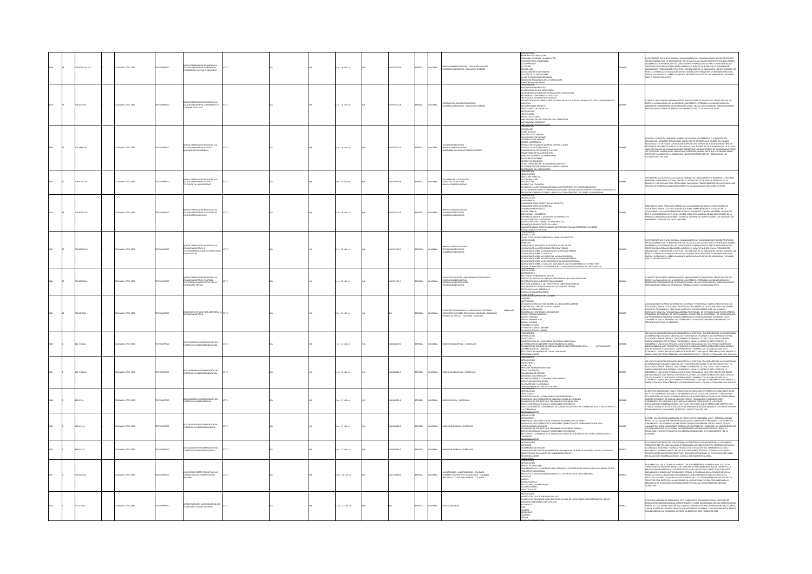|  | 278.007 (C15n Ej.2) | LOMBIA: ICFES, 1995 | O23RN OTH         | VAS TECNOLOGÍAS APLICADAS A LA<br>CACIÓN SUPERIOR: 1 MEDIACIÓN<br>AGÓGICA Y NUEVAS TECNOLOGÍAS                         |  | 66 p. : 16 x 24 cm      | 58-9279-18-X  | <b>JORASZS</b> |              | enovaciones educativas - educación superior<br>Esarrollo educativo - educación superior                                                          | (TRODUCCIÓN)<br>MEMORIA DE LA MEDIACIÓN<br>-<br>PARA UNA HISTORIA DE LA MEDICACIÓN<br>- FUNDONIS DE LA UNIVERSIDAD<br>- LO ALTERNATIVO<br>- PLATERNATIVO<br>LU ALI LIKRIA I IVO<br>EL FUTURO<br>EDUCAR PARA<br>LAS INSTANCIAS DE APRENDIZAJE<br>AS INSTANCIAS UN APRINTIKAM<br>11. ACCESO A LAS MEDIACIONES<br>A INSTITUCIÓN COMO MEDIADORA<br>MEDIACIÓN PEDAGÓGICA DE LAS TECNOI<br>SENDER ES CONSTRUESE                                                                                                                                                                                                                                                                          |       | el crecimiento que a nivel mundial han alcanzado las comunicaciones ha sido propiciado<br>Por el desardilio de la información y la telebartica, las clales constituyen nuevas formas<br>De gerenciar la información y el condoniento<br>PA ANNARAMA AN MUNIMINGEON VER CONDOUNTERPO VERBIQUECULAS AN MACHINGAS PORTAGO COM STANDALO EN CONDOUCA Y COND<br>ODINTÉRCAS OR SISTEMA DE ESUCACIÓN SURFADOR EL MAPACTO QUE ESIRCIPI LAS PERMANENTES<br>MINIMACIONES TECNICADOR CO                                                                                                                                                                                                                                         |
|--|---------------------|---------------------|-------------------|------------------------------------------------------------------------------------------------------------------------|--|-------------------------|---------------|----------------|--------------|--------------------------------------------------------------------------------------------------------------------------------------------------|------------------------------------------------------------------------------------------------------------------------------------------------------------------------------------------------------------------------------------------------------------------------------------------------------------------------------------------------------------------------------------------------------------------------------------------------------------------------------------------------------------------------------------------------------------------------------------------------------------------------------------------------------------------------------------|-------|---------------------------------------------------------------------------------------------------------------------------------------------------------------------------------------------------------------------------------------------------------------------------------------------------------------------------------------------------------------------------------------------------------------------------------------------------------------------------------------------------------------------------------------------------------------------------------------------------------------------------------------------------------------------------------------------------------------------|
|  | 278.01 IC15n        | 2001 2233 MARINE    | <b>O22RRM OTX</b> | .<br>EVAS TECNOLOGÍAS APLICADAS A LA<br>JCACIÓN SUPERIOR: 2 INFORMÁTICA Y<br>WARE EDUCATIVO                            |  | $55a : 35x24$ cm.       | 858-9279-22-8 | <b>CSPAROL</b> | <b>OMBM</b>  | -<br>Formática - Educación Superior<br>Sarrollo Educativo - Educación Superior                                                                   | RESIDINGO<br>A MONOCO IN ENFORMÁTICA<br>A MONOCO RE TRADIMÍSTICA COMORA<br>A MONOCO E TRADIMÍSTICA CONCIDA<br>ANGUESCA E LA MONOCO A MONOCO<br>ANGUESCA E UNA EXPERIDICA ADITIONALE, PROYECTO AQUES: UN PROYECTO PEOTO DI INFORMÁTICA<br>ANGUESC<br>ANTECEDENTES DEL PROVECTO<br>ANTECEDENTES DEL PROVECTO<br>XMCLUSIONES<br>ONECTOS FUTUROS<br><b>DÓN DE LA TECNOLOGÍA</b><br>PLICACIONES DE LA UTIL<br>PLICACIONES GENERALE<br><b>PLICACIONES METODS</b>                                                                                                                                                                                                                         | ezag  | 1. IMPACTO QUE EIERCEN LAS PERMANENTES INNOVACIONES TECNOLÓGICAS A TRAVÉS DEL USO DEL<br>ATÉLITE, LA SIMULACIÓN, LOS MULTIMEDIOS, LAS REDES ELECTRÓNICAS, LOS NUEVOS MEDIOS DE<br>AMININ, AN AMINAMASIÓN DE INFORMACIÓN VISUAL, GRÁFICA Y DOCUMENTAL, DE<br>GENERACIÓN Y TRANSMISIÓN DE INFORMACIÓN VISUAL, GRÁFICA Y DOCUMENTAL, DE<br>MODERNIZAR LOS ESTILOS DE APRENDIZAJE Y PERMEAR TODO EL SISTEMA EDUCATIVO<br><b>GNTAL DEBEN IGUALMENTE</b>                                                                                                                                                                                                                                                                  |
|  | 271.334 (C15n)      | LOMBIA: ICFES, 1995 | TO IMPRESO        | iuevas tecnologías aplicadas ala<br>Ducación superior: 3 redes y<br>Aediaciones pedagógicas                            |  | .<br>56 p. : 16 x 24 cm | 58-9279-24-4  | <b>JORASZ</b>  | <b>MEM</b>   | TECNOLOGÍA EDUCATIVA<br>INNOVACIONES EDUCATIVAS<br>ENSEÑANZA CON AYUDA DE CO                                                                     | $\begin{split} &\mathcal{N}(\mathbf{x},\mathbf{b}) = \mathcal{N}(\mathbf{x},\mathbf{b}) = \mathcal{N}(\mathbf{x},\mathbf{b}) = \mathcal{N}(\mathbf{x},\mathbf{b}) = \mathcal{N}(\mathbf{x},\mathbf{b}) = \mathcal{N}(\mathbf{x},\mathbf{b}) = \mathcal{N}(\mathbf{x},\mathbf{b}) = \mathcal{N}(\mathbf{x},\mathbf{b}) = \mathcal{N}(\mathbf{x},\mathbf{b}) = \mathcal{N}(\mathbf{x},\mathbf{b}) = \mathcal{N}(\mathbf{x},\mathbf{b}) = \mathcal{N}(\mathbf{x},\mathbf{b$<br>-WIERNIT EN COLOMBIA<br>-LA RED FARALDONES EN LA UNIVERSIDAD DEL VALLE<br>-LA RED FARALDONES EN LA UNIVERSIDAD DEL VALLE<br>-LA RED MALCÁN<br>-MIROGUCIÓN<br>-NIROGUCIÓN<br>-NIROGUCIÓN<br>-NIROGUCIÓN |       | STIVENNA Y RODADVIR UNA NUEVA MANERA DE COMUNICAR Y GERENCIAR EL CONDOMINITATO.<br>ACADÓMICO, ES EL RETO GUI LA EDOCACÍVIR UNIVERSIDA DES ENFRETAR, 42 GE CREA AMATETATO<br>ACTO GRADO ES CONFIETIVIDAD Y DE OSEARROLLO EN EL EURIRO<br>CIENTÍFICOS Y ACADÉMICOS SE CONVIEREAN EN CONSTRUCTORES ACTIVOS Y CREATIVOS DE LAS<br>IOCIEDADES DEL SIGLO XXI.                                                                                                                                                                                                                                                                                                                                                             |
|  | 0071015n1           | MEIA: ICFES, 1995   | O IMPRESO         | JEVAS TECNOLOGÍAS APLICADAS A LA<br>UCACIÓN SUPERIOR: 4 RADIO Y<br>LEVISIÓN EN LA UNIVERSIDAD                          |  | $p. : 36 \times 24$ cm  | 4279-19-8     |                |              | ELEVISIÓN EN LA EDUCACIÓN<br>ADIO EN LA EDUCACIÓN<br>INOVACIONES EDUCATIVAS                                                                      | -IBACADÁT TADAÍTA<br>4 A CADACADA<br>4 A RAGO DI A TANYARÓN<br>4 A RAGO DI A TANYARÓN PORTERANA CASO DE ESTUDIO: 91.9, JAVERANA ESTERIO<br>4 A TALVADOR VICO EN 1A UNIVERSANA CASO DE ESTUDIO: 91.9, JAVERANA ESTERIO<br>4 A TALVADOR VICO EN                                                                                                                                                                                                                                                                                                                                                                                                                                      |       | ES DENTRO DE LAS POLÍTICAS ACTIVAS DE FOMENTO DE LA EDUCACIÓN Y EL DESARROLLO, PRETENDE<br>PROPICIAR LA VISIDADIRA CULTURA CIENTÍFICA Y TECNOLÓGICA CON MIRAS A DESMITIRICAR LOS<br>ALCANCES Y LIMITACIONIS DE LA TECNOLOGÍA E IMPULSAR LA TRANSFORMACIÓN DE LA DOCUNCIA PARA<br>EACULTAR SU INCIDENCIA EN EL MIDORAMENTO DE LA                                                                                                                                                                                                                                                                                                                                                                                     |
|  | 378.007 (C15n2)     | LOMBIA: ICFES, 1995 | O22RRM OTH        | UEVAS TECNOLOGÍAS APLICADAS A LA<br>XUCACIÓN SUPERIOR: S CREACIÓN DE<br>PERTEXTOS EDUCATIVOS                           |  | 67 p. : 16 x 24 cm      | 68-9279-23-6  | <b>PAÑOL</b>   | MEM          | ENDLOGÍA EDUCATIVA                                                                                                                               | ntroducción<br>"Undamentos<br>"Undamentación conceptual del Proyecto<br>-FINDRINGHOOG CONCIDITION.<br>CONDITIONS CONTINUES IN A CONTRACT CONTRACT CONTRACT CONTRACT CONTRACT CONTRACT CONTRACT CONTRACT CONTRACT CON<br>CONSIDERATIVE CONTRACT CONTRACT CONTRACT CONTRACT CONTRACT CONTRACT CONTRACT CONTRAC<br>TEMA ANALÍTICO DE TEXTO                                                                                                                                                                                                                                                                                                                                            |       | COMO APOYO A ESTE PROCESO SE PRESENTA A LA COMUNIDAD NACIONAL DE INSTITUCIONES DI<br>EDUCACIÓN SUPERIOR ESTA SERIE DE NAÓDLICAS SORRE DIPERENCIAS INSTITUCIONALES DIN LA<br>UTILIZACIÓN DE LOS MIEDIOS TECNOLÓGICOS QUE ACTUALMENTE<br>etikonomista kon priedvo trongosioco tęgorio in merodiniu i nimenova priedrimatiko teatra da kasi<br>1933: Es un espuerzo del l'otesian se un grupo de exerbedela con la codperación de la<br>1904: Regional de Marca de la esta mat                                                                                                                                                                                                                                         |
|  | 28.007 (C15n3)      | LOMBIA: ICFES, 1995 | TO IMPRESO        | UEVAS TECNOLOGÍAS APUCADAS A LA<br>DUCACIÓN SUPERIOR: 6<br>1. ECONFERENCIA Y NUEVAS TECNOLOGÍ<br>4 EDUCACIÓN           |  | .<br>07p.: 16 x 24 cm   | 145.0279      | AÑOL           |              | NOVACIONES EDUCATIVA<br>ENOLOGÍA EDUCATIVA<br>ISARROLLO EDUCATIVO                                                                                | VOCUCCIÓN<br>LLER Y COMENTARIOS-RESPUESTAS SOBRE LOS EJERCICIOS<br>ITRUCCIONES<br>$\begin{tabular}{l c c c} \hline & \multicolumn{3}{l}{\textbf{C}W1C} \multicolumn{3}{l}{\textbf{C}W1C} \multicolumn{3}{l}{\textbf{C}W1C} \multicolumn{3}{l}{\textbf{C}W1C} \multicolumn{3}{l}{\textbf{C}W1C} \multicolumn{3}{l}{\textbf{C}W1C} \multicolumn{3}{l}{\textbf{C}W1C} \multicolumn{3}{l}{\textbf{M}C} \multicolumn{3}{l}{\textbf{M}C} \multicolumn{3}{l}{\textbf{M}C} \multicolumn{3}{l}{\textbf{M}C} \$                                                                                                                                                                              |       | .<br>DECIMIENTO QUE A NIVEL MUNEIAL HAN ALCANZADO LAS COMUNICACIONES HA SIDO PROPICIADO.<br>2 DI DECADROU O DE LA INFORMACIÓN Y LA TELEMÁTICA. LAS CUALES CONCETEINEN NUEVAS CORMA:                                                                                                                                                                                                                                                                                                                                                                                                                                                                                                                                 |
|  | 378.007 (C15n4)     | LOMBIA: ICFES, 1995 | O23RM OTH         | IEVAS TECNOLOGÍAS APLICADAS A LA<br>UCACIÓN SUPERIOR: 7 SISTEMA<br>ULTIMEDIA COMO PROTOTIPO DE LA<br>INVESIDAD VIRTUAL |  | 44 p. : 16 x 24 cm      | 58-9279-21-X  | AÑOL           |              | AOÓN SUPERIOR - INNOVACIONES TECNOLÓGICAS<br>NOVACIONES EDUCATIVAS<br>FORMÁTICA EN EDUCACIÓN<br>ENOLDGÍA EDUCATIVA                               | <b>KERAMAAL.</b><br>NTECEDENTES<br>NULTIMEDIA Y UNIVERSIDAD VIRTUAL<br>MULTIMIZINY L'HAVISTOLO VA INTERNA MICHAMICO UNA CLARA BECIPICAN<br>LONGITO DEL MEDIO Y DEL MÉTODO, ASIGURANDO UNA CLARA BECIPICAN<br>CONSTRUCCIÓN DE MARIOISTO DEL MENORIO DE<br>METODO DE MARIOISTO DE MANORISMO<br>METODO DE MARIOISTOL                                                                                                                                                                                                                                                                                                                                                                  |       | EL IMPACTO QUE EJERCEN LAS PERMANENTES INNOVACIONES TECNOLÓGICAS A TRAVÉS DEL USO DEL<br>SATÉLITE, LA SIMULACIÓN, LOS MULTIMEDIOS, LAS REDES ELECTRÓNICAS, LOS NURVOS MEDIOS DE<br>GENEDACÍÓN Y TRANSMISIÓN EN INFORMACIÓN VISUAL, G                                                                                                                                                                                                                                                                                                                                                                                                                                                                                |
|  | 278.16 IC15e        | LOMBIA: ICFES, 1995 | O22RRM OTH        | .<br>Amenes de estado pa<br>Iucación superior                                                                          |  | 16 p. : 21 x 27 cm      |               |                |              | ÁMENES DE ADMISIÓN A LA UNIVERSIDAD - COLOMBIA<br>EDICIONES Y PRUEBAS EDUCATIVAS - COLOMBIA - MANUALES<br>UEBAS DE APTITUD - COLOMBIA - MANUALES | CALIFICACIÓN DEL EXAMER                                                                                                                                                                                                                                                                                                                                                                                                                                                                                                                                                                                                                                                            |       |                                                                                                                                                                                                                                                                                                                                                                                                                                                                                                                                                                                                                                                                                                                     |
|  | 21.7 IC15a1         | LOMBIA: ICFES, 1996 | <b>CO IMPRESO</b> | TUAUZACIÓN Y MODERNIZACIÓN DEL<br>RRÍCULO EN INGENIERÍA INDUSTRIAL                                                     |  | 72 p. : 17 x 24 cm      | 8-680-009-1   | AÑOL           |              | INERÍA INDUSTRIAL - CURRÍCULO:                                                                                                                   | SENTACIÓN<br>FROQUICODN<br>FECEDENTES<br>DERWZACIÓN DEL CURRÍCULO<br>ACIÓN DE LA UNIVERSIDAD CON LA COMUNIDAD<br>DMENDACIONES<br>ENTACIÓN                                                                                                                                                                                                                                                                                                                                                                                                                                                                                                                                          |       | los nuevos modelos económicos basados en la apertura y el ubre mercado hacen necesabia.<br>La ceneración de grandes desarrollos tecnológicos, en donos el sector productivo y la<br>Educación superior tenen el conocimento de princ<br>NUNDALISM SIONARIA I INIMA IL LOMDIOMINIO DI PARADPA ALIMO, LOMI IL LON DI CONTETO, LA<br>BUEDIERI ALS 1930 DE LOS PRINCIPALES MOTORNES DE DESARGOLO DEL PAÉ, PERISTO CONTETO, LA<br>BUEDIERI ALS 1930 DE LOS PRODICTOS Y SERVICIOS,<br>VANDIR AMANGASIO A LOS PASUDULTUOS Y SARRADOD, INIMADO A SU SSINGUAR MILADUDIR CON LA GUIDALIZACIÓN DE LA<br>CON LOS AVARICES TECNOLÓGICOS. LOS PERIMANENTES CANBILOS CON LA GUIDALIZACIÓN DE LA<br>KONISIRA COMO SE ESTÁN FORMANDO |
|  | 1.7 (C15a2)         | CMEIA: ICFES, 1996  | C23RM OT          | TUAUZACIÓN Y MODERNIZACIÓN DEL<br>RRÍCULO EN INGENIERÍA INDUSTRIAL                                                     |  | 11 p.: 17 x 24 cm       | 8-680-010-5   | AÑOL           |              | <b>ENERÍA INDUSTRIAL - CURRÍCULOS</b>                                                                                                            | RESENTACIÓN<br>NYTECCLOCOÓN<br>ANTECCCENTES<br>PERFIL DEL NGENIERO INDUSTRIAL<br>TITULO Y QUARCIÓN<br>PAN MÍNIMO DE ESTUDIOS<br>DRGANIZACIÓN CURRICULAR<br>CURSOS HUMANOS Y ECONÓMICOS REQUERIDOS<br>TRATEGIAS METODOLÓGICAS<br>UNIVERSIDAD Y LA SOCIEDAD<br>INGENERÍA INDUSTRIAL EN EL FUTURO                                                                                                                                                                                                                                                                                                                                                                                     |       | AN MARYON MODELOS ECONOMICS BANDOS BU A APORTURA Y EL URIR MIGRADO MACIN MECHANO, EN ANGELES EN EN EN EL UN EN ENTRE EN EL UN ENTRE EN EL UN ENFERIT DE CONSUMERAT EN EL UN EN ENTRE EN ENTRE EN EL UN EN ENTRE EN EL UN EN E                                                                                                                                                                                                                                                                                                                                                                                                                                                                                       |
|  | 24 IC15a            | LOMBIA: ICFES, 1996 | O22RRM OTH        | UAUZACIÓN Y MODERNIZACIÓN DEL<br>RÉCULO EN INGENIERÍA CIVIL                                                            |  | .<br>Pa:17x24 cm        | 2-200-003     | <b>LOBAS</b>   | was          | <b>GENERÍA CIVIL - CURRÍCULOS</b>                                                                                                                | TRODUCCION<br>ITECEDENTES<br>RACTERÍSTICAS DE LA FORMACIÓN DE INGENIEROS CIVILES<br>ENDENCIAS EN LA FORMACIÓN DE INGENIROS CIVILES EN COLOMBIA<br>LAN BÁRCO DE ESTUDIOS EN EL PROGRAMA ES IMENISTÁR CIVIL<br>ETRATIGLAS PARA ACTUALIZAR Y MODERNIZAR EL CURRÍCULO<br>ETRATIGLAS PARA EL ACERCAMIENTO DE LA UNIVERSIDAD CON                                                                                                                                                                                                                                                                                                                                                         | ossa  | IS INSTITUTO COLONIBANO PARA EL FORMATO DE LA EDUCACIÓN SUPERIOR ESTE, CORO INSTITUCIÓN MEN EL CORONIBIO PRESENTO DE LA ESPACIA EL CORONIBIO EN EL CORONIBIO EN EL CORONIBIO EN EL CORONIBIO EN EL CORONIBIO EN EL CORONIBIO                                                                                                                                                                                                                                                                                                                                                                                                                                                                                        |
|  | 60 K15a1            | LOMBIA: ICFES, 1996 | <b>O22RRM OTX</b> | TUAUZACIÓN Y MODERNIZACIÓN DEL<br>RRÍCULO EN INGENIERÍA QUÍMICA                                                        |  | s<br>8 p.: 17 x 24 cm   | 0-800-00842   | <b>AÑOL</b>    | <b>HARM</b>  | GENIERÍA QUÍMICA - CURRÍCULOS                                                                                                                    | TRODUCOÓN<br>TECEDENTES<br>INCIDALES CARACTERÍSTICAS DE LA INGENIERÍA QUÍMICA EN COLOMBIA<br>IDENCIAS EN LA FORMACIÓN DE INGENIEROS QUÍMICOS EN COLOMBIA ORIENTACIÓN DE LA<br>-IDENCIAS EN LA FURNAHARE LA JUDICIA DE INGENIERÍA QUÍMICA<br>ESTIGACIÓN EN INGENIERÍA EN EL PROGRAMA DE INGENIERÍA QUÍMICA<br>AN RÁGICO DE ESTUDIOS EN EL PROGRAMA DE INJERÍOULO<br>ACIONES Y ESTRATEGIAS DE LA UNIVERSIDAD CON EL SECTOR PRODUCTIVO, EN SECTOR PÚBLICO Y LA                                                                                                                                                                                                                        |       | EL ESTEV LA AGECHICÓN COLOMBANA DE FACULTADES DE INSÉRIESÁN -ACOFI, OSEMBOLIARON EL<br>PORDAMINATAL EN ESTEGRACIA EL EN ENCICHIER DE ASA MODERNOS RESTES EN PUNTO D'ENTRA<br>HUMANÍSTICO, SCOLA, PEDAGÓGICO, CUBRICIAJR, INVESTIGATI<br><b>AIMONS</b>                                                                                                                                                                                                                                                                                                                                                                                                                                                               |
|  | 60 K15a2            | MEIA: ICFES, 1996   | O23RN OTH         | .<br>Tuauzación y modernización del<br>Rrículo en Ingeniería química                                                   |  | 6p.: 17 x 24 cm         | 58-680-003-2  | ušoi.          |              | GENERÍA QUÍMICA - CURRÍCULOS                                                                                                                     | MUNDAD<br><u>ECOMENDACI<sup>ONIS</sup><br/>ITRODUCCIÓN</u><br>EFINICIÓN<br>ZIMOOAGMING<br>NELISIONES<br>SENTACIÓN                                                                                                                                                                                                                                                                                                                                                                                                                                                                                                                                                                  | 09670 | .<br>ESTE PROYECTO SE INICIO CON LOS PROGRAMAS ESTRATÉGICOS QUE MAS APORTAN AL DESARROLLO<br>PRODUCTIVO DEL PAÍS, CON ESA VISIÓN SE TRABAJARON LAS INGENIERÍAS CIVIL, MECÁNICA, ELÉCTRICA Y<br>FRANCHI IN DIE FRIE LANT MAN VIERE ALLE DEUTSCHEN DER DEUTSCHE MIE, MICHAEL NEIL DER DER FRANCHE VOLLOPALE SEI<br>BUICTONNICA, INDUSTRIEL Y QUINNCA, PRODUCTO DE LOS ENCUENTROS, SEMINARICS-TALLERES<br>REPRESENTANTES DE SECTOR PRO                                                                                                                                                                                                                                                                                 |
|  | 278.19 IC15u        | LOMBIA: ICFES, 1996 | O22RRM OTH        | INERSIDAD SECTOR PRODUCTIVO: UN<br>MINO HACIA LA COMPETITIVIDAD<br>ONAL                                                |  | 230 p. : 16 x 23 cm     | 0-8280-6584   | <b>DAÑOL</b>   | <b>AIGHA</b> | UNIVERSIDADES - INVESTIGACIONES - COLOMBIA<br>DESARROLLO CIENTÍFICO Y TECNOLÓGICO - COLOMBIA<br>INDUSTRIA Y EDUCACIÓN SUPERIOR - COLOMBIA        | RYTROUSCOON<br>RESIDENTINA INACONAL<br>RESIDENTINA INACONAL<br>REGIONITY OF IN COLOMINA<br>RECOLUTING EN COLOMINA<br>MYTICQUIA<br>MYTICQUIA<br>MYTICQUIA<br>TEGIAS PARA FORTALECER LOS PROCESOS DE VINCULACIÓN UNIVERSIDAD SECTOR<br>IGOTÁ<br>ISTA ATLÁNTICA<br>I CARETERO, TOLIMA Y HUILA<br>S SANTANDERES<br>ULE DEL CAUCA                                                                                                                                                                                                                                                                                                                                                       | 39671 | .<br>In el marco de las acciones de fomento que le corresponde desarrollar al ICFES, se ha<br>Jonsiderado de Gran Importancia desarrollar un programa nacional de fomento a la<br>IN IN MARALD DE GRAN UNIVERSIDA COMBIERD QUE LE CORINISMO DE MARISLICANA AL INSURALDO DE GRAN INFORMACIÓN CON<br>CONSIDERADO DE GRAN INFORMACIÓN DESARROLLAR UN PROGRAMA NACIONAL DE FONNENTO A LA<br>VANCIUACIÓN UNIVERSIDAD SECTOR<br>MEULSTRIA, ASÍ COMO LAS POSIBILIDADES EXISTENTES EN EL SECTOR EMPRESARIAL PARA ADELANTAR<br>PROYECTOS CONLUNTOS CON LA UNIVERSIDAD EN LOS QUE TENGA ESPECIAL PREPONDERANCIA EL<br>DESARROLLO DE TECNOLOGÍAS QUE HAGAN COMPITITIVAS A                                                      |
|  | $72.2$ iC15c        | LOMBIA: ICFES, 1996 | O2244M OT         | : ARACTERÍSTICAS Y CLASIFICACIÓN DE LOS<br>YLANTELES DE EDUCACIÓN MEDIA                                                |  | 123 p. : 22 x 28 cm     |               | JORAS          |              |                                                                                                                                                  | ATURALEZA<br><b>--</b><br>RNADA<br><i>RÁC</i> TER<br><i>RÁC</i> TER<br><i>RÁN</i>                                                                                                                                                                                                                                                                                                                                                                                                                                                                                                                                                                                                  |       | el servicio Nacional de Pruebas del Kots Elabora este documento con el Propósito de<br>Brinava información hacional cobrespondente a 1995, relacionada con lacabacterísticatica<br>Propar de Cada colegio del País y su clasificació                                                                                                                                                                                                                                                                                                                                                                                                                                                                                |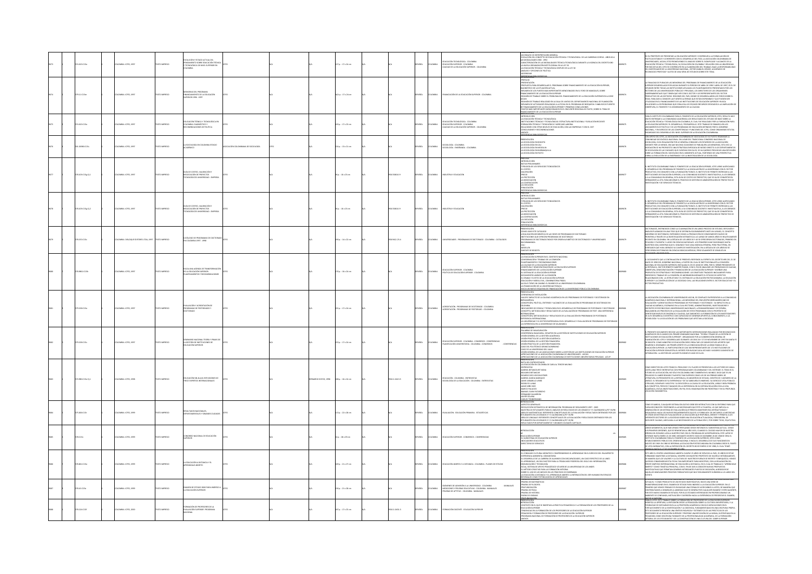|  |                  | MEM: ICFES, 1997                         | TO IMPRESO        | UCIÓN Y ESTADO ACTUAL DE<br>INIMMINTO SOBRE EDUCACIÓN TÉCN<br>TECNOLÓGICA DE NIVEL SUPERIOR EN       |  |                 | 7 p. : 17 x 24 cm     |                    |             |                | UCACIÓN TECNOLÓGICA - COLOMBIA<br>UCACIÓN SUPERIOR - COLOMBIA<br>UJOAD DE LA EDUCACIÓN SUPERIOR - COLOMBIA                                            | fyrienningen.<br>-Un dreavo de interpretación general<br>-Undwolón del concepto de educación técnica y tecnológica, de las carreras cortas - años 60 a<br>OLUCION DEL CONCEPTO DE EDUCACION TECNICA Y TECNOLOGICA. DE LAS CARRERAS CORTAS - ANOS 60 A<br>EMODALIDADES 1980 - 1992<br>RACTERIZACIÓN DE LAS MODALIDADES TÉCNICA TECNICÓGICA DURANTE LA VIGENCIA DEL DECRETO 080<br>NUEVA ORGANIZACI                                                                                                                                                                                                                                                                                                                                                                                                                                            |      | .<br>En su propósito de presentar la educación superior y contribuir a la formulación de<br>Políticas estables y conerentes con el desarrollo del País, la asociación colonibiana de<br>POLITICAS VAMINAS T CÁMINHAM HA VAMINA VALOURALI VAN PARI CA SIGNIFICADO Y ALCANCES DE LA<br>ENVICIRSIDADES, ASCUN, ESTÁ PROMOVIENDO EL ANÁLISS SOBRE EL SIGNIFICADO Y ALCANCES DE LA<br>EDUCACIÓN TÉCNICA Y TECNICÓGICA, SU EVOLUCI<br>INVESTIGADOR DE LA UNIVERSIDAD NACIONAL, VÍCTOR MANUEL GÓMEZ, ACADÉMICO DE<br>ONOCIDO PRESTIGIO Y AUTOS DE UNA SERIA DE ESTUDIOS SOBRE ESTE TEMA.                                                                                                                                                                                                                                                    |
|--|------------------|------------------------------------------|-------------------|------------------------------------------------------------------------------------------------------|--|-----------------|-----------------------|--------------------|-------------|----------------|-------------------------------------------------------------------------------------------------------------------------------------------------------|----------------------------------------------------------------------------------------------------------------------------------------------------------------------------------------------------------------------------------------------------------------------------------------------------------------------------------------------------------------------------------------------------------------------------------------------------------------------------------------------------------------------------------------------------------------------------------------------------------------------------------------------------------------------------------------------------------------------------------------------------------------------------------------------------------------------------------------------|------|--------------------------------------------------------------------------------------------------------------------------------------------------------------------------------------------------------------------------------------------------------------------------------------------------------------------------------------------------------------------------------------------------------------------------------------------------------------------------------------------------------------------------------------------------------------------------------------------------------------------------------------------------------------------------------------------------------------------------------------------------------------------------------------------------------------------------------------|
|  | 79.11 IC15m      | LOMBIA: ICFES, 1997                      | O22RRM OTX        | <b>RIAS DEL PROGRAM</b><br>INANCIAMENTO DE LA EDUCACIÓN<br>LUPERIOR 1996 - 1997                      |  |                 | (Ap.: 17 x 24 cm      |                    | AÑOL        | <b>COMBIA</b>  | ANNOACIÓN DE LA EDUCACIÓN SUPERIOR - COLOMBIA                                                                                                         | ifacio<br>Isentación<br>ini aliun<br>Viesta para desabrollar el programa sobre financiamiento de la educación superior,<br>JP MAIN PYRA NA DRASOLON KE PRANDSYNY JOHN PHROGUSHINI I'N DE EN EGOLSKIN JOHNS<br>ENIGEN DE LOS FUNDACIÓN ACTUAL<br>ENIGEN DE LOS FUNDACIÓN AUGUSTANTES MENCIONADOS EN EL FORD DE MANIZALES, SOBRE<br>NICIAMIENTO DE LA EDUCACIÓN SUPE<br>UNIÓN DE TRABAJO SOBRE EL PROBLEMA DEL FINANCIAMIENTO DE LA EDUCACIÓN SUPERIOR EN LA SEDE<br>.<br>IÓN DE TRABAJO REALIZADO EN LA SALA DE JUNTAS DEL DEPARTAMENTO NACIONAL DE PLANEACIÓN.<br>L'ONDON DE FINANCIA DANILIMO EN MA JOHN DU COMETA DUA LUPPARANDA DE BIÈSQUEDA YA ANÁRIESE DE FUERATIS.<br>FRANKCIAN EN FACTAVEN DES REGULARIÓNS A LA FECHA EN EL PROGRAMAN DE BIÈSQUEDA YA ANÁRIES DE FUERATIS<br>INTOS MÁG IMPORTAN<br>ACIAMENTO DE LA EDUCACIÓN SUPERIOR | acza | nalidad de Publicar las Memorias del Programa de Financiamiento de la educación<br>Ridr desarrollado por ascun durante el Período de Abril de 1996 y Abril de 1997, es el di<br>ERIOR DESARRO<br>DIJPINIUK URANNIULIJALA PAN PANAH NAMPANIH IN PANAHOS MA MITAMIKNITOS PRESENTADOS POR LOS<br>DIFUNDIR INTER TODAS LAS INSTITUIDINIS A PENNANAS LOS PUNTEMMIKNITOS PRESENTADOS POR LOS<br>RECTORES DE LAS UNIVERSIDADES PÚBLICAS Y PR<br>MAMMONING DA LAS DESTINYAS REGIONES DEL PAÍS, DONDE SE DESARROLLARON LOS FORDS SOBRE EL<br>PRODUCTIVO DE LAS DESTINYAS REGIONES ALTERNAS QUE ESTÁN DESARROLLARON LOS FORDS SOBRE EL<br>TENJA PARA DAR A CONOCER LAS FUENTES ALTERNAS<br>EOLUCIONES A LOS PROBLEMAS QUE CONLLEVA LOS ESCASOS RECURSOS DEDICADOS A LA AMPLIACIÓN DE<br>COBERTURA, EL FOMENTO Y EL MEJORAMIENTO DE LA CALIDAD. |
|  | .<br>213 IC154   | CANBUA: ICFES, 1997                      | O22RRM OTX        | CACIÓN TÉCNICA Y TECNOLÓGICA EN<br>OMBIA: DIAGNÓSTICO Y<br>OMENDACIONES DE POLÍTICA                  |  |                 | 0 p. : 17 x 23 cm     |                    |             |                | ducación tecnológica - colombia<br>ducación superior - colombia<br>Nudad de la educación superior - colombia                                          | SANA-A-A-<br>TRONCOCO TÉCNICA Y TEORIA ÓGEAL<br>SANACIÓN TEORIA Y TEORIA ÓGEAL<br>SANACIÓN TEORIA Y TEORIA ÓGEAL ESTRUCTURA RISTINDORME Y UNICUOÓN REGIRITE<br>SANACIÓN TEORIA VIA DE CONSULACIÓN (CON LAS DARISAS Y CON EL COST<br>RACIONES                                                                                                                                                                                                                                                                                                                                                                                                                                                                                                                                                                                                 |      | <b>PARA EL RISTRUTO COLOMBIANO PARA EL FOMONTO DE LA EDUCACÓN SUPERIOR, LETE, RESULTA MUY<br/>ESPITO ENTEREN A AL COMANDAD A CASONACA UN SEGUIDO COLO ESTUDO DE MAS SOBRE LA MUSICIÓN TÉCNICA PER COMANDO EN<br/>EDUCACÓN TÉCNICA Y ESP</b>                                                                                                                                                                                                                                                                                                                                                                                                                                                                                                                                                                                          |
|  | 0198610151       | LOMBIA: ICFES, 1997                      | <b>O22RRM OTX</b> | A SOCIOLOGÍA EN COLOMBIA ESTADO<br>CADÉMICO                                                          |  |                 | 4p.:13 x 21 cm        |                    | AÑOL        | <b>LOMBIA</b>  | -SOCIOLOGÍA - COLOMBIA<br>-SOCIOLOGÍA - ENSEÑANZA - COLOMBI                                                                                           | ESENTACIÓN<br>4 SOCIOLOGÍA EN BOSOTÁ<br>SOCIOLOGÍA EN CALI<br>SOCIOLOGÍA EN MEDELLIN<br>SOCIOLOGÍA EN BARRANC<br>SOCIOLOGÍA EN PASTO<br>$rac{1}{2}$                                                                                                                                                                                                                                                                                                                                                                                                                                                                                                                                                                                                                                                                                          |      | .<br>CON APOVO DEL ICFES, LA ASOCIACIÓN COLOMBANA DE SOCIOLOGÍA SE HA PUESTO REANIMAR LA<br>SOCIOLOGÍA, CUYA REALIZACIÓN POR LO GENERAL CONSUME LOS ESFUERZOS DE LA ASOCIACIÓN<br>SOCIOLOGÍA, CUYA REALIZACIÓN POR LO GENERAL CONSUME L<br>linguare, luin rihalmus, dive que muziana considera una tappara las menorum estas una vieta.<br>Bante por lo menor sin que muzian considera se publiquen las menorias, esta vez la ternoria de la provesto una<br>Sociología de las<br>SOBRE LA FORMACIÓN DEL SOCIÓLOGO EN EL MOMENTO ACTUAL, PARTIENDO DE UNA PERSPECTIVA.<br>SOBRA LA EVOLUCIÓN DE LA ENSEÑANZA Y DE LA INVESTIGACIÓN DE LA SOCIOLOGÍA.                                                                                                                                                                                 |
|  | 8.103 (C15g E).1 | LOMBIA: ICFES, 1997                      | <b>OZZRRA OTX</b> | UÍA DE COSTEO, VALORACIÓN Y<br>EGOCH CIÓN DE PROYECTOS                                               |  |                 | p.: 16 x 23 cm        | 0-320616-9         | AÑOL        | <b>LOMBIA</b>  | DUSTRIA Y EDUCACIÓN                                                                                                                                   | -----<br>RODUCCIÓN<br>TAS PRELIMINARES<br>POLOGÍA DE LOS SER<br>. COSTEO<br>NLORACIÓN<br>-PRECIO<br>-LA PROTECCIÓN<br>-LA NEGOCIACIÓN<br>-NAMALINAN<br>-EJECUCIÓN<br>-FJECUCIÓN<br>FERENCIAS BIBLI                                                                                                                                                                                                                                                                                                                                                                                                                                                                                                                                                                                                                                           |      | vstituto colombiano para el fomento de la educación superior, icfes viene auspiciando<br>esarrolio del Progravia de fomento a la vinciliación de la universidad con el sector<br>ductivo, en coniunto con la fundación tecnos. El in<br>MONOLINUS, NA SUNNOINTO LUN DAVOIMI-POLI INDIA DE L'ORITI DI PARTI DI ANNI NA MISSI GRENI DE<br>15 TITULOGNIS DE EDUCACIÓN SURFADER, A GUI COMUNIDAD DOCENTE E INVESTIGATIVA, A LOS GRENI DI<br>18 NAVONAMENTA A ÚTIL PARA MEDORAR E<br><b>ESTIGACIÓN Y DE SERVICIOS TÉCNICOS.</b>                                                                                                                                                                                                                                                                                                           |
|  | $1.1031C15gE_12$ | LOMBIA: ICFES, 1997                      | O22RRM OTX        | JÍA DE COSTEO, VALORACIÓN Y<br><b>EGOCIACIÓN DE PROYECTOS<br/>ICNOLÓGICOS LINIVERSIDAD - EMPRESA</b> |  |                 | $5p.136 \times 23$ cm | $-330616 - 9$      | AÑOL        | LOMBIA         | ISTRA Y EDUCACIÓN                                                                                                                                     | .<br>ICOÓN<br>TRODUCCIÓN<br>)TAS PRELIMINARES<br>IPOLOGÍA DE LOS SER<br>L COSTEO<br>VALDRACIÓN<br>GLIU<br>LPROTECCIÓN<br>LNEGOCIACIÓN<br>CONTRATACIÓN<br>EJECUCIÓN<br>AUTOCOS<br>FERENCIAS BIBLIOGRÁFIC                                                                                                                                                                                                                                                                                                                                                                                                                                                                                                                                                                                                                                      |      | II, INSTITUTIO COLOMBANO, PARA EL FORMATO DE LA EDUCACIÓN EUROPOR, ECELÚNICA AUGUSTACIÓN EL ESTENIO EN EL ENCO<br>EL ESCARROLLO DEL INDICIPADA LES FORMATOS I AL VÁNCULACIÓN DE LA UNIVERSIDAD CON EL SECTOR<br>PRODUCTIVO, DE CONCA<br>STIGACIÓN Y DE SERVICIOS TÉCNICOS.                                                                                                                                                                                                                                                                                                                                                                                                                                                                                                                                                           |
|  | 1551015          | .<br>CMAIA: DISLOQUE EDITORES LTDA, 1997 | OZZRRA OTX        | .<br>ALOGO DE PROGRAMA<br>COLOMBIA 1997 - 1998                                                       |  |                 | 0.0.14 x 22 cm        | 9412-25-4          | AÑOL        | OMBM           | COO ISTAN - AIRMOND - ON ROTTON TO 2AMAGEMENT - 2004                                                                                                  | <b>EFFRIMALE</b><br>PRESENTACIÓN<br>CORÁNGO CORÁNGO<br>DMO USAR ESTE CATALOGO<br>OCALIZACIÓN GEOGRÁFICA DE LAS SEDES DE PROGRAMAS DE DOCTORADO<br>VSTITUCIONES QUE OFRECEN PROGRAMAS DE DOCTORADO<br>ROGRAMAS DE DOCTORADO ÍNDICE POR ORDEN ALFABÉTICO DE DOCTORAD<br>.<br>CD DE DOCTORADOS Y INVERSIDADES<br>CARAMANGA<br>XILLÍN<br>TAFE DE ROGOTÁ                                                                                                                                                                                                                                                                                                                                                                                                                                                                                          |      | AND HER CONSIDER COMPARENT COMPANY OF THE REPORT OF THE CONSIDERATION CONSIDERATION CONSIDER A REPORT OF THE CONSIDERATION CONSIDER A THE CONSIDERATION CONSIDER A REPORT OF THE CONSIDERATION CONSIDER A REPORT OF THE CONSI                                                                                                                                                                                                                                                                                                                                                                                                                                                                                                                                                                                                        |
|  | 9861 IC15h       | LOMBIA: ICFES, 1997                      | <b>COMPRESO</b>   | ACIA UNA AGENDA DE TRANSF<br>E LA EDUCACIÓN SUPERIOR:<br>LANTEAMENTOS Y RECOMENC                     |  |                 | 6 p. : 16 x 24 cm     |                    | AÑOL        | OMEN           | - EDUCACIÓN SUPERIOR - COLOMBIA<br>- POLÍTICA DE EDUCACIÓN SUPERIOR - COLOMBIA                                                                        | <b>ESENTACIÓN</b><br>« EDUCACIÓN SUPERIOR EN EL CONTEXTO NACIONAL<br>LA EDICAGON SUPERPE RA EL CONTENTO MAGIONAL<br>CONFORMACIÓN Y TRABAJO DE LA COMISIÓN<br>FLANTEAMENTOS Y RECONDINANZIONES<br>LA CALINAD DE LA EDICACIÓN SUPERIOR<br>COBERTURA Y DEMOCRATIZACIÓN SUPERIOR<br>FLASTEMA DE LA EDICACIÓN SUPERIOR<br><br>: SISTEMA DE LA EDUCACIÓN SUPERIOR<br>DOJMENTOS ANISIOS DE LA ECONSISÓN<br>- DRAMA Y EL RETO DE LA EDUCACIÓN SUPERIOR<br>SUCACIÓN Y MORAL CIVIL, COMBINATORIA FRÁGIL<br>JIOA SI TIENE UN CAMINO: EL RUMBO DE LA UNIVE<br>FINANCIACIÓN DE LA UNIVERSIDAD PÚBLICA<br>IOA UN NUEVO ESOUEMA DE FINANCIACIÓN DE LA UNIVERSIDAD PÚBLICA:                                                                                                                                                                                  |      | , DOCUMENTO CHE A COMINIMACIÓN EN RISIEMA REPORTO AL SISÉRITO EN ACCIDITADO CON 13 TOS.<br>NAVO DE 1994 EN COMINIMACIÓN Y PARTIR DE CUAL EL NORTO PARA EN LA CONSTANTA DE 1995 EN 1995 EN 1996 EN COMINI<br>NATORIAL EN EDUCADA INSP<br>PROPUSTA DE SETRATEGAS Y RECONDIRINGUORIS. LUG ANN INTO: INSAMINO: INLIAMINH IN 1799<br>CRISINTAR EL TRABAJO DE LA COMISIÓN, SE ABORDANON MEDIANTE EL ESTUDIO DE ADRECTOS<br>RELACIONADOS CON : LA ESTILUCTURA Y EL ESTERIA DE LA ED                                                                                                                                                                                                                                                                                                                                                         |
|  | 15810154         | LOMBIA: ICFES, 1997                      | <b>O23RM OTX</b>  | ADÓN Y ACREDITACIÓN DE<br>OGRAMAS DE POSTGRADOS Y<br>ICTORADO                                        |  |                 | 1p.:17x24 cm          |                    | <b>AÑOL</b> | OMEN           | REDITACIÓN - PROGRAMAS DE DOCTORADO - COLOMBIA<br>REDITACIÓN - PROGRAMAS DE POSTGRADO - COLOMBIA                                                      | esentación<br>Eremonia de Instalación<br>Aldre Impacto de La Calidad Académica en los programas de Postgrado y Doctorado en<br>SIDAMÉRICA<br>JNCEPCIÓN, POLÍTICA, CRITERIOS Y ALCANCES DE LA EVALUACIÓN DE PROGRAMAS DE DOCTORADO EN<br>LOMINA<br>XEMIRIA<br>LENCADORES DE CIENCIA Y TECNOLOGÍA EN EL DESARROLLO DE PROGRAMAS DE POSTGRADO Y DOCTORADO<br>JNEEPTO, METODOLOGÍA Y RESULTADOS DE LA EVALUACIÓN DE PROGRAMAS DE POST: UNA EXPERIENCIA<br>.<br>INCEPCIÓN, METODOLÓGICA Y RESULTADOS DE LA EVALUACIÓN EN PROGRAMAS DE POSTGRADO.<br>WAMARIN, WINDOWNAMIN.<br>ERIENCIA INTERNACIONAL<br>UNIVERSIDAD Y EL SECTOR EMPRESARIAL EN EL DESARROLLO Y EVALUACIÓN DE PROGRAMAS DE POSTI<br>EXPERIENCIA EN LA UNIVERSIDAD DE SALAMANICA<br><b>CONTACIÓN</b>                                                                                 |      | COACIÓN COLOMBIANA DE UNIVERSIDADES ASCUN. SE COMPLACE EN PRESENTAR A LA COMUNID<br>ASCIOLOGICA (MOLEMANA DE UNIVERSIDADES ASCIONAS EL DEMONICIÓN DE AL COMPARADO DE AL COMPARADO DE AL COMPARADO DE AL COMPARADO DE AL COMPARADO DE AL COMPARADO DE AL COMPARADO DE AL COMPARADO DE AL COMPARADO DE AL COMPARADO<br>.<br>DE ALTO DESARROLLO CIENTÍFICO CON CAPACIDAD DE GENERAR APORTES AL CONOC<br>TECNOLOGÍA Y A LA SOLUCIÓN DE LOS PROBLEMAS QUE AFECTAN LA SOCIEDAD.<br>MENTO, ALA                                                                                                                                                                                                                                                                                                                                              |
|  | 79.158 IC15s     | LOMBIA: ICFES, 1997                      | O22RRM OTX        | AND MACIONAL TEORÍA Y PRAXIS<br>A GESTIÓN DE INSTITUCIONES DE<br>EDUCACIÓN SUPERIOR                  |  |                 | 3p.: 17 x 24 cm       |                    | AÑOL        | OMEN           | Sucación Superior - Colombia - Congresos - Conferencias<br>Janificación Universitaria - Colombia - Congresos                                          | <b>FREDRICKS</b><br><b>FREDRICKS</b><br><b>FREDRICK REGISTION COURSE TAN ARTIST RESIDENCE OF DISCRIPTION FREDRICKS</b><br><b>RIGHT REGISTION CONTINUES INTO A STRUCTURE OF DISCRIPTION CONTINUES.</b><br><b>RIGHT REGISTION CONTINUES.</b><br><b>RIGHT REGISTION CON</b>                                                                                                                                                                                                                                                                                                                                                                                                                                                                                                                                                                     |      | , PRESENTE DOCUMENTO RECOGE LAS IMPORTANTES INTERVENCIONES REALIZADAS POR RECONOCIDOS<br>EXIDÊNICOS EN EL MARCO DEL PRIMER SEMINARIO NACIONAL "TEORÍA Y PRAYIS DE LA GESTIÓN DE<br>ESTITUCIONES DE EXIDADÁN SUPERIOR SEMINARIO LOS P<br>mondation dus termin turneration de expurition des extens en 1971 de Nordeannes de Carvets que<br>De Bogottá, convolmination de expurition desed resaltanción de la gran familia de la<br>De Bogottá, convolmination de expurition d<br>EDUCACIÓN SUPERIOR DEMUESTRA EL INTERÉS POR BUSCAR CADA VEZ MÁS Y MEJORES ELEMENTOS DE<br>INTEGRACIÓN : LA GESTIÓN DE LAS INSTITUCIONES ES UNO DE ELLOS.                                                                                                                                                                                             |
|  | .986 (C15e Ej.1) | CAMBUA: ICFES, 1998                      | OZZRRADTI         | .<br>Ducación SIN Aulas: Reflexiones de<br>Dece executos internacionales                             |  | EDO HOYOS, 1998 | ili p. : 16 x 24 cm   | $0.11 - 0.013 - 5$ | AÑOL        | OMEN           | -<br>EDUCACIÓN - COLOMBIA - ENTREVISTAS<br>- SOCIOLOGÍA DE LA EDUCACIÓN - COLOMBIA - ENTREVISTAS                                                      | ISAN MUKULIN<br>JTA DEL ENTREVISTADOR<br>EDUCACIÓN EN COLOMBIA DE CARA AL TERCER MILENIO<br>ENTREVISTAS<br>GABRIEL BETANCOURT MEJA<br>BELISARIO BETANCUR<br>RELIXADO BRITANICA<br>GABRIEL GARCIA MARQUEZ<br>GABRIEL GARCIA MARQUEZ<br>IAIME IARAMILLO URIBE<br>iame Iaramillo Urbe<br>Kadolfo Linas<br>Iame Niño Diez<br>Marije: Elion Patarroyo<br>Manue: Elion Patarroyo<br>Fernando Salmeron<br>Iarije: Tünnermann<br>Larije: Tünnermann                                                                                                                                                                                                                                                                                                                                                                                                  |      | COMO DIRECTOR OEL ICEES TENGO EL PRIVILEGO Y EL PAACER DE PRESIDITAR A LOS LICTORIS DE HABLA<br>ÁCITILIANA I DECE DIRENTATA CON PERSONALIDADES CONDIMINANTS DEL TENTINA EN 1944 ES LINI<br>PRIVILEGO EL HABIR BELVINDO TALINTOS TAN<br>HANN IN NEHMIN NA SILINDINING YOHAN ANG ALAWAN KA PAHRINA SILINDINI YANG PIRINGO.<br>SOMACIPI DI, FIRMI AR Y MILITIPILE SU DIVIDIDIN A LA CAUSA DI HATINGA BELACIÓN, LABGA Y BIEN PROBADA.<br>SODMICA, EN SUS INVISTIGACIONES, EN FI<br>ACIÓN HUMANÍSTICA                                                                                                                                                                                                                                                                                                                                     |
|  | 00610151         | LOMBIA: ICFES, 1999                      | O2200M OTX        | .<br>ESULTADOS NACIONALES,<br>EDARTAMENTALES Y GRAND                                                 |  |                 | 16.122×28 cm          |                    | ifin        | OMBH           | HACIÓN - EDIVERSIÓN DO MADIA - ESTADÍSTICAS                                                                                                           | HOLOGICAL<br>FRODUCCIÓN<br>FRODUCCIÓN SISTEMÁTICA DE INFORMACIÓN: PROGRAMA DE SEGUIMIENTO 1997 - 2005<br>= MALLALAN = MATHEMATA DE REGERING DE HISTORICANO DE SEGUINATO 1997-2005<br>MALCETA DE ESTADONTES FRAN EL ANÁLISE DE DESALTADOS DE LOS GRADOS 1 V CALIFIONAD AVID T R/HE<br>SITUADANTES DE CONDUCTA FRAN EL ANÁLISE DE DESALTADOS D                                                                                                                                                                                                                                                                                                                                                                                                                                                                                                 |      | 2UD ARAR DARIDO, CUALQUIER SETEMA EDUCATIVO DEBE SER INTERACTIVO CON SU ENTIDENO PARA QUE<br>NDER A LAS NECESIE<br>ADES QUE ÉSTE LE PLANTEA, LO QUE IMPLICA LA<br>POLINI NELIDIOLOGI Y KINOMINIA A LOS MILADIOLOGI QUE SEN LA PONTIFA, LUI QUI INFOLTATA A<br>EN DIRACÓN DE UN SISTEMA DE EVALUADOR QUE FERMITA MANTENE ESA INTERACTIVIDA Y<br>EN CIRCINA IMPLATA LOS NUCIOS ES EQUENOMENTOS QUE SE LO                                                                                                                                                                                                                                                                                                                                                                                                                               |
|  | 28 IC15c         | COMBIA: ICFES, 1999                      | O23RRM OTX2       | vertso Nacional de Educación<br>Erior                                                                |  |                 | n: 28 x 29 cm         |                    | <b>AÑOL</b> | <b>AIRMOJO</b> | EDUCACIÓN SUPERIOR - CONGRESOS - CONFERENCIAS                                                                                                         | voicoso<br>$-4A$<br>kz<br>Educación Superior<br>El Subsistena de Educación Superior<br>Indicadores Educativos<br>Directorio de Servicios                                                                                                                                                                                                                                                                                                                                                                                                                                                                                                                                                                                                                                                                                                     |      | A ENGINEEM DE LA BINGALIGA ZUMANON EN CALVINIA DA BITAGO DESPARADO EN TERRA DE ARISTO POR<br><b>SURFAIREMENTS, GUE WAN VEHICLE WAS ARRESTED FOR A CONSTRUCT A DISCRETING ACTIVE ARREST WAS ARRESTED FOR A CONSTRUCT AND A SURFAIR CONSTRUCT AND A SURFAIR CONSTRUCT AND A SURFAIR CONSTRUCT AND A SURFAIR CONSTRUCT AND A SU</b>                                                                                                                                                                                                                                                                                                                                                                                                                                                                                                     |
|  | 86110154         | CANBLA: ICFES, 1999                      | <b>OZZRRM OT</b>  | DUCACIÓN A DISTANCIA Y EL<br>ENDIZAJE ABIERTO                                                        |  |                 | $a$ : 21 x 27 cm      |                    |             |                | CONTRACTOR - ARRAIGN - COLORADO & VATERINA                                                                                                            | NESIMINACÍN<br>El Conquino Cultura, Medalitad, Conprendendo el Aprendenat en el Espacio del Palmaresto<br>El Conquino Cultura, Medalita el Juanua Con Delpardados I, UN cado Especiedo el IA Unido<br>Conquino Cultura, UN Solo Medio P<br>el método creativo para la formación integral<br>sobre el uso de los medos en los procesos de enseñanza.<br>La educación a distancia y el aprendizale abierto la interación del ser humano en espacios<br>NFORMALES COMO POTENCIADORA DE APRENDIZAJES<br>RULIAN UN BEULUGIN                                                                                                                                                                                                                                                                                                                       |      | RTE AÑO EL CONTID UNIVERSIDAD ABERTA CUAPILE 25 AÑOS ES SERVICO AL PAÍS, 25 AÑOS ES ESTAS CONTIDUIUDADES EN EN<br>COMANOS DANCTION A DESTRACA, SUBJENE CON MASTERO PARO SON EN EN ENGLEIRO DE MENSARIARENT.<br>25 ASERIO CONMENIORAN<br>.<br>TIGATIVAS QUE PERMITAN GENERAR INTERESANTES PUNTOS DE EXSCUSIÓN, ALREDEDOR DE<br>LLOS INNOVADORES PROCESOS FORMATIVOS QUE MUY SEGURAMENTE SURGIRÁN A LO LARGO DEL<br>ing kal servicio nacional de Proving, de Alux                                                                                                                                                                                                                                                                                                                                                                      |
|  | 8.16 IC15e       | LOMBIA: ICFES, 1999                      | <b>O22RRM OTX</b> | OZZROWI ARAN 0000 DOATZ2 20 KBN<br><b>ROUGHOUN SUPERIOR</b>                                          |  |                 | 6p.: 21 x 28 cm       |                    | vio.        | <b>MEM</b>     | IXÁMENES DE ADMISIÓN A LA UNINERSIDAD - COLOMBIA<br>MEDICIONES Y PRUEBAS EDUCATIVAS - COLOMBIA - MANUALES<br>PRUEBAS DE APTITUD - COLOMBIA - MANUALES | -PRUEBA DE MATEMÁTICAS<br>-PRUEBA DE FILOSOFÍA<br>-PRUFUNDIZACIÓN<br>PRUEBA DE FÍSICA<br>PRUEBA DE HISTORIA<br>PUEBA DE IDIOMAS                                                                                                                                                                                                                                                                                                                                                                                                                                                                                                                                                                                                                                                                                                              |      | ACTUALES, Y COMO PRODUCTO DE UN ESTUDIO INVESTIGATIVO, INICIÓ UNA SERIE DE<br>TRANSFORMACIONES EN EL EXAMEN DE ESTADO PARA NICAESO A LA EDUCACIÓN SUPERIOR. EN LO<br>PRIMERO QUE HEMOS PENSADO ES EN BUSCAR UNA FORMA DE ACERCARNOS<br>HIMIN UGA HIMINI FUNDANO LA UN KUOLOVA VANT FORMYN AR PLANLINDING KOMMON Y KEPICANLANDINI.<br>R ESTE NUEVO EXAMENTO EL ESTADO; POR ELLO ESTAMOS INTERESADOS EN PROPORCIONARE LIN<br>REENTE DE CONFUNDA, MOTIVACIÓN Y ENVERSIÓN HACIA<br>ant se i e antonia.<br>PARA EL ISTES, ESTE TRABAIO SOBRE LA FORMACIÓN DE PROFESORES DE LA EDUCACIÓN SUPERIOR.<br>RIGNIFICA LA APERTURA, LA REFLEXIÓN DESDE LA PEDAGOGÍA SOBRE LA CULTURA UNIVERSITARIA, Y LA                                                                                                                                          |
|  | 12410157         | CMBIA: ICFES, 2000                       | <b>OZZRRM OTX</b> | RMACIÓN DE PROFESORES DE LA<br>ALLIACIÓN SUPERIOR: PROGRAMA<br>onas<br>ONAL                          |  |                 | 187 p. : 17 x 25 cm   | 1-0431-3           | AÑOL        | <b>AIRMOJO</b> | DRMACIÓN DOCENTE - EDUCACIÓN SUPERIOR                                                                                                                 | MANNADAM<br>NYENYID EN EL QUE SE INSERTAN LA PRÁCTICA PEDAGÓGICA Y LA FORMACIÓN DE LOS PROFESORES DE LA<br>NOEMCIAS SUI LA FORMACIÓN DE LOS PROFESORES DE LA EDUCACIÓN SUPERIOR<br>MGOGÍA Y FORMACIÓN DE PROFESORES DE LA EDUCACIÓN SUPERIOR<br>3GRAMA NACIONAL DE FORMACIÓN DE PROFESORES DE LA EDUCACIÓN SUPERIOR                                                                                                                                                                                                                                                                                                                                                                                                                                                                                                                          |      | HRINNAND AN DINTOPY, ON PASSADIO GERMIN MARCARDONING IN COLORING UNIVERSITY IN 1<br>COSTALIDAND E INSTALIAR EN ELLA LA PROCESSIN ACADÉMICA CON SUS IMPLICACIONES EN EL<br>COLORINGO DE LA INVESTIGACIÓN Y LA DOCENZA, FUNDAMENTADA E<br>FESORES DE LA EDLIGACIÓN SUPERIOR Y PROPONE UNA REFLEXIÓN DE LA MISMA, SUSTENTADA EN LA<br>AGOGÍA COMO DISCIPUNA FUNDANTE DE LA PROFESIONALIDAD AGAICÍNICA, DE LA FORMACIÓN<br>IGRAL DE LOS ESTUDIANTES Y DE LA CONSTRUCIÓN DE UNA C                                                                                                                                                                                                                                                                                                                                                         |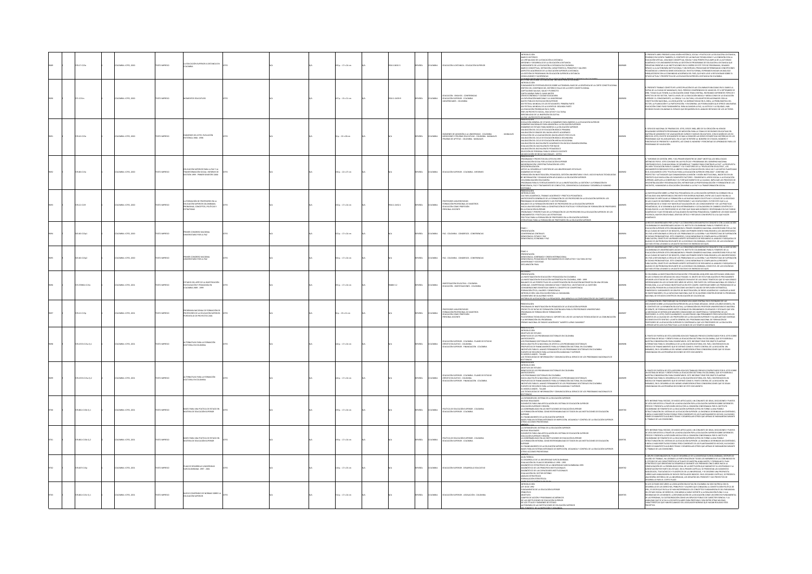|  | 78.17 IC15e          | MARIA: ICFES, 2000   | O22RRM OT         | i educación superior a distancia en<br>Jeomeia                                                             |  | 192 p. : 17 x 24 cm    | 8-110430-5   | <b>JORKS</b> | OMEIA         | DUCACIÓN A DISTANCIA - EDUCACIÓN SUPERIOR                                                                                                                     | FRIHENDUCIÓN<br>- ANTIGOLOGÍN<br>- AN VIETNAIDAD DE LA EDUCACIÓN A DESTANCIA<br>- AN VIETNAIDAD DE LA EDUCACIÓN A DESTANCIA<br>- SUBGIMIDATO DE LA EDUCACIÓN A DESTANCIA EN COLOMBIA<br>- MARCO DO MODIFIUAL: DESTANCIÓN, CARÁCTERSENCA, PRIN<br>I GESTIÓN DE PROGRAMAS EN EDUCACIÓN SUPERIOR A DISTANCIA<br>INCLUSIONES Y SUGERENCIAS                                                                                                                                                                                                                                                                                                                                                                                                   | <b>FRESIDY LIBER PRESENTA UNA VISIÓN HISTÓRICA, SOCIAL Y POLÍTICA DE LA EDICITACÍNA A DEL PRESENCIA (EL CONTENTAMENTO DE LA EDICITACÍNA DE LA ENFERENCIA EL EN EL CONTENTAMENTO DE LA ENFERENCIA EL EN EL CONTENTAMENTO DE LA E</b><br>QUECEDOR CON LA COMUNIDAD ACADÉMICA DEL PAÍS, QUE NOS LLEVE A REFLEXIONAR SOBRE EL<br>DO ACTUAL Y PROSPECTIVA DE LA EDUCACIÓN SUPERIOR A DISTANCIA EN COLOMBIA.                                                                                                                                                                                                                                                                                                                                                                                                                                                                          |
|--|----------------------|----------------------|-------------------|------------------------------------------------------------------------------------------------------------|--|------------------------|--------------|--------------|---------------|---------------------------------------------------------------------------------------------------------------------------------------------------------------|------------------------------------------------------------------------------------------------------------------------------------------------------------------------------------------------------------------------------------------------------------------------------------------------------------------------------------------------------------------------------------------------------------------------------------------------------------------------------------------------------------------------------------------------------------------------------------------------------------------------------------------------------------------------------------------------------------------------------------------|---------------------------------------------------------------------------------------------------------------------------------------------------------------------------------------------------------------------------------------------------------------------------------------------------------------------------------------------------------------------------------------------------------------------------------------------------------------------------------------------------------------------------------------------------------------------------------------------------------------------------------------------------------------------------------------------------------------------------------------------------------------------------------------------------------------------------------------------------------------------------------|
|  |                      | MARIA: ICFES, 2000   | OZZRRNI O         |                                                                                                            |  | 07 p. : 15 x 21 cm     | $11-0429-9$  |              | wau           | DUCACIÓN - ENSAYOS - CONFEREN<br>DUCACIÓN SUPERIOR - COLOMBIA<br>NIVERSIDADES - COLOMBIA                                                                      | LCUNNY PATOL ESTABRADOR DE LA EDUCACIÓN ELIMINADA<br>LLITERATURA SOBRE LA EDUCACIÓN, UN OASES PARA LA SO<br><b>ODUCOÓN</b><br>I HULULULUN<br>NUNAMENTOS EPISTEMOLÓGICOS SOBRE AUTONOMÍK: BASE DE LA SENTENCIA DE LA CORTE CONS<br>NYESIS DEL CONTENIDO DEL HISTÓRICO FALLO DE LA CORTE CONSTITUCIONAL<br>NYEALISMO SALVAJE, SALUD Y PLEBISCITO<br>CARTA MAGNA PARA EL ALMA MATER<br>-GRIS MOGIA NARA (1948)<br>ANGELIA COMPANYA COMBA EDICADORA<br>-GRIS CONSACIÓN MAGUAIA Y LA UNIVERSIDAD<br>-GATO PÁRICO EM IDUCACIÓN SUPERIOR<br>-GATO PÁRICO EN IDUCACIÓN SUPERIOR<br>-MATO PASSIDA ANANDA DE LA LUNDITADE: SEGUNDA PARTE<br>-<br>RENTABILIDAD DE LA INVERSIÓN EDUCATIVA<br>LA PAZ: UN PROYECTO DE NACIÓN                           | II: PRESIDITE TRABAJO CONSTITUYE LA BECONJACIÓN DE LAS COLUMINAS PABLICADAS EN EL DAMIO LA<br>1998: TCOAC ELLAS TENDIA A LA BEUCACIÓN COMO TENA CENTRAL, RECENSARIO DEFENSITS TÓNICOS (1)<br>49 FECTOS DE ESE SECTOR, TANTO A NIVEL<br>SECTOR, LA PLANEACIÓN Y LA PARTICIPACIÓN, Y EN GENERAL LAS POSIBILIDADES QUE OFRECE UNA BUEN<br>EDUCACIÓN COMO PASO FUNDAMENTAL PARA ALCANZAR LA PAZ, LA JUSTICIA Y LA EQUIDAD, HAN<br>RECIBIDO EN MIS COLUMNAS EL ESPACIO QUE REQUI                                                                                                                                                                                                                                                                                                                                                                                                     |
|  | <b>28.16 IC15e</b>   | DOMEN: ICFES, 2000   | O23RRM CT         | ÁMENES DEL ICFES: EVOLUCIÓN<br>STÓRICA 1968 - 1998                                                         |  | $66a: 22x28$ cm        |              | <b>MGCL</b>  | OMBH          | .<br>Ámenes de admisión a la Universidad - Colombia<br>Ediciones y Pruebas Educativas - Colombia - Manuales<br><b>BUEBAS DE APTITUD - COLOMBIA - MANUALES</b> | SENTACIÓN<br>OLUCIÓN GENERAL DE CITADOS A EXÁMENES PARA INGRESO A LA EDUCACIÓN SUPERIDR.<br>ÁMENES NACIONALES PARA ADMISIÓN A LA EDUCACIÓN SUPERIOR.<br>ARMAINIS INCLUMENTS PRANAMINGUN ATA ILLUSCALORI SUPERIOR<br>ENÁMENCO DE ESTADO PARA INGRESO A LA EDUCACIÓN SUPERIOR<br>VALIDACIÓN DEL CICLO DE EDUCACIÓN RÁSICA PRIMARIA<br>VALIDACIÓN DE LA VALIDACIÓN DEL BACHLLERATO POR CICLOS<br>ENGL<br>"HIGH-DON DEL CICLO DE EDUCACÓN MEDIA VIOCACIÓNAL"<br>"HALDAGÓN DEL CICLO DE EDUCACÓN MEDIA VIOCACIÓNAL"<br>"HALDAGÓN DEL BACHLLERATO POR PADIO<br>"FVALUACIÓN DEL BACHLLERATO PERAGÓGICO"<br>"HALDAGÓN DEL BACHLLERATO PERAGÓGICO"<br>ELECCIÓN DE PERSONAL PARA EL SERVICIO DOCENTE<br>ADILIDICACIÓN DE BECAS NACIONALES - ICETTX | ERVICIO NACIONAL DE PRUEBAS DEL ICFES, DESDE 1968, AÑO DE SU CREACIÓN HA VENIDO<br>REALIZANDO DIFERENTES PROGRAMAS DE MEDICIÓN PARA LA TONA DE DECESORES EDUCATIVAS EN<br>MATERIA DE ADMISIÓN Y DE VALIDACIÓN DE CURSOS Y NINELES EDUCATIVOS. CON OCASÓN DE LOS 30<br>AÑOS DEL ICFES, EN ESTE DOCUMENTO SE DAN A CONDCE<br>AS MAIN ANNA, QUE HA ADSELANTADOS, EN LO QUE SE REFIERE AL NÚMERO DE CITADOS, NÚMERO Y<br>SCERTANS DE PARESELVITS Y AUSENTES, ASÍ COMO EL NÚMERO Y PORCENTALE DE APROBADOS PARA LOS<br>SGRAMAS DE VALIDACIÓN.<br>SGRAMAS DE VALIDACIÓN.                                                                                                                                                                                                                                                                                                              |
|  | 18.86 IC15e          | MEIA: ICFES, 2000    | O IMPRESO         | UCACIÓN SUPERIOR PARA LA PAZ Y LA<br>ANSFORMACIÓN SOCIAL: INFORME DE<br>ISTIÓN 1999 - PRIMER SEMESTRE 2000 |  | 6 p. : 22 x 27 cm      |              | AÑOL         |               |                                                                                                                                                               | esentación<br>idcianans y proyectos del icfes en 1999<br>dvilezadón social por la educación superior<br>idcernealización<br>iscentralización<br>41441 NIVALIAN ILINI OV GESTIČNI DE LAS UNIVERSIDADES ESTATALES<br>EKÁNENKS DE ESTADO I<br>FORMENSO E ESTADO I<br>TORNINGAN IN INTERNATIONAL TASHININGA NATION LORI INDIANATION TI IN IN INFORMATION TELEVISION IN INTERNATIONAL<br>CENERANA PARA IL ESERTATE NATIONALE IN INTERNATIONALE SUR INFERIOR<br>FRIGGRANA PARA IL ESERTATECHNENTO DE LA LA I<br><b>2STENIBLE</b><br>RESENTACIÓN                                                                                                                                                                                                | el "Informat de Gestichu 1999, y del Primari Semastre de 2009" Sin'iltera los resultados<br>Critinidos for el Icfes con inge en las políticas y programas del Gobierno Nacional<br>Continingos en el Icfes con inge en Desprrollo "C<br>UNGAMENTOS ESEOZADOS POR LA UNESCO PARA LA EDUCACIÓN DEL SIGLO XXI Y LAS METAS PLANTEADAS<br>EN EL DOCUMENTO VETS, "POLÍTICAS PARA LA EDUCACIÓN SUR SURS-JOSE". CONTERE LOS<br>PROYECTOS Y ACTIVIDADES QUE DINAMIZARON LA MISIÓN Y V<br>PROTENTIST ON THE INVESTIGATION TO THE INTERNATIONAL TERM OF THE INTERNATIONAL THE INFORMATION OF THE INFORMAT<br>CONTENTED QUE INVOLVEM A CORRENTINA Y EL FORTAMENTATION DE LA CAUDAD, INFULSANCE LOS PROCESOS DE SUR<br>DESCENTIAL<br>ANTISALIMUSINA 1 MOJUMENTALION, INTENSIONALISTATUMUMINENSION 1 FURBIKUS<br>ENTES, HUMANIZAR LA EDUCACIÓN CON MIRAS A LA PAZ Y LA TRANSFORMACIÓN SOCIAL. |
|  | 28.12 IC15F          | CMBIA: ICFES, 2000   | O22RRM OT         | A FORMACIÓN DE PROFESORES EN LA<br>SUCACIÓN SUPERIOR COLOMBIANA:<br>ROBLEMAS, CONCEPTOS, POLÍTICAS Y       |  | 150 p. : 17 x 24 cm    | 58-11-0432-1 | wios         | <b>SMEM</b>   | - PROFESORES UNIVERSITARIOS<br>- FORMACIÓN PROFESIONAL DE I<br>- EDUCACIÓN COMO PROFESIÓN<br>SONAL DOCENTE                                                    | LTURA ACADÉMICA, TRABAJO ACADÉMICO Y PRÁCTICA PEDAGÓGICA<br>TECEDENTES GENERALES DE LA FORMACIÓN DE LOS PROFESORES EN LA EDUCACIÓN SUPERIOR: LOS<br>rogramas de Mejoramiento y los postgrados<br>Alance de la formación reciente de profesores en la educación superior<br>Iacia una reflexión para la construcción de políticas y estrategias de form<br>N LA EDUCACIÓN SUPERIOR<br>ROBLEANA Y PORSPECTIVAS DE LA FORMACIÓN DE LOS PROFESORES EN LA EDUCACIÓN SUPERIOR: DE LOS<br>JNOAMENTOS Y POLÍTICAS A LAS ESTRATEGIAS<br>SUITICAS PARA LA FORMACIÓN DE PROFESORES EN LA EDUCACIÓN SUPERIOR<br>ATEGIAS PARA LA FORMACIÓN DE PROFESORES EN LA EDUCACIÓN SUPERIOR                                                                     | NYESTIGACIÓN SOBRE LA PRÁCTICA PEDAGÓGICA DE LA EDUCACIÓN SUPERIOR HA COBRADO EN LA<br>WYNSINGALUN KARRI A FYWAR ATLAN HARANGA AR LA NODUALUN YAPHARIN RHA LABHADD IN IA<br>LINEIDAD UNA INFORTANICA CRECIENTE POR DIVERSAS RAIDINIS, ENTRE LAS CUALES FIGURA IA<br>LISEINO DE ARTICULAR LA FORMACIÓN A LAS NUEVAS BASES CO<br>WERKING SE LE DOGE WOY MANDR ACTUMILIZACIÓN DE LOS CONOCIMIENTOS Y DE LAS PAACTICAS<br>DAGÓGICAS, AL LE DEMANDA QUE SEA INTERMEDABLAY CATALIZADEN AL C'AMBIES CIENTÍFICOS Y<br>DAGIÓGICOS, A LOS PROFESORES SE LES PIDE QUE SEAN MÁS<br>atwco.                                                                                                                                                                                                                                                                                                   |
|  | 13.66 IC15p1         | MEA: ICFES, 2000     | O22RRM OT         | IMER CONGRESO NACIONAL<br>MINERSITARIO POR LA PAZ                                                          |  | 23 p. : 17 x 24 cm     |              | AÑOL         |               | AZ - COLOMBIA - CONGRESOS - CONFERENCIAS                                                                                                                      | THEST TAGON<br>-CONFERENCIAS CENTRALES<br>-GEMOCRACIA, ESTADO Y PAZ<br>-GEMOCRACIA, ECONOMÍA Y PAZ                                                                                                                                                                                                                                                                                                                                                                                                                                                                                                                                                                                                                                       | A RED DE UNIVERSIDADES FOR LA PAZ Y LA CONVINCIÓN REDUNIPAR DE CONUNTITO CON LA ASOCIACIÓN (1990) (1990) (1990) (1990) (1990) (1990) (1990) (1990) (1990) (1990) (1990) (1990) (1990) (1990) (1990) (1990) (1990) (1990) (199                                                                                                                                                                                                                                                                                                                                                                                                                                                                                                                                                                                                                                                   |
|  | 1.66 iC15p3          | MEH: ICFES, 2000     | <b>OZZRRM</b> O'  | IMER CONGRESO NACIONAL<br>INERSITARIO POR LA PAZ                                                           |  | .<br>04 p.: 17 x 24 cm |              |              |               | AZ - COLOMBIA - CONGRESOS - CONFERENCIAS                                                                                                                      | an e<br>PRESENTACIÓN<br>"PALINICANOAS<br>-DEMOCRACIA, SOBERANÍA Y ORDEN INTERNACIONAL<br>-DEMOCRACIA, SOBERGOÍA DE TRATAMENTOS DE CONFIATOS Y CULTURA DE PAZ<br>-UNIVERSIDAD Y SOCIEND<br>-DECLARACIÓN FINAL                                                                                                                                                                                                                                                                                                                                                                                                                                                                                                                             | IE NOS ESTÁN LLEVANDO A UN GASTO EXCESIVO DE ENERGÍAS SOCIALES.<br>RED DE UNIVERSENZES POR LA PAZY LA CONVINTACIA REDUNIPAZ EN CONJUNTO CON LA ASOCIACIÓN.<br>LOMBIANA DE UNIVERSIDADES ASCUNY EL INSTITUTO COLOMBIANO PARA EL FOMEN<br>CACIÓN SUPERIOR ICFES ORGANIZARON EL PRIMER CONGRESO NACIONAL UNIVERSITARIO POR LA PAZ<br>ROUGALISM SAMARIAN ELAS ORANDIARAN IL LYMININ CONNARSO MAUDINA CINVINSIO MANO VIA KAMA<br>1911, IA CUENDO DE SANTA FE DE ROGOTÁ, COMO UN PRIMER EVENTO PARA REUNIR A LES UNIVERSITARIES<br>1912, PAÍS A REFEIXONAR A CERCA DE LOS PR<br>IDAS DE UN PROBLEMA RELEVANTE DE LA SOCIEDAD COLOMBIANA, COMO ES EL DE LAS VIDLENCIAS<br>I NOS ESTÁN LLEVANDO A UN GASTO EXCESIVO DE ENERGÍAS SOCIALES.                                                                                                                                               |
|  | 270.709861 IC15e     | DLOMBIA: ICFES, 2001 | OZZRRA OTX        | .<br>STADOS DEL ARTE DE LA INVESTI<br>4 EDUCACIÓN Y PEDAGOGÍA EN<br>COMBIA 1989 - 1999                     |  | 291 p. : 17 x 24 cm    | EGRS-5-2     | SPAÑOL       | <b>LOMBIA</b> | -<br>INVESTIGACIÓN EDUCATIVA - COLOMBIA<br>- EDUCACIÓN - INVESTIGACIONES - COLOMBIA                                                                           | JUMEN I<br>ESENTACIÓN<br>INVESTIGACIÓN EN EDUCACIÓN Y PEDAGOGÍA EN COLOMBIA<br>A IMVISTIGACIÓN EN EDUCACIÓN MATEMÁTICA EN COLOMBIA, 1989 - 1999<br>ALANCE DE LAS PERSPECTIVAS DE LA INVESTIGACIÓN EN EDUCACIÓN MATEMÁTICA EN UNA DÉCADA<br>ENGUAIS, COMPETENCIAS COMUNICATIVAS Y DIDÁCTICA: UN ESTADO DE LA CUSTIÓN<br>NHMANN, NAMPH ÎMBANN SAMEMENANN E VERMA IRÊN ÛN ESTADO DE<br>CONSIDERACIONES SEMIÓTICAS SOBRE EL CONCEPTO DE COMPITENCIA<br>FORMACIÓN ÉTICA, VALORES Y DEMOCRACIA<br>INTERDUCIÓN: UNA EDUCATÓN POVOS<br>COMENTARIO DE GUILLERMO HOVOS<br>COME<br>TORIA DE LA EDUCACIÓN Y LA PEDAGOGÍA. UNA MIRADA                                                                                                                 | en colombia la investigación en educación y pedagogía adquiere una destacada visibilidad<br>En las últimas dos décadas del siglo pasado. El crieto de esta publicación es precisamente<br>.<br>Difundir los estados del arte alcanzados en Nueve de las líneas temáticas que se han venido<br>Diferenciano en los últimos dire años de apoyo, por parte del seteman nacional de ciencia y<br>Tecnología, a la actividad investiga<br>A MONDAMEN, PORSAR DIN LA EDUCACIÓN COMO UN OBJETO VÁLIDO DE RESI EDOS SESTEMÁTICA,<br>EDUCACIÓN, PORSAR DIN LA EDUCACIÓN COMO UN OBJETO VÁLIDO DE RESI EDIÓN SESTEMÁTICA,<br>DE MARSITAR EL SURGIMIENTO DE GRUPOS DE INVISTIGACIÓN,                                                                                                                                                                                                       |
|  | 278.12 IC15p         | CMBIA: ICFES, 2001   | <b>COMPRESO</b>   | MMA NACIONAL DE FORMACIÓN D<br>OFESORES DE LA EDUCACIÓN SUPERIOR<br>IRTAFOLIO DE PROVECTOS 2001            |  | 16 p.: 23 x 21 cm      |              | PAÑOL        | <b>MEM</b>    | ESORES UNIVERSITARIO<br>.<br>DRMACIÓN PROFESIONAL DE MAESTROS<br>DUCACIÓN COMO PROFESIÓN<br>ERSONAL DOCENTE                                                   | PRESENTACIÓN<br>-PROGRAMA DE INVESTIGACIÓN EN PEDAGOGÍA DE LA EDUCACIÓN SUPERIOR<br>-PROYECTO DE RUTAS DE FORMACIÓN CONTINUADA PARA EL PROFESORADO UNIVERSITARIO<br>PROGRAMA DE FORMACIÓN DE FORMADORES<br>DES<br>ATAFORMA TECNOLÓGICA PARA EL SOPORTE DEL USO DE LAS NUEVAS TECNOLOGÍAS DE LA COMUNICACIÓ<br>A INFORMACIÓN DEL PROGRAMA<br>ISMIO NACIONAL DE ENSAYO ACADÉMICO "ALBERTO LLERAS CAMARGO"                                                                                                                                                                                                                                                                                                                                  | BMACÓN DEL PROFESORADO HA OCUPADO UN LUGAR CENTRAL EN EL ESCENARIO DE LAS<br>formacion del profesorado ha ocupado un lugar central en el escenario de las<br>Luriones sobre la educadón superior en las últimas décadas, desde los años sesenta, en<br>Contexto de la expansión educativa, la formación del profe<br>.<br>JA NECESIDAD DE INTRODUCIR MISIORES CONDICIONES DE COMPETENCIA Y DESEMPEÑO DE LOS<br>PROFESORES: IL LEESE, PARTICULARMENTE, HA MOSTRADO UNA PERIAMENTE PREDICUPACIÓN POR LOS<br>ASUNTOS DE LA CALIDAD DE LOS PROFESORES DE LA EDUC<br>MONTANTA EN CONSUMIDO. LA META GENERAL DEL PROGRAMA NACIONAL DE FORMACIÓN DE<br>ROCHES EN ESTE SENTIDO. LA META GENERAL DEL PROGRAMA NACIONAL DE FORMACIÓN DE<br>JPERIORES EN ESTE SENTIDO. LA META GENERAL DEL PROGRAMA NACIONAL DE                                                                            |
|  | 78.1553 IC15a Ej.1   | MEA: ICFES, 2001     | O22RRM OT         | TERNATIVAS PARA LA FORMACIÓN<br>XCTORAL EN COLOMBIA                                                        |  | 46 p. : 17 x 24 cm     |              | wios         | <b>SMEM</b>   | DUCACIÓN SUPERIOR - COLOMBIA - PLANES DE ESTUDIO<br>RÉDITO EDUCATIVO - COLOMBIA<br>JUCACIÓN SUPERIOR - FINANCIACIÓN - COLOMBIA                                | RESENTACIÓN<br>. ESENTANINA<br>Kyroducción<br>Objetivos de Estudio<br>******}Cios de Los Programas doctorales en Colombia<br>-BRISINOIS DE LOS PROGRAMAS DOCTORAIS PROCORRIM<br>- ANTICIDENTES (DOCTORAISE EN COLOMBIA<br>- ANTICIDENTES (DOCTORAISE EN CRIONALES<br>- PROFUNCTAS PRA RA AVANCE PROFUNCTURE DE PROGRAMAS COCTORAISE DIVISORAIS<br>- PROFUNCTAS DE RANGA<br>MODELO ANDES - TULANE<br>I TECNOLOGÍAS DE INFORMACIÓN Y COMUNICACIÓN AL SERVICIO DE LOS PROGRAMAS NACIONALES DE                                                                                                                                                                                                                                               | .<br>I WITO DE BARTIDA DE ESTA ASESORÍA SON DOS TRABAJOS DREVIOS CONTRATADOS ROR EL ICEES SORR<br>y pontu da Pontuna da León Angolono, Xun que no ambro pyratura longuerator por se internanta da Secreta da Mar<br>18 settiva de Becas y esérito para la Educación doctoral en ecucaria que se puberida a<br>1835 : la caractera da M<br>HANDAS EN LAS PRIMERAS SECCIONES DE ESTE DOCUMENTO.                                                                                                                                                                                                                                                                                                                                                                                                                                                                                   |
|  | 278.1553 (C15a El.2) | LOMBIA: ICFES, 2001  | OZZRRA OTX        | .<br>Ternativas para la formación<br>X:Toral en colombia                                                   |  | 146 p. : 17 x 24 cm    |              | <b>MGCL</b>  | <b>AIGNOL</b> | EDUCACIÓN SUPERIOR - COLOMBIA - PLANES DE ESTUDIO<br>- CRÉDITO EDUCATIVO - COLOMBIA<br>UCACIÓN SUPERIOR - FINANCIACIÓN - COLOMBIA                             | DOCTORADO<br>PRESENTACIÓN<br>-INTRODUCCIÓN<br>-OBJETIVOS DE ESTUDIO<br>THE MISSION RESIDENCES<br>- ARTICLEDENTES<br>- ARTICLEDENTES<br>- ARCIA UNA POLÍTICA NACIONAL DE APOYO A LOS PROGRAMAS DOCTORALES<br>- ARCIA UNA POLÍTICA NACIONAL DE APOYO A LOS PROGRAMAS DOCTORALES<br>THE MAIN MENTION MANUAL MANUAL MISSION CONTINUES AND COLOMBIAL PROPUSSING DE FINANCIAMENTO PARA LA FORMACIÓN DOCTORAL EN COLOMBIA<br>-PROPUSSING DE FINANCIAMENTO PARA LA FORMACIÓN DOCTORAL EN COLOMBIA<br>-FUENTISO E FIROLESO PAR<br>MULHILI) ANUN 5 - I'ULANI.<br>IS TECNOLOGÍAS DE INFORMACIÓN Y COMUNICACIÓN AL SERVICIO DE LOS PROGRAMAS NACIONALES DE<br>OCKARDTO                                                                               | PUNTO DE PARTIDA DE ESTA ASESORÍA SON DOS TRABAJOS PREVIOS CONTRATADOS POR EL ICFES SO<br>AS YURIYO VA YONI KATALOKOMADAN YAKI KAZI YA MAMOZI YAKI KUKAMAN YA WATA WATAN YA KUSA DA MASI YA MAMOZI YA KU<br>UN SISTEMA DI BECAS Y CISENTO PARA LA EDUCACIÓN DOCTORAL EN COLOMBIA, QUE SE PUSIERON A<br>NUTSTRATIVAS PARA EL DE<br>maliamento provincialmento que se definió como el punto central de la descusión. Sin<br>Nadarlo de Financiamento que se definió como el punto central de la descusión. Sin<br>Consignadas en las primeras secciones de este document                                                                                                                                                                                                                                                                                                          |
|  | 278.861 (C15b EL1    | LOMBIA: ICFES, 2001  | OZZRRA OTX        | ISES PARA UNA POLÍTICA DE ESTADO EN<br>ATERIA DE EDUCACIÓN SUPERIOR                                        |  | 159 p. : 17 x 24 cm    |              | PAÑOL        | OMBIA         | - POLÍTICA DE EDUCACIÓN SUPERIOR - COLOMBIA<br>- EDUCACIÓN SUPERIOR - COLOMBIA                                                                                | -<br>LA EXPANSIÓN DEL SISTEMA DE LA EDUCACIÓN SUPERIOR<br><b>EVAS REALIE</b><br><b>MDES</b><br>UN VAS HEALIDENENS<br>EMERATOS PARA UNA ARTICULACIÓN DEL SISTEMA DE EDUCACIÓN SUPERIOR<br>UJCACIÓN SUPERIOR Y REGIÓN<br>I GOBERNABILIDAD EN LAS INSTITUCIONES DE EDUCACIÓN SUPERIOR<br>-<br>LA FORMACIÓN INTEGRAL COMO RESPONSABILIDAD DE TODOS EN LAS INSTITUCIONES DE EDUCACIÓN<br><b>FOR</b><br>AMENTO DE LA EDUCACIÓN SUBERIOR<br>.<br>MSES PARA UN SISTEMA INTEGRADO DE INSPECCIÓN, VIGILANCIA Y CONTROL DE LA EDUCACIÓN SUPERIOR<br>AS ACCIONES PRIORITARIAS                                                                                                                                                                        | THE REPORT FIND BECOME DEVICE AS A MODEL OF CONSIDERATION DUE AND SECURE THE VEHICLE IN THE SECOND CONSIDERATION OF THE SECOND CONSIDERATION OF THE SECOND CONSIDERATION OF THE SECOND CONSIDERATION OF THE SECOND CONSIDERAT<br>TRABAJO DE LAS COMISIONES.                                                                                                                                                                                                                                                                                                                                                                                                                                                                                                                                                                                                                     |
|  | 278.8611C15b EL2     | LOMBIA: ICFES, 2001  | <b>O22RRM OTX</b> | GES PARA UNA POLÍTICA DE ESTAD<br>VTERIA DE EDUCACIÓN SUPERIOR                                             |  | 159 p. : 17 x 24 cm    |              | <b>PAÑOL</b> | <b>CMEMA</b>  | POLÍTICA DE EDUCACIÓN SUPERIOR - COLOMBIA<br>- EDUCACIÓN SUPERIOR - COLOMBIA                                                                                  | <b>MERRÍALISM</b><br>A EXPANSIÓN DEL SISTEMA DE LA EDUCACIÓN SUPERIOR<br>VIEVAS REALIDADES<br>-NUEVAS BEALIDAGES<br>-ELEMENTOS PARA UNA ARTICULACIÓN DEL SISTEMA DE EDICACIÓN SUPERIOR<br>-ERUCACIÓN SUPERIOR Y BEGIÓN<br>-LA FORBANCIÓN INTEGRAL COMO BESPONSABLEIND DE TODOS EN LAS INSTITUCIONES DE EDUCACIÓN<br>-LA FORBANCIÓN INTEG<br>"A TANNA<br>- EL FRANCIA MARIETO DE LA ESICIACIÓN SUPERIOR<br>- EL FRANCIA MARIETO DE LA ESICIACIÓN SUPERIOR<br>- ERRES PARA UN SETERA RETGERADO DE INSPECCIÓN, VIGILANCIA Y CONTROL DE LA EDUCACIÓN SUPERIOR<br>- CITRAS ACCIONES PROBITA                                                                                                                                                   | TE INCORNE CINAL RECOCE DE MODO ARTICULADO. UN CONJUNTO DE IDEAS, DISCUSIONES Y RUNTOS<br>RITE MICROBIONE FINNS RECORD ON MODERN CONTINUES INTO A DISCRETE PROTECTIVE PROTECTIVE CONTINUES IN THE MICROPHONE CONTINUES IN THE MICROPHONE CONTINUES IN THE MICROPHONE CONTINUES IN THE MICROPHONE CONTINUES IN THE MICROP                                                                                                                                                                                                                                                                                                                                                                                                                                                                                                                                                        |
|  | 28.007 (C15p)        | DLOMBIA: ICFES, 2001 | <b>O22RRM OTX</b> | LAN DE DESARROLLO UNIVERSIDAD<br>URCOLOMBIANA 1997 - 2001                                                  |  | 118 p. : 17 x 25 cm    |              | PAÑOL        | <b>AIGNOL</b> | DUCACIÓN SUPERIOR - DESARROLLO EDUCATIVO                                                                                                                      | HATANGANINA<br>-GLÚA TEÓRICA<br>-EL DESARROLLO DE LA UNIVERSIDAD SURCOLOMBIANA<br>-EUALUACÓSTICO ESTRATÉGICO DE LA UNIVERSIDAD SURCOLOMBIANA 1995<br>-DIAGNÓSTICO ESTRATÉGICO DE LA UNIVERSIDAD SURCOLOMBIANA 1995<br>NAMES DE LOS PRINCIPIOS INSTITUCIONALES<br>- DIAGNÓSTICO DE LOS PRINCIPIOS INSTITUCIONALES<br>- DIAGNÓSTICO DE LAS CAPACIDADES INSTITUCIONALES<br>- DIALUACIÓN DEL SECTOR EXTERNO<br>ÁUSIS ESTRATÉGICO<br>RMULACIÓN ESTRATÉGICA                                                                                                                                                                                                                                                                                    | GRUPO COORDINADOR DEL PLAN DE DESARROLLO DE LA UNIVESIDAD SURCOLOMBIANA, DESPUÉS DE<br>UN AÑO DE TRABAJO, HA LOGRADO LA PARTICIPACIÓN DE TODOS LOS MIEMBROS DE LA COMUNIDAD EN<br>ÉL ESTUDIO DE LAS CARACTERÍSTICAS ACTUALES DE NUESTRA ALBAN MATER, Y FORMULAR EL PUAN<br>ESTRATÉGICO QUE ORIENTARÁ SU DESARROLLO DURANTE<br>INATINGLO QUI CALIN PAYMIN MISSONALE LA MISSITUICIÓN QUE GRANNICE SU LEGETIMIDAD Y LA<br>NSCALDACIÓN DE LA CREGIBILIDAS SOCIAL DE LA MISSITUICIÓN QUE GRANNICE SU LEGETIMIDAD Y LA<br>IREDITACIÓN POR PARTE DEL ESTADO. EN EL PRIMER<br>CURRICULAR VIABILIZADORA DE DICHOS POSTULADOS BÁSICOS. EN EL SEGUNDO CAPÍTULO, SE PRESENTA<br>UNA RESEÑA HISTÓRICA DE LA UNIVERSIDAD, LOS DESAFÍOS DEL PRESENTE Y SUS PROVECTOS DE<br>ARROLLO PARA EL CORTO PLAZO.                                                                                        |
|  | 278.8611C15n EL1     | DLOMBIA: ICFES, 2001 | OZZRRA OTK        | DID DE NORMAS SOBRE<br>CACIÓN SUPERIOR                                                                     |  | 714 p. : 17 x 24 cm    |              | unikan       | <b>ABMO</b>   | CONCACIÓN SIGERIOR - ICCIS ACIÓN - COLOMBIA                                                                                                                   | -INTRODUCCIÓN<br>-LEY 30 DE 1992<br>ENTOS DE LA EDUCACIÓN SUPERIOR<br><b>PRINCIPIOS</b><br>MATINGS<br>MAPOS DE ACCIÓN Y PROGRAMAS ACADÉMICOS<br><b><i>MAS INSTITUCIONES DE EDUCACIÓN SUPERIOR</i></b><br>LOS TÍTULOS Y EXÁMENES DE ESTADO<br>TONOMÍA DE LAS INSTITUCIONES DE EDUCACIÓN S                                                                                                                                                                                                                                                                                                                                                                                                                                                 | .<br>EN LOS ÚLTIMOS DIEZ AÑOS LA LEGISLACIÓN EDUCATIVA EN COLOMBIA HA SIDO NUTRIDA CON EL<br>DESARROLLO DE LOS DERECHOS, PRINCIPIOS Y VALORES QUE CONSAGRA LA CONSTITUCIÓN POLÍTICA DE<br>RIANNAULU UN LOS EN ELLA SE HAN INCORPORADO LOS CONCEPTOS FUNDAMIENTALIS DEL PARADIGMA<br>1990, ES DECRI QUE EN ELLA SE HAN INCORPORADO LOS CONCEPTOS FUNDAMIENTALES DEL PARADIGMA<br>1910, ES DECRI QUE EN ELLA SE HAN INCORPORADO<br>WARILIDAD QUE SE LE DA A LOS PARTICULARES PARA PRESTARLO, SON ENTRE OTRAS MUCHAS.<br>CARACTERÍSTICAS QUE HAN RECLAMADO DEL LEGISLADOR NORMAS QUE HAGAN REALIDAD ESOS                                                                                                                                                                                                                                                                           |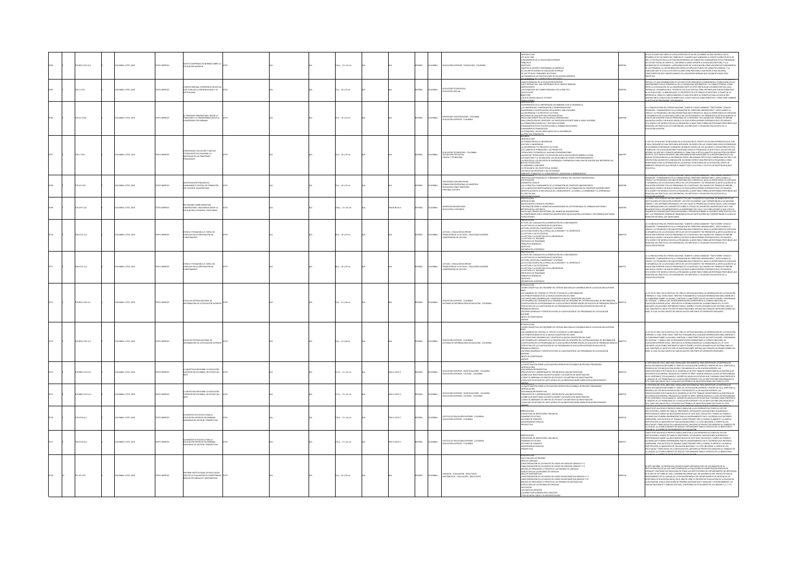|  | 278.861 (C15n EL2   | LOMBIA: ICFES, 2001  | OZZRRA OTX       | .<br>PENDID DE NORMAS SOBRE L<br><b>LOCON SUPERIO</b>                                                           | 714 p. : 17 x 24 cm     |               | <b>AÑOL</b> | AIRMOJO:       | AIRMOUN SUPERIOR - LEGISLADON - COLOMBIA                                                                      | -INTRODUCCIÓN<br>-LEY 30 DE 1992<br>-FUNDAMENTOS DE LI<br>- PRINCIPIOS<br>- OBJETIVOS<br>WPOS DE ACCIÓN Y PROGRAMAS ACADÉMICOS<br>ANNOS DI ALCION TYMOGOMANA ACADEMICOS<br>IE LOS TÍTULOS Y DIÁMENES DE ESTADO<br>UTONOMÍA DE LAS INSTITUCIONIS DE ESTADO<br>UTONAMINO DE LA INTERCCIÓN VIDEU MATÍA<br>UTONAMINO DE LA INTERCCIÓN VIDEU MATÍA                                                                                                                                                                                                                                                                                                                                                                                                                                                 |       | N LOS ÚLTIMOS DIEZ AÑOS LA LEGISLACIÓN EDUCATIVA EN COLOMBIA HA SIDO NUTRIDA CON EL<br>ESARROLLO DE LOS DERECHOS, PRINCIPIOS Y VALORES QUE CONSAGRA LA CONSTITUCIÓN POLÍTICA DE<br>DESARROLLO DE LOS DERECHOS, PRINCIPIOS Y VALORES QUE CONSAGRA LA CONSTITUCION POLITICA DE<br>1990, ES DECIR QUE TIN ELLA SE HAN INCORPORADO LOS CONCEPTOS FUNDAMISMICALS DEL PARADIGMA<br>DEL ESTADO SOCIAL DE DERECHO, CON MIRAS A<br>MORMMAND AN AUSTRALIS AN ARRIVING PORT AND A DESCRIPTION COMPANY AND A CHARGE RESERVANT VIA<br>DE LAS PERSONAS, SU CATEGORIZACIÓN COMO UN SERVICIO PÚBLICO DE CARÁCTER ESENCIAL Y LA<br>VARILLOAD QUE SE LE DA A LOS PARTICULARES PA     |
|--|---------------------|----------------------|------------------|-----------------------------------------------------------------------------------------------------------------|-------------------------|---------------|-------------|----------------|---------------------------------------------------------------------------------------------------------------|-----------------------------------------------------------------------------------------------------------------------------------------------------------------------------------------------------------------------------------------------------------------------------------------------------------------------------------------------------------------------------------------------------------------------------------------------------------------------------------------------------------------------------------------------------------------------------------------------------------------------------------------------------------------------------------------------------------------------------------------------------------------------------------------------|-------|--------------------------------------------------------------------------------------------------------------------------------------------------------------------------------------------------------------------------------------------------------------------------------------------------------------------------------------------------------------------------------------------------------------------------------------------------------------------------------------------------------------------------------------------------------------------------------------------------------------------------------------------------------------------|
|  | <b>28.1 IC15c</b>   | CMBIA: ICFES, 2002   | O23RM OT         | MPUS BIMODAL DIPERENCIA EDUCA"<br>IE CONIUGA LA PRESENCIALIDAD Y LA<br>FILIALIDAD                               | $0.144121$ cm.          |               | AÑOL        |                | - EDUCACIÓN TECNOLÓGICA<br>- EDUCACIÓN VIRTUAL                                                                | APUS BIMODAL EN LA EDUCACIÓN SUPERIOR<br>FIT INTERACTIVA, UNA EXPERIENCIA EN EL CAMPUS BIMODAL<br>ANTECEDENTES<br>LOS ELEMENTOS DEL CAMPUS BIMODAL EN LA PRÁCTICA<br>ENERCIOS<br>(QUÉ SE ESPERA HACIA EL FUTURO?<br>ONCLUDOMER                                                                                                                                                                                                                                                                                                                                                                                                                                                                                                                                                                |       | ie miliuk muullu loukatinu lin la altualilia.<br>Irtual? ¿O una combinación de los dos? est<br>ARTICUZZO DIANA COMBINACIÓN EN CENTO ESTA PREMIXANO NEL SUS CAMBALINAS CIVILAS (EN 1992)<br>ARTICULAR DE CON INSTANTANO EN AL TENENCIA INFORMATIVA EN 1994 POETICOAL EN EL CONSTANTANO EN 1994 EN 1994 EN<br>ARTICULAR DE CONSTANTA                                                                                                                                                                                                                                                                                                                                 |
|  | 278.12 IC15p        | CMBIA: ICFES, 2002   | O22RRM OT        | PROFESOR UNIVERSITARIO: ENTRE LA<br>KOICIÓN Y LA TRANSFORMACIÓN DE LI<br>INTRSIDAD COLOMBIANA                   | $n: 16 + 23$ cm         |               | AÑOL        |                | -<br>Profesores Universitarios - COL<br>- Educación Superior - Colonieia                                      | SEMTACION<br>MARIOMEOS DE LA UNIVERSIDAD COLOMBIANA CON EL DESARROLLO<br>A UNIVERSIDAD: CONSERVACIÓN O TRANSFORMACIÓN?<br>BIVERSIDAD E INVESTIGACIÓN: RELACIONES E IMPLICACIONES<br>-UNIVATION IN THE PROTECTS CARRING AS<br>- HA UNIVERSIDAD TEL PROTECTS CATURAL<br>- HA UNIVERSIDAD TEL PROTECTS CATURAL<br>- HACA UNIA PERSPECTIVA DE DOCENCIA UNIVERSITABLA<br>- HA FORMACIÓN EN SERVICIO Y SUS IMPLICACIONES<br>- HA FORMAC<br>-<br>FUNDAMENTOS ÉTICO-POLÍTICOS PARA LA FORMACIÓN DOCENTE<br>- FUNDAMENTOS PEDAGÓGICOS<br>- LA PEDAGOGÍA, UN DISCURSO NUEVO EN LA UNIVERSIDAD<br>A PRÁCTICA PEDAGÓGICA.<br>SUMEN                                                                                                                                                                        |       | .<br>I CONVOCATORIA DEL PREMIO NACIONAL "ALBERTO LLERAS CAMARGO" TRATÓ SOBRE "CIENCIA Y<br>AGOGÍA : FUNDAMENTOS DE LA FORMACIÓN DEL PROFESOR UNIVERSITARIO", ARTICULANDO LA<br>PADAMANA - VYNIKANISMO OTROSNO MALO MALO PAPINAMA DAMA NA MPORTANCIA NO MILISAR<br>ELOSARIO DE LA CAPACIDA DO INTA METROLOMALIANO E PRANADA DA ANA MPORTANCIA DE MANISAR<br>ELOSARIOLO DE LA CAPACIDA DO INCICAR E DE LA SOCIEDA Y O<br>ENUEVEN LAS PRÁCTICAS, LOS CONTENIDOS, LOS MÉTODOS Y LOS MEDIOS EDUCATIVOS DE LA<br>DUCACIÓN SURERIOR                                                                                                                                       |
|  | 278.1 (C15u)        | DLOMBIA: ICFES, 2002 | OZBRNI OTK       | .<br>Desidad de un trasfondo                                                                                    | $90a : 36 \times 23$ cm |               | PAÑOL       | LOMBIA         | -<br>EDUCACIÓN TECNOLÓGICA - COLOMBIA<br>- TECNOLOGÍA EDUCATIVA<br>AÍDOJONOST Y ADMIC                         | coón<br>CORMACIÓN EN LA UNIVERSIDAD<br>i FORMANIUM IN IN HIMMINING<br>ULTURAY UNIVERSIDAD<br>A UNIVERSIDAD Y EL PROYECTO CULTURAL<br>OS CAMPOS DE FORMACIÓN Y LOS PROYECTOS<br>TECNOLOGÍA Y DESARROLLO: ALGUNAS CONSIDERACIONES<br>ELINALISEN I UESPIRIULUA MUSULINE LANGUARILIANEA.<br>AS NUEVAS TECNOLOGÍAS Y SU DELACIÓN CON LA EDUCACIÓN EN AMÉRICA LATINA.<br>von MINITON I HUNDERDAT TAI MILMALINE LUDI LA KULOCICION EN MARTERCA LATINA<br>LOS MARSTROS Y LA TECNOLOGÍA: LAS RELACIONES DE PODER Y EMPODERAMIENTO<br>LA PROPUESTA: LOS PROCESOS DE ENSEÑANZA Y APRENDIZAIE PARA UNA EDUCACIÓN QU<br>ESTUDIANTE: DEL RECEPTOR AL EMISOR<br>OS ROLES DEL PROFESOR Y DEL ESTUDIANTE<br>MINISTE FORMATIVO: EL CONOCHMENTO: / BÚSO                                                          |       | USO DE LAS NUEVAS TECNOLOGÍAS EN LA EDUCACIÓN SE CONSTITUYE EN UNA EXPERIENCIA QUE, POR<br>II DOLAFOURISMON INAUGUSINO NO VINDOLABIAN SECONDI INCONDIBUIS SOCIO ECONÓMICAS<br>E SOLA REQUIRE DE UNA PROGUNDA RESIDIÓN. EN PÁRIS CON LAS CONDIDIBUIS SOCIO ECONÓMICAS<br>OS COLOMBIAS ES TA DECISIÓN DEREIXA NA ENCIRITA FACIRA<br>MA LABINS ATA I A FAN DIVISION DE DE COMPANYA DE LA CARACCIÓN DE LA PRODUCTIVA DE DE LOS PRODUCTIVAS DE LA CAR<br>CONTRA PARA ASSURIR ESTA NUNCIRADAD DESDE UNA MIRADA CRÍTICA QUE DIMENSIONA LOS PRO Y LOS<br>CONTRA PARA ASSURIR E<br>UCATIVA                                                                                  |
|  | <b>278.12 IC15</b>  | CANBUA: ICFES, 2002  | TO IMPRESO       | ISTIGACIÓN PEDAGÓGICA:<br>DAMENTO CENTRAL DE FORMACIÓN<br>DOCENTE UNIVERSITARIO                                 | p.: 16 x 23 cm          |               | AÑOL        | <b>MEM</b>     | ESORES UNIVERSITARIO<br>FORMACIÓN PROFESIONAL DE MAESTROS<br>- EDUCACIÓN COMO PROFESIÓN<br>- PERSONAL DOCENTE | ion<br>Kión pedagógica: Fundamento central del docente Universitario<br>-<br>Historican (1945)<br>- (ESLA PAČETAC FARIOAMENTO DE LA FORMACIÓN DEL PROFESIO HUNDER/TARO?<br>- (ES LA PAVETACACIÓN FEDAGÓGICA FURDAMENTO DE LA FORMACIÓN DEL PROFESOR UNIVERSITABLE?<br>- ES LA PAVETACACIÓN ER PAGNICULA DEL CONOCI<br><b>DECI ENTRACE CIMA:</b><br>NOTENTATION                                                                                                                                                                                                                                                                                                                                                                                                                                |       | K V LUNVULATURIA LEL PREMIU NALIURAL "ALBERTU LLEANS LAMARGU" TRATU SUMME "LEALIA T<br>EDAGOGÍA : FUNDAMENTOS DE LA FORMACIÓN DEL PROFESOR UNIVERSITARIO", ARTICULANDO LA<br><b>DENOA Y LA PEDAGOGÍA CON UNA INTENCIONALIDAD FORMATIVA, DADA LA IMPORTANCIA DE IMPU</b><br>MINIMAL DE LA CARACIA CONTRADOR LOS ESTADORES PARA DISPARSA DE MARCANDO DE LA CARACIA DE LA CARACIA CON EL ESTADORE LA CARACIA EL EN EL ESTADO DE LA CARACIA DE LA CARACIA EL EN EL ESTADO DE LA CARACIA DE LA CARACIA CONTRAD<br>ITHY AFY IN SHIPSING<br>IN 1998 ELICFES PUBLICÓ UN DOCUMENTO TITULADO "DIAGNÓSTICO NACIONAL DE BIENESTAR DE LAS                                       |
|  | 1971015             | MARIA: ICFES, 2002   | O22RRM OT        | NES SOBRE BIENESTA<br>VERSITARIO: UNA MIRADA DESDE I<br>CACIÓN A DISTANCIA Y NOCTURNI                           | il p.: 17 x 24 cm       | $-20.0018$    | AÑOL        |                | -<br>BIENESTAR UNIVERSITARIO                                                                                  | FRAMMANINA<br>-INTECEDENTES CONTEXTO HISTÓRICO<br>-ENFLORISCON SOBRE EL BENISTAR UNIVERSITARIO EN LOS PROGRAMAS DE JORNADA NOCTURNA Y<br>-ENFLORINGULA INSTANCIA<br>-METODOLOGÍA A INSTANCIA<br>INHUMMUMIN A USUMALIA<br>-HACIA UNA CONCEPCIÓN INTEGRAL DEL BIENESTAR UNIVERSITARIO<br>-EL COMPROMISO CON EL BIENESTAR UNIVERSITARIO EN EDUCACIÓN A DISTANCIA Y EN JORNADA NOCTURNA<br>-CONCLUSIONES                                                                                                                                                                                                                                                                                                                                                                                          |       | IN 1998 IL CETTE PUBLICO UN OCCUANTER TRINOLOGY TRANSPORT COMPARING THE SERVE TRANSPORT AND INTERFERING CONTROL INTERFERING CONTROL IN THE SERVE AND CONTROL IN THE SERVE AND CONTROL INTERFERING CONTROL INTERFERING CONTROL                                                                                                                                                                                                                                                                                                                                                                                                                                      |
|  | $k$ icts $k$ is $k$ | MEA: ICFES, 2002     | O22RRM OT        | encia y pedagogía: el papel del<br>Inguaje en la apropiación del<br>Inocamento                                  | $x: 26 \times 23$ cm    |               | AÑOL        |                | LECTURA - EDUCACIÓN SUPERIOR<br>PROMOCIÓN DE LA LECTURA - EDUCACIÓN SUPERIOR<br>COMPRENSIÓN DE LECTURA        | CONCLUSIONES<br>PRESENTACIÓN<br>EL PAPEL DEL LENGUAJE EN LA APROPIACIÓN DEL CONOCINIENTO<br>LA LECTURA EN LA UNIVERSIDAD DE ANTIOCUJA<br>-ER AMERICA ELEMENTAT EN LA APROPATACIÓN DEL CONDENNIENTO<br>- LA LECTURA EN LA UNIVERSIDAD DE ANTIOQUIA<br>- LA LECTURA EN LA UNIVERSIDAD DE ANTIOQUIA<br>- LA LECTURA ESCRITA EN LA ÉVOCA DE LA INTERNET Y EL HIPERTETO<br>- LA LECTURA<br>JPUESTA DE PROGRAMA<br>NOPIOS GENERALES<br>RESUMEN DEL CONTENIDO                                                                                                                                                                                                                                                                                                                                        |       | A V CONYGENTIBIA DEL PREMO MACIDAL VARIETO LURAS CAMARO? TRASI SOBRE "CIRCLA V<br>CONSULTAVA DE CONSULTAVA DE CONSULTAS CAMARON DE CONSULTAVA DE CONSULTAVA DE MASSA DE CONSULTAVA EN ARCHITECTO<br>EL DESPREGITO DE LA CAMARONA DE                                                                                                                                                                                                                                                                                                                                                                                                                                |
|  | 028 1015c 012       | LOMBIA: ICFES, 2002  | <b>O22RRM OT</b> | NOA Y PEDAGOGÍA: EL PAPEL DEL<br>ENGUAJE EN LA APROPIACIÓN DEL                                                  | 86 p. : 16 x 23 cm      |               | <b>JORK</b> |                | LECTURA - EDUCACIÓN SUPERIOR<br>PROMOCIÓN DE LA LECTURA - EDUCACIÓN SUPERIOR<br>ENSIÓN DE LECTUR              | PRESIDIVIDO<br>1990 - EN LIBERANT EN LA APOSANCIÓN DEL CONDOMIENTO<br>1990 - EN LIBERA LUBRIS DE MORSIDO Y ESCIENDO<br>1990 - ALGUERA ROSENTA EN LA ÉPOCA DE LA RITERITY Y EL HAPERTETO<br>1990 - LUBRIS Y VIA ESCRITAR EN LA ÉPOCA DE LA<br>-PRINCIPIOS GENERALES<br><b>TIVOS</b><br>ESUMEN DEL CONTENIDO                                                                                                                                                                                                                                                                                                                                                                                                                                                                                    |       | JA V CONVOCATORIA DEL PREMIO NACIONAL "ALBERTO LLERAS CAMARGO" TRATÓ SOBRE "CEINCIA Y<br>ENDAGGÍA : FUNDAMENTOS DE LA FORMACIÓN DEL PROFESOR UNIVERSITARIO", ARTICULANDO LA<br>EINGLAY LIA PERIGOGÍA CON UNA INTENCIONALIZAD FORMATI<br>.<br>LINGACIÓN SUPERIOR CON LOS PROBLEMAS DE LA SOCIEDAD Y DEL MUNIDO DEL TRABAJO SE IMPONE<br>UNA NUEVA NISÓN Y UN NUEVO MODIELO DE EDUCACIÓN SUPERIOR CENTRADOS EN EL ESTUDIANTE.<br>ESTA VISIÓN Y ESE MODELO VEN EN LA PEDAGOGÍA LA                                                                                                                                                                                     |
|  | 278.861 (C15h Ej.1  | LOMBIA: ICFES, 2002  | O22RRM OT        | CIA UN SISTEMA NACIONAL DE<br>FORMACIÓN DE LA EDUCACIÓN                                                         | 0p.: 21 x 28 cm         |               | AÑOL        |                | - Educación Superior - Colombia<br>- Sistemas de Información en Educación - Colo                              | <b>INTRODUCCIÓN</b><br>VISIÓN CONCEPTUAL DEL REDISEÑO DEL SISTEMA NACIONAL DE INFORMACIÓN DE LA EDUCACIÓN SUPERIOR<br>.<br>VARIABLES DEL SISTEMA, EL TIPO DE UTILIDAD DE LA INFORMACIÓN<br>I PRINCIPIOS BÁSICOS DE LA NUEVA CONCEPCIÓN DEL SNIES<br>I PRINCIPIOS BÁSICOS DE LA NUEVA CONCEPCION DEL SNIES<br>I ETAPAS PARA DESARROLLAR Y CONSTRUIR LA NUEVA CONCEPCIÓN DEL SNIES<br>-45 TREATMENT DE LA CLASIFICACIÓN DE LOS PROGRAMAS DE EDUCACIÓN SU PERIOR EN NUCLEOS DE MAGERIANOS INGO<br>-4 LOS DISSARROLLOS LOS PROGRAMAS DE LA EDUCACIÓN SUPERIOR SEGÚN LOS NUCLEOS DE PRIGRAMOS INGO.<br>-4 LOS DISSARROLLOS LO<br>CGRADOS BÁSICOS<br>MINIMANA BASILUS<br>CRITEROS GENERALES Y ESPECÍFICOS PARA LA CLASIFICACIÓN DE LOS PROGRAMAS DE LA EDUCACIÓN<br>UPERIOR<br>NOICE DE COMPLEIIDAD |       | ja ley 30 de 1992, en 92 artículo se, crea el seitram incidinal de información de la exicación<br>La conjunidad desire la calda de cantonio y calactéristica de angustrions anomicana.<br>Del seitram ja y reñala que su regumentaci<br>.<br>CUAL CONTRATÓ AL INSTITUTO SER DE INVESTIGACIONES, ENTIDAD QUE REALIZÓ UN PRIMER DISEÑO DEI<br>SNIES, EL CUAL HA SIDO OBIETO DE VARIOS AUSTES POR PARTE DE DIFERENTES ENTIDADES.                                                                                                                                                                                                                                      |
|  | 378.861 (C15h Ej.2) | LOMBIA: ICFES, 2002  | O2200M OTX       | ACIA UN SISTEMA NACIONAL DE<br>SAMACIÓN DE LA EDUCACIÓN SUP                                                     | 50 p. : 21 x 28 cm      |               | <b>AÑOL</b> |                | EDUCACIÓN SUPERIOR - COLOMBIA<br>TEMAS DE INFORMACIÓN EN EDUCACIÓN - COLOMBIA                                 | <b>ATRODUCCIÓN</b><br>.<br>GÓN CONCEPTUAL DEL REDISEÑO DEL SISTEMA NACIONAL DE INFORMACIÓN DE LA EDUCACIÓN SUPERIOR<br>SMES<br>-LOS VARIARES DEL SISTEMA, EL TIPO DE UTILIDAD DE LA INFORMACIÓN<br>-LOS PRINCIPIOS BÁSICOS DE LA NUEVA CONCEPCIÓN DEL SMES<br>-LOS DESARROLLOS LOGRADELAS EN LA PRINIERA FA NUEVA COMEZIPCIÓN DEL SMES<br>-LOS DESARROLLOS LOGRAD<br>-<br>CLASIFICAÇÕN DE LOS PROGRAMAS DE LA DOUCAÇÕN SUPERIDE SEGÜN LOS NUCLEOS DE PROGRADOS BÁGICO<br>-ESTRUCTURA DE LA CLASIFICAÇÕN DE LOS PROGRAMAS DE EDUCAÇÕN SU PERIOR EN NUCLEOS DE<br>-PREGRADOS GÁSICOS<br>-GRITERIOS GENERALES Y ES<br><b>ROIRIDEL</b><br><b>INDICE DE COMPLEJIDAD</b>                                                                                                                            | 09713 | ja ley 30 de 1992, en 50 artículo 56, crea el sestema nacional de información de la educación<br>Luferide, el cual tiene como "obietino fl'hiomental divulgar información para obientar a<br>Jelebidea", y señala que su reglamentac<br>educación superior (cesu), después de la promulgación de la menochmenaley, el icfes<br>Abelantó las acciones pertinentes para el diseño y puesta en marchanenaley, el icfesa lo<br>Cum, contartó al nestilitos ser el investigacione                                                                                                                                                                                       |
|  | 98611C15 Ej.1       | MARIA: ICFES, 2002   | O22RRM OT        | INVESTIGACIÓN SOBRE LA EDUCACIÓN<br>YERIOR EN COLOMBIA: UN ESTADO PER                                           | 70.17x24cm              | 11-0175-5     |             |                | .<br>UCACIÓN SUPERIOR - INVESTIGACIONES - COLOMBIA<br>UCACIÓN SUPERIOR - HISTORIA - COLOMBIA                  | .<br>CIÓN SOBRE LA EDUCACIÓN SUPERIOR EN COLOMBIA UN PROCESO PROMISORIO<br>INTRODUCOÓN<br>-INTRODUCCION<br>- UNIX MIRADA RETROSPECTIVA<br>- PRESUPUESTOS E INTERROGANTES: DEFINICIÓN DE UNA METODOLOGÍA<br>-{SOBRE QUÉ INVESTIGAN LAS INSTITUCIONES? LOS OBJETOS DE INVESTIG<br>.<br>Cámo se abordan los obletos de estudio? Los métodos de investigación<br>1484 qué un estado del arte acerca de las investigaciones sobre educación superior?<br><b>STREAMEN</b>                                                                                                                                                                                                                                                                                                                           |       | .<br>IL ICFES REALIZÓ: EN EL AÑO 2000. UN BALANCE DOCUMENTAL PARA IDENTIFICAR LA EXISTENCIA DE<br>IR CERTABLES (IN EL AÑO 2006, UN MANATE CONVIRTIRA PARA DENTER AN ALEMENTARIA DE SUA VIRTURAL EN EN EL ARCHER DE SUA VIRTURAL EN EL ARCHER DE SUA VIRTURAL EN EL ARCHER DE SUA VIRTURAL EN EL ARCHER DE SUA VIRTURAL EN EL AR                                                                                                                                                                                                                                                                                                                                    |
|  | 28.986110151012     | COMEA: ICFES, 2002   | OZSRRA OTX       | MASTIGACIÓN SOBRE LA EDUCACIÓN<br>ERIOR EN COLOMBIA: UN ESTADO DEL                                              | 127 p. : 17 x 24 cm     | 2-2010-013    | <b>AÑOL</b> | OMBIA          | UCACIÓN SUPERIOR - INVESTIGACIONES - COLOMBIA<br>EDUCACIÓN SUPERIOR - HISTORIA - COLOMBIA                     | STIGACIÓN SOBRE LA EDUCACIÓN SUPERIOR EN COLOMBIA UN PROCESO PROMISORIO<br>-INTRODUCCIÓN<br>-UNA MIRADA RETROSPECTIVA<br>-PRESUPUESTOS E INTERROGANTES: DEFINICIÓN DE UNA METODOLOGÍA<br>-FARBA CITY, INTERNATIONALLE COMMUNISTICA COMMUNISTICATION<br>-ECORIC CITY, INVESTIGAN LAS INSTITUCIONEST LOS OBIETOS DE INVESTIGACIÓN<br>-ECONO SE ABORDAN LOS OBIETOS DE ESTUDIO? LOS MUESTIGACIONES SOBRE EDUCACIÓN SUPERIOR?<br>-EP                                                                                                                                                                                                                                                                                                                                                              |       | nueva documentación sobre el tema de la educación superior y dentro de ella, verificae la<br>Presencia de estudios en educación y pedagogía de la educación superior. Las<br>Constataciones erectuadas en el desarrollo de este trab<br>-<br>UN ACERVO DOCUMENTAL PRODUCIDO A PARTIR DE 1990 Y DIERON ORIGEN A LA IDEA DE PROFUNDIZAR<br>IN ALCEND DOCUMENTAL PRODUCIDO A PARTIR DE 1990 Y DIERON ORIGEN A LA IDEA DE PROFUNDIZAR<br>IL ANÁLISIS DE LOS PROBLEMAS DE LA EDUCACI                                                                                                                                                                                    |
|  | 278 IC15e Ej.1      | LOMBIA: ICFES, 2002  | <b>O22RRM OT</b> | MENTOS DE POLÍTICA PARA LA<br>CACIÓN SUPERIOR COLOMBIANA<br>AORIAS DE GESTIÓN Y PROSPECTIVA                     | 235 p. : 17 x 24 cm     | 68-11-0474-7  | <b>JORK</b> | LOMEN          | - POLÍTICA DE EDUCACIÓN SU PERIOR - COLOMBIA<br>- EDUCACIÓN SU PERIOR - COLOMBIA                              | <b>CENTACIÓN</b><br>RATEGIAS DE INSPECCIÓNY VIGILANCIA<br>-<br><b>EXÁMENES DE ESTADO</b><br>-ACCIONES DE FOMENTO<br>-UNIVERSIDADES PÚBLICAS<br>-PROSPECTIVA                                                                                                                                                                                                                                                                                                                                                                                                                                                                                                                                                                                                                                   | 2716  | ÎSTA, PARA INCLUIRILOS EN EL CATÁLOGO ELECTRÓNICO DE INVESTIGACIONES QUE POSEE EL ICEES<br>JA MUNICIANI ANI SIDIAN. PUN LO ELIDLALEM SUPIRADI LIBIRANA PUN EL CUBIERNO QUE FRANCI (12)<br>CONSTITUYÓ UN ESPACIO PROPICIO PARA CONSUL<br>OFFSONALES) SOBRE LAS NECESIDADES REALES DE ESTE NIVEL EDUCATIVO Y SOBRE LAS POSIBLES<br>MOMENTALIS (IN POSSIBILITATIS DE MARCARE DE PRODUCTO DE LA CONSULTA ARMO CON ENTERNACIONALES<br>COLONIS QUE PODRÍAN ENPRENDIRE PARA SU MEJORAMENTO EN EL CUATRINHO QUE ENTONCES<br>ARTICIPACIÓN, EL MANSTERO DE TRABALO CARACTERIZAD<br>A CALIDAD. AL ESTABLECIMIENTO DE REGLAS Y MECANISMOS PARA EL EJERCICIO DE LA INSPECCIÓN Y |
|  | 278 IC15e EL2       | DLOMBIA: ICFES, 2002 | OZZRRA OTX       | .<br>Ementos de política para la<br>Ucación superior colombiai<br>ADRAS DE GESTIÓN Y PROSPECTIVA                | 235 p. : 17 x 24 cm     | 958-11-0474-7 | <b>AÑOL</b> | <b>AIGMOJC</b> | - POLÍTICA DE EDUCACIÓN SU PERIOR - COLOMBIA<br>- EDUCACIÓN SUPERIOR - COLOMBIA                               | NTACIÓN<br>-ESTRATEGIAS DE INSPECI<br>-EXÁMENES DE ESTADO<br>-ACCIONES DE FONENTO<br>NIVERSIDADES PÚBLICAS<br>IOSPECTIVA                                                                                                                                                                                                                                                                                                                                                                                                                                                                                                                                                                                                                                                                      |       | LA CARACA, A ESTADLEMENTO DE REGAL VIACINARIAS 7-PARA EL DECIDID EL MANEGODO EL MANEGODO EN EN CARACA EL MANEGODO EL MANEGODO EL MANEGODO EL MANEGODO EL MANEGODO EL MANEGODO EL MANEGODO EL MANEGODO EL MANEGODO EL MANEGODO<br>LOWING MONTON IN BIRBO DE TRAVIO LOMOLI DISADULTA DE LO LOMOLI DI MIRI ROSTI DI VORPI DI COS<br>RESILTARCIÓN, EL MINISTERIO DE EDUCACIÓN NACIONAL Y EL ICEES INICIAION, A PARTIR DE LOS<br>RESULTARCIÓN, PA ESTABLECIMIENTO DE REGLA                                                                                                                                                                                              |
|  | 271.26 (CLS)        | CONTRACTORS 2002     | OZZRRA OTX       | .<br>Forme institucional de resultados<br>102 de la evaluación de competenci<br>HA ME LA LENGUAJE Y MATEMÁTICAS | $54a: 22 \times 28$ cm  |               | <b>JORK</b> | LOMBIA         | -<br>LENGUAJE - EVALUACIÓN - RESUL<br>- MATEMÁTICAS - EVALUACIÓN - R                                          | 20120209<br>.<br>Joe Evaluan las Pruebas<br>Javacterización de los Niveles de Logro en Lenguaje Grados 3 y s<br>-ONNIERISSION RE (OS MARTES DE TORIO DA INVLENYALOR CINDOS 3 A.2 -<br>-SERGO DE bRETRIARO O LOBACO DE TRE bRETRIC DE TURCIYAE<br>-SERGO DE bRETRIARO DE DRACOR DE TRE bRETRIC DE TURCIYAE<br>-SERGO DE BRETRIARO DE TORIO DE TRE PORTE<br>EMANCTERIZACIÓN DE LOS NIVELES DE LOGRO EN MATEMÁTICAS GRADOS 7 YR<br>-GRACILERISACION DE LOS NYVELLES IN LUGARD IN MANIMANISMO ARRAIGUAIS COMANDA CONSUMING EN ARTEMATICAS -<br>-GRUPOS DE PREGUNTAS O TÓPICOS DE LAS PRUEBAS DE MATEMÁTICAS<br>-SETRUCTURA DE LAS PRUEBAS DE ERREJANE<br>-{AS FASES DEL PRO<br>-TIPOS DE RESULTADOS Y SU INTERPRETACIÓN                                                                           |       | IN ESTE INFORME SE PRESENTAN LOS RESULTADOS OBTENIDOS POR LOS ESTUDIANTES DE SU<br>INSTITUCIÓN EDUCATIVA QUE PARTICIPARON EN LA EVALUACIÓN DE COMPETENCIAS BÁSICAS EN<br>LENGLAUE 1 NATIBANTICAS ELALIZADA EN TODAS LAS INSTITUCIONES DEL DEPARTAMENTO DE ANTIOQUI.<br>DE EL MES DE OCTUBIER DE 2002, CONVIENT BECERDAR<br>JA EDUCACIÓN, CON LA APLICACIÓN DE PRUEBAS MATEMÁTICAS Y LENGUAJE Y, POSTERIDRMENTE, DE<br>DENCIAS NATURALES Y CIENCIAS SOCIALES, A MUESTRAS DE ESTUDIANTES DE LOS GRADOS 3, 5, 7 Y 9.                                                                                                                                                  |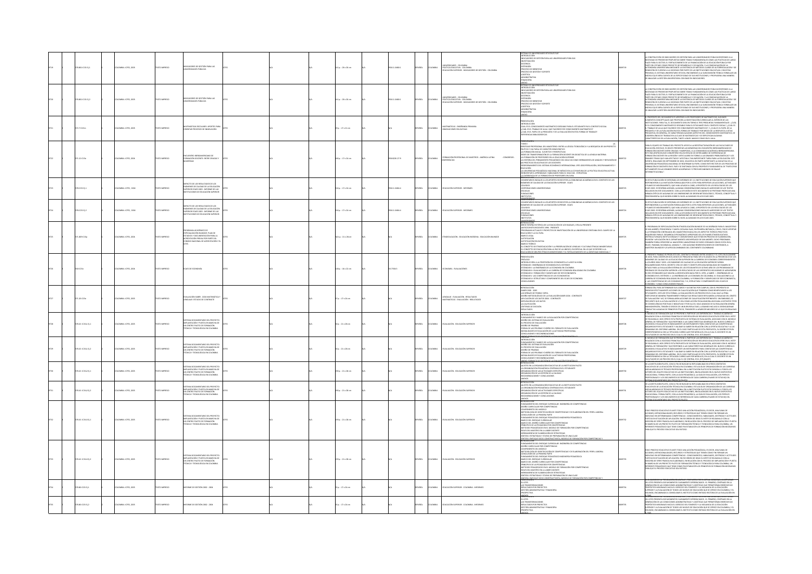|  |                         |                      |                   |                                                                                                                                                          |  |                          |               |               |               |                                                                                                                  | MA DE UNIVERSIDADES ESTATALES SUE                                                                                                                                                                                                                                                                                                                                                                                                                                                                                                                                                                                                         |       |                                                                                                                                                                                                                                                                                                                                                                                                                                                                                                                                                                                                                                                                                                                                                                                                          |
|--|-------------------------|----------------------|-------------------|----------------------------------------------------------------------------------------------------------------------------------------------------------|--|--------------------------|---------------|---------------|---------------|------------------------------------------------------------------------------------------------------------------|-------------------------------------------------------------------------------------------------------------------------------------------------------------------------------------------------------------------------------------------------------------------------------------------------------------------------------------------------------------------------------------------------------------------------------------------------------------------------------------------------------------------------------------------------------------------------------------------------------------------------------------------|-------|----------------------------------------------------------------------------------------------------------------------------------------------------------------------------------------------------------------------------------------------------------------------------------------------------------------------------------------------------------------------------------------------------------------------------------------------------------------------------------------------------------------------------------------------------------------------------------------------------------------------------------------------------------------------------------------------------------------------------------------------------------------------------------------------------------|
|  | 0.0611C151E11           |                      | <b>OZZRRM O</b>   | <b>ICADORES DE GESTIÓN PARA LAS</b>                                                                                                                      |  | 116.120x26.cm            | 8-11-0480-1   |               |               | entreidades - Colombia<br>Slítica educativa - Colombia<br>Sucación superior - Indicadores de Gestión - Colombia  | TRODUCCIÓN<br>DICADORES DE GESTIÓN PARA LAS UNIVERSIDADES PÚBLICAS<br>ESTIGACIÓN<br><b>ENCIA</b><br>EDNSIÓN<br>OCESO DE BIENESTAR<br>OCESO DE GESTIÓN Y SOPORTE<br>ŝtica<br>Anistrativa<br>Viciera                                                                                                                                                                                                                                                                                                                                                                                                                                        |       | A CONSTRUCCIÓN DE INDICADORES DE GESTIÓN PARA LAS LINURESENADES PÚBLICAS RESPONSE A LA<br>NAZIO PARA E VECENIA EL ESPARTICIONEN DE LA ENFRANCADIÓN EN LA CONCADIÓN PARA CON EN LA ENFRANCADO EL CONSTRUC<br>PARTE DEL ESTADO COMO P<br>RINIKUNDU EURING NIA SOLIIAIRU PEN PARII DE DIS IRSI IIDA SUBLANDIAN SUM EISAS.<br>PRIMERS, EL SEITIAN UNIVERSITARIO ESTATAL ENCOMENDÓ A LA SUBCOMISIÓN TÍCRICA FORMULAR UN<br>MODILO QUI EIRIA O UNIVERSITARIO ESTATAL EN SUS INSTI                                                                                                                                                                                                                                                                                                                              |
|  | 28.8611C151E1.2         | EDSS, 23731 MARINOUS | O22RRM OTH        | KCADORES DE GESTIÓN PARA LAS<br>INERSIDADES PÚBLICAS                                                                                                     |  | $141a : 20 \times 26$ cm | 058-11-0480-1 | <b>CORAGE</b> | OMBM          | DOMINES - COLOMBIA<br>:<br>X.Îtica educativa - colombia<br>X/Cación superior - indicadores de gestión - colombia | 30<br>111 octobre<br>IODUCCIÓN<br>ICADORES DE GESTIÓN PARA LAS UNIVERSIDADES PÚBLICAS<br>INCA<br>OCESO DE BENESTAR<br>CESO DE GESTIÓN Y SOPORTE<br>gtica<br>Ainstrativa<br>ACERA                                                                                                                                                                                                                                                                                                                                                                                                                                                          | 09720 | CONSTRUCCIÓN DE INDICADORES DE GESTIÓN PARA LAS UNIVERSIDADES PÚBLICAS RESPONDE A LA<br>A CONSTRUCCHO SE INSEGUESA ES CECTOR PARA AS UN ESTADO ESTADO EN POLITICAS ESPERIENTES CON DESPERIENTES CON DE POLITICAS EN EN CARACTERA EN EL EN ENTRE EN EL ENFERMENT EN EN EL ENFERMENT EN EN EL ENFERMENT EN EL ENFERMENT                                                                                                                                                                                                                                                                                                                                                                                                                                                                                    |
|  | 372.7 iC15m             | LOMBIA: ICFES, 2003  | O23RM OTH         | .<br>TEMÁTICAS ESCOLARES: APORTES P.<br>ENTAR PROCESOS DE INNOVACIÓN                                                                                     |  | 29 p. : 17 x 21 cm       |               | AÑOL          | <b>SMEM</b>   | .<br>Novaciones educativas<br>Novaciones educativas                                                              | ENTACIÓN<br>TROEUCCIÓN<br>JAL ES EL CONOCIMIENTO MATEMÁTICO DESEABLE PARA EL ESTUDIANTE EN EL CONTEXTO SOCIAL<br>JUÁL ES EL TRABAJO DE AULA QUE FAVORECE ESE CONOCIMIENTO MATEMÁTICO?<br>INÁL ES EL PAPEL DE LA PREGUNTA Y DE LA EVALUACIÓN EN ESTA FORMA DE TRABAJO?<br>FERENCIAS BIBLIOGRÁFICAS<br><b>SENTACIÓN</b>                                                                                                                                                                                                                                                                                                                     |       | A PROPÓTICO, ENCORENTE DA PROPERA ELS PROPOSAS EN ANTENIDADES, FORONTE DE CONSTANTANTS CONTINUES DE ARRENTES DE CONSTANTANTS (COM EN ELS CONSTANTS DE CONSTANTS DE CONSTANTS DE CONSTANTS DE CONSTANTS DE CONSTANTS DE CONSTA                                                                                                                                                                                                                                                                                                                                                                                                                                                                                                                                                                            |
|  | 271.12 (C15e)           | BOOK 2373 MARINO     | OZZRRA OTX        | ICUENTRO IBEROAMERICANO DE<br>DRMACIÓN DOCENTE: ENTRE ORUGAS Y<br>EPOSAS                                                                                 |  | 166 p. : 17 x 24 cm      | 648-8226-27-9 | <b>JORANO</b> | <b>AIGMOJ</b> | ORMACIÓN PROFESIONAL DE MAESTROS - AMÉRICA LATINA<br>NEERENCIAS<br>- CONCRESOS                                   | ZMADI<br>DATA PROTECTIVAL DEL MAGESTRIO: ENTRE LA LÓGICA TECNOLÓGICA Y LA RÚSQUEDA DE UN PROYECTO<br>ENTRAIO COLTUNAIS DE COAĈERES DONCORÁTICO:<br>FORMA TERMENANA (ORIGINAL PORMACON EOCENTE DE DISPLETICA DE LA LONGUA MATERIA<br>FORMAC<br>PRÁCTICAS EDUCATIVAS DE LOS DOCENTES<br>REENHANENTO DEL SISTEMA ECONÓMICO INTERNACIONAL 1970-2000 PERSUACIÓN, DISCIPUNAMIENTO Y<br>aman<br>ACIÓN<br>ducación<br>La Universidad Pedagógica Nacional de México en la conuntura de la Política Educativa Actual<br>La Inference el Aprendizale: Habildades Para el Siglo XXI - estrategia<br>La Inferencea de la Formación de Profesores en Cu | 09722 | PARA EL EQUIPO DE TRABADO DEL PROYECTO APOPO A LA REESTRUCTURACIÓN DE LAS FACILITACIÓNS EN 1990 EL EN EL EN EN<br>DOBADO CONSTENTI, EDITE O EL ENCORPORT VARIABLES DEL AL COLONISTICO PRODUCA DEL ENFERMIDO CON EN ENTERNACIO D<br>E<br>annual Indonesia don Annual Matham (Matham John Matham London)<br>Dennis Matham (Matham de 2022, Schidesa de Nort Mathematika Indonesia de La<br>Jennisiano Princesco - MacDona de 1914-1915<br>Charloch de Cocentes de La Pés Ves Sent                                                                                                                                                                                                                                                                                                                          |
|  | 28 1015 11              | CRABLE ICFES, 2004   | O22RM OTH         | .<br>Perior ecaes 2003 : informe de las<br>Intuciones de educación superior                                                                              |  | 16p.: 17 x 24 cm         | 68-11-0484-4  | <b>AÑOL</b>   | <b>HARM</b>   | <b>UCACIÓN SUPERIOR - INFORMES</b>                                                                               | immalium<br>Mentarios iniciales alos aportes heghos por la comunidad académica en el contexto de los<br>Menes de Calidad de la educación superior - ecaes<br>Robaciones universitarias<br>CUELAS<br>DACIONES                                                                                                                                                                                                                                                                                                                                                                                                                              | 19722 | en esta publicación se integran los informes de 111 instituciones de educación superior que<br>Resporterior a la invitación formulida por el estes para reportar las acciones, actividades<br>Ifanas de Ariobamento, que han llevado<br>MOA CRÍTICA DE ALGUNAS DE LAS DIMENSIONES DE ORDEN METODOLÓGICO, TÉCNICO, CONCEPTUAL Y<br>ICEDIMENTAL QUE INCIDEN SOBRE EL NIVEL ALCANZADO EN LOS ECAES 2003.                                                                                                                                                                                                                                                                                                                                                                                                    |
|  | e icasi aj 2            | MEA: ICFES, 2004     | O IMPRESO         | INCTO DE LOS RESULTADOS DE LOS<br>ÁMENES DE CALIDAD DE LA EDUCACIÓN<br>PERIOR ECAES 2003 : INFORME DE LAS<br>STITUCIONES DE EDUCACIÓN SUPERIOR           |  | 6p.: 17 x 24 cm          | 110444        |               |               | -<br>CACIÓN SUPERIOR - INFORMED                                                                                  | <mark>ANTOLISIT</mark><br>MENTARIOS INICIALES A LOS APORTES HECHOS POR LA COMUNIDAD ACADÉMICA EN EL CONTIDITO DE LOS<br>MENES DE CALIDAD DE LA EDUCACIÓN SUPERIOR - ECAES<br>.<br>GONES UNIVERSITARIAS<br>DACIONES                                                                                                                                                                                                                                                                                                                                                                                                                        |       | IN THIS PLEMACACHE US WITHOUT A UNIVERSITY OF THE HISTORYCENTS OF ENGLANDS SUPPORTION OF THE SECTION ALL INVERSION FOR INSTANCE ON ELECTRIC METHOD AND SECTION AND INTERCONDUCTION OF THE SECTION OF THE SECTION OF THE SECTI                                                                                                                                                                                                                                                                                                                                                                                                                                                                                                                                                                            |
|  | 71.829 IC15p            | LOMBIA: ICFES, 2004  | O22RRM OTH        | GRAMA ACADÉMICO DE<br>ECIALIZACIÓN BILINGÜE: PLAN DE<br>JENOS Y DOCUMENTACIÓN PARA I<br>EDITACIÓN PREVAR POR PARTE DEL<br>ISEJO NACIONAL DE ACREDITACIÓN |  | N/A p.: 21 x 28 cm       |               | <b>DAÑOL</b>  | OMBIA         | NOEDUCACIÓN - EDUCACIÓN INDÍGENA - EDUCACIÓN BILINGÜE                                                            | HINTZANIANY<br>ITRODUCCIÓN<br>BEVE RESEÑA HESTÓRICA DE LA EDUCACIÓN DE LOS RAIZALES, 1954 AL PRESENTE<br>ANTECEDENTES RECIENTES 1996 - PRESENTE<br>PYHHAMINI NA MEČNIKI 1990 V RISELINIE<br>ROCKARNI NA MEČNIKI V PROVISTOR DE RVKETIGACIÓN DE LA UNIVERSIDAD CRISTIANA EN EL CAMPO DE LA<br>ROCKORNI NA MEČNI<br>UNICO TECHNO<br>VIRCO TEÓRICO<br>VIRCO TEÓRICO<br>VIRCO TEÓRICO<br>PROJECTO DE ETROEDUCACIÓN Y LA PRESERVACIÓN DE LENGUAS Y CULTURAS ÉTRICAS MINORITARIAS<br>CONCEPTO DE ETROEDUCA PARA LA PAZ DE LA UNESCO, EN ESPECIAL EN LO QUE SE REFIERE A LA<br>UCACIÓN DE GRUPOS ÉTRICOS MINORITARIOS Y EL FORTA                 | 9725  | ROGRAMA DE ESPECIALIZACIÓN EN ETNOEDUCACIÓN BILINGÜE SE HA DISEÑADO PARA EL MAGISTERI<br>IR PROGRAM EX ESPECIAIREN DE REINSTRUCTION IMPAIX EN AN ISSUED PARA IL MAGESTRO DE LA CARACTER EN EN CARACTER E<br>EN LA MASIÈN, PRODUCTA Y ANTA CATADA DELS CERTIFICATS EN EN LA CARACTER EN LA CARACTER EN EN LA CARACTER EN L                                                                                                                                                                                                                                                                                                                                                                                                                                                                                |
|  | $0$ KC15e               | MEIA: ICFES, 2004    | O2394M OT         | us de economia                                                                                                                                           |  | 28 p.: 16 x 22 cm        | 7258-2        | <b>JORKS</b>  | <b>DMENA</b>  | CNOMÍA - EVALUACIÓNES                                                                                            | <b>MODATIVES</b><br>ilogo<br>Boducción: A la profesión del economista le llegó su hora<br>Ándar : enseñanza de economía en el cotradin<br>TÁNDAR I: ENSEÑ<br>i Primeri II. Inimation dia Kaominina ny Kaominina II.<br>Tándar III. II. Iniseñanza de la Economía en Colombia<br>Tándar IV. Formación y Significado de Ser Economía Realizadas en Colombia<br>Tándar IV. Formación y Significado de S<br>HIMMININ' - MARIONALIN' I AMERICANO DE ARNI CONSIDERATO<br>STÁRDAR VI: LAS CONPETERIZIAS DE LOS ECONOMISTAS<br>STÁRDAR VI: ESTRUCTURA Y COMPONENTES DEL ECAES DE ECONOMÍA.<br>ONCLUSIONES                                         |       | PRESENTE TRABAJO ES PRODUCTO DEL CONTRATO FIRMADO ENTRE AFADECO Y EL ICRES EN DICIEMBRE<br>ia "Primierio" de Marco de Participa de Marco de Carolina de Marco de La Destatura de Carolina<br>De 2003, para construir dos autosco de Preguntas para ser utilizados en la Presentació de Los<br>Deántans de Calidad de la Educaci<br>estado para la evaluación externa de los estudinates de último año de los procenavas de<br>Pregendo de Educación suferida: los resultados de las deferites de los procenavas de<br>En seis estándares que siguen la objentación dada<br>IN 1930 CENNARIOS (200 GADE ALA CORONADO DE VARIADO EL CAL A ANDERESA DE SALA CALIFERADA EN LA CONDIDERATA EL CALIFERADO EL CALIFERADO EL CALIFERADO EL CALIFERADO EL CALIFERADO EL CALIFERADO EL CALIFERADO EL CALIFERADO EL |
|  | 71.26 IC15e             | LOMBIA: ICFES, 2005  | O23RM OTH         | .<br>NGUADÊN SARER - 2004 MATEMÁTICA Y<br>NGUAJE: ESTUDIO DE CONTRASTE                                                                                   |  | .<br>7p.:17x24cm         |               | <b>DAÑOL</b>  |               | -<br>ENGUAIE - EVALUACIÓN - RESULTADOS<br>NATEMÁTICAS - EVALUACIÓN - RESULTADOS                                  | RODUCCIÓN<br>HER 2002 - 2003<br>IS SEÑALES DE POSIELE COPIA<br>4 MINIMUM DE LOS DATOS<br>SEÑO METODOLÓGICO DE LA EVALUACIÓN SABER 2004 - CONTRASTE<br>SURACIÓN DE LOS DATOS 2004 - CONTRASTE<br>SURACIÓN DE LOS DATOS<br>PURALIUN DE LUS UNIX<br>CALIFICACIÓN<br>SULTADOS<br>SULTADOS                                                                                                                                                                                                                                                                                                                                                     |       | <b>ENTOINMITS: VISTA DE ESTA FORMA LA ENFORMERA DE EN FRANCIS DE EL CUAJNET DE EN ENFORMADO DE ENFORMADO DE ENFOR<br/>ANTICIPAL DE BARCADO DE ENFORMADO DE ENFORMADO DE ENFORMADO DE ENFORMADO DE ENFORMADO DE ENFORMADO DE ENFORMAD</b>                                                                                                                                                                                                                                                                                                                                                                                                                                                                                                                                                                 |
|  | <b>278.16 K15s1 EL1</b> | 2005 22131 MARK      | O22RRM OT         | ITEMA DOCUMENTARIO DEL PROVECTO:<br>PLANTACIÓN Y PUESTA EN MARCHA DE<br>{ CENTRO PILOTO DE FORMACIÓN<br>CNICA Y TECNOLÓGICA EN COLOMBIA                  |  | $60a : 21x28$ cm         |               | <b>DAÑOL</b>  | <b>HARM</b>   | <b>MINACIÓN - EDIVERSIÓN SI ESPACIO</b>                                                                          | morucción<br>I FRANCIAIN<br>UNDAMENTOS Y MARCO DE LA EVALUACIÓN POR COMPETENCIAS<br>ISEÑO DEL SESTEMA DE EVALUACIÓN<br>I PROCESO DE EVALUACIÓN<br>PROCESO DE EVALUACIÓN<br>ERAN DE FAUERAS<br>RNA DE LAS PRUERAS Y DISEÑO DEL FORMATO DE EVALUACIÓN<br>DONILINONES Y RECOMENDACIONES<br><u>IRICULINONES</u> Y RECOMENDACIONES<br><u>IRICULINONES Y RECOMENDACIONES</u><br>I <u>RICULINONATO DE CESTIÓN DE LA EV</u>                                                                                                                                                                                                                       |       | ii<br>MODELO DE EOBMACIÓN OLIE SE BRODONE A BARTIR DE LAS EVOERIENOAS VITRARAIO ACADÉMICO.<br>II, MODILO DE FOBMACION QUE SE PRODUIS A IMATIN DE MAS ENFERENCIA TEMPANO ACAREMATO.<br>SE ALIGNARIO DE MANACIONAL FRANCEA DE ESPORTACIÓN DE RECUBRIRACION CARCADO COM IL MODIO<br>DE REGIONALIO, NOS CHIESE ESTA PRODUISTA OS ESTER<br>MINIMUM AT AN IN NEURON LINGUAL. EN 1000 MARCHI DE STARBOURSTA, SU DISEÑO ESTÁ DE<br>CORRESPONDANCIA CON LA TIPOLICIÓN. EN EL CASO PARTICULAR DE STARBOURSTA, SU DISEÑO ESTÁ DE<br>CORRESPONDANCA CON LA TIPOLICIÓN CURRECULAR POR M                                                                                                                                                                                                                               |
|  | 278.16 K1541 E12        | COMBIA: ICFES, 2005  | O22RM OTH         | CENTRO PLOTO DE FORMACIÓN<br>NICA Y TECNOLÓGICA EN COLOMBIA                                                                                              |  | $60a : 21x28$ cm         |               | SPAÑOL        | OMBIA         | NUMOÙN - EDUCACIÓN SUPERIOR                                                                                      | FROQUOODN<br>I MANALISATO<br>UNDAMENTOS Y MARCO DE LA EVALUACIÓN POR COMPETENCIAS<br>ISEÑO DEL SESTEMA DE EVALUACIÓN<br>I, PROCESO DE EVALUACIÓN<br>PROCLEAU DI STRAGHIMM<br>SRAN DE PRUSSAS Y DISSÑO DEL FORMATO DE EVALUACIÓN<br>JRAN DE LAS PRUSSAS Y DISSÑO DEL FORMATO DE EVALUACIÓN<br>DINCULSIONES Y RECOMBINIDADES<br>DINCULSIONES Y RECOMBINIDADES<br>DINCULSIONES Y RECOMBINIDADES                                                                                                                                                                                                                                              | 9729  | IN MODELO E FORMACIÓN CON EX PRODUCA A PARTIR DE LA CONSTANCIA EN TURAL O CASACHINO COMENCIÓN A CONSTANTE UN CONSTANT UN CONSTANT UN CONSTANT UN CONSTANT UN CONSTANT UN CONSTANT UN CONSTANT UN CONSTANT UN CONSTANT UN CONS<br>SPUNDENCIA CON EA III-lailmen vonnummas fur municipal en la Nationi municipalitat.<br>FADOR DE UN PROCESO EN EL CUAL EL EJE CENTRAL ES EL ESTUDIANTE.<br>SEN FAN EN ESTA GUAL HEFLEXUNES T PRUPULSTAS DE UNLANGALION DEL MUNICIPIED                                                                                                                                                                                                                                                                                                                                     |
|  | .<br>16 K15Q Ej1        | MEIA: ICFES, 2005    | O IMPRESO         | TEMA DOCUMENTARIO DEL PROVECTO:<br>PLANTACIÓN Y PUESTA EN MARCHA DE<br>CENTRO PILOTO DE FORMACIÓN<br>INICA Y TECNOLÓGICA EN COLOMBIA                     |  | 0p.: 21 x 28 cm          |               |               |               | UACIÓN - EDUCACIÓN SUPERIOR                                                                                      | ORGANIZACIÓN PEDAGÓGICA CENTRADA EN EL ESTUDIANTE<br>GANIZACIÓN DE LAS ACTIVIDADES ESPECÍFICAS<br>GANIZACIÓN DE LA GESTIÓN DE LA CALIDAD<br>OMENDACIONES Y CONCLUSIONES                                                                                                                                                                                                                                                                                                                                                                                                                                                                   | 9733  | DE LA INSTITUCIÓN PILOTO, CON EL FIN DE BUSCAR SU REPLICABILIDAD EN OTROS CONT<br>LA INSIDII UODI PARUO, LUNI LA HINDA MOSAAR SU MANAMARIZANO NO UNOS LUNI INTOLOGO ELA CARRIRAS<br>ODLARASANAS EN TÉCNICA PONTA EN COLONIBIA, ESTA GUÍA DE DEGANIZACIÓN DE LAS CARRIRAS<br>ODLARASANAS EN TÉCNICO PROFESORANA EN LA I                                                                                                                                                                                                                                                                                                                                                                                                                                                                                   |
|  | 278.16 101502 012       | LOMBIA: ICFES, 2005  | O23RRM CT         | STEMA DOCUMENTARIO DEL PROYECTO:<br>BRJAKTACIÓN Y PUESTA EN MARCHA DE<br>N CENTRO PILOTO DE FORMACIÓN<br>ÍCNICA Y TECNOLÓGICA EN COLOMBIA                |  | 90 p. : 21 x 28 cm       |               | PAÑOL         | LOMBIA        | VALUACIÓN - EDUCACIÓN SUPERIOR                                                                                   | RODUCCION<br>USTIS EN LA ORGANIZACIÓN EDUCATIVA DE LA INSTITUCION PILOTO<br>ORGANIZACIÓN PEDAGÓGICA CENTRADA EN EL ESTUDIANTE<br>GANIZACIÓN DE LAS ACTIVIDADES ESPECÍFICAS<br>SANIZACIÓN DE LA GESTIÓN DE LA CALIDAD<br>DIMENDACIONES Y CONCLUSIONES<br><b>DUCCON</b>                                                                                                                                                                                                                                                                                                                                                                     | 09731 | SIGNADORA - L'URAN PARIS, LOIN A L'URAN MARIAMA DE MARIA EL DIVISIONO, EL DE PARIS EL DISPORTANT EL DE CARLO COM<br>CARLO CON CARLO CON EL DE CARLO COMERCIA EL DE CARLO CON EL DE CARLO COMERCIA EL DE CARLO COMERCIA CARLO COME<br>CACIONAL FORMA PARTE, CON LA GUÍA PEDAGÓGICA, LA GUÍA DE EVALUADÓN, LOS PERFILES<br>FESIONALES Y LOS DOCUMENTOS DE REFERENCIA DE CADA CARRERA (PLANES DE ESTUDIO) DEL                                                                                                                                                                                                                                                                                                                                                                                               |
|  | 278.16 IC1543 EL1       | COMBIA: ICFES, 2005  | O22RRM OT         | HIMA DOLUMENTARD DEL PROTECTO<br>PLANTACIÓN Y PUESTA EN MARCHA DI<br>CENTRO PILOTO DE FORMACIÓN<br>CNICA Y TECNOLÓGICA EN COLOMBIA                       |  | 59 p. : 21 x 28 cm       |               | <b>AÑOL</b>   | <b>MEM</b>    | <b>NUMOÙN - EDUCACIÓN SU PERIOR</b>                                                                              | NDAMENTOS DEL ENFOQUE CURRICULAR INGENIERÍA DE COMPETENCIAS<br>.<br>FÁO CURRICULAR POR COMPETENCIAS<br>FODOLOGÍA DE IDENTIFICACIÓN DE COMPETENCIAS Y DE ELABORACIÓN DEL PERFIL LABORAL<br>NOMINALE DE LA PRIMERA PARTE<br>IGNUSIÓN DE LA PRIMERA PARTE<br>IGNUSIÓN DE LA PRIMERA PARTE<br>IGNUSIÓN CORRECULAR<br>AMARO DE INSTORTACIÓN COMPATENCIA<br>AMARO DE INSTÓRUCIÓN DE COMPETENCIA<br>AMARO DE INFRIDUCIÓN POR COMPETENCIA<br>AMTODOS PEDAGÓGICAS EN EL MODELO DE FORMACIÓN POR COMPETENCIA<br>AMERO DE MUSERO DE INVANIÓN DE CONTETITUAL<br>AMERO DE                                                                              |       | 20 PROCESO EDUCATIVO ES ANTE TODO UNA ACCIÓN PEDAGÓGICA, ES DECIR, UNA SUMA DE<br>TOO ONGOCOLO DISACTIVO DE ANTITORIO MACCIONE PERIODE A CONSTANTA DE MARIA OS MINIMAS EN ENTRE EN EN ENTRE EN EN<br>ARCHITECTO DISACTIVO DE SUR ENFERITORIA (CONSTANTANTA DE MARIA DE SUS ENTRES EN FACTIVOS EN ENTRE EN ENTRE EN<br>                                                                                                                                                                                                                                                                                                                                                                                                                                                                                   |
|  | 278.16 101543 0j.2      | LOMBIA: ICFES, 2005  | <b>CO IMPRESO</b> | EN ANTACIÓN Y PUESTA EN MARCHA DE<br>N CENTRO PILOTO DE FORMACIÓN<br>ÍCNICA Y TECNOLÓGICA EN COLOMBIA                                                    |  | 159 p. : 21 x 28 cm      |               | SPAÑOL        | <b>SMEM</b>   |                                                                                                                  | RUULLUM<br>NDAMENTOS DEL ENFOQUE CURRICULAR INGENIERÍA DE COMPETENCIAS<br>IEÑO CURRICULAR POR COMPETENCIAS<br>MAD LURAN.<br>MAPONINTES DEL MODELD<br>ETODOLOGÍA DE IDENTIFICACIÓN DE COMPETENCIAS Y DE ELABORACIÓN DEL PERFIL LABORAL<br>INCLUSIÓN DE LA PRIMERA PARTE<br>CONCUISOR LA PRIMER ARRE<br>VIRGINIANO EL INSURE PRIMER DE MONTENIA PENACÓGICA<br>MAROLANDES DE TRADICIONES EN EL INSURE DE MONTENIA<br>PRINCIPIOS EL INSUREGIÓ A DE COMPETIDOS<br>MENCIOS PRINCIPIOS EN INSUREGIÓ ADE COMPETIDOS<br>MENORE D<br>ESSIS ENFOQUE SOCIO-CONSTRUCTIVISTA, MODELO DE FOI<br>MITOLOGIE                                                | 9722  | TOO PROCEED EDUCATIVO ES ANTE TODO UNA ACCIÓN PEDAGÓGICA, ES DECRI, UNA SURA DE<br>ACCIÓNICA ENTROCTAMINANCEA ASSAUSOR ESTECIMINADAS EN TERRACIONADO FICORAL UN UNITIDIS EN EL ANTERIOR EN EL ANT<br>ANESTAS EN SITUACIÓN DE APULICA<br>FERENTE PEDAGÓGICO QUE TIENE COMO FIN ESTABLECER LOS PRINCIPIOS DE FORMACIÓN NECESARIOS<br>RA QUE EL PROCESO EDUCATIVO SEA EXITOSO.<br>MARLOUS LA "RIVOLUCION EDUCATIVA", PROPUESTA POR EL ACTUAL GOBIERNO, LA ACTA                                                                                                                                                                                                                                                                                                                                              |
|  | 278.86 (C15) Ej.1       | LOMBIA: ICFES, 2005  | O22RRM OTH        | FORME DE GESTIÓN 2002 - 2004                                                                                                                             |  | 5p.: 17 x 24 cm          |               | <b>PAÑOL</b>  | MEM           | <b>CACIÓN SUPERIOR - COLOMBIA - INFORMES</b>                                                                     | ICFES<br>S TRANSFORMACIONES<br>SULTADOS POR PROVECTOS<br>TIÓN ADMINISTRATIVA Y FINANCIERA<br>ISPECTIVA                                                                                                                                                                                                                                                                                                                                                                                                                                                                                                                                    | 19734 | icess presenta dos momentos claranente oferenciados : el primero, centrado en la<br>Eración de las condiciones administrativas y logísticas que permiteran objentar sus<br>Pósitos misionales hacia el ejercicio del fonento y la vi<br>.<br>ERIOR Y LA EVALUACIÓN DE TODOS LOS NIVELES DE EDUCACIÓN QUE SE OFRECE EN COLOMBIA; Y EL<br>JNDO, ENCAMINADO A CONSOLIDAR EL INSTITUTO COMO ENTIDAD RECTORA DE LA EVALUACIÓN EN                                                                                                                                                                                                                                                                                                                                                                              |
|  | 23.86 IC15i Ej.2        | CANBUA: ICFES, 2005  | O22RRM OTH        | AFORME DE GESTIÓN 2002 - 2004                                                                                                                            |  | 5p.: 17 x 24 cm          |               | <b>JORAS</b>  | AIGMO         | DUCACIÓN SUPERIOR - COLOMBIA - INFORMES                                                                          | ICFES<br>S TRANSFORMACIONES<br>SULTADOS POR PROYECTOS<br>STIÓN ADMINISTRATIVA Y FINANCIERA                                                                                                                                                                                                                                                                                                                                                                                                                                                                                                                                                | 9725  | e) hais.<br>Die Lefse Presenta dos Andianton Educativa", propulsita por el actual gobierno, la actividad:<br>Die Lefse Presenta dos Andiantos Claramente Deferik (andia), el primero, centrado en la<br>Generación de las condiciones A<br>AMEIGIN ALTAN LANKALINA PARINIAIREN ITALIA TADA ILAN PROVINSI NOBINI ALTAN<br>PÕRITOS MISIONALES HACA EL ELERCICIO DEL FONENTO Y LA VIGILANCIA DE LA EDUCACIÓN<br>INDO, ENCAMILHACÓN DE TODOS LOS NIVELES DE EDUCACIÓN QUE SE OFRECE                                                                                                                                                                                                                                                                                                                          |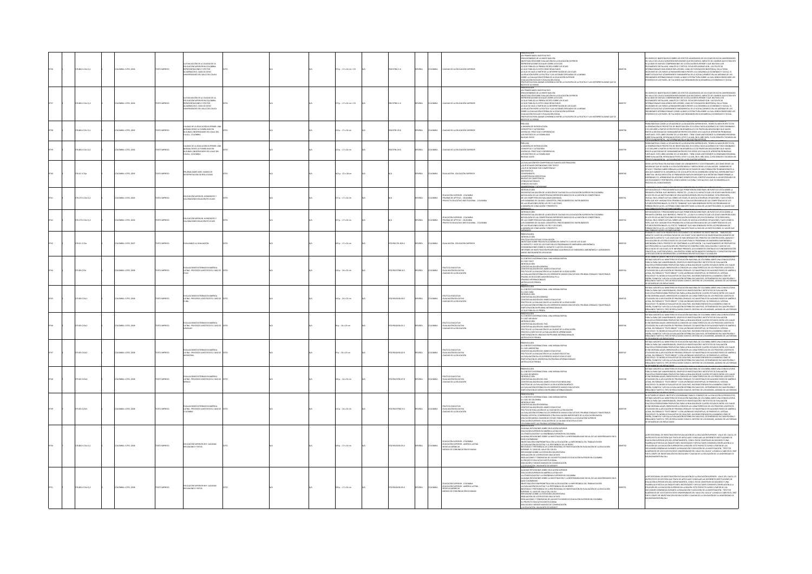|  | 278.861 (C15e E).1  | LOMBIA: ICFES, 2006        | O22RRM OT          | UADON DE LA CALIDAD DE<br>CACIÓN SUPERIOR EN CI<br><b><i>USASAN BUYUKAN BILISADIRIIKA</i></b><br>PRESENTACIONES Y EFECTOS<br>ADÉMICOS EL CASO DE OCHO<br>INVESIDADES DEL VALLE DEL CAUCA |  | 72p.: 17 x 24 cm + CD                         | x-27960-1-X      | <b>JORK</b>  | OMEN           | .<br>CALIDAD DE LA EDUCACIÓN SUPERIO                                                                                                | PRESENTACIÓN<br>-UN PRIMER MAPA INVESTIGATIVO<br>-PROLEGOMENOS DE LA INVESTIGACIÓN<br>-INVESTIGACIÓN SOBRE EVALUACIÓN EN LA EDUCACIÓN SUPERIOR<br>-REPRESENTACIONES SOCIALES SOBRE LOS ECAES<br>-LO QUE PUBLICA LA PRENSA ESCRITA SOBRE LOS ECAES<br>-LO QUE PUBLICA EL IGES COMO RESULTADOS<br>-LO QUE SE HACE A PARTIR DE LA INTERPRETACIÓN DE LOS ECAES<br>-LA RELACIÓN ENTRE LA POLÍTICA Y LAS ACCIONES DERIVADAS DE LA MISMA<br>-<br>- SCIRRE LA EVALUACIÓN EXTERNA DE LA EDUCACIÓN SUPERIOR<br>- EVALUACIÓN ESCOLAR Y EVALUACIÓN SOCIAL<br>.<br>ARA GANAR COHERENCIA ENTRE LA FILOSOFÍA DE LA POLÍTICA Y LAS INTERPRETACIONES QUE SI<br>HACEN DE LA MISMA                                                                                                                                                                                                                |        | EJERCICIO INVESTIGATIVO SOBRE LOS EFECTOS ACADÉMICOS DE LOS ECAES EN OCHO UNIVERSIDADE?<br>.<br>DEL VALLE DEL CAUCA SURGIERON REFLEXONES QUE RECOGEN EL IMPACTO DE CAMBIOS QUE ESTÁN HON<br>IN LA BASE DE NUEVAS COMPRENSISMES DE LA EDUCADÓN SUPERIDE Y QUE INVITAN A UN<br>TRATAMENTO DETALLADO, ANALÍTICO Y CRÍTICO. ESTÁS REFL<br>TRATAMIENTO DETALLADU, ANALIIILUI Y LAIIILUI JESIA NU HAUDUNDO SUN : una funitivata<br>INTERNACIONALES HAN VENIDO INFLUITENDO, CADA VEZ CON MARDR NUSETINCIA, EN LA TOMA<br>DECISIONES DE LOS PAÉSES LATINOAMERICANOS FRENTE A SU DE<br>ONALES COMO LA BASE O ESTRUCTURA SOBRE LA CUAL DEBEN ORIENTARSE LO<br>FUERZOS DE LOS PAÍSES, DE TAL MODO QUE REDUNDEN EN SU DESARROLLO ECONÓMICO Y SOCIAL |
|--|---------------------|----------------------------|--------------------|------------------------------------------------------------------------------------------------------------------------------------------------------------------------------------------|--|-----------------------------------------------|------------------|--------------|----------------|-------------------------------------------------------------------------------------------------------------------------------------|--------------------------------------------------------------------------------------------------------------------------------------------------------------------------------------------------------------------------------------------------------------------------------------------------------------------------------------------------------------------------------------------------------------------------------------------------------------------------------------------------------------------------------------------------------------------------------------------------------------------------------------------------------------------------------------------------------------------------------------------------------------------------------------------------------------------------------------------------------------------------------|--------|-----------------------------------------------------------------------------------------------------------------------------------------------------------------------------------------------------------------------------------------------------------------------------------------------------------------------------------------------------------------------------------------------------------------------------------------------------------------------------------------------------------------------------------------------------------------------------------------------------------------------------------------------------------------------------------------------------------------------------------------|
|  | 278.861 (C15e Ej.2) | LOMBIA: ICFES, 2006        | TO IMPRESO         | EVALUACIÓN DE LA CALIDAD DE LA<br>JCACIÓN SUPERIOR EN COLDIMBIA:<br>PRESENTACIONES Y EFECTOS<br>ADÉMICOS EL CASO DE OCHO<br>ERSIDADES DEL VALLE DEL CAUCA                                |  | $172 p.: 17 \times 24 \text{ cm} + \text{CD}$ | $1.47960 + x$    | AÑOL         |                | LIDAD DE LA EDUCACIÓN SI                                                                                                            | PRESINTACIÓN<br>- 400 PRONECES CA MANESTRATIVO<br>- 400 PRONECES CA MANESTRATIVO<br>- 400 FSTAGO MODES SOCALIS SOBRE UNA EDUCACÓN SUPERIOR<br>- 400 FST PRIMONAIS SOCALIS SOBRE USO ECANS<br>- 400 FST PRIMONAIS PRODUCTES CANALISTAS<br>- 400 F<br>"-UN BELACIÓN ENTRE LA POLÍTICA Y LAS ACCIDINS DERIVADAS DE LA MESMA<br>-SCRIE LA DIALINICIÓN ENTRE LA POLÍTICA Y LAS ACCIDINS DERIVADAS DE LA MESMA<br>-EVRELLACIÓN ENTRE LA POLÍTICA Y LAS ACCIDADES DERIVADAS DE LA MESMA<br>-PROPUL<br>ACEN DE LA MISMA                                                                                                                                                                                                                                                                                                                                                                |        | SIA LINAULOJ MOKA IMANI VANARA LINA SALA EMANIARONO AL INDO ANDAS IN UGURU DISPARANA NOSTA EL ANGLO DE LA CARA<br>EN LA MALE DIS, CAUCA SURGERON REVILIDONES QUE RECOGEN EL IMPACTO DE CAMBILOS QUE ESTÁN HOY<br>EN LA MALE DIS NURV                                                                                                                                                                                                                                                                                                                                                                                                                                                                                                    |
|  | 228611C15c 4j.1     | CANBUA: ICFES, 2006        | <b>O22RRM OT</b>   | NAD DE LA EN ICACIÓN SUBERIOR-LI<br>MADA DESDE LA FLEXIBILIDAD EN<br>GUNAS UNIVERSIDADES DEL VALLE DEL<br><b>JCA - COLOMBIA</b>                                                          |  | 23 p. : 17 x 24 cm                            | 2-0030943        | <b>JORK</b>  | LOMBIA         | CALIDAD DE LA EDUCACIÓN SUPERIOR                                                                                                    | PRÓLOGO<br>- A MANERA DE INTRODUCCIÓN<br>-A MANIRA DE INFRIRUGA-<br>CONCEPTOS Y CATEGORÍAS<br>-WINDOWS: PRÁCTICAS Y EXPERENCIAS<br>-IGS ROSTROS DE LA FLEXIBILIDAD<br>-NUEVAS VOCES                                                                                                                                                                                                                                                                                                                                                                                                                                                                                                                                                                                                                                                                                            | 009738 | AN 18 MARKWENT LET RUSHER AN THE MANUSCHE SUBMISSION CONTINUES IN A MARKWENT CONTINUES. THE RUSH OF THE STATE OF THE STATE OF THE STATE OF THE STATE OF THE STATE OF THE STATE OF THE STATE OF THE STATE OF THE STATE OF THE                                                                                                                                                                                                                                                                                                                                                                                                                                                                                                            |
|  | 28.861 (C15c G) 2   | CANBUA: ICFES, 2006        | <b>O22RRM OT</b>   | NO DE LA EN IGADÓN SIBERIDO I<br>ADA DESDE LA FLEXIBILIDAD EN<br>GUNAS UNIVERSIDADES DEL VALLE DEL<br>UCA - COLOMBIA                                                                     |  | 3p.: 17 x 24 cm                               | 0-4796-01-6      | AÑOL         | OMBIA          | ALIDAD DE LA EDUCACIÓN SUPERIOR                                                                                                     | .<br>A MANERA DE INTRODUCCIÓN<br>CONCEPTOS Y CATEGORÍAS<br>-WIENCIAS: PRÁCTICAS Y EXPERIENCIAS<br>-LOS ROSTROS DE LA FLEXIBILIDAD<br>-NUEVAS VOCES                                                                                                                                                                                                                                                                                                                                                                                                                                                                                                                                                                                                                                                                                                                             | 009739 | HAMP IN CONSULTANT RAPPAIRMANT IN THE COMMUNIST OF THE PROCESS ON THE UNIVERSITY OF THE CONSULTANT OF THE COMM<br>PROBLEMATICAL COMO LA STIMUCIÓN DE LA EDUCACIÓN SUPERIOR HOY, TUNEN, SU MAHOR ESECTO EN<br>LA CENERACIÓN DE PROPIE<br>sentr la Necesiono de Fundamentar Provectos desde los cuales se afronten problemas<br>Puntuales, este urbo devirir de lo segundo : tient como antecedente el seminaro<br>Sobre enaluación, respaldado por el ICFES y la use, en el a<br><b>DIMINAMENTAL - LA DIDIVISIONAD EN LA EDISCACIÓN SUPERIOR</b>                                                                                                                                                                                         |
|  | 278.16 K15o         | 300C 23731 MARINE          | O23RNM OT          | .<br>IERAS SARER 2005: MARCO DE<br>ERPRETACIÓN DE RESULTADOS                                                                                                                             |  | N/A p.: 22 x 28 cm                            |                  | <b>JORK</b>  | <b>XOMBIA</b>  | EVALUACIÓN - EDUCACIÓN SU PERIOR                                                                                                    | LINNIUM.<br>-LA EVALUACIÓN POR COMPETENCIAS PLANTEA DOS PRINCIPIOS<br>QUÉ ESTAMOS ENTENDIDADO POR TEXTO<br>-<br>QUÉ SE ENTIEMDE POR COMPETENCIA?<br>-EDMPONENTES<br>-COMPUTENCIAS<br>-NIVELES DE COMPETENCIA<br>-NIVELES DE COMPETENCIA<br>-CIENCIAS SOCIALES<br>-CIENCIAS SOCIALES                                                                                                                                                                                                                                                                                                                                                                                                                                                                                                                                                                                            | 009740 | .<br>ESDE LAS POLÍTICAS EDUCATIVAS COMO LOS LINEAMIENTOS Y LOS ESTÁNDARES, ASÍ COMO DESDE LAS<br>REGIAL AND CONTROL ENGINEERING CONTROL AND CONTROL CONTROL CONTROL AND STATEMENTS OF PRESENTATION CONTROL CONTROL CONTROL CONTROL AND CONTROL CONTROL CONTROL CONTROL CONTROL CONTROL CONTROL CONTROL CONTROL CONTROL CONTROL                                                                                                                                                                                                                                                                                                                                                                                                          |
|  | 18.1751C15e EL1     | DOMESA: ICFES, 2006        | <b>OZZREMI OTI</b> | CIÓN SUPERIOR: HORIZONTES Y<br>LORACIONES RELACIÓN PEI ECAES                                                                                                                             |  | 127 p. : 17 x 24 cm                           |                  | <b>LORAS</b> | OMBM           | -<br>Educación Superior - Colombia<br>- Pruebas de Aptitud - Colombia<br>PROYECTO EDUCATIVO INSTITUCIONAL - COLOMBIA                | <b>KEMINIKYON<sup>K</sup></b><br>-introducción<br>-vermannament<br>-Beconfidentalización de la noción de calidad en la educación suferide en colongia<br>-Nociología de las competencias referentes básicos de la noción de competencia<br>-De las competencias evaluadas (Medidas)<br>k lane loopper kommer as en vallanlang (melinium)<br>25 depêmbrie: Sic Calidano: Concesptos, procesor mentous e instrumentos<br>T.ias Relaciones entre los pei y los ecaes<br>Manera de Conclusión y prospecto<br>2000au                                                                                                                                                                                                                                                                                                                                                                |        | <b>SENIE ISLUITENE COMO</b><br>ALES QUE PERMITIERON CONSTRUIR UN PUNTO DE VISTA SOBRE LA<br>NRI ILINIARIANO E VIRCILIARIANO NA SERVEZIA (MA PARTI ILINIARIA E NO COMENZA DE MA CONSTANTA EN EL PORTUGAL DE<br>PRI ILINIARIA EL PORTUGAL EN EN ENCORA (MA PARTI ILINIARIA EL PORTO DE MA PARTI ILINIARIA EL PORTO DE MA PART<br>P                                                                                                                                                                                                                                                                                                                                                                                                        |
|  | 78.175 (C15e E) 2   | LOMBIA: ICFES, 2006        | OZZRRM OTI         | CACIÓN SUPERIOR: HORZONTES Y<br>JRACIONES RELACIÓN PEI-ECAES                                                                                                                             |  | 127 p. : 17 x 24 cm                           |                  | AÑOL         |                | - EDUCACIÓN SUPERIOR - COLOMBIA<br>- PRUEBAS DE APTITUD - COLOMBIA<br>- TEORETTO EDUCATIVO INSTITUCIONAL - COLOMBIA                 | "<br>Lización de la noción de calidad en la educación superior en colonieia.<br>-BALINI INTERNATION DE AN OUDIN DE CARRONES BÁSICOS DE LA NOCIÓN DE COMPETENCIA<br>-NOCIOLOGÍA DE LAS COMPETENCIAS BEFERINTES BÁSICOS DE LA NOCIÓN DE COMPETENCIA<br>-DE LAS COMPETENCIAS EVALUADAS (MEDIDAS)<br>-DE LAS REIACIONES ENT<br>MANERA DE CONCLUSIÓN Y PROSPECTO                                                                                                                                                                                                                                                                                                                                                                                                                                                                                                                    |        | COMMONIAL ALLES, LA COMMONIACO DE MANIFESTADO A VIDAS CALIFERADOS (EL VIDAS QUE COMMONIAL COM EL COMENZADO EN MANIFESTADO EN EL COMENZADO EN EL COMENZADO EN EL COMENZADO EN EL COMENZADO EN EL COMENZADO EN EL COMENZADO EN<br>IMAGÓN DE LA IES. LA FORMA COMO HAN AFECTADO LA VIDA DE LAS INSTITUCIONES. EL VALOR QUE                                                                                                                                                                                                                                                                                                                                                                                                                 |
|  | 278.16 K15e         | CANBUA: ICFES, 2007        | <b>O22RRM OTX</b>  | LUANDO LA EVALUACIÓN                                                                                                                                                                     |  | 495 p. : 17 x 24 cm                           | 75-958-701-826-4 | <b>LORAS</b> | <b>AIGMENT</b> | EVALUACIÓN - EDUCACIÓN SUPERIOR                                                                                                     | <b>RESENTACIÓN</b><br>-INTRODUCCIÓN<br>-POLÍTICAS EDUCATIVAS Y EVALUACIÓN<br>-INVESTIGAR SOBRE PROCESOS ACADÉMICOS: IMPACTO Y USO DE LOS ECAES<br>ennailman Xarini Prokasia manumelok: Informance de Ingenieria agrençinica<br>El Impacto y usos de los ecaes en los programas de Ingenieria agrençinica<br>Considenta de Investigación programas académicos de Ingenieria agrençinica<br>END INSTRUMENTOS APLICADOS                                                                                                                                                                                                                                                                                                                                                                                                                                                           | 9742   | MN CORRADO ENTRE LOS EMBLEADORES.<br>ENEMOS EL GUSTO DE PRESENTAR EL DOCUMENTO DE INFORME DE INVESTIGACIÓN : "ANÁLISIS DEL "<br>.<br>MARCTO Y USOS DE LOS RESULTADOS DE LOS ECAIST <sup>o</sup> CUYO DIBIETIVO DE INVESTIGACIÓN CONSISTIÓ EN<br>ANALIZAR EL MIPACTO Y LOS USOS QUE SE HAN DERIVADO DEL PROCESO DE CONSISTIOCIÓN, ANÁLISES Y<br>DIVULGACIÓN DE LOS RESULTADOS DE L<br>VYKWOMIAN DA KURA PROVISIONO DE CONTRIBUER A LA REFLEXIÓN Y AL PLANITEARIENTO DE PROPUESTAS<br>GRONDARIA CON EL PROPÓSITO DE CONTRIBUER A LA REFLEXIÓN, O NULGACIÓN V USOS DE LOS<br>ESULTADOS DE LOS ECALES ESTE IMPORALE PRESENTA                                                                                                                |
|  | 79.83 IC15e         | MEN: ICFIS, 2008           | C23RM OT           | EVALUACIONES EXTERNAS EN AMÉRICA<br>LATINA : PROCESOS LOGÍSTICOS EL CASO E                                                                                                               |  | 26 p. : 24 x 23 cm                            | -264-07040-4-5   | AÑOL         |                | POLÍTICA EDUCATIVA<br>EVALUACIÓN EDUCATIVA<br>- CALIDAD DE LA EDUCACIÓ                                                              | G. CONTICTO INTERNACIONAL: UNA MIRACA RÁFIDA<br>A REDODOCO A CONTINUADOR GENERAL<br>CONTINUALIZACIÓN GENERAL<br>A CONTINUALIZACIÓN GENERAL<br>A ROLINACIONAL ETA DE CONTINUA FRANCISCO CONTINUAL PRODUCTIVAL<br>A ROLINACIONAL ETA DE CONTINU<br>LIERAS INTERNACIONALES<br>ITÍCULOS DE PRENSA                                                                                                                                                                                                                                                                                                                                                                                                                                                                                                                                                                                  |        | CONTINUATION CONSULTIVITY CONTINUES CONTINUES IN A MONEMATION CONTINUES IN THE SERVE OF THE SERVE CONTINUES IN THE SERVE OF THE SERVE CONTINUES IN THE SERVE CONTINUES IN THE SERVE OF THE SERVE CONTINUES IN THE SERVE CONTI<br>OSEÑA, PLANIRCA Y APUCA LA EVALUACIÓN EXTERIA EN CADA PAÍS, DETENIÑIDOSE EN CADA PRUEBA Y<br>SEÑALANDO TANTO EL TIPO DE RESULTADOS COMO EL DESTINO DE LOS MISMOS, ADEMÁS DE LAS FORMA<br>DE DIFUSIÓN DE LOS RESULTADOS.                                                                                                                                                                                                                                                                                |
|  | 279.83 (C15e1)      | <b>SOLD ZERVICH ANNOUN</b> | OZZRRA OTX         | .<br>VALUACIONES EXTERNAS EN AMÉRICA<br>VIINA : PROCESOS LOGÍSTICOS EL CASO                                                                                                              |  | 100 p. : 24 x 23 cm                           | 200304426-005    | <b>AÑOL</b>  | <b>XOMBIA</b>  | -<br>FOLÍTICA EDUCATIVA<br>- CALIDAD DE LA EDUCACIÓ                                                                                 | -<br>HE CONTACIÓN<br>-EL CONTACTO INTERNACIONAL: UNA MIRAGA RÁPIDA<br>-EL CASO CUSA<br>-ENTEDEUCCIÓN<br>-CONTACTUALIZACIÓN GENERAL<br>JNITATIONALISALEM GANAMA<br>JNITACTUALIZACIÓN DEL MARICO EDUCATIVO<br>I EVALUALIZACIÓN DELTRIANA EN LOS DIFORDIDE E A EDUCACIÓN<br>I EVALUACIÓN DE PRUEBAS INITERNACIONALES<br>RITICIPACIÓN DE PRUEBAS INITERNACIONALES<br>RITICIPACIÓN DE PR<br>D QUE PUBLICA LA PRENSA.<br>ESENTACIÓN                                                                                                                                                                                                                                                                                                                                                                                                                                                  | 09745  | EN TALI MANE DE SAME DE INITIITIO LOGOMERONO FONO DE FORMATIO DE DO BOOCALON AUFRAIDA ILITERA.<br>EN TIDAD ADSCRITA AL MINISTERIO DE EDUCACIÓN NACIONAL DE COLOMBIA ABRIÓ UNA CONVOCATORIA<br>INTERNATIONAL MAINSTROMAGE, GRAPISCH WARCHING DE COMMINATION EN DEMOCRATION (1992)<br>1936 - MARCA DE MARCARONAL GRAPISCH COMMINATIONAL EN DEL DE VALUES COMMINISTRATIONAL EN COMMINATIONAL EN COMM<br>1936 - MARCARONAL MANAGEMENT                                                                                                                                                                                                                                                                                                       |
|  | 9.83 (21542)        | MARIA: ICFES, 2008         | O22RRM OT          | EVALUACIONES EXTERNAS EN AMÉRICA<br>"ATINA : PROCESOS LOGÍSTICOS EL CASO I<br>"RUGUAY                                                                                                    |  | $p.14x23$ cm                                  | 488441601-2      | AÑOL         |                | - POLÍTICA EDUCATIVA<br>- EVALUACIÓN EDUCATIVA<br>- CALIDAD DE LA EDUCACIÓ                                                          | ESENTACION<br>- CONTEXTO INTERNACIONAL: UNA MIRADA RÁPIDA<br>- CASO URUGUAY<br>ITRODUCCIÓN<br>-introduccion<br>-contextualización del país<br>-contextualización del marco educativo<br>-política de la evaluación de la calidad de la educación<br>LITEA DE LA EVALUACIÓN DE LA CALIDAD DE LA EDUCACIÓN<br>DCESO LOGÍFICO DE LA EVALUACIÓN DE APRENDIZALES<br>FÍCULOS DE PRENSA<br>FÍCULOS DE PRENSA                                                                                                                                                                                                                                                                                                                                                                                                                                                                          |        | DISEÑA, PLANIFICA Y APLICA LA EVALUACIÓN EXTERHA EN CADA PAÍS, DETENIÉNDOSE EN CADA PRUEBA Y<br>EEÑALANDO TANTO EL TIPO DE RESULTADOS COMO EL DESTINO DE LOS MISMOS, ADEMÁS DE LAS FORMA                                                                                                                                                                                                                                                                                                                                                                                                                                                                                                                                                |
|  | asa icasea          | MEA: ICFES, 2008           | O22RRM OT          | EVALUACIONES EXTERNAS EN AMÉRICA<br>LATINA : PROCESOS LOGÍSTICOS EL CASO I<br>ARGENTINA                                                                                                  |  | $n: 24 + 23$ cm                               | -358-8436-02-9   | AÑOL         | OMBIA          | -<br>POLÍTICA EDUCATIVA<br>- CALIDAD DE LA EDUCACIÓN<br>- CALIDAD DE LA EDUCACIÓN                                                   | KSENTACIÓN<br>CONTEXTO INTERNACIONAL: UNA MIRADA RÁPIDA<br>-EL CUNILITEU INTERNACIONAL: UNA MINNIA KAPEDA<br>-EL CASO ARGENTINA<br>-EL CASO ARGENTINA<br>-POLÍTICA DE LA EVALUACIÓN DE LA CALIDAD EDUCATIVA<br>-FATICIPACIÓN EN LAS DEFERENTS NIVELES EDUCATIVOS<br>-FATICIPACIÓN EN LASS DEFERENTS NIVE                                                                                                                                                                                                                                                                                                                                                                                                                                                                                                                                                                       |        | <mark>ne del esèr de 106/fechamor</mark> o conomingio: 7700 el tombrio de de dodorion diffinidental<br>Intidad adecita a Minsterio de Egua acóm Maddhal de Colombia abbó una convocatoria<br>Víblica para que universidades, grupos de investiga<br>THIRD AT PROVIDENT UNIVERSIONEN, A REALITY AND LINE WAS TRANSPORTED AT INVERSION OF A RELEASE AND COMMISSION COMMISSION OF A RELEASE AND COMMISSION CONTINUES. THE COMMISSION CONTINUES IN A RELEASE AND COMMISSION CONTINUES.<br>KDUCATINO Y EL MODELO EVALUATINO DE CADA PAÍS, HACIENDO ÉNERGIS EN LA MANERA COMO SE<br>DISEÑA, PLANIFICA Y APUCA LA EVALUACIÓN EXTERIA EN CADA PAÍS, DITENIÉNDOSE EN CADA PRUEBA Y<br>SEÑALANDO TANTO EL TRO DE RESULTADOS COMO EL               |
|  | <b>79.83 IC15e4</b> | DANSIA: ICFES, 2008        | O23RNM OT          | ONES EVERINGS EN AMÉRICA<br>LATINA : PROCESOS LOGÍSTICOS EL CASO D<br>MÉXICO                                                                                                             |  | 106 p. : 24 x 23 cm                           | 1-958-9796-07-8  | AÑOL         | MEM            | <b>NÍTICA EDUCATIVA</b><br>-<br>EVALUACIÓN EDUCATIVA<br>- CALIDAD DE LA EDUCACIÓ                                                    | RESENTACIÓN<br>PRESINTACIÓN<br>4. CONTEXTO INTERNACIONAL: UNA MIRADA RÁFIDA<br>47. COSO DE MÁDICO<br>47. COSO DE MÁDICO<br>47. CONTEXTUALIZACIÓN DEL PAÑS<br>47. CONTEXTUALIZACIÓN DE FAMOLO EN CALCIONAL EN MIRACO<br>47. CONJUNCIÓN DETERNA EN LOS DEFERENTS                                                                                                                                                                                                                                                                                                                                                                                                                                                                                                                                                                                                                 |        | DE DETERRE DE 1950 EETHULFITOT LOUDINING NOTIGEL FORMAND DE DE NORDELINE AUFENDATION.<br>DETEND ADSCRITA AL MENISTERIO DE EDUCACIÓN NACIONAL DE COLOMBIA ABRIÓ UNA CONVOCATORIA<br>.<br>Dública para que universidades, grupos de investigación e institutos de evaluación<br>Educativa presentarán propuestas para la bealdación de cuatro del des entre los e<br>Ee encontraba aquél obentador a conocer las característ<br>SE INDONTINA AQUIO OBSITATION A CONOCER UN GARACTERITICA EN LOS PROCESOS LOGICITOS<br>ATRIZADOS EN LA APLICACIÓN ES PRI ERAS CIENALES Y/O MUSETIMAIS EN AGUINOS PARSE DE AMÉRICA<br>ACTINO POR LA APLICACIÓN EN PRI ERAS CIENALES Y/                                                                      |
|  | 279.83 (CLSeS)      | LOMBIA: ICFES, 2008        | O22RRM OTX         | VALUALIUNIS<br>VIINA : PROCE<br>DLOMBIA                                                                                                                                                  |  | 110 p. : 24 x 23 cm                           | 28-958-97900-0-2 | <b>LORAS</b> | OMBIA          | -<br>POLÍTICA EDUCATIVA<br>- EVALUACIÓN EDUCAT<br>LIDAD DE LA EDUCACIÓ                                                              | RESENTACIÓN<br>1. CONTEXTO INTERNACIONAL: UNA MIRADA RÁPIDA<br>1. CASO DE COLOMBIA<br>IN CHOUCOÓN<br>INTRODUCOÓN<br>CONTEXTUAUZACIÓN GENERAL<br>CONTEXTUAUZACIÓN DEL MARCO EDUCATIVO<br>CONTENTUALIZACIÓN DE MANCO DESOCATIVO EN ACONOMICAL PRODUCTIVOS CONSALES Y MUESTRALES<br>LA FAMILIACIÓN ENTERNA EN LOS ENFERANTS NAVELES EDUCATIVOS: PRODUCAS MUESTRALES<br>REUERALIZACIÓN ENTERNA EN LOS ENTERNATS NAVELES EDUCATIV<br>LOMBIA ANTE LAS PRUEBAS INTERNACIONALES                                                                                                                                                                                                                                                                                                                                                                                                        |        | SA CHARÁNA LI VÁLKA S MAGY TOMOGRAPIANO PARA EL FOMENTO DE LA EDUCACIÓN SUPERIDE LETE,<br>EN CICLORE DE 2006 EL MOSTRUTO DE DESCADON MAGYAR, EL FOMENTO DE LA EDUCACIÓN SUPERIDO LISTO.<br>EN CICLORE DE 2006 EL MOSTRUTO DE FOLCACI<br>UI ILIUADIS IN ILA AMULAULIN DI PAULUAN LINGALIS Y JU MILISI IMALI SI PALIANDA PARALI ILI ANTARA<br>EDILINATINO Y D. MODELO IDAILIANTA DE CADA MÁS, MACIENDO DI FATAS EN PASARITA EL SETEMA.<br>EDILISATINO Y D. MODELO PARILLATA DE<br>DE DIFUSIÓN DE LOS RESULTADOS.                                                                                                                                                                                                                          |
|  | 278.861 (C15e E).1  | LOMBIA: ICFES, 2008        | <b>O22RRM OT</b>   | CIÓN SIDEBIOR MOY ALCIMA<br>ENDNES Y BETCH                                                                                                                                               |  | 209 p. : 17 x 24 cm                           | 03-958-8436-05-0 | <b>AÑOL</b>  |                | - EDUCACIÓN SUPERIOR - COLOMBIA<br>- EDUCACIÓN SUPERIOR - AMÉRICA LATINA<br>- REDES ACADÉMICAS<br>- MEDIOS DE COMUNICACIÓN DE MASAS | ALGUNAS REFLEXIONES SOBRE EDUCACIÓN SUPERIOR<br>.<br>Nicación superior en América Latina Hoy<br>Lejnas reflexiones sobre la investigación y la respon<br>Gunas reflexiones sobre la investigación y la respon<br>ILIDAD SOCIAL DE LAS UNIVERSIDADES EN E<br>MISSION DESCRIPTION DE COMPREHENSION DE L'AS MES COMPREHENSION DE LA COMPREHENSION DE L'ASSESSION DE L'AS MES<br>POLO COLOMBIANO<br>- 44 EVALUACIÓN COMPROVANTE DA PORTUGAL DE LA CASA EN LA SURFACIA A DEL TRABAJO EN REO<br>- 44 EVAL<br>-BEFLERONES SOBRE LA EXTENCIÓN UNIVERSITARIA<br>-BEGULACIÓN DE LOS PROCESOS EDUCATIVOS<br>-BEGULACIÓNES Y TENDENCIAS DE LAS INSTITUCIONES DE EDUCACIÓN SUPERIOR EN COLOMBIA<br><b>A PROVECTO EDUCATIVO INSTITUCIONAL<br/>E PROVECTO EDUCATIVO INSTITUCIONAL<br/>LA PROVECTO EDUCATIVO INSTITUCIONAL</b><br>LA ERICTACIÓN<br>RESENTACIÓN                                 |        | ivestigación en evaluación de la educación superior - valle del cauca, e<br>Ón que trata de articular y vincular las diferentes instituciones de<br>UN PRUMILIO UN LAGISIONE QUI IRMI DA PROICULOR Y VINCULOR UN DIPARMI ISI ROMI IUDIUNDO.<br>EDUCACIÓN SUPERIOR (ES) DEL DEPARTAMENTO, CON EL FIN DE CONSTRUIR UN DISCURSO Y UNA.<br>FITUADÓN DE LA EDUCACIÓN SUPERIOR EN LA REGISIÓNE<br>académicos de los ecaes en ocho universidades del valle del cauca" Lievada a cabo en el 2007<br>Por el Grupo de Investración en educación y calidad de la educación de la universidad de<br>San Bushaventura cali                                                                                                                           |
|  | 278.861 (C15e E).2  | LOMBIA: ICFES, 2008        | <b>O22RRM OT</b>   | SUCACIÓN SUPERIOR HOY: ALGUNAS<br>IFLEXIONES Y RETOS                                                                                                                                     |  | 209 p. : 17 x 24 cm                           | 0.204044840      | <b>AÑOL</b>  |                | DUCACIÓN SUPERIOR - COLOMB<br>-<br>EDUCACIÓN SUPERIOR - AMÉRICA LATINA<br>- REDES ACADÉMICAS<br>- MEDIOS DE COMUNICACIÓN DE MASAS   | isentacion<br>Gunas reflexiones sobre educación superior<br>Ucación superior en América Latina Hoy<br>A ETNOEDUCACIÓN Y LA ENSEÑANZA SUPERIOR EN COLOMBIA<br>AGUNAS REFLEXIONES SOBRE LA INVESTIGACIÓN Y LA RESPONSI<br>INVESTIGACIÓN COMPROMETIDA CON LA EDUCACIÓN: LA IMPORTANCIA DEL TRABAJO EN RED<br>A EVALUACIÓN EDUCATIVA Y LA PERTINENCIA DE LAS REDES<br>-NECESIONO Y PREMISSIONO - A FERO REMOVAL DE INVESTIGACIÓN EN EVALUACIÓN DE LA EDUCACIÓN<br>SUPERIOR, EL CASO DEL VALLE DEL CAUCA<br>-REFERIOR EL CASO DEL VALLE DEL CAUCA<br>-REFERIOR MONTANTO DE FERO DE VALORESITARIA<br>"AL PROVERS JOURNALIST DES DUCATIVOS"<br>-REGULADONES Y TEMBRICAS DE LAS HISTORIS DE EDUCADÓN SUPERIOR EN COLOMBIA<br>-REGULADONES Y TEMBRICAS DE LAS HISTORIS<br>-EL PROVECTO EDUCATIVO INSTITUCIONAL<br>CACIÓN Y MEDIOS MASIVOS DE COMONICACIÓN<br>CONTRACTOR OTHERS HILL MOD |        | $\label{eq:R1} \begin{minipage}[t]{0.9\textwidth} {\bf A} & \text{M100012545} \text{C} & \text{M10011355} \text{C} & \text{M1001135} \text{C} & \text{M1001135} \text{C} & \text{M1001135} \text{C} \\ \text{M10001255455} & \text{M10011355} \text{C} & \text{M1001135} \text{C} & \text{M1001135} \text{C} & \text{M1001135} \text{C} \\ \text{M1000$<br>POR EL GRUPO DE INVESTIGACIÓN EN EDUCACIÓN Y CALIDAD DE LA EDUCACIÓN DE LA UNIVERSIDAD DE<br>SAN BUENAVENTURA CALL                                                                                                                                                                                                                                                           |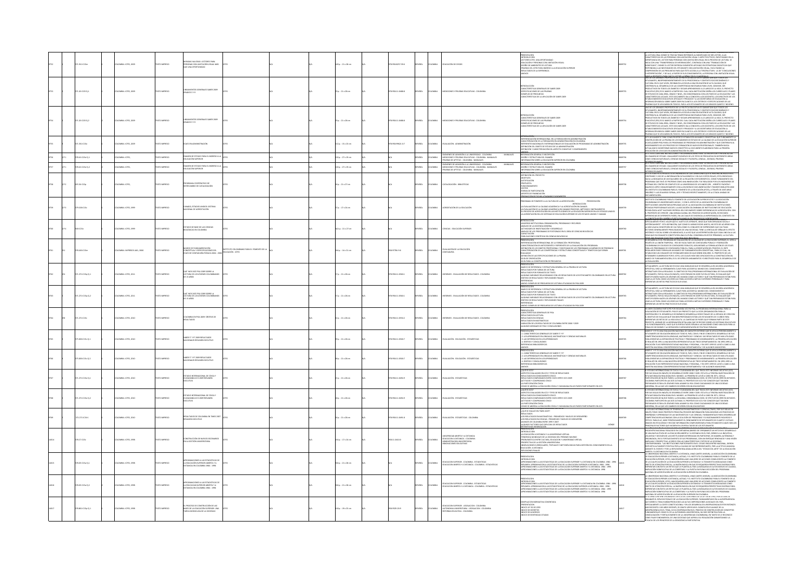|       | 2111C15m               |                           | O IMPRESO          | 18ADAS VALIOSAS: LECTORES PARA<br>RSONAS CON LIMITACIÓN VISUAL MÁS<br>IE UNA OPORTUNIDAD                 |                                       | 49p.: 21 x 28 cm        | -858-8257-20-6   |             |                |                                                                                                                                                              | PRESENTACIÓN<br>-NETRODUCCÓN<br>-LECTORES KEES: UNA OPORTUNIDAD<br>-DEUCACIÓN Y FRISCINAS CON UMITACIÓN VISUAL<br>-PRUEBAS OR: LYEES PARA INGRESO A LA EDUCACIÓN SUPERIOR<br>-PRUEBAS OR: LYEES PARA INGRESO A LA EDUCACIÓN SUPERIOR<br>RESULTADOS DE LA DIPERIENCIA<br>ANEXOS                                                                                                                                                        |          | EN LUCTURA CIMA DONDE DE TRIATAN TEMAS REFERIDOS AL SIGNIFICADO DE SER LECTOR, A LAS CARRANDES DE LA CARRANDE CON LUCTURA CIMA DE MAISON DE CARRANDES DE LA CARRANDES DE LA CARRANDES DE LA CARRANDES DE LA CARRANDES DE LA C<br>PURIMAN A LAS ANLASIDADAS DEL ESTEUDANTE L'UNI UNI METURI VISUAL, PAULITANDO DE DES<br>IPRENSIÓN DE LAS PREGUNTAS PARA QUE ÉSTE ACCEDA A LA TERCERA ITARA : LA DE "CONCLUSIONE"<br>IE IRPRETACIÓN", Y DE ALLÍ, A PARTIR DE SUS CONOC                                                                              |
|-------|------------------------|---------------------------|--------------------|----------------------------------------------------------------------------------------------------------|---------------------------------------|-------------------------|------------------|-------------|----------------|--------------------------------------------------------------------------------------------------------------------------------------------------------------|---------------------------------------------------------------------------------------------------------------------------------------------------------------------------------------------------------------------------------------------------------------------------------------------------------------------------------------------------------------------------------------------------------------------------------------|----------|----------------------------------------------------------------------------------------------------------------------------------------------------------------------------------------------------------------------------------------------------------------------------------------------------------------------------------------------------------------------------------------------------------------------------------------------------------------------------------------------------------------------------------------------------|
|       | 0126 0151 011          | CMBIA: ICFES, 2009        | <b>O22RRM OT</b>   | NEAMENTOS GENERALES SABER 2009<br>RADOS S Y 9                                                            |                                       | 0 p. : 21 x 28 cm       | 1468-110488-8    | <b>JORK</b> | <b>AIRMOJO</b> | MEDICIONES Y PRUEBAS EDUCATIVAS - COLOMBIA                                                                                                                   | NTRODUCCIÓN<br>CARACTERÍSTICAS GENERALES DE SABER 2009<br>-<br>ESPECIFICACIONES DE LAS PRUEBAS<br>-<br>CARACTERÍSTICAS DE LA APLICACIÓN DE SABER 2009                                                                                                                                                                                                                                                                                 |          | FUDIANTES, INDEPENDENDIENTEMENTE DE SU PROCEDENCIA Y CONTEXTO SOCI<br>di uniformis, montrolomento en la esta provinciar esta visita de la regiona de la provincia<br>Contribue en el ger viven, recibin en la escuela una ellecació para viva el calidad, que<br>Productivos en todos los ámbitos y seguir<br>PRODUCTIVIS EN TODOS LOS MARIEDAS Y KENORIA APRINDIDADA A LO UNIMIDAD E LA VIRA EL PROPETITO DE CALIFICADO EN E<br>EN CALIFICADO PER EL AL ABACA CARA MAY EN EL CALIFICADO EN ENTRE EL ENTRE EL ENTRE EL ENTRE EL ENTRE EL ENTRE<br> |
|       | $1.26$ iC15i Ej.2      | CMBIA: ICFES, 2009        | C23RM OT           | NEAMENTOS GENERALES SABER 2009<br>RADOS S Y 9                                                            |                                       | $p_i: 21 \times 28$ cm  | 1-358-11-0488-8  | AÑOL        | OMBH           |                                                                                                                                                              | INTRODUCCIÓN<br>-CARACTERÍSTICAS GENERALES DE SABER 2009<br>-ESPEGIFICACOMIS DE LAS PRUERAS<br>-EJRAPLOS DE PREGUNTAS<br>-CARACTERÍSTICAS DE LA APLICACIÓN DE SABER 2009                                                                                                                                                                                                                                                              |          | <b>EXERCISE DE ARCHIVER DES CONTRE DE CARROS CONTRE DE CARROS CONTRE DE CARROS CONTRE DE CARROS CONTRE DE CARROS CONTRE DE CARROS CONTRE DE CARROS CONTRE DE CARROS CONTRE DE CARROS CONTRE DE CARROS CONTRE DE CARROS CONTRE D</b>                                                                                                                                                                                                                                                                                                                |
|       | 331 IC15e              | MEIA: ICFES, 2009         | <b>OZZRANI O</b>   | <b>CC EN ADMINISTRACIÓN</b>                                                                              |                                       | $-15 + 22$ cm           | 058-00621-0-7    | AÑOL        |                | UACIÓN - ADMINISTRACIÓN                                                                                                                                      | I MARARALINA<br>EFERINCIACIÓN INTERNACIONAL EN LA FORMACIÓN EN ARMINISTRACIÓN<br>ARACTERIZACIÓN DE LA FORMACIÓN EN ARMINISTRACIÓN EN COLOMBIA<br>EFERINTES MACIONALES E INTERNACIONALES DE DALILICIÓN<br>IEFRICIÓN DEL OBIETO DE ESTUDIO D                                                                                                                                                                                            |          |                                                                                                                                                                                                                                                                                                                                                                                                                                                                                                                                                    |
|       | 278.16 (C15e Ej.1)     | MEM ICES,                 | O23RRM OT          | main de estado para el ingreso a la<br>Joación Superior                                                  |                                       | lů p. : 27 x 19 cm      |                  | záos        | MEM            | - EXÁMENES DE ADMISIÓN A LA UNIVERSIDAD - COLOMBIA<br>- MIEDICIONES Y PRUEBAS EDUCATIVAS - COLOMBIA - MANUALES<br>- PRUEBAS DE APTITUD - COLOMBIA - MANUALES | NFORMACIÓN GENERAL E INSCRIPCIÓN<br>DISEÑO Y ESTRUCTURA DEL EXAMEN                                                                                                                                                                                                                                                                                                                                                                    | 09756    | ITE TEAMEN DE ESTADO. IGUALMENTE DIEMPLOS DE LOS TIPOS DE PREGUNTAS EN DIFERENTES ÁREAS<br>DIAD CIENCIAS NATURALES, CIENCIAS SOCIALES Y FILOSOFÍA, LENGUA, IDIOMAS, PRUEBAS                                                                                                                                                                                                                                                                                                                                                                        |
|       | 278.16 (C15e E12)      | CAREA LOTS.               | <b>OZZREMI OTI</b> | men de estado para el ingreso a<br>Cación Superior                                                       |                                       | $0.0127 \times 19$ cm   |                  | <b>LORA</b> | <b>OMBIA</b>   | -<br>EXÁMENES DE ADMISIÓN A LA UNIVERSIDAD - COLOMBIA<br>- MEDICIONES Y PRUEBAS EDUCATIVAS - COLOMBIA - MANUALES                                             | INFORMACIÓN SOBRE LA EDUCACIÓN SUPERIOR EN COLOMBI<br>INFORMACIÓN GENERAL E INSCRIPCIÓN<br>-OISEÑO Y ESTRUCTURA DEL EXAMEN                                                                                                                                                                                                                                                                                                            | <b>C</b> | NTEROSCOPUNARES.<br>ESTE TEXTO CONTENU INSTRUCCIONES Y RECOMENDACIONES PARA. LA INSCRIPCIÓN Y PRESENTACIÓN.<br>ERL EXAMEN DE ESTADO. IGUALMENTE EJEMPLOS DE LOS TIPOS DE PREGUNTAS EN DIFERENTES ÁREAS.<br>COND CIENCIAS NATURALES, CIE                                                                                                                                                                                                                                                                                                            |
|       | <b>05.34 IC15p</b>     | COMBIA: ICFES.            | O23RNM OT          | <b>GRAMA COOPERATIVO DE</b><br>TROMAIO DE CATALOGACIÓN                                                   |                                       | 6p.: 21 x 27 cm         |                  | <b>JORK</b> | <b>AIRMOJO</b> | PRUEBAS DE APTITUD - COLOMBIA - MANUALES<br>CATALOGACIÓN - BIBLIOTECAS                                                                                       | MAACIÓN SOBRE LA EDUCACIÓN SUPERIOR EN COLOMBI<br><b>DEFINICIÓN DEL PROYECTO</b><br>-DEFINICION DEL PROYECTO<br>-DIASTRICACIÓN<br>-PROPUSSTA<br>-PROPUSSTA<br>-COSTOS<br>-COSTOS<br>-COSMA DE PARTICIPACIÓN<br>APORTES DE FINANCIACIÓN                                                                                                                                                                                                | 09758    | ERONGEPUNARES.<br>IE ESTUDIO ES EL PRODUCTO DE UN ANÁLISIS DE LAS CONDICIONES QUE SE HAN ENCONTRADO EN EL<br>RITE DETURIO DE A PRODUCTO DE UM ANAUGE DE LA CORRECTIVA DE LA PAÍS FRANCIA DE LA CARACTERIZACIÓN EN EL CARACTERIZACIÓN EN EL CARACTERIZACIÓN EN EL CARACTERIZACIÓN EN EL CARACTERIZACIÓN EN EL CARACTERIZACIÓN EN EL CARACTER                                                                                                                                                                                                        |
| sis a | 179.1581C15c           | LOMBIA: ICFES, 1999       | <b>O22RRM OT</b>   | NADÁ, ESTADOS UNIDOS: SISTEMA<br>CIONAL DE ACREDITACIÓN                                                  |                                       | 67 p. : 17 x 24 cm      |                  | <b>JORK</b> | <b>OLOMEN</b>  | ACREDITACIÓN DE LA EDUCACIÓN                                                                                                                                 | MANA DE FOMENTO A LA CULTURA DE LA ACREDITACIÓN<br>PRESENTACIÓN<br>A EVALUACIÓN DE LA CALIDAD ACADÉMICA Y LA ACIEDITACIÓN EN CANADÁ<br>A EVALUACIÓN DE LA CALIDAD ACADÉMICA EN CANADÁ PROCESOS, MÉTODOS E INSTRUMENTOS<br>L PROCESO DE ACERDITACIÓN EN LAS INSITIUCIONES DE LA EDUCACIÓN SUPERIOR EN LO                                                                                                                               | 09759    | JROUGILLE TUANNOMISMO ARRIVANA (A COMPANDIA COMPANDIA CON CONTRA A CONSTRUCTOR COMPANDIA COMPANDIA COMPANDIA COM<br>ARTITUITO COLOMBIANO PARA EL FOMONTO DE LA ESOCIACIÓN SUPERIOR LOS Y FA A COMPANHA COMPANHA COMPANHA COMPANHA<br>HIMITIANAMIA NOMINAMIAMIA PARAMIAMIAMIA (K. COLOMBANIA OS INSTITUCIONES DE EDUCACIÓN<br>ECONÓGIA PARTESONALES ACICAPIS ANTERIO DE LOCUMINAVA DE INSTITUCIONES DE EDUCACIÓN<br>EL PEOPÓSITO DE OFBECER UNA MIRADA GLOBAL DEL PROCESO                                                                           |
|       | 0 K15+                 | CANBLA: ICFES, 1999       | O22RN OT           | .<br>Dio de base de las ciencias<br>Ógicas en colonibia                                                  |                                       | $A = 21x27$ cm          |                  | AÑOL        | OMBIA          | ROWENS - EDUCACIÓN SUPERIOR                                                                                                                                  |                                                                                                                                                                                                                                                                                                                                                                                                                                       |          | SO FRANCIS SUPERFUL PRODUCTS AND LONGITUDE CONSULTANTS AND CONSULTANTS AND CONSULTANTS AND CONSULTANTS IN A SUPERFULNIT CONSULTANTS IN A SUPERFULNIT CONSULTANTS IN A SUPERFULNIT CONSULTANTS IN A SUPERFULNIT CONSULTANTS IN                                                                                                                                                                                                                                                                                                                      |
|       | 178.1661C15m           | OMBIA: IMPRESOS IAEL 2006 | O22RN OT           | ARCO DE FUNDAMENTACIÓN<br>NCEPTUAL Y ESPECIFICACIONES DEL<br>AES DE CONTADURÍA PÚBLICA 2004 - 20         | NSTITUTO COLOMBIA<br>DUCACIÓN - ICFES | 4p.: 14x21 cm           | 2444784          | AÑOL        | OMBM           | .<br>Evaluación de la educación<br>- Contaduría                                                                                                              | -LAMA<br>EVALUADAS<br>-DIFINICIÓN DE LAS ESPECIFICACIONES DE LA PRUEBA<br>-GUÍA DE ORIENTACIÓN<br>SA PARA LA CONSTRUCCIÓN DE PREGUNTAS                                                                                                                                                                                                                                                                                                |          | MINULINNIN NAN FUNNINGIN ON WANALI VAN HAN HAN HAN HAN SENEL EL PARA EU LINE (1895)<br>ESTANDADO UN CONJUNTO DE EL ISPADARES AÁSICOS QUE DEBEN SEGUIRSE. EL PROPÓRTO DE LOS<br>KITALISENDO UN CONJUNTO DE EL ISTSE, LOS CURLES HAVAS<br>A EVALUACIÓN.                                                                                                                                                                                                                                                                                              |
|       | 012711015051           | CANBUA: ICFES, 2011       | <b>O23RRM OTX</b>  | UÉ NOS DICE PISA 2009 SOBRE LA<br>CTURA DE LOS JÓVENES COLOMBIANOS<br>E 15 AÑOS                          |                                       | 7p. : 21 × 28 cm        | 78-958-11-0560-1 | <b>JORK</b> | AIRMOJO        | INFORMES - EVALUACIÓN DE RESULTADOS - COLOMBIA                                                                                                               | -<br>HASKENTACIÓN<br>- HANGCO EX REFRENCIA Y ESTRUCTURA GENERAL DE LA PRUERA DE LECTURA<br>- HESULTADOS POR FORMATOS DE TEXTO<br>- HESULTADOS POR FORMATOS DE TEXTO<br>"HARNIHANG FOR MORRIHING HOLD<br>-ALGUINAS VARIARIES RELACIONAIDAS CON LOS RESULTADOS DE LOS ESTUDIANTES COLOMBIANOS EN LECTURA<br>-BEFERENCIAS<br>-REFERENCIAS<br>END: EJEMPLOS DE PREGUNTAS DE LECTURA UTILIZADAS EN PISA 2009                               | 109762   | <b>NCUMMENT, LA LETURA NOS IS SOLUAM MARINDO QUE SE DESIRICALA NUN ÁRIO A CONSÍDICA CONSÍDERACIÓN (NO CARRINHO CONSÍDERACIÓN CONSÍDERACIÓN CONSÍDERACIÓN CONSÍDERACIÓN (NO CARRINHO CONSÍDERACIÓN CONSÍDERACIÓN CONSÍDERACIÓN (</b>                                                                                                                                                                                                                                                                                                                |
|       | $71.2711C15qE_12$      | OMBIA: ICFES, 2011        | <b>O22RRM OT</b>   | UÉ NOS DICE PISA 2009 SOBRE LA<br>CTURA DE LOS JÓVENES COLOMBIANOS<br>E 15 AÑOS                          |                                       | 7p. : 21 × 28 cm        | 78-958-11-0560-1 | AÑOL        | LOMBIA         | INFORMES - EVALUACIÓN DE RESULTADOS - COLOMBIA                                                                                                               | MAGAINI MOIDIN<br>-MARCO DE REFERENCIA Y ESTRUCTURA GENERAL DE LA PRUEBA DE LECTURA<br>-RESULTADOS POR TAREAS DE LECTURA<br>-RESULTADOS POR TAREAS DE LECTURA<br>LULTADOS POR TAREAS DE LECTURA<br>LULTADOS POR FORMATOS DE TEXTO<br>"HARNO MANARIZE BELACIONALISA"<br>-AGGUNAS VARIARIZE BELACIONALISA CON LOS BESULTADOS DE LOS ESTUDIANTES COLOMBIANOS EN LECTURA<br>-BEFERINCIAS<br>-REFRENCIAS<br>NEXO: EJEMPLOS DE PREGUNTAS DE | 009763   | .<br>In 2009 colonibia participó por segunda vez en Pisa, el Programa internacional Para La                                                                                                                                                                                                                                                                                                                                                                                                                                                        |
|       | 012711015c             | CANBUA: ICFES, 2010       | <b>O23RRM OTX</b>  | 20 2/23/12: 409 ABM AS ABMO<br>SULTADOS                                                                  |                                       | $2p:21 \times 28$ cm    | 78-958-11-0550-2 | zûk         | LOMBIA         | INFORMES - EVALUACIÓN DE RESULTADOS - COLOMBIA                                                                                                               | PRESENTACIÓN<br>-CARACTERÍSTICAS GENERALES DE PISA<br>-RESULTADOS EN LECTURA<br>-RESULTADOS EN CIDICIAS<br>SULTADOS EN MATEMÁTICAS<br>GUACIÓN DE LOS RESULTADOS DE COLOMBIA ENTRE 2006 Y 2009<br>GUNOS MENSALES DE PISA Y CONCLUSIONES                                                                                                                                                                                                |          | EN ANUS LOADINGURE FRANCIA DE LA MARIA DE LA PARTICIPA DE POSSIBURON EN EL EN DICADO LOS EN PORTAS<br>EN MALIACIÓN DE ESTUDIANTES. PIEA ES UN PROYECTO QUE LA OCDE (DISGANIZACIÓN PARA LA<br>COOPERACIÓN Y EL DESARROLLO ECONÓMICO)<br>IN MIRIMITO UN INTRODUCCIO ANNI PROTOCOLOGICAL DE POLITICA DE CONSUMERANTE DE ESTE<br>PROPICTO, ADEMÁS DE LA VIONA ADULTA. LA CANTIDAD DE PAÍSES QUE FORMAN PARTE DE ESTE<br>PROPICTO, ADEMÁS DE LA VIONA ADULTA. LA CANTIDAD DE PAÍ                                                                        |
|       | 061015651              | MEIA: ICFES, 2010         | <b>OZZRRM</b> O    | .<br>IER S'Y 9" 2009 RESULTADOS<br>CIONALES RESUMEN EJECUTIV                                             |                                       | $0.121 + 28$ cm         | ass.com          |             |                | MODN - EDISTADOR - ESTADÍSTICA                                                                                                                               | isentación<br>Carácterísticas generales de Saber 5° y 9°                                                                                                                                                                                                                                                                                                                                                                              |          |                                                                                                                                                                                                                                                                                                                                                                                                                                                                                                                                                    |
|       | $5.006$ (C15s E) 2     | MEIA: ICFES, 2010         | O2394M OT          | BER 5" Y 9" 2009 RESULTADOS<br>CIONALES RESUMEN EJECUTIV                                                 |                                       | p.: 21 x 28 cm          | 1458-11-0500-7   | AÑOL        |                | <b>JAOÓN - EDUCACIÓN - ESTADÍSTICAS</b>                                                                                                                      | VISSIMINGON<br>1. LORÁCTERÍSTICAS GENERALES DE SABER S' V 9º<br>2. LOSÁCTERÍSTICAS GENERALES DE SABER S' V 9º<br>2. LOS APRENDICASES EN LENGUAIS, MATEMÁTICAS Y CIENCIAS NATURALES<br>8. LONTESEY V CONCLUSIONES<br>BETERENCIAS, BRILDGERÁFIC                                                                                                                                                                                         |          | MARTINA MACONA LUM MUNIAMANTARINA (MUNIAMANTARINA CHE SE CHE ARRESTA DE CHE ARRESTA DE CHE ARRESTA DE CHE ARRESTA DE CHE ARRESTA DE CHE ARRESTA DE CHE ARRESTA DE CHE ARRESTA DE CHE ARRESTA DE CHE ARRESTA DE CHE ARRESTA DE                                                                                                                                                                                                                                                                                                                      |
|       | 2711015e 0.1           | 0003 23131 MARK           | <b>O22RRM OT</b>   | JDIO INTERNACIONAL DE CÍVICA Y<br>DADANÍA ICCS 2009 RESUMEN<br>JUTIVO                                    |                                       | $m = 21 + 28$ cm.       | -84-1104944      | AÑOL        | way            | HIMOÓN - PSTANSTICA                                                                                                                                          | ANEXIOS<br>{QUÉ ES ECES?<br>ASPECTOS EVALUADOS EN ICCS Y TIPOS DE RESULTADOS<br>RESULTADOS EO CONFARADOS ENTRE CIVED 1999 E ICCS 2009<br>ACTITUDES Y COMPRONISO CÍVICO<br>ACTITUDES Y COMPRONISO CÍVICO<br>A PARTICIPACIÓN CÍVICA<br>DIMO SE ABORDA LA EDUCACIÓN CÍVICA Y<br>EN LOS PAÍSES PARTICIPANTES EN ICCS                                                                                                                      |          | AND LOOS THE MANUSCRIP INTO A MANUSCRIP CONTRACT AND SIZE OF THE SUBSTITUTION IN A CONTRACT AND INTERFERING CONTRACT AND CONTRACT AN INTERFERING CONTRACT AN INTERFERING CONTRACT AN INTERFERING CONTRACT AN INTERFERING CONT                                                                                                                                                                                                                                                                                                                      |
|       | $1.271$ (C15e E).2     | MARIA: ICFES, 2010        | C23RM OT           | idio internacional de Càica y<br>Yamnía ICCS 2009 resumen<br>Utivo                                       |                                       | p.: 21 x 28 cm          | -958-11-0494-9   | iŠOL        | MEM            | ALUACIÓN - ESTADÍSTICA                                                                                                                                       | -(QUÉ ES ICCS?<br>-ASPECTOS EVALUADOS EN ICCS Y TIPOS DE RESULTADOS<br>PEL IOS LVALUADOS EN ILLS T I POS DE NESOLI ADOS<br>SULTADOS EN CONDONAISTO CÍVICO<br>SULTADOS COMPADADOS ENTRE CIVED 1999 E ICCS 2009<br>TITUDES Y COMPROMISO CÍVICO<br>FARTICIPACIÓN CÍVICA<br>PARTICIPACION CIVICA<br>MO SE ABORDA LA EDUCACIÓN CÍVICA Y CUDADANA EN LOS PAÍSES PARTICIPANTES EN ICCS                                                       |          | el estudio internacional de cívica y ciudadanía del que trata este informe executivo (<br>Por sus siguas en inglés) se desarrolló entre 2008 y 2009, esta esla tercera investigac                                                                                                                                                                                                                                                                                                                                                                  |
|       | 271 IC151              | MARIA: ICFES, 2010        | C23RM OT           | .<br>Liven escutivo<br>Liven escutivo                                                                    |                                       | $x: 21 \times 28$ cm    | 058-11-0491-8    | AÑOL        |                | <b>NUACIÓN - ESTADÍSTICAS - COLOMBIA</b>                                                                                                                     | -Gring at EANTING EM LINER 30033<br>"TOP"<br>- RESULTADOS<br>- LOS RESULTADOS EN MATEMÁTICAS : PROMEDIOS Y NIVELES DE DESEMPEÑO<br>- LOS RESULTADOS EN CIENCIAS : PROMEDIOS<br>AVANCES DE COLOMBIA ENTRE 1995 Y 2007<br>ALGUNOS FACTORES QUE EXPLICAN LOS RESULTADOS<br>cónco<br>TNED MÁS I<br>SENTACIÓN                                                                                                                              |          |                                                                                                                                                                                                                                                                                                                                                                                                                                                                                                                                                    |
|       | 8.17 IC15c             |                           | O MPRESO           | :<br>Instrucción de Nuevos escenarios<br>La gestión universitaria                                        |                                       | 46.127×24 cm            | 11-0410-0        |             |                | - UNIVERSIDAD ABIERTA Y A DISTANCIA<br>- EDUCACION A DISTANCIA - COLOMBIA<br>- ADMINISTRACION UNIVERSITARIA<br>- INNOVACIONES EDUCATIVAS                     | WIRDCOON<br>ATRODUCED A DISTANCIA Y LA UNIVERSIDAD VIRTUAL<br>STADERGIA MUNERALIS DE LA SOCIEDAD DEI PRÓBINO MILÍNIO<br>PROBLEMÁTICA PATRIE CULTURA, EDICICADO EN VUNIVERSIDAD VIRTUAL<br>PROBLEMÁTICA DE LA GESTIÓN UNIVERSITABA<br>PROBLEMA<br>INCIONES CURRICULARES, TEXTUALES Y NETODÓLOGICAS PARA GESTIÓN DEL CONOCIMIENTO EN LA<br>CIÓN A DISTANCIA<br><b>CINALES</b>                                                           |          | <b>MARKET COMPARATION CONTINUES AND CONTINUES ARE CONTINUES AND CONTINUES.</b><br><b>A CONTINUES AND CONTINUES AND CONTINUES AND CONTINUES AND CONTINUES ARE CONTINUES AND CONTINUES ARE CONTINUES AND CONTINUES AND CONTINUES AND CON</b>                                                                                                                                                                                                                                                                                                         |
|       | <b>38.03 IC15a EL1</b> | LOMBIA: ICFES, 1998       | OZBRNI OTX         | EDUCACIÓN SUPERIOR ABERTA Y A<br>TANCIA EN COLOMBIA 1984 - 1996                                          |                                       | 304 p. : 21 x 28 cm     |                  | <b>AÑOL</b> | OMBIA          | - EDUCACIÓN SUPERIOR - COLOMBIA - ESTADISTICAS<br>- EDUCACIÓN ABIERTA Y A DISTANCIA - COLOMBIA - ESTADISTICAS                                                | KOLNTACION<br>-WI HOLD COLONY<br>- APROXIMAL LARGEMENT CAN ESTADESTICAS DE LA ESCUCACIÓN SUPERIOR Y A DISTANCIA EN COLONIBAL: 1998 - 1<br>- APROXIMALIZIONES A LAS ESTADESTICAS DE LA ESCUCACIÓN SUPERIOR ABIESTA Y A DISTANCIA: 1998 - 1995<br>- APR                                                                                                                                                                                 |          |                                                                                                                                                                                                                                                                                                                                                                                                                                                                                                                                                    |
|       | 8.03 (C15a E12)        | CANSA-ICEC 1008           | <b>O22RRM OT</b>   | DUCACIÓN SUPERIOR ABERTA Y A<br>TANCIA EN COLOMBIA 1984 - 1996                                           |                                       | <b>Min - 21 x 28 cm</b> |                  | <b>JORK</b> | OMBM           | -<br>EDUCACIÓN SUPERIOR - COLOMBIA - ESTADISTICAS<br>- EDUCACIÓN ABIERTA Y A DISTANCIA - COLOMBIA - ESTADISTICAS                                             | <b>KOLOATMES</b><br>"HI HAMMANDANIS A LAS ESTADISTICAS DE LA EDUCACIÓN SUPERIOR Y A DISTANCIA EN COLONIBA: 1998 - 1<br>45'ROMINALORIS A LAS ESTADOR A LAS ESTADISTICAS DE LA EGUCACIÓN SUPERIOR A DISTANCIA: 1994 - 1995<br>4 MPROMINALORIS A LAS ESTADI                                                                                                                                                                              |          | <b>MODIMAL STARTSHOON DE MARCASCON SPERIES IN COMPRENANT AL ANGENIERA COMPREHENSION COMPREHENSION COMPREHENSION COMPREHENSION COMPREHENSION COMPREHENSION COMPREHENSION COMPREHENSION COMPREHENSION COMPREHENSION COMPREHENSION</b>                                                                                                                                                                                                                                                                                                                |
|       | 278.861 (C15p Ej.1)    | LOMBIA: ICFES, 1998       | <b>O22RRM OT</b>   | l Proceso de Construcción de las<br>Ases de la educación superior: UNA<br>Area inconclusa de la sociedad |                                       | 418 p. : 19 x 25 cm     | 0-02029-02       | AÑOL        | MEM            | - EDUCACION SUPERIOR - LEGISLACION - COLOMBIA<br>- AUTONOMIA UNIVERSITARIA - LEGISLACION - COLOMBIA<br>- REFORMA EDUCATIVA - COLOMBIA                        | <b>IPILACION NORMATIVA O</b><br>-PRESENTACION<br>-INDICE LEY 30 DE 1992<br>-WOICE DE DECRETOS<br>-INDICE DE ACUERDOS<br>-INDICE DE SENTENCIAS                                                                                                                                                                                                                                                                                         |          | onanniau na minimun parako da international sempre da minimum da da munimum da sempre parako.<br>Sue sobre el tema habían productido las altas corporaciones indiciales del país,<br>Kar recientes, dos años después, es grato verif<br>WWW MINIMUM AND AWAY WAN WAS AS WANT UNIVERSITATE AN AWARD ANTWO AN WAS CONCERTED AND CONSISTENCY AND CONSISTE<br>EUROPERADOR MAN ET THAN, CUNN CONTRIBUCIÓN DE RE PROCESO DE CONSTRUCIÓN DE CONCERTOS<br>CONSOLIDADÓN Y FORTALECIMI                                                                       |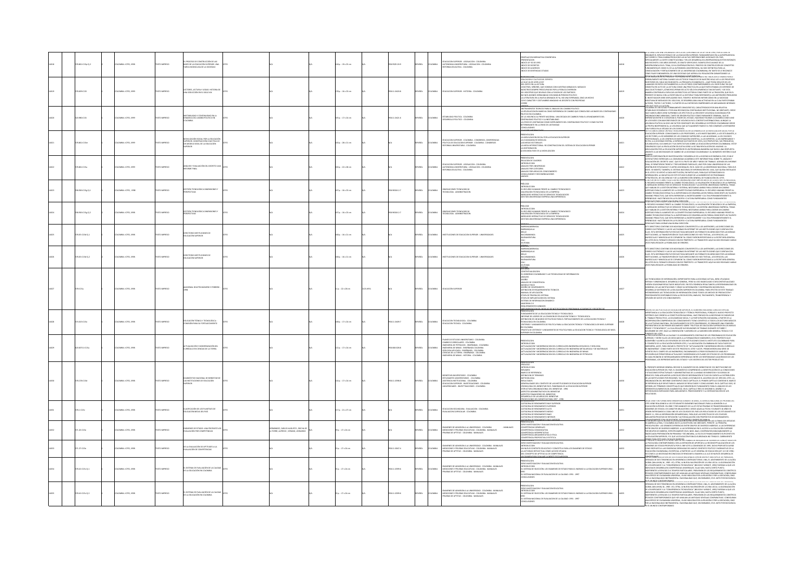|  | 61 (C15p Ej.2           | MEIA: ICFES, 1998          | <b>IMPRESO</b>     | el proceso de construcción de las<br>Bases de la educación superior: UNA<br>Tarea inconclusa de la sociedad |                                                                         | 18 p. : 19 x 25 cm   |          | 14329-20-9    | usios          |               | - EDUCACIÓN SUPERIOR - LEGISLACIÓN - COLOMBIA<br>- AUTONOMIA UNIVERSITABA - LEGISLACIÓN - COLOMBIA<br>- REFORMA EDUCATIVA - COLOMBIA                                                                                                                                                         | MPLACON NORMATIVA COMENTADA<br>-<br>PRESENTACION<br>-INDICE LEY 30 DE 1992<br>-INDICE DE ACUERDOS<br>-INDICE DE ACUERDOS<br>-INDICE DE SENTENCIAS CITADAS                                                                                                                                                                                                                                                                                                                                                                                                                                                           | jina luri ilini un analdis critilu del conteniuu de la let au de 1947, pur la lure se<br>Nizō el servicio público de la educación superior, fundamentado en la jurisprudencia<br>SERIOR DE REMONDERED EN A RECONSIDERATIVA DE MONDERNO DE LA MUNICIPALIZACIÓN DE MONDERNO DE LA CONSIDERATIVA DE LA CONSIDERATIVA EN EL CONSIDERATIVA EN EL CONSIDERATIVA EN EL CONSIDERATIVA EN EL CONSIDERATIVA EN EL CONSID                                                                                                                                                                                                                                                                                                                                                              |
|--|-------------------------|----------------------------|--------------------|-------------------------------------------------------------------------------------------------------------|-------------------------------------------------------------------------|----------------------|----------|---------------|----------------|---------------|----------------------------------------------------------------------------------------------------------------------------------------------------------------------------------------------------------------------------------------------------------------------------------------------|---------------------------------------------------------------------------------------------------------------------------------------------------------------------------------------------------------------------------------------------------------------------------------------------------------------------------------------------------------------------------------------------------------------------------------------------------------------------------------------------------------------------------------------------------------------------------------------------------------------------|-----------------------------------------------------------------------------------------------------------------------------------------------------------------------------------------------------------------------------------------------------------------------------------------------------------------------------------------------------------------------------------------------------------------------------------------------------------------------------------------------------------------------------------------------------------------------------------------------------------------------------------------------------------------------------------------------------------------------------------------------------------------------------|
|  | 8.009 IC151             | <b>COMBIA: ICFES, 1999</b> | OZZRRA OTK         | .<br>Tores, lectura y leidas: historia d<br>Ia seducción en el siglo XIX                                    |                                                                         | 178 p. : 16 x 23 cm  |          | 88-11-0420-8  | SPAÑOL         | OMBIA         | EDUCACIÓN SUPERIOR - HISTORIA - COLOMBIA                                                                                                                                                                                                                                                     | -EDUCACIÓN Y CULTIVO DEL ESPIRITI<br>-LO QUE VA DE AYER A HOY<br>-40 que ya un anta antor<br>-del Gesto en la lectura<br>-nosotros, señores, que honras con vuestras miradas el mosalco<br>-nosotros sempre preocupados por la pública diversion<br>"HUMANIM ARRIVER" PARAGAPANA TAN ANYANISA TARAHINISA<br>- CHI VISIGITROS QUE DELIRAS CON LA FUSION DE LOS PARTIDOS<br>- AN INSCRITAR EN LA NUEVA GRANADA ES YA, NO UNA ESPERANZA, SINO UN HECHO<br>- LA LITERATURA EN LA NUEVA GRANADA                                                                                                                          | UNA HORIZ DIE ROLD JOHN WARD IN DE SEE SEE ALTER SEE OOK PORTUGALE DIE DIE VOORSTEIN DE DIE GESTIES OOK DIE SU<br>CONSISTEIN ISSE ACTO DE LA LECTURA GOMO UNIV PRÄCTICA EN LA QUE FRATIERRARI LOS INTERSEES DIE GUE<br>UNA COLECTIVI                                                                                                                                                                                                                                                                                                                                                                                                                                                                                                                                        |
|  | 0.9861C151              | <b>CMBIA: ICFES, 1999</b>  | OZZRRA OTX         | ISTABILIDAD Y CONTINUISMO EN LA<br>LAMICA DEL CAMBIO POLITICO EN                                            |                                                                         | 505 p. : 17 x 24 cm  |          | 858-11-0421-6 | SPAÑOL         | OMEIA         | ESTABILIDAD POLITICA - COLOMBIA<br>DESARROLLO POLITICO - COLOMBIA                                                                                                                                                                                                                            | H <b>ARRIS</b> SANDAN<br>-INSTRUMENTOS TEORICOS PARA EL ANALISIS DEL CAMBIO POLITICO<br>-LA REVOLUCION EN MARCHA COMO EXPERIENCIA DE CAMBIO QUE CONSOLODO LAS BASES DEL CONTINUESA<br>POLÍTICO EN COLOMBIA<br>COLO VIDENCIA AL FRENTE NACIONAL, UNA OECADA DE CAMBIOS PARA EL AFIANZAMENTO DEL<br>COLTA NUSMAD PERINTICO Y LA RESTABILINDAD<br>DETRIMINANTE EN LA CRISIS DE LIGITIMIDAD<br>DETRIMINANTE DE LA CRISIS DE LIGITIMI                                                                                                                                                                                    | $\label{eq:R1} \begin{minipage}[t]{0.9\textwidth} \begin{tabular}{ c c c c } \hline \textbf{A} & \textbf{B} & \textbf{B} & \textbf{B} & \textbf{B} & \textbf{B} & \textbf{B} & \textbf{B} & \textbf{B} & \textbf{B} & \textbf{B} & \textbf{B} & \textbf{B} & \textbf{B} & \textbf{B} & \textbf{B} & \textbf{B} & \textbf{B} & \textbf{B} & \textbf{B} & \textbf{B} & \textbf{B} & \textbf{B} & \textbf{B} & \textbf{B} & \text$<br>PROPIA INDEPEN<br>KNOA, LA VIOLENCIA QUE ACTUALMENTE PADECE EL PAÍS COMENZÓ A EXTENDERSE<br>a prejam finantamičičaoja de loš ocheenta.<br>Oni plereza en la decada de loš ocheenta.<br>Ilit la favola lianguli uni praje trancisnomital lin la ciniannila de la militatizacijum sucuni, punca                                            |
|  | 8.861 (C15m)            | <b>CAABLA: ICFES, 1999</b> | <b>DO BARRESO</b>  | LIZACIÓN SOCIAL POR LA EDUCACIÓ<br>PERIOR: CONSTRUCCIÓN COLECTIVA DE<br>« MODELO IDEAL DE LA EDUCACIÓN      |                                                                         | 100 p. : 28 x 21 cm  |          |               | años           |               | - Educación Superior - Colonibia - Congresos, Conferencias<br>- Política de Educación Superior - Colonibia - Congresos<br>- Reforma Universitaria - Colonibia                                                                                                                                | RESENTACION<br>PRESINTACION<br>- LA MONILIZACION SCOAN POR LA EDUCACION SUPERIOR<br>- LA MONILIZACION SUNTAUZA<br>- LA MESA INTERSECTORIAL: RE-CONSTRUCCION DEL SISTEMA DE EDUCACION SUPERIOR<br>- LA MESA INTERSECTORIAL: RE-CONSTRUCCION DEL SISTEMA DE                                                                                                                                                                                                                                                                                                                                                           | .<br>KDUCACIÓN SUPERIOR: CONVOCAMOS A LOS PROFESORES, A LOS IMVESTIGADORES, A LOS ESTUDIANTES, .<br>LOS RECTORES, A LOS CENTROS DE LOS CONSIDOS SUPERIORES, A LAS ACADEMIAS, A LOS COLEGOS.<br>PROFESIONALES, A LOS CENTROS DE INVESTIG<br>PARAMANINANA, NAMA LAININANA SU KOMBANINANA (MATA SU PARAMANINANA NA MEMPARAMANI)<br>1811 RIN, A LA SOCIEDAD DISTRIPA, A EXPRESSA SUS PUNTOS DE VISTA, SUS PROPUESTAS, SUS PREGUNTAS,<br>1815 RIN, A LA SOCIEDAD DISTRIPA, A EXPRESS                                                                                                                                                                                                                                                                                             |
|  | 8.8611C15a              | CANBUA: ICFES, 1999        | O22RRM OTX         | ANÁLISIS Y EVALUACIÓN DEL DECRETO 1444<br>INFORME FINAL                                                     |                                                                         | 200 p. : 22 x 28 cm  |          |               | <b>JORKS</b>   |               | CACIÓN SUPERIOR - LEGISLACIÓN - COLOMBI<br>AUTONOMIA UNIVERSITARIA - LEGISLACION - COLOMBIA<br>REFORMA EDUCATIVA - COLOMBIA                                                                                                                                                                  | PRESENTACION<br>-RELACION DE CUADROS<br>-NTROLUCOON<br>-NAMAISE POR UNIVERSIDAD<br>-NAMAISE POR ARTAGORA<br>-NAMAISE POR ARTAGORA E CONCLUSIONES<br>-NATAGE<br>-NATAGE<br>-NATAGE                                                                                                                                                                                                                                                                                                                                                                                                                                   | <b>ANNAL CORPORACIÓN DE INVESTIGAÇÕI V DESARFACIO DE LA DOCTACA KONDUKA E COR, ES IMPINITATIVA E EN EL CORPORACIÓN DE INSTANTA EN EL CORPORACIÓN DE EN EL CORPORACIÓN DE EN EL CORPORACIÓN DE EN EL CORPORACIÓN DE EN EL CORPOR</b><br>.<br>ISTRATÉGICOS, DE COLCIENCIAS Y DE LA SUBDIRECCIÓN GENERAL DE PLANEACIÓN DEL ICFES.<br>IL AUTOR EN ESTE DIBRO TOLA CUATRO DIMENSIONES MOT IMPORTANTES DE LA GESTION TECNOLOGICA                                                                                                                                                                                                                                                                                                                                                  |
|  | 8.9261C15e EL1          | DOOR STEP AND              | OZZRRA OTK         | nón tecnológica demi<br>Pectivas                                                                            |                                                                         | 107 p. : 16 x 23 cm  |          | 058-96318-2-7 | <b>JORK</b>    | OMBH          | INNOVACIONES TECNOLOGICAS<br>TECNOLOGIA - ADMINISTRACION                                                                                                                                                                                                                                     | aaas<br>-INTRODUCCION<br>-EL RECURSO HUMANO FRENTE AL CAMBIO TECNOLOGICO<br>-VALORACION TECNOLOGICA DE LA EMPRESA<br>MERCADEO INTERACTIVO DE SERVICIOS TECNOLOGICOS<br>GESTION UNIVERSIDAD EMPRESA UNA EXPERIENCIA                                                                                                                                                                                                                                                                                                                                                                                                  | IA RECURSO IMMANO FRIENT AL CAMBIO TECNICÓGICO, LA VALORACIÓN TECNICÓGICA DE LA EMPRESA<br>LI MECLORO IMMANO FRIENT AL CAMBIO TECNICÓGICO, LA VALORACIÓN TECNICÓGICA DE LA EMPRESA<br>EL MECLORO IMTENACTIVO DE SERVACIO TECNICÓGICO<br>ulimaio Projetuo, cui sepa desertas la incertiduade y cultiva fermanisticadeit<br>residenta del tre deske en la floreca y cultiva daperemia: como fundamismo:<br>residenta del tre deske en la floreca y cultiva same marenantes de                                                                                                                                                                                                                                                                                                 |
|  | 8.9261C15g Ej.2         | MEIA: ICFES, 1998          | O22RRM OTKIT       | TIÓN TECNOLÓGICA DIMENSIONES Y<br>PECTIVAS                                                                  |                                                                         | 107 p. : 16 x 23 cm  |          | 68-96318-2-7  | SPAÑOL         |               | INOVACIÓNES TECNOLOGICAS<br>ICNOLOGIA - ADMINISTRACIÓN                                                                                                                                                                                                                                       | <b>GROUNDED</b><br><b>INTRODUCOON</b><br>-WI HUDULOUN<br>- EL RECUREO HUMANO FRENTE AL CAMBIO TECNOLOGICO<br>- NALDRACION TECNOLOGICA DE SA RUPRESA<br>- GESTION UNIVERSIDAD EMPRESA UNA EXPERIENCIA<br>- GESTION UNIVERSIDAD EMPRESA UNA EXPERIENCIA                                                                                                                                                                                                                                                                                                                                                               | IS MEASAIGO INTERNATION OS SERVADOS PECANOLOGOS V A CISTION UNIVERSIDADO INFERIOR. TEMAS A CARACTERÍA E EN CAR<br>SER HABAN DE LA GATINDA INTERNATIONAL DE ESCRIPCIÓN EN ANOS EN CARACTERÍA (MAIS EN CARACTERÍA)<br>CARACTERÍA EN C                                                                                                                                                                                                                                                                                                                                                                                                                                                                                                                                         |
|  | 8.05 (C15d EL1)         | BREE ZEES SHEEK            | OZZRRA OTK         | <b>CTORIO INSTITUCIONES DE</b><br>UCACIÓN SUPERIOR                                                          |                                                                         | 168 p. : 16 x 21 cm  |          |               | años           | OMBIA         | STITUCIONES DE EDUCACIÓN SUPERIOR - UNIVERSIDADES                                                                                                                                                                                                                                            | AMMINIA<br>-BARRANCABERMEIA<br>-BARRANCUILLA<br>-BUCARAMANGA<br>-BUENAVENTURA<br>-CALI<br>-DUITAMA                                                                                                                                                                                                                                                                                                                                                                                                                                                                                                                  | ESTE DRIECTORIO CONTIDUE DOS NOVEDADES CON RESPECTO A LOS ANTERIORES, LAS DIRECCIONES DEL<br>CORREO ELECTRÓNICO Y LAS DE LAS PAGINAS EN INTERNET DE LAS INSTITUCIONES QUE CUENTAN CON<br>ÉLIAS, ESTA INFORMACIÓN FUE RECOLECTADA MED<br>ini intolania, data information di trial data data con el moto intolani, data espostas dat<br>Del ICFES en el Formato creato con est propórto. Lo transcrito acuí i ia secretaría general<br>Veces para reducir la posbilidad de Err                                                                                                                                                                                                                                                                                                |
|  | $105$ iC15d Ej 2        | MEIA: ICFES, 1998          | <b>O22RRM OT</b>   | ctorio instituciones de<br>Cación superior                                                                  |                                                                         | 68 p. : 16 x 21 cm   |          |               | AÑOL           |               | UCIONES DE EDUCACIÓN SUPERIOR - UNI                                                                                                                                                                                                                                                          | <del>xecentat</del><br>Barrancarermeia<br>Barrancullia<br>Bellio<br>Bucaramanga<br>-Bello<br>-Bucaramanga<br>-Cali<br>-Cali<br>w.<br>EDITORIAL<br>CONTEXTUALIZACIÓN                                                                                                                                                                                                                                                                                                                                                                                                                                                 | IN THE CONSTRUCTION CONTROL CON DEVELOPS CON BESTITUDES, AN ENTIRE CONSTRUCTION CONTROL CONTROL CONTROL CONTROL CONTROL CONTROL CONTROL CONTROL CONTROL CONTROL CONTROL CONTROL CONTROL CONTROL CONTROL CONTROL CONTROL CONTR                                                                                                                                                                                                                                                                                                                                                                                                                                                                                                                                               |
|  | <b>18 IC15a</b>         | LOMBIA: ICFES, 1998        | O22RRM OTKET       | AKADEMIA: BOLETÍN NÚMERO 3 FEBRERO                                                                          |                                                                         | 11 p : 22 x 28 cm    | 123-6951 |               | <b>JORKS2</b>  | <b>KOMBIA</b> | EDUCACIÓN SUPERIO                                                                                                                                                                                                                                                                            | MNO Y LAS TECNOLOGIAS DE INFORMACIÓN<br>EL GOBIERNO COLO<br>-EL GOBIERNO COLOMBIANO Y LA<br>-<br>OSEÑO DE CONSTENCIA<br>-<br>ANGELO FISICO<br>-<br>OSEÑO DE COMPONINTES<br>-<br>-<br>- ETARA DE VINCIADÓN<br>-<br>-<br>- ETARA DE VINCIADÓN<br>-<br>-<br>- ETARA DE APUCEADÓN<br>-<br>-<br>- ETARA DE APUCEADÓN<br>TOS TECNICO<br>-<br>TAPA DE IMPLANTACION DEL SISTEMA<br>-<br>SISTEMA DE INFORMACION DINAMICO<br>-AKADEMIA 2.0<br>REQUERIMENTOS MINIMOS                                                                                                                                                           | AS TRONGOGÍAS DE REFORMACIÓN, MARCHANTES PARA LA GOCERNO ACTUAL, BERLUTIDORIAS<br>PORTINGO A CARRA ELECTRONICA (PODE DE COLO DE CONSIDERATIVA ELECTRONICA ELECTRONICAL ELECTRONICAL ELECTRONICA<br>CORENTADO AS LA RESTITUCIÓNES VI                                                                                                                                                                                                                                                                                                                                                                                                                                                                                                                                         |
|  | 01310150                | BREEZ ZEEL AIRMOR          | <b>O23RM OTXIT</b> | .<br>Nación técneca y tecnológica :<br>Nación basa su enstal ecimento                                       |                                                                         | 108 p. : 17 x 24 cm  |          | 058-11-0409-7 | <b>JORARZI</b> | LOMBIA        | -<br>EDUCACIÓN TECNOLOGICA - COLOMBIA<br>- EDUCACIÓN TECNICA - COLOMBIA                                                                                                                                                                                                                      | PLEMENTACIÓN DEL MOI<br>PRESENTACIÓN<br>-FUNDAMENTOS DE LA EDUCACIÓN TECNICA Y TECNOLOGICA<br>-MEDIAME DE LOGROS DE LA COMISIÓN DE EDUCADOR TECNICA Y TECNOLOGICA<br>-REFORME DE LOGROS DE LA COMISIÓN DE EDUCADOR TECNICA Y TECNOLOGICA<br>-DERINGIDICA EN COLOMBIA<br>-TECNOLOGICA EN COLOMBIA<br>RITERIOS Y LINEAMIENTOS DE POLITICA PARA LA EDUCACIÓN TECNICA Y TECNOLOGICA DE NIVEL SUPERIOR<br>APOLITI I AMMYNIARINGA DA PULITICA PRAN DE BONDONDAR TENNIS E TENNISONALISTA ERRE DIFERINA<br>ESTA DE CRITERIOS Y LINEAMENTOS DE POLITICA PARA LA EDUCACIÓN TECNICA Y TECNOLOGICA DE NIVEI<br>RIDR EN COLOMBIA | THE MISCHIEF MARK AND MISCHIEF INTO A LABORATORY CHAPTER AND THE MISCHIEF IN A STATE AND A LA DISCAPLE THE CHAPTER CHAPTER CHAPTER AND A LA DISCAPLE THE CHAPTER CHAPTER CHAPTER CHAPTER CHAPTER CHAPTER CHAPTER CHAPTER CHAP<br>ÉNICO Y TECNOLÓGICO", LA CUAL REALIZÓ SUS REUNIONES DE TRABAJO DURANTE OCTUBRE Y<br>OVIEMBRE DE 1997, BAJO LA ORIENTACIÓN Y ASESORÍA DE LA SUBDIRECCIÓN GENERAL TÉCNICA Y DE                                                                                                                                                                                                                                                                                                                                                               |
|  | 0071110154              | BREE ZEES SABAR            | <b>OZZRRM OT</b>   | TUAUZACIÓN Y MODERNIZACIÓN DEI<br>RRÍCULO EN CIENCIAS DE LA TIERRA                                          |                                                                         | 22p.: 17 x 24 cm     |          | 8-400-025-8   | AÑOL           |               | AIRMOUND - OIRATIZERS/IMU OIDITZE 20 ZEMAJN<br>- PAMIS DE ESTUDIO UNIVERSITARIO:<br>- DAMIS DE CURRICULARES - COLOMBIA<br>- INGENIERIA DE PITROEIXO - DISEÑANZA COLOMBIA<br>- INGENIERIA DE PITROEIXO - DESEÑANZA COLOMBIA<br>- GEOLOGIA PILICARA - DESEÑANZA - COLOMBIA<br>- CIENCIAS DE LA | RESENTACION<br>-WITHOUT LOOM<br>-ACTUALIZACION Y MADIEMARACHN DEL CURRICULOEN INGENIERIA GEOLOGICA Y GEOLOGIA<br>-ACTUALIZACION Y MADIEMARACHN DEL CURRICULO EN INGENIERIA DE MANES<br>-ACTUALIZACION Y MADIEMARACHN DEL CURRICULO EN INGENIERIA DE MI                                                                                                                                                                                                                                                                                                                                                              | .<br>LA PREDCUPACIÓN POR LA CALIDAD Y EL MEJORAMIENTO CONTINUO DE LOS PROGRAMAS DE EDUCACIÓN<br>MAMAS, LOS REPRESENTANTES DEL ESTADO Y LOS VOCEROS DEL SECTOR PRODUCTIVO.                                                                                                                                                                                                                                                                                                                                                                                                                                                                                                                                                                                                   |
|  | 8.1781015d              | LOMBIA: ICFES, 1998        | O23RN OTIO         | OSTICO NACIONAL DE BIENESTAR D<br>LAS INSTITUCIONES DE EDUCACIÓN                                            |                                                                         | 124 p. : 17 x 24 cm  |          | 658-11-0398-8 | <b>JORKS</b>   |               | MESTAR I INVERSITARIO - COLOMB<br>- MINIMUM CHAVANAMOU - COLOMBIA<br>- ESTUDIARTES UNIVERSITARIOS - COLOMBIA<br>- ASSTENCIA INSTITUCIONAL - COLOMBIA<br>- ENICACION SUPERBOR - INVESTIGADORIS - COLOMBIA<br>- ENICACION DES - INITETES APRILITZATORIS - COLOMBIA                             | PRESENTACION<br>-PEOLOGIO<br>-RESUMEN<br>-MARCO DE REFERENCIA<br>-MARCO DE REFERENCIA<br>-RESULTADOS<br>-RESULTADOS<br>-RESULTADOS<br>-RESULTADOS<br>49 MOLPARDS DEL CONTENTO DE LAS INSTRUCIONES DE EDUCACION SUPERIOR<br>CONFOUCIDOS AS ELEMENTAR DE LA PANCINAMA DE LA EDUCACIÓN SUPERIOR<br>CETRICITANA ORGANIZACIÓNE DEL BERCEFIA - 1996<br>CHECTRIS INDUSCUPI<br>CONFOUCIDOS ELES ERENTE                                                                                                                                                                                                                      | PRESENTE INFORME GENERAL RECOGE EL DIAGNÓSTICO DEL BIENESTAR DE 232 INSTITUCIONES DE<br>is preminis numeros unis influentes externativas presidentarios de administracións (m. 1470).<br>15 decembre: Estructurales y administrativas de la Unidad de Bienestar y Sus Árendeznes.<br>Servicios: Para Adelantar la Recolecció<br>BRAYLING PRINT RIGGIONI ION DE REGIONES, TAL COMO LO ESTABLECE EL ACUERDO 201 DE 1993 DEL ICFES, LA<br>un un initiin dadmatatur mandamat, vir alum da latindada in arta da antique da latin da antique da bangozza da<br>Distanting local da latin da para el análisis de resultados y conclusiones. En el cantenio el naroco<br>Distantin<br>ITTODOLOGÍA EMPLEADOS PARA ADILANTAR EL PROCEDIMENTO Y LA SISTEMATIZACIÓN DE LOS<br>SULTADOS. |
|  | <b>78.1 IC15c</b>       | BODY 2721-AIRPO            | OPPO MARKS         | <b>ECADÓN DE LOS DI ANTELES DE</b><br>CACIÓN MEDIA DEL PAÍS                                                 |                                                                         | 217 p. : 21 x 27 cm  |          |               | <b>JORKS</b>   | OMEIA         | .<br>Iducación secundaria - Evaluación - Colombia<br>Ivaluación curricular - Colombia                                                                                                                                                                                                        | HATSGEN DE RENDIMENTO MUY SUPERIOR<br>-CATEGORIA DE RENDIMENTO SUPERIOR<br>-CATEGORIA DE RENDIMENTO ALTO<br>CATEGORIA DE RENDIMIENTO MEDIO<br>.<br>ATEGORIA DE RENDIMENTO BAJO<br>"ATEGORIA DE RENDIMENTO INFERIOR                                                                                                                                                                                                                                                                                                                                                                                                  | .<br>In 1968 to be former interspective varieties at every, as served to malicines as presence valid<br>HARD A THE TAIL PAPON IN INTERNATIONAL BOOK THE MACHINE SPARA LA ADMISIÓN A LA<br>ECHSA VENE REALIZANDO A LOS ESTUDIANTES DAÑAEMES NACIONALES PARA LA ADMISIÓN A LA<br>ECHSACIÓN SUPRESON, DE LORO Y ORO MANDATO DE LA LEV ESTAS PRU<br><b>STANDA TELEVISION DE CONSUMERE DE CONSUMERE DE CONSUMERE DE LOS CONSUMEREN</b><br>ARALANTEN PROCESOS DE REFLEXIÓN Y AUTODIVALUACIÓN CON PROPÓRTOS DE MEJORAMIENTO,<br>CONVINCAMENTE CONJENSOR EN ES LEGIONALIA DE LOS CORPORADOS DE ME                                                                                                                                                                                   |
|  | 126 K15e                | BREE ZEEL AIRPO            | OZZRRA OTX         | MENES DE ESTADO: UNA PROPUEST<br>LUACIÓN POR COMPETENCIAS                                                   | INÁNDEZ, CARLOS AUGUSTO ; ROCHA DE<br>FORRE, ALFREDO ; VERANO, LEONARDO | $8a:17x24$ cm        |          |               | <b>MGCL</b>    |               | .<br>Menes de Admision a la Universidad - colombia<br>Xiciones y Pruebas educativas - colombia - Manuales<br>-MANUALDS<br>PRUEBAS DE APTITUD - COLOMBIA - MANUALES                                                                                                                           | CHITECTRIA DE BENYAMENTA MEN IMEERINA<br>PRESENTACION<br>-SERIE INVESTIGACION Y EVALUACION EDUCATIVA<br>-COMPETENCIA COMUNICATIVA<br>COMPETENCIA INTERPRETATIVA<br>COMPETENCIA ARGUMENTATIVA O ETICA<br>COMPETENCIA PROPOSITIVA O ESTETICA<br><b>MAINLACEN</b>                                                                                                                                                                                                                                                                                                                                                      | IN INVESTIGATION IN CONSULTING CONTINUES IN A DISTRICT PROFIT IN A SUCH A CONSULTANT CONTINUES IN A SUCH A CONSULTANT IN THE CONSULTING IN A SUCH A CONSULTANT OF THE CONSULTANT OF THE CONSULTANT OF THE CONSULTANT OF THE CO                                                                                                                                                                                                                                                                                                                                                                                                                                                                                                                                              |
|  | 1.27 (C15e)             | BREE ZEEL AIRPO            | OZZRRA CT          | A EVALUACIÓN DE APTITUDES A LA<br>JIACIÓN DE COMPETENCIAS                                                   |                                                                         | $10:17 \times 24$ cm |          | 58-11-0047-4  | AÑOL           |               | .<br>Mienes de Admision a la Universidad - Colombia - Manuales<br>Diciones y Pruebas Educativas - Colombia - Manuales<br>PRUEBAS DE APTITUD - COLOMBIA - MANUALES                                                                                                                            | PREMI INVESTIGACION Y EVALUACION EDUCATIVA<br>- SERIE INVESTIGACION Y EVALUACION EDUCATIVA<br>- UN NUEVO CONTEXTO EDUCATIVO Y CONCEPTUL PARA LOS EXAMENES DE ESTADO<br>-IA ACTIVIDAD INTELECTUAL COMO ACOON SITUADA<br>-DEL CONCEPTO DE APTITUD AL DE COMPETENCIA                                                                                                                                                                                                                                                                                                                                                   | .<br>DA PSICOLOGÍA CONTEMPORÁNEA CON LA INTENCIÓN DE APORTAR A LA BECONCEPTUALIZACIÓN DE LOS<br>DIÁMIENSE DE ESTADO PROPUESTA FOR EL SIM-ICFES A CONFINIDIS DE 1995. ELCIA PROPUESTA SURGE<br>COMO RESPUESTA A LAS ENGIDICAS DERIVADAS<br>ducación colombiana, en especial a partir de la ley general de educación (ley 115 de 1894)<br>Sí como a la necesidad reconocida de renovar el examen a la luz de nuevos desarrollos                                                                                                                                                                                                                                                                                                                                               |
|  | <b>PR.16 IC15s Ej.1</b> | CANBUA: ICFES, 1998        | O23RN OTIO         | SISTEMA DE EVALUACIÓN DE LA CALIDA<br>A EDUCACIÓN EN COLOMBIA                                               |                                                                         | 65 p. : 17 x 24 cm   |          | 68-11-0399-6  | wio.           |               | MENES DE ADMISION A LA UNIVERSIDAD - COLOMBIA - MANUALES<br>MEDICIONES Y PRUEBAS EDUCATIVAS - COLOMBIA - MANUALES<br>PRUEBAS DE APTITUD - COLOMBIA - MANUALES                                                                                                                                | ATACIÓN<br>I INVESTIGACIÓN Y EVALUACIÓN EDUCATIVA<br>-SIRIE INVASI MARIAM 1 NAMAMPILION LIGEONOMICAL DISPARED A LA EDUCACIÓN SUPERIOR 1964 -<br>-RITIGIONICON<br>-RITIGIONICOS<br>- MARITIMANA MACIONAL DE EVALUACIÓN DE LA CAUSAC: 1993 - 1997<br>- MARITIMANAMPIC<br>- MARITIMANAMPIC                                                                                                                                                                                                                                                                                                                             | SCIENTING TRANSPORTED TO A REPORT OF THE CHARGE AND CONTROL AND CONTROL CONTROL CONTROL CONTROL CONTROL CONTROL CONTROL CONTROL CONTROL CONTROL CONTROL CONTROL CONTROL CONTROL CONTROL CONTROL CONTROL CONTROL CONTROL CONTR<br>OR LA RACIONALIDAD INSTRUMENTAL. RACIONALIDAD QUE, SIN EMBARGO, ES EL MITO POR EXCELENCIA                                                                                                                                                                                                                                                                                                                                                                                                                                                  |
|  | 28.16 (C15s Ej 2)       | LOMBIA: ICFES, 1998        | O23RNM OTKIT       | .<br>SISTEMA DE EVALUACIÓN DE LA CALIDAD<br>E LA EDUCACIÓN EN COLOMBIA                                      |                                                                         | 65 p. : 17 x 24 cm   |          | 2-0203-11-030 | <b>JORKS</b>   | OMEIA         | AMENES DE ADMISIÓN A LA UNIVERSIDAD - COLOMBIA - MANUALES<br>- MEDICIONES Y PRUEBAS EDUCATIVAS - COLOMBIA - MANUALES<br>- PRUEBAS DE APTITUD - COLOMBIA - MANUALES                                                                                                                           | CACION<br>SERIE INVESTIGA<br><b>AGON Y EV</b><br>-WI HAUDILICUON<br>- ESS SESTIMA DE SELECCIÓN: LOS EXAMENES DE ESTADO PARA EL INGRASO A LA EDUCACION SUPERIOR 1964 -<br>- EL SESTEMA NACIONAL DE EVALUACION DE LA CALIDAD: 1991 - 1997<br>CUSONES                                                                                                                                                                                                                                                                                                                                                                  | OR LA RACIONALIDAD INSTRUMENTAL, RACIONALIDAD QUE, SIN EMBARGO, ES EL MITO POR EXCELENCIA                                                                                                                                                                                                                                                                                                                                                                                                                                                                                                                                                                                                                                                                                   |